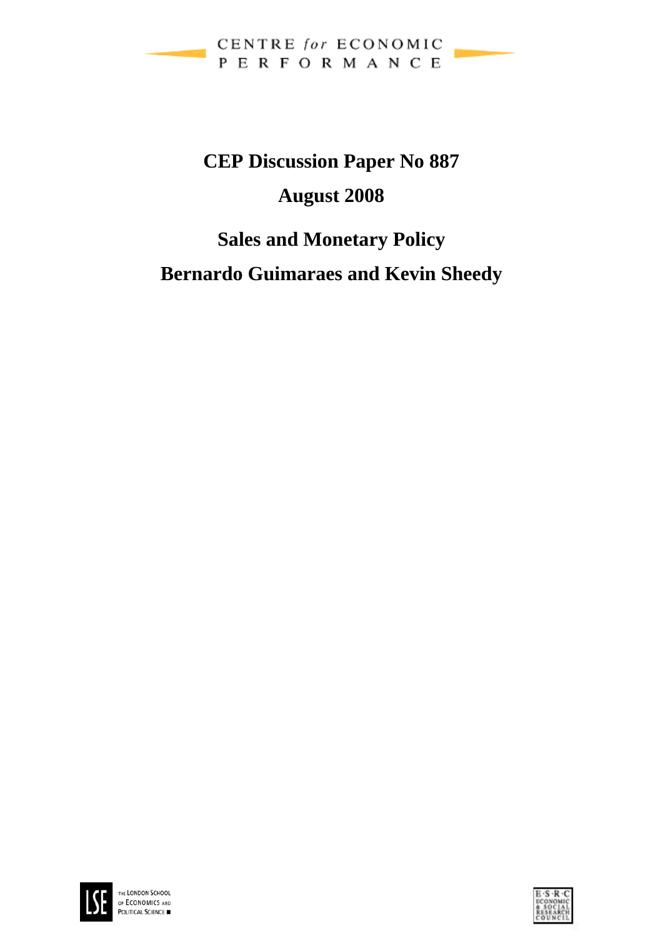

# **CEP Discussion Paper No 887 August 2008**

# **Sales and Monetary Policy**

**Bernardo Guimaraes and Kevin Sheedy** 



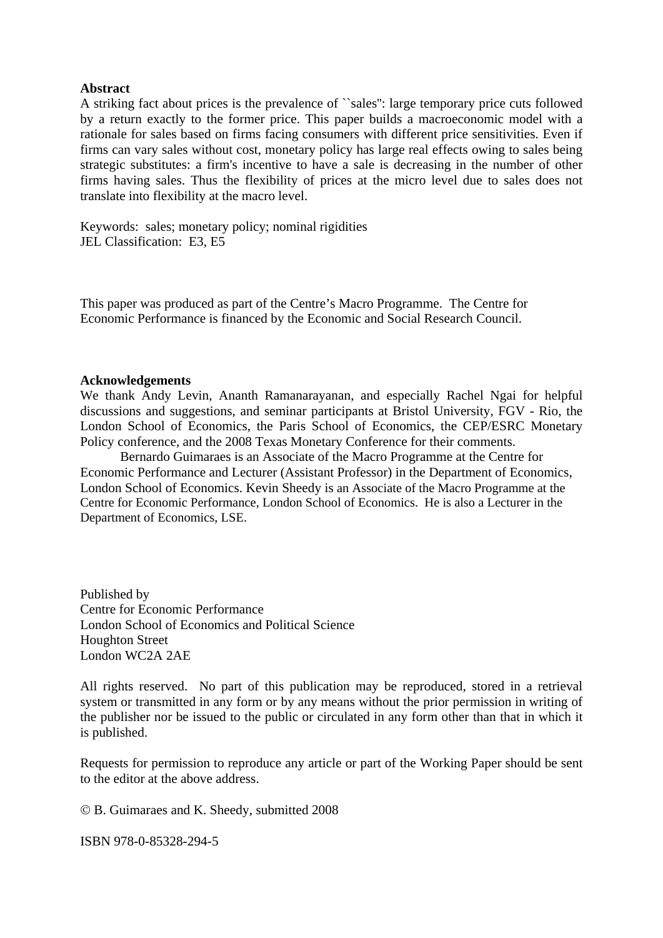### **Abstract**

A striking fact about prices is the prevalence of ``sales'': large temporary price cuts followed by a return exactly to the former price. This paper builds a macroeconomic model with a rationale for sales based on firms facing consumers with different price sensitivities. Even if firms can vary sales without cost, monetary policy has large real effects owing to sales being strategic substitutes: a firm's incentive to have a sale is decreasing in the number of other firms having sales. Thus the flexibility of prices at the micro level due to sales does not translate into flexibility at the macro level.

Keywords: sales; monetary policy; nominal rigidities JEL Classification: E3, E5

This paper was produced as part of the Centre's Macro Programme. The Centre for Economic Performance is financed by the Economic and Social Research Council.

#### **Acknowledgements**

We thank Andy Levin, Ananth Ramanarayanan, and especially Rachel Ngai for helpful discussions and suggestions, and seminar participants at Bristol University, FGV - Rio, the London School of Economics, the Paris School of Economics, the CEP/ESRC Monetary Policy conference, and the 2008 Texas Monetary Conference for their comments.

 Bernardo Guimaraes is an Associate of the Macro Programme at the Centre for Economic Performance and Lecturer (Assistant Professor) in the Department of Economics, London School of Economics. Kevin Sheedy is an Associate of the Macro Programme at the Centre for Economic Performance, London School of Economics. He is also a Lecturer in the Department of Economics, LSE.

Published by Centre for Economic Performance London School of Economics and Political Science Houghton Street London WC2A 2AE

All rights reserved. No part of this publication may be reproduced, stored in a retrieval system or transmitted in any form or by any means without the prior permission in writing of the publisher nor be issued to the public or circulated in any form other than that in which it is published.

Requests for permission to reproduce any article or part of the Working Paper should be sent to the editor at the above address.

© B. Guimaraes and K. Sheedy, submitted 2008

ISBN 978-0-85328-294-5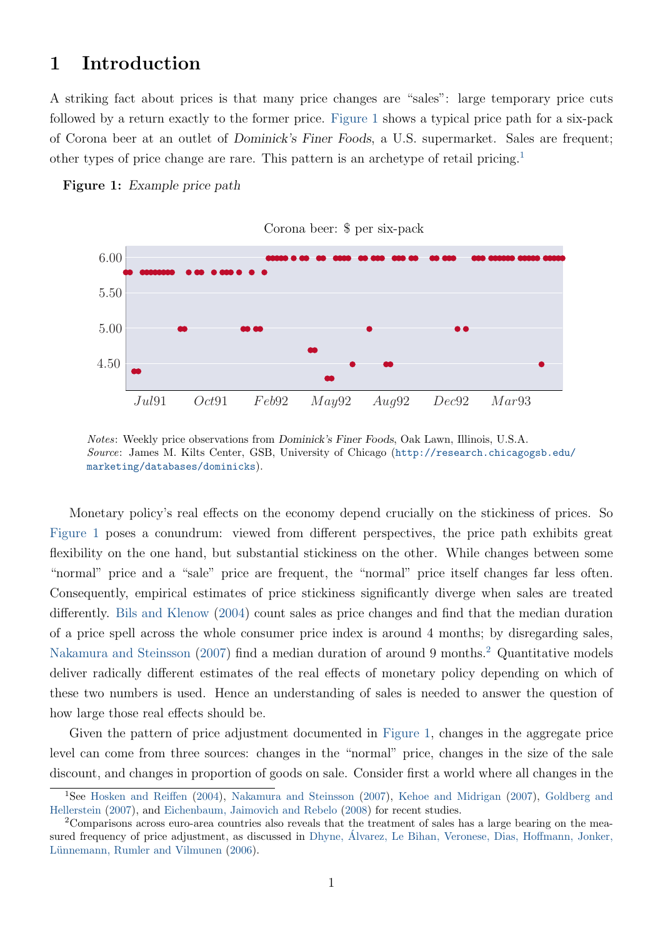# <span id="page-2-3"></span>1 Introduction

A striking fact about prices is that many price changes are "sales": large temporary price cuts followed by a return exactly to the former price. [Figure 1](#page-2-0) shows a typical price path for a six-pack of Corona beer at an outlet of Dominick's Finer Foods, a U.S. supermarket. Sales are frequent; other types of price change are rare. This pattern is an archetype of retail pricing.[1](#page-2-1)

<span id="page-2-0"></span>



Notes: Weekly price observations from Dominick's Finer Foods, Oak Lawn, Illinois, U.S.A. Source: James M. Kilts Center, GSB, University of Chicago ([http://research.chicagogsb.edu/](http://research.chicagogsb.edu/marketing/databases/dominicks) [marketing/databases/dominicks](http://research.chicagogsb.edu/marketing/databases/dominicks)).

Monetary policy's real effects on the economy depend crucially on the stickiness of prices. So [Figure 1](#page-2-0) poses a conundrum: viewed from different perspectives, the price path exhibits great flexibility on the one hand, but substantial stickiness on the other. While changes between some "normal" price and a "sale" price are frequent, the "normal" price itself changes far less often. Consequently, empirical estimates of price stickiness significantly diverge when sales are treated differently. [Bils and Klenow](#page-39-0) [\(2004\)](#page-39-0) count sales as price changes and find that the median duration of a price spell across the whole consumer price index is around 4 months; by disregarding sales, [Nakamura and Steinsson](#page-40-0) [\(2007\)](#page-40-0) find a median duration of around 9 months.[2](#page-2-2) Quantitative models deliver radically different estimates of the real effects of monetary policy depending on which of these two numbers is used. Hence an understanding of sales is needed to answer the question of how large those real effects should be.

Given the pattern of price adjustment documented in [Figure 1,](#page-2-0) changes in the aggregate price level can come from three sources: changes in the "normal" price, changes in the size of the sale discount, and changes in proportion of goods on sale. Consider first a world where all changes in the

<span id="page-2-1"></span><sup>1</sup>See [Hosken and Reiffen](#page-40-1) [\(2004\)](#page-40-1), [Nakamura and Steinsson](#page-40-0) [\(2007\)](#page-40-0), [Kehoe and Midrigan](#page-40-2) [\(2007\)](#page-40-2), [Goldberg and](#page-40-3) [Hellerstein](#page-40-3) [\(2007\)](#page-40-3), and [Eichenbaum, Jaimovich and Rebelo](#page-40-4) [\(2008\)](#page-40-4) for recent studies.

<span id="page-2-2"></span><sup>&</sup>lt;sup>2</sup>Comparisons across euro-area countries also reveals that the treatment of sales has a large bearing on the measured frequency of price adjustment, as discussed in Dhyne, [Alvarez, Le Bihan, Veronese, Dias, Hoffmann, Jonker,](#page-39-1) ´ Lünnemann, Rumler and Vilmunen [\(2006\)](#page-39-1).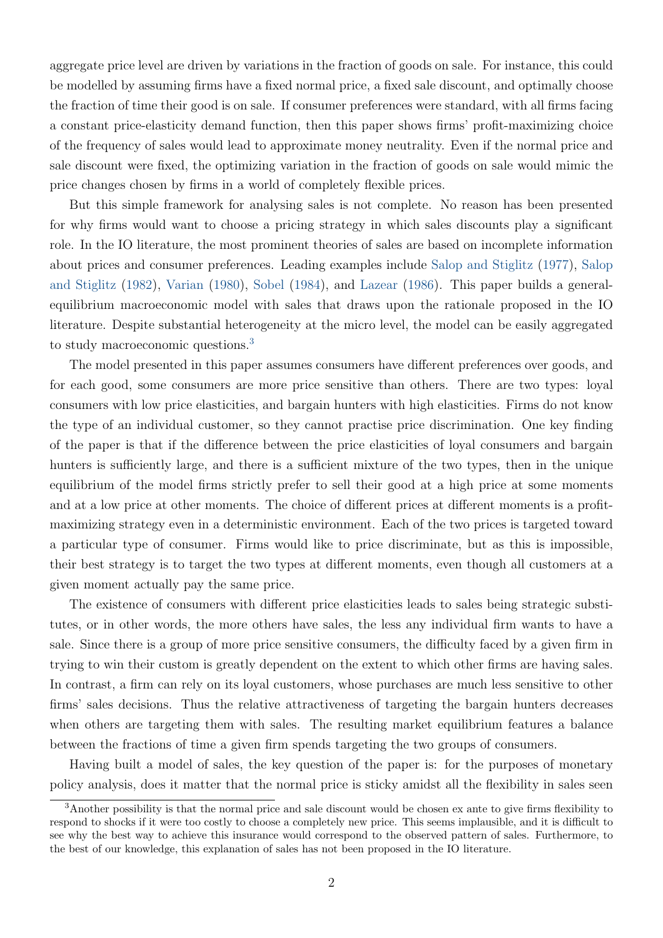<span id="page-3-1"></span>aggregate price level are driven by variations in the fraction of goods on sale. For instance, this could be modelled by assuming firms have a fixed normal price, a fixed sale discount, and optimally choose the fraction of time their good is on sale. If consumer preferences were standard, with all firms facing a constant price-elasticity demand function, then this paper shows firms' profit-maximizing choice of the frequency of sales would lead to approximate money neutrality. Even if the normal price and sale discount were fixed, the optimizing variation in the fraction of goods on sale would mimic the price changes chosen by firms in a world of completely flexible prices.

But this simple framework for analysing sales is not complete. No reason has been presented for why firms would want to choose a pricing strategy in which sales discounts play a significant role. In the IO literature, the most prominent theories of sales are based on incomplete information about prices and consumer preferences. Leading examples include [Salop and Stiglitz](#page-40-5) [\(1977\)](#page-40-5), [Salop](#page-40-6) [and Stiglitz](#page-40-6) [\(1982\)](#page-40-6), [Varian](#page-40-7) [\(1980\)](#page-40-7), [Sobel](#page-40-8) [\(1984\)](#page-40-8), and [Lazear](#page-40-9) [\(1986\)](#page-40-9). This paper builds a generalequilibrium macroeconomic model with sales that draws upon the rationale proposed in the IO literature. Despite substantial heterogeneity at the micro level, the model can be easily aggregated to study macroeconomic questions.[3](#page-3-0)

The model presented in this paper assumes consumers have different preferences over goods, and for each good, some consumers are more price sensitive than others. There are two types: loyal consumers with low price elasticities, and bargain hunters with high elasticities. Firms do not know the type of an individual customer, so they cannot practise price discrimination. One key finding of the paper is that if the difference between the price elasticities of loyal consumers and bargain hunters is sufficiently large, and there is a sufficient mixture of the two types, then in the unique equilibrium of the model firms strictly prefer to sell their good at a high price at some moments and at a low price at other moments. The choice of different prices at different moments is a profitmaximizing strategy even in a deterministic environment. Each of the two prices is targeted toward a particular type of consumer. Firms would like to price discriminate, but as this is impossible, their best strategy is to target the two types at different moments, even though all customers at a given moment actually pay the same price.

The existence of consumers with different price elasticities leads to sales being strategic substitutes, or in other words, the more others have sales, the less any individual firm wants to have a sale. Since there is a group of more price sensitive consumers, the difficulty faced by a given firm in trying to win their custom is greatly dependent on the extent to which other firms are having sales. In contrast, a firm can rely on its loyal customers, whose purchases are much less sensitive to other firms' sales decisions. Thus the relative attractiveness of targeting the bargain hunters decreases when others are targeting them with sales. The resulting market equilibrium features a balance between the fractions of time a given firm spends targeting the two groups of consumers.

Having built a model of sales, the key question of the paper is: for the purposes of monetary policy analysis, does it matter that the normal price is sticky amidst all the flexibility in sales seen

<span id="page-3-0"></span><sup>3</sup>Another possibility is that the normal price and sale discount would be chosen ex ante to give firms flexibility to respond to shocks if it were too costly to choose a completely new price. This seems implausible, and it is difficult to see why the best way to achieve this insurance would correspond to the observed pattern of sales. Furthermore, to the best of our knowledge, this explanation of sales has not been proposed in the IO literature.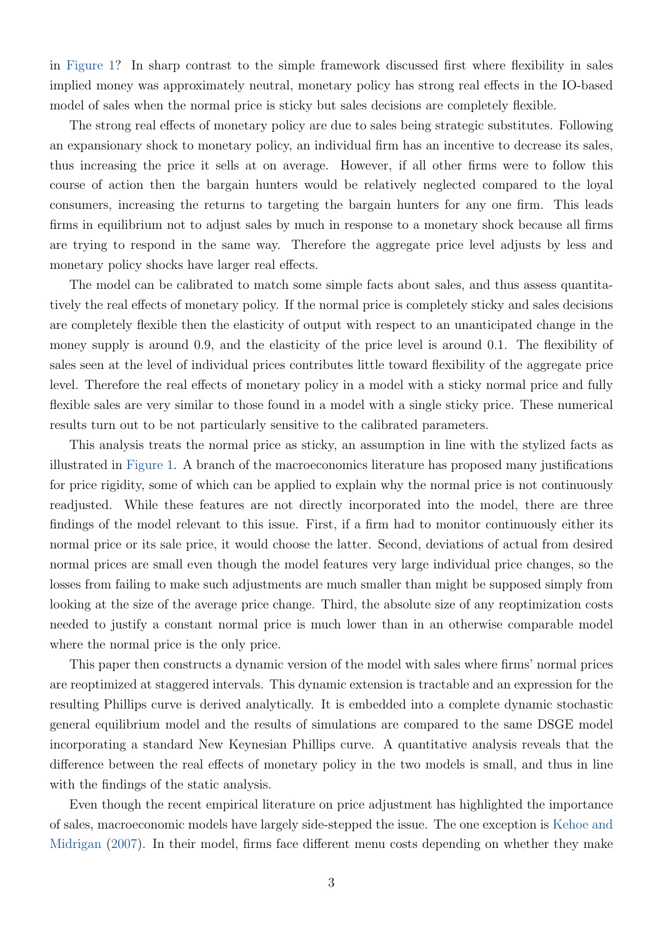<span id="page-4-0"></span>in [Figure 1?](#page-2-0) In sharp contrast to the simple framework discussed first where flexibility in sales implied money was approximately neutral, monetary policy has strong real effects in the IO-based model of sales when the normal price is sticky but sales decisions are completely flexible.

The strong real effects of monetary policy are due to sales being strategic substitutes. Following an expansionary shock to monetary policy, an individual firm has an incentive to decrease its sales, thus increasing the price it sells at on average. However, if all other firms were to follow this course of action then the bargain hunters would be relatively neglected compared to the loyal consumers, increasing the returns to targeting the bargain hunters for any one firm. This leads firms in equilibrium not to adjust sales by much in response to a monetary shock because all firms are trying to respond in the same way. Therefore the aggregate price level adjusts by less and monetary policy shocks have larger real effects.

The model can be calibrated to match some simple facts about sales, and thus assess quantitatively the real effects of monetary policy. If the normal price is completely sticky and sales decisions are completely flexible then the elasticity of output with respect to an unanticipated change in the money supply is around 0.9, and the elasticity of the price level is around 0.1. The flexibility of sales seen at the level of individual prices contributes little toward flexibility of the aggregate price level. Therefore the real effects of monetary policy in a model with a sticky normal price and fully flexible sales are very similar to those found in a model with a single sticky price. These numerical results turn out to be not particularly sensitive to the calibrated parameters.

This analysis treats the normal price as sticky, an assumption in line with the stylized facts as illustrated in [Figure 1.](#page-2-0) A branch of the macroeconomics literature has proposed many justifications for price rigidity, some of which can be applied to explain why the normal price is not continuously readjusted. While these features are not directly incorporated into the model, there are three findings of the model relevant to this issue. First, if a firm had to monitor continuously either its normal price or its sale price, it would choose the latter. Second, deviations of actual from desired normal prices are small even though the model features very large individual price changes, so the losses from failing to make such adjustments are much smaller than might be supposed simply from looking at the size of the average price change. Third, the absolute size of any reoptimization costs needed to justify a constant normal price is much lower than in an otherwise comparable model where the normal price is the only price.

This paper then constructs a dynamic version of the model with sales where firms' normal prices are reoptimized at staggered intervals. This dynamic extension is tractable and an expression for the resulting Phillips curve is derived analytically. It is embedded into a complete dynamic stochastic general equilibrium model and the results of simulations are compared to the same DSGE model incorporating a standard New Keynesian Phillips curve. A quantitative analysis reveals that the difference between the real effects of monetary policy in the two models is small, and thus in line with the findings of the static analysis.

Even though the recent empirical literature on price adjustment has highlighted the importance of sales, macroeconomic models have largely side-stepped the issue. The one exception is [Kehoe and](#page-40-2) [Midrigan](#page-40-2) [\(2007\)](#page-40-2). In their model, firms face different menu costs depending on whether they make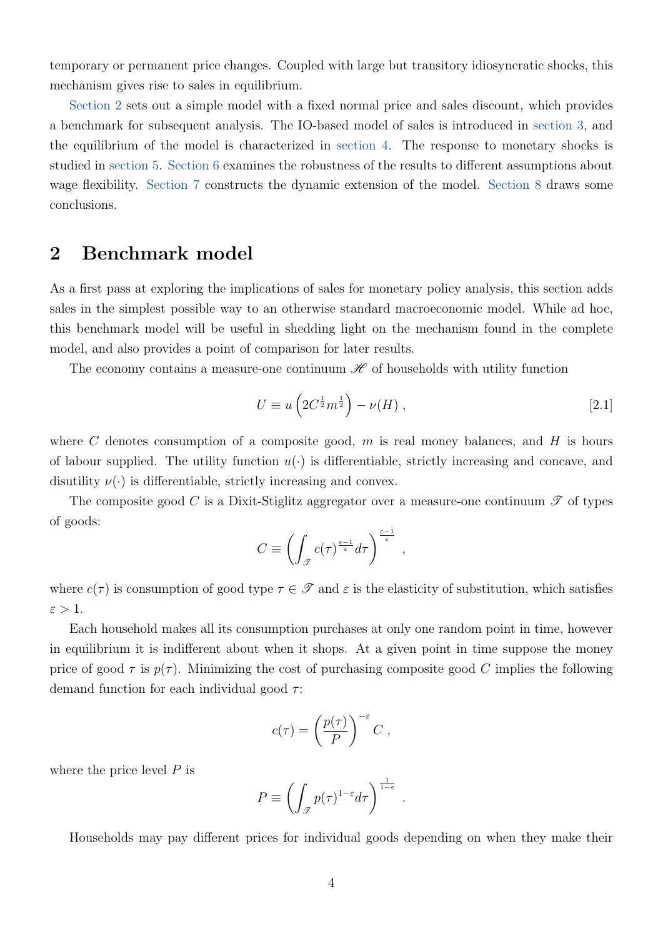temporary or permanent price changes. Coupled with large but transitory idiosyncratic shocks, this mechanism gives rise to sales in equilibrium.

[Section 2](#page-5-0) sets out a simple model with a fixed normal price and sales discount, which provides a benchmark for subsequent analysis. The IO-based model of sales is introduced in [section 3,](#page-8-0) and the equilibrium of the model is characterized in [section 4.](#page-13-0) The response to monetary shocks is studied in [section 5.](#page-19-0) [Section 6](#page-28-0) examines the robustness of the results to different assumptions about wage flexibility. [Section 7](#page-29-0) constructs the dynamic extension of the model. [Section 8](#page-38-0) draws some conclusions.

# <span id="page-5-0"></span>2 Benchmark model

As a first pass at exploring the implications of sales for monetary policy analysis, this section adds sales in the simplest possible way to an otherwise standard macroeconomic model. While ad hoc, this benchmark model will be useful in shedding light on the mechanism found in the complete model, and also provides a point of comparison for later results.

The economy contains a measure-one continuum  $\mathscr H$  of households with utility function

<span id="page-5-1"></span>
$$
U \equiv u\left(2C^{\frac{1}{2}}m^{\frac{1}{2}}\right) - \nu(H) , \qquad [2.1]
$$

where C denotes consumption of a composite good,  $m$  is real money balances, and  $H$  is hours of labour supplied. The utility function  $u(\cdot)$  is differentiable, strictly increasing and concave, and disutility  $\nu(\cdot)$  is differentiable, strictly increasing and convex.

The composite good C is a Dixit-Stiglitz aggregator over a measure-one continuum  $\mathscr T$  of types of goods:

$$
C \equiv \left( \int_{\mathcal{F}} c(\tau)^{\frac{\varepsilon - 1}{\varepsilon}} d\tau \right)^{\frac{\varepsilon - 1}{\varepsilon}},
$$

where  $c(\tau)$  is consumption of good type  $\tau \in \mathscr{T}$  and  $\varepsilon$  is the elasticity of substitution, which satisfies  $\varepsilon > 1$ .

Each household makes all its consumption purchases at only one random point in time, however in equilibrium it is indifferent about when it shops. At a given point in time suppose the money price of good  $\tau$  is  $p(\tau)$ . Minimizing the cost of purchasing composite good C implies the following demand function for each individual good  $\tau$ :

$$
c(\tau) = \left(\frac{p(\tau)}{P}\right)^{-\varepsilon} C ,
$$

where the price level  $P$  is

$$
P \equiv \left( \int_{\mathcal{F}} p(\tau)^{1-\varepsilon} d\tau \right)^{\frac{1}{1-\varepsilon}}.
$$

Households may pay different prices for individual goods depending on when they make their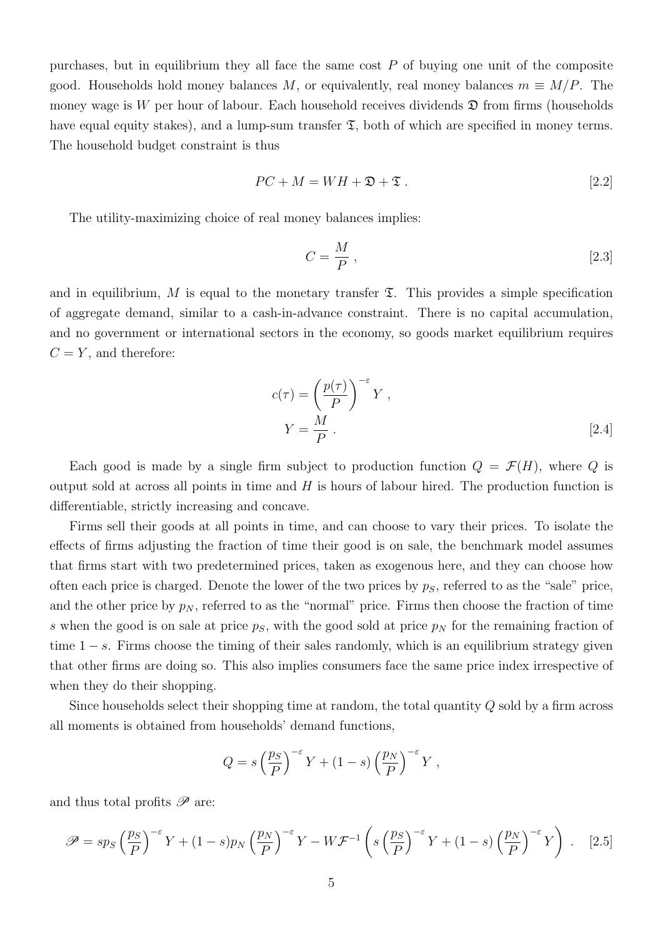purchases, but in equilibrium they all face the same cost  $P$  of buying one unit of the composite good. Households hold money balances M, or equivalently, real money balances  $m \equiv M/P$ . The money wage is W per hour of labour. Each household receives dividends  $\mathfrak D$  from firms (households have equal equity stakes), and a lump-sum transfer  $\mathfrak{T}$ , both of which are specified in money terms. The household budget constraint is thus

<span id="page-6-1"></span>
$$
PC + M = WH + \mathfrak{D} + \mathfrak{T} \tag{2.2}
$$

The utility-maximizing choice of real money balances implies:

<span id="page-6-3"></span>
$$
C = \frac{M}{P},\tag{2.3}
$$

and in equilibrium, M is equal to the monetary transfer  $\mathfrak{T}$ . This provides a simple specification of aggregate demand, similar to a cash-in-advance constraint. There is no capital accumulation, and no government or international sectors in the economy, so goods market equilibrium requires  $C = Y$ , and therefore:

<span id="page-6-2"></span>
$$
c(\tau) = \left(\frac{p(\tau)}{P}\right)^{-\varepsilon} Y,
$$
  

$$
Y = \frac{M}{P}.
$$
 [2.4]

Each good is made by a single firm subject to production function  $Q = \mathcal{F}(H)$ , where Q is output sold at across all points in time and  $H$  is hours of labour hired. The production function is differentiable, strictly increasing and concave.

Firms sell their goods at all points in time, and can choose to vary their prices. To isolate the effects of firms adjusting the fraction of time their good is on sale, the benchmark model assumes that firms start with two predetermined prices, taken as exogenous here, and they can choose how often each price is charged. Denote the lower of the two prices by  $p<sub>S</sub>$ , referred to as the "sale" price, and the other price by  $p_N$ , referred to as the "normal" price. Firms then choose the fraction of time s when the good is on sale at price  $p<sub>S</sub>$ , with the good sold at price  $p<sub>N</sub>$  for the remaining fraction of time  $1 - s$ . Firms choose the timing of their sales randomly, which is an equilibrium strategy given that other firms are doing so. This also implies consumers face the same price index irrespective of when they do their shopping.

Since households select their shopping time at random, the total quantity Q sold by a firm across all moments is obtained from households' demand functions,

<span id="page-6-0"></span>
$$
Q = s \left(\frac{p_S}{P}\right)^{-\varepsilon} Y + (1-s) \left(\frac{p_N}{P}\right)^{-\varepsilon} Y,
$$

and thus total profits  $\mathscr P$  are:

$$
\mathscr{P} = sp_S \left(\frac{p_S}{P}\right)^{-\varepsilon} Y + (1-s)p_N \left(\frac{p_N}{P}\right)^{-\varepsilon} Y - W\mathcal{F}^{-1} \left(s \left(\frac{p_S}{P}\right)^{-\varepsilon} Y + (1-s) \left(\frac{p_N}{P}\right)^{-\varepsilon} Y\right). \tag{2.5}
$$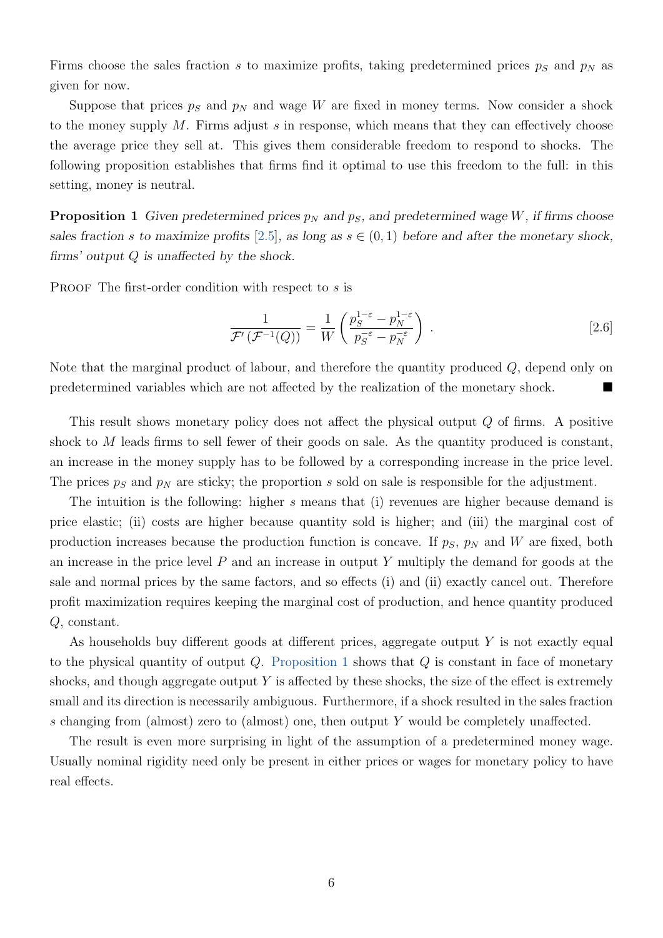Firms choose the sales fraction s to maximize profits, taking predetermined prices  $p<sub>S</sub>$  and  $p<sub>N</sub>$  as given for now.

Suppose that prices  $p_S$  and  $p_N$  and wage W are fixed in money terms. Now consider a shock to the money supply M. Firms adjust s in response, which means that they can effectively choose the average price they sell at. This gives them considerable freedom to respond to shocks. The following proposition establishes that firms find it optimal to use this freedom to the full: in this setting, money is neutral.

<span id="page-7-0"></span>**Proposition 1** Given predetermined prices  $p_N$  and  $p_S$ , and predetermined wage W, if firms choose sales fraction s to maximize profits [\[2.5\]](#page-6-0), as long as  $s \in (0,1)$  before and after the monetary shock, firms' output Q is unaffected by the shock.

PROOF The first-order condition with respect to s is

<span id="page-7-1"></span>
$$
\frac{1}{\mathcal{F}'(\mathcal{F}^{-1}(Q))} = \frac{1}{W} \left( \frac{p_S^{1-\varepsilon} - p_N^{1-\varepsilon}}{p_S^{-\varepsilon} - p_N^{-\varepsilon}} \right) . \tag{2.6}
$$

Note that the marginal product of labour, and therefore the quantity produced Q, depend only on predetermined variables which are not affected by the realization of the monetary shock.

This result shows monetary policy does not affect the physical output Q of firms. A positive shock to  $M$  leads firms to sell fewer of their goods on sale. As the quantity produced is constant, an increase in the money supply has to be followed by a corresponding increase in the price level. The prices  $p_S$  and  $p_N$  are sticky; the proportion s sold on sale is responsible for the adjustment.

The intuition is the following: higher s means that (i) revenues are higher because demand is price elastic; (ii) costs are higher because quantity sold is higher; and (iii) the marginal cost of production increases because the production function is concave. If  $p_S$ ,  $p_N$  and W are fixed, both an increase in the price level  $P$  and an increase in output  $Y$  multiply the demand for goods at the sale and normal prices by the same factors, and so effects (i) and (ii) exactly cancel out. Therefore profit maximization requires keeping the marginal cost of production, and hence quantity produced Q, constant.

As households buy different goods at different prices, aggregate output  $Y$  is not exactly equal to the physical quantity of output  $Q$ . [Proposition 1](#page-7-0) shows that  $Q$  is constant in face of monetary shocks, and though aggregate output  $Y$  is affected by these shocks, the size of the effect is extremely small and its direction is necessarily ambiguous. Furthermore, if a shock resulted in the sales fraction s changing from (almost) zero to (almost) one, then output Y would be completely unaffected.

The result is even more surprising in light of the assumption of a predetermined money wage. Usually nominal rigidity need only be present in either prices or wages for monetary policy to have real effects.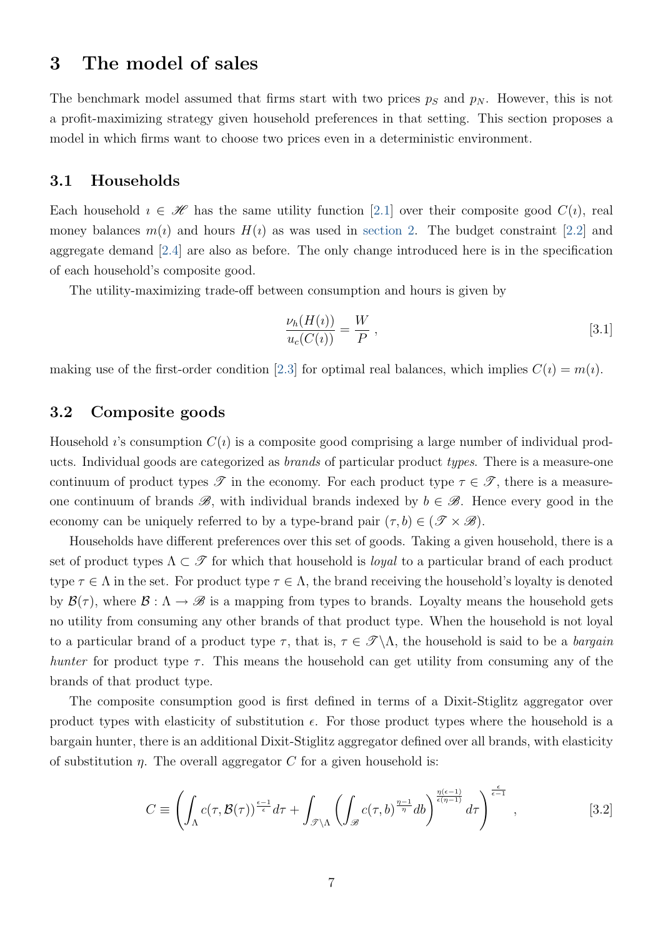# <span id="page-8-0"></span>3 The model of sales

The benchmark model assumed that firms start with two prices  $p<sub>S</sub>$  and  $p<sub>N</sub>$ . However, this is not a profit-maximizing strategy given household preferences in that setting. This section proposes a model in which firms want to choose two prices even in a deterministic environment.

### 3.1 Households

Each household  $i \in \mathcal{H}$  has the same utility function [\[2.1\]](#page-5-1) over their composite good  $C(i)$ , real money balances  $m(i)$  and hours  $H(i)$  as was used in [section 2.](#page-5-0) The budget constraint [\[2.2\]](#page-6-1) and aggregate demand [\[2.4\]](#page-6-2) are also as before. The only change introduced here is in the specification of each household's composite good.

The utility-maximizing trade-off between consumption and hours is given by

<span id="page-8-3"></span>
$$
\frac{\nu_h(H(\iota))}{u_c(C(\iota))} = \frac{W}{P},\tag{3.1}
$$

making use of the first-order condition [\[2.3\]](#page-6-3) for optimal real balances, which implies  $C(i) = m(i)$ .

### <span id="page-8-2"></span>3.2 Composite goods

Household *i*'s consumption  $C(i)$  is a composite good comprising a large number of individual products. Individual goods are categorized as brands of particular product types. There is a measure-one continuum of product types  $\mathscr T$  in the economy. For each product type  $\tau \in \mathscr T$ , there is a measureone continuum of brands  $\mathscr{B}$ , with individual brands indexed by  $b \in \mathscr{B}$ . Hence every good in the economy can be uniquely referred to by a type-brand pair  $(\tau, b) \in (\mathscr{T} \times \mathscr{B})$ .

Households have different preferences over this set of goods. Taking a given household, there is a set of product types  $\Lambda \subset \mathcal{T}$  for which that household is *loyal* to a particular brand of each product type  $\tau \in \Lambda$  in the set. For product type  $\tau \in \Lambda$ , the brand receiving the household's loyalty is denoted by  $\mathcal{B}(\tau)$ , where  $\mathcal{B}: \Lambda \to \mathscr{B}$  is a mapping from types to brands. Loyalty means the household gets no utility from consuming any other brands of that product type. When the household is not loyal to a particular brand of a product type  $\tau$ , that is,  $\tau \in \mathscr{T} \backslash \Lambda$ , the household is said to be a *bargain* hunter for product type  $\tau$ . This means the household can get utility from consuming any of the brands of that product type.

The composite consumption good is first defined in terms of a Dixit-Stiglitz aggregator over product types with elasticity of substitution  $\epsilon$ . For those product types where the household is a bargain hunter, there is an additional Dixit-Stiglitz aggregator defined over all brands, with elasticity of substitution  $\eta$ . The overall aggregator C for a given household is:

<span id="page-8-1"></span>
$$
C \equiv \left( \int_{\Lambda} c(\tau, \mathcal{B}(\tau))^{\frac{\epsilon-1}{\epsilon}} d\tau + \int_{\mathcal{F} \backslash \Lambda} \left( \int_{\mathcal{B}} c(\tau, b)^{\frac{\eta - 1}{\eta}} db \right)^{\frac{\eta(\epsilon - 1)}{\epsilon(\eta - 1)}} d\tau \right)^{\frac{\epsilon}{\epsilon - 1}}, \tag{3.2}
$$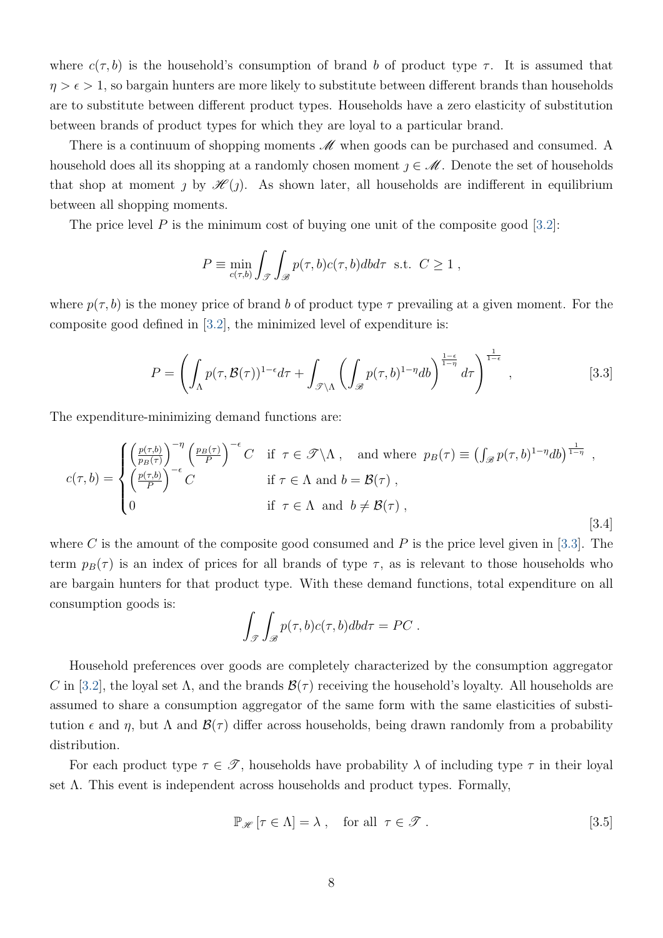where  $c(\tau, b)$  is the household's consumption of brand b of product type  $\tau$ . It is assumed that  $\eta > \epsilon > 1$ , so bargain hunters are more likely to substitute between different brands than households are to substitute between different product types. Households have a zero elasticity of substitution between brands of product types for which they are loyal to a particular brand.

There is a continuum of shopping moments  $\mathcal M$  when goods can be purchased and consumed. A household does all its shopping at a randomly chosen moment  $\eta \in \mathcal{M}$ . Denote the set of households that shop at moment *j* by  $\mathcal{H}(j)$ . As shown later, all households are indifferent in equilibrium between all shopping moments.

The price level  $P$  is the minimum cost of buying one unit of the composite good [\[3.2\]](#page-8-1):

<span id="page-9-0"></span>
$$
P \equiv \min_{c(\tau,b)} \int_{\mathscr{T}} \int_{\mathscr{B}} p(\tau,b)c(\tau,b)dbd\tau \text{ s.t. } C \ge 1,
$$

where  $p(\tau, b)$  is the money price of brand b of product type  $\tau$  prevailing at a given moment. For the composite good defined in [\[3.2\]](#page-8-1), the minimized level of expenditure is:

<span id="page-9-2"></span>
$$
P = \left(\int_{\Lambda} p(\tau, \mathcal{B}(\tau))^{1-\epsilon} d\tau + \int_{\mathcal{F}\backslash\Lambda} \left(\int_{\mathcal{B}} p(\tau, b)^{1-\eta} db\right)^{\frac{1-\epsilon}{1-\eta}} d\tau\right)^{\frac{1}{1-\epsilon}},\tag{3.3}
$$

The expenditure-minimizing demand functions are:

$$
c(\tau, b) = \begin{cases} \left(\frac{p(\tau, b)}{p_B(\tau)}\right)^{-\eta} \left(\frac{p_B(\tau)}{P}\right)^{-\epsilon} C & \text{if } \tau \in \mathcal{F} \backslash \Lambda, \text{ and where } p_B(\tau) \equiv \left(\int_{\mathcal{B}} p(\tau, b)^{1-\eta} db\right)^{\frac{1}{1-\eta}}, \\ \left(\frac{p(\tau, b)}{P}\right)^{-\epsilon} C & \text{if } \tau \in \Lambda \text{ and } b = \mathcal{B}(\tau), \\ 0 & \text{if } \tau \in \Lambda \text{ and } b \neq \mathcal{B}(\tau), \end{cases}
$$
\n
$$
(3.4)
$$

where C is the amount of the composite good consumed and P is the price level given in [\[3.3\]](#page-9-0). The term  $p_B(\tau)$  is an index of prices for all brands of type  $\tau$ , as is relevant to those households who are bargain hunters for that product type. With these demand functions, total expenditure on all consumption goods is:

$$
\int_{\mathscr{T}} \int_{\mathscr{B}} p(\tau, b)c(\tau, b)dbd\tau = PC.
$$

Household preferences over goods are completely characterized by the consumption aggregator C in [\[3.2\]](#page-8-1), the loyal set  $\Lambda$ , and the brands  $\mathcal{B}(\tau)$  receiving the household's loyalty. All households are assumed to share a consumption aggregator of the same form with the same elasticities of substitution  $\epsilon$  and  $\eta$ , but  $\Lambda$  and  $\mathcal{B}(\tau)$  differ across households, being drawn randomly from a probability distribution.

For each product type  $\tau \in \mathcal{T}$ , households have probability  $\lambda$  of including type  $\tau$  in their loyal set  $\Lambda$ . This event is independent across households and product types. Formally,

<span id="page-9-1"></span>
$$
\mathbb{P}_{\mathscr{H}}\left[\tau \in \Lambda\right] = \lambda \;, \quad \text{for all} \;\; \tau \in \mathscr{T} \;.
$$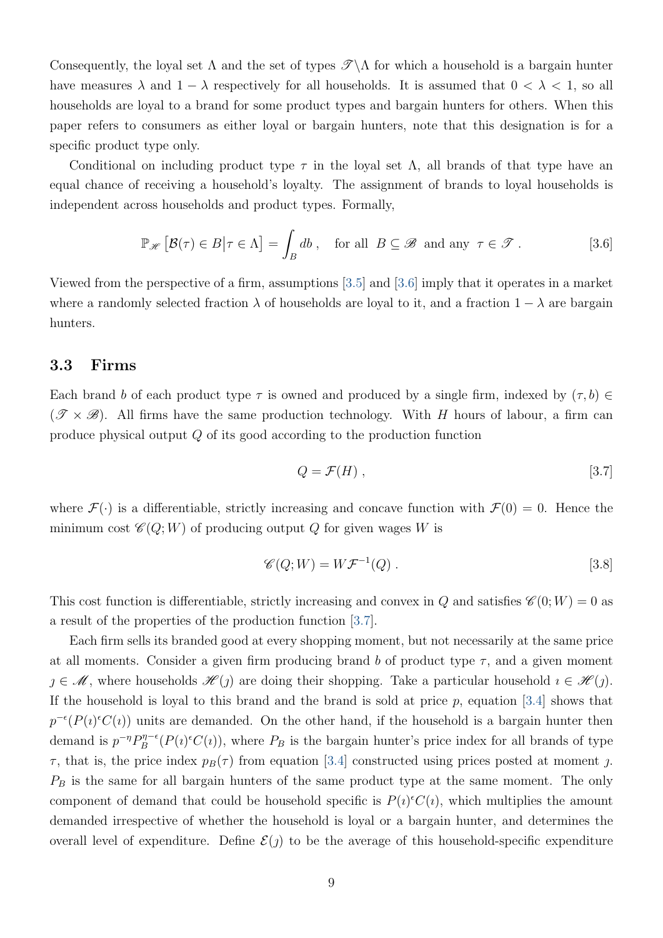Consequently, the loyal set  $\Lambda$  and the set of types  $\mathscr{T}\Lambda$  for which a household is a bargain hunter have measures  $\lambda$  and  $1 - \lambda$  respectively for all households. It is assumed that  $0 < \lambda < 1$ , so all households are loyal to a brand for some product types and bargain hunters for others. When this paper refers to consumers as either loyal or bargain hunters, note that this designation is for a specific product type only.

Conditional on including product type  $\tau$  in the loyal set  $\Lambda$ , all brands of that type have an equal chance of receiving a household's loyalty. The assignment of brands to loyal households is independent across households and product types. Formally,

<span id="page-10-0"></span>
$$
\mathbb{P}_{\mathscr{H}}\left[\mathcal{B}(\tau) \in B \middle| \tau \in \Lambda\right] = \int_{B} db \,, \quad \text{for all} \ \ B \subseteq \mathscr{B} \text{ and any } \tau \in \mathscr{T} \,.
$$

Viewed from the perspective of a firm, assumptions [\[3.5\]](#page-9-1) and [\[3.6\]](#page-10-0) imply that it operates in a market where a randomly selected fraction  $\lambda$  of households are loyal to it, and a fraction  $1 - \lambda$  are bargain hunters.

### 3.3 Firms

Each brand b of each product type  $\tau$  is owned and produced by a single firm, indexed by  $(\tau, b) \in$  $(\mathscr{T} \times \mathscr{B})$ . All firms have the same production technology. With H hours of labour, a firm can produce physical output Q of its good according to the production function

<span id="page-10-2"></span><span id="page-10-1"></span>
$$
Q = \mathcal{F}(H) \tag{3.7}
$$

where  $\mathcal{F}(\cdot)$  is a differentiable, strictly increasing and concave function with  $\mathcal{F}(0) = 0$ . Hence the minimum cost  $\mathcal{C}(Q;W)$  of producing output Q for given wages W is

$$
\mathscr{C}(Q;W) = W\mathcal{F}^{-1}(Q) . \qquad [3.8]
$$

This cost function is differentiable, strictly increasing and convex in Q and satisfies  $\mathscr{C}(0;W) = 0$  as a result of the properties of the production function [\[3.7\]](#page-10-1).

Each firm sells its branded good at every shopping moment, but not necessarily at the same price at all moments. Consider a given firm producing brand b of product type  $\tau$ , and a given moment  $j \in \mathcal{M}$ , where households  $\mathcal{H}(j)$  are doing their shopping. Take a particular household  $i \in \mathcal{H}(j)$ . If the household is loyal to this brand and the brand is sold at price p, equation [\[3.4\]](#page-9-2) shows that  $p^{-\epsilon}(P(i)^{\epsilon}C(i))$  units are demanded. On the other hand, if the household is a bargain hunter then demand is  $p^{-\eta}P_{B}^{\eta-\epsilon}(P(i)^{\epsilon}C(i))$ , where  $P_{B}$  is the bargain hunter's price index for all brands of type  $\tau$ , that is, the price index  $p_B(\tau)$  from equation [\[3.4\]](#page-9-2) constructed using prices posted at moment j.  $P_B$  is the same for all bargain hunters of the same product type at the same moment. The only component of demand that could be household specific is  $P(i)$ <sup> $\epsilon$ </sup> $C(i)$ , which multiplies the amount demanded irrespective of whether the household is loyal or a bargain hunter, and determines the overall level of expenditure. Define  $\mathcal{E}(j)$  to be the average of this household-specific expenditure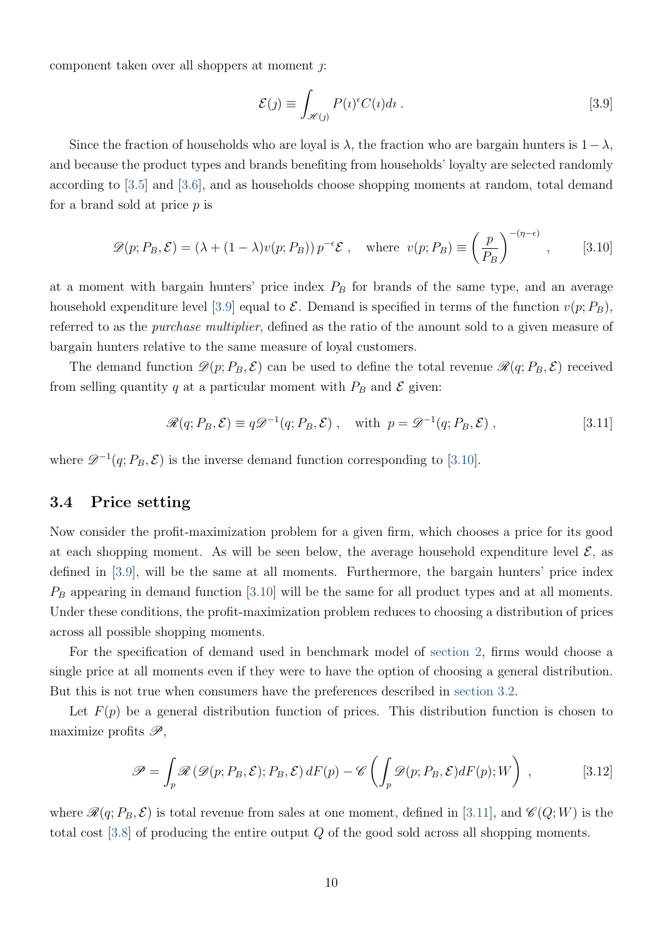component taken over all shoppers at moment  $\gamma$ :

<span id="page-11-1"></span><span id="page-11-0"></span>
$$
\mathcal{E}(j) \equiv \int_{\mathcal{H}(j)} P(\iota)^{\epsilon} C(\iota) d\iota \; . \tag{3.9}
$$

Since the fraction of households who are loyal is  $\lambda$ , the fraction who are bargain hunters is  $1-\lambda$ , and because the product types and brands benefiting from households' loyalty are selected randomly according to [\[3.5\]](#page-9-1) and [\[3.6\]](#page-10-0), and as households choose shopping moments at random, total demand for a brand sold at price  $p$  is

$$
\mathscr{D}(p; P_B, \mathcal{E}) = (\lambda + (1 - \lambda)v(p; P_B)) p^{-\epsilon} \mathcal{E} , \text{ where } v(p; P_B) \equiv \left(\frac{p}{P_B}\right)^{-(\eta - \epsilon)}, \quad [3.10]
$$

at a moment with bargain hunters' price index  $P_B$  for brands of the same type, and an average household expenditure level [\[3.9\]](#page-11-0) equal to  $\mathcal E$ . Demand is specified in terms of the function  $v(p; P_B)$ , referred to as the purchase multiplier, defined as the ratio of the amount sold to a given measure of bargain hunters relative to the same measure of loyal customers.

The demand function  $\mathscr{D}(p; P_B, \mathcal{E})$  can be used to define the total revenue  $\mathscr{R}(q; P_B, \mathcal{E})$  received from selling quantity q at a particular moment with  $P_B$  and  $\mathcal E$  given:

<span id="page-11-2"></span>
$$
\mathcal{R}(q; P_B, \mathcal{E}) \equiv q \mathcal{D}^{-1}(q; P_B, \mathcal{E}), \quad \text{with } p = \mathcal{D}^{-1}(q; P_B, \mathcal{E}), \qquad [3.11]
$$

where  $\mathscr{D}^{-1}(q; P_B, \mathcal{E})$  is the inverse demand function corresponding to [\[3.10\]](#page-11-1).

### <span id="page-11-4"></span>3.4 Price setting

Now consider the profit-maximization problem for a given firm, which chooses a price for its good at each shopping moment. As will be seen below, the average household expenditure level  $\mathcal{E}$ , as defined in [\[3.9\]](#page-11-0), will be the same at all moments. Furthermore, the bargain hunters' price index  $P_B$  appearing in demand function [\[3.10\]](#page-11-1) will be the same for all product types and at all moments. Under these conditions, the profit-maximization problem reduces to choosing a distribution of prices across all possible shopping moments.

For the specification of demand used in benchmark model of [section 2,](#page-5-0) firms would choose a single price at all moments even if they were to have the option of choosing a general distribution. But this is not true when consumers have the preferences described in [section 3.2.](#page-8-2)

Let  $F(p)$  be a general distribution function of prices. This distribution function is chosen to maximize profits  $\mathscr{P}$ ,

<span id="page-11-3"></span>
$$
\mathscr{P} = \int_{p} \mathscr{R} \left( \mathscr{D}(p; P_B, \mathcal{E}); P_B, \mathcal{E} \right) dF(p) - \mathscr{C} \left( \int_{p} \mathscr{D}(p; P_B, \mathcal{E}) dF(p); W \right) , \tag{3.12}
$$

where  $\mathcal{R}(q; P_B, \mathcal{E})$  is total revenue from sales at one moment, defined in [\[3.11\]](#page-11-2), and  $\mathcal{C}(Q; W)$  is the total cost  $[3.8]$  of producing the entire output  $Q$  of the good sold across all shopping moments.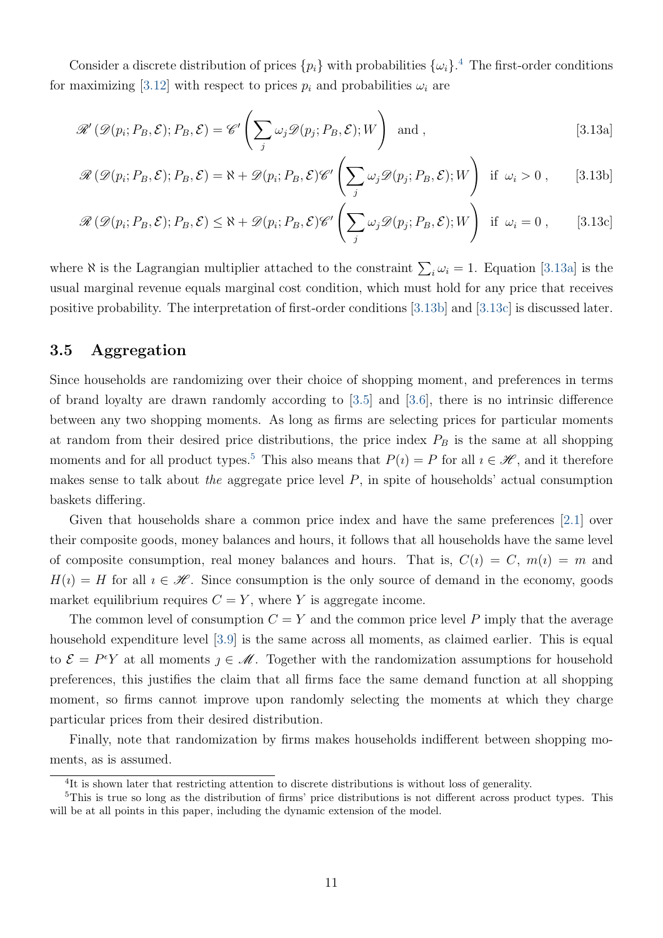Consider a discrete distribution of prices  $\{p_i\}$  with probabilities  $\{\omega_i\}$ <sup>[4](#page-12-0)</sup>. The first-order conditions for maximizing [\[3.12\]](#page-11-3) with respect to prices  $p_i$  and probabilities  $\omega_i$  are

<span id="page-12-1"></span>
$$
\mathscr{R}'(\mathscr{D}(p_i; P_B, \mathcal{E}); P_B, \mathcal{E}) = \mathscr{C}'\left(\sum_j \omega_j \mathscr{D}(p_j; P_B, \mathcal{E}); W\right) \text{ and },
$$
\n[3.13a]

<span id="page-12-2"></span>
$$
\mathscr{R}(\mathscr{D}(p_i; P_B, \mathcal{E}); P_B, \mathcal{E}) = \aleph + \mathscr{D}(p_i; P_B, \mathcal{E}) \mathscr{C}' \left( \sum_j \omega_j \mathscr{D}(p_j; P_B, \mathcal{E}); W \right) \text{ if } \omega_i > 0 , \qquad [3.13b]
$$

<span id="page-12-3"></span>
$$
\mathscr{R}(\mathscr{D}(p_i; P_B, \mathcal{E}); P_B, \mathcal{E}) \le \aleph + \mathscr{D}(p_i; P_B, \mathcal{E}) \mathscr{C}' \left( \sum_j \omega_j \mathscr{D}(p_j; P_B, \mathcal{E}); W \right) \text{ if } \omega_i = 0, \quad [3.13c]
$$

where  $\aleph$  is the Lagrangian multiplier attached to the constraint  $\sum_i \omega_i = 1$ . Equation [\[3.13a\]](#page-12-1) is the usual marginal revenue equals marginal cost condition, which must hold for any price that receives positive probability. The interpretation of first-order conditions [\[3.13b\]](#page-12-2) and [\[3.13c\]](#page-12-3) is discussed later.

### 3.5 Aggregation

Since households are randomizing over their choice of shopping moment, and preferences in terms of brand loyalty are drawn randomly according to [\[3.5\]](#page-9-1) and [\[3.6\]](#page-10-0), there is no intrinsic difference between any two shopping moments. As long as firms are selecting prices for particular moments at random from their desired price distributions, the price index  $P_B$  is the same at all shopping moments and for all product types.<sup>[5](#page-12-4)</sup> This also means that  $P(i) = P$  for all  $i \in \mathcal{H}$ , and it therefore makes sense to talk about the aggregate price level  $P$ , in spite of households' actual consumption baskets differing.

Given that households share a common price index and have the same preferences [\[2.1\]](#page-5-1) over their composite goods, money balances and hours, it follows that all households have the same level of composite consumption, real money balances and hours. That is,  $C(i) = C$ ,  $m(i) = m$  and  $H(i) = H$  for all  $i \in \mathcal{H}$ . Since consumption is the only source of demand in the economy, goods market equilibrium requires  $C = Y$ , where Y is aggregate income.

The common level of consumption  $C = Y$  and the common price level P imply that the average household expenditure level [\[3.9\]](#page-11-0) is the same across all moments, as claimed earlier. This is equal to  $\mathcal{E} = P^{\epsilon}Y$  at all moments  $\jmath \in \mathcal{M}$ . Together with the randomization assumptions for household preferences, this justifies the claim that all firms face the same demand function at all shopping moment, so firms cannot improve upon randomly selecting the moments at which they charge particular prices from their desired distribution.

Finally, note that randomization by firms makes households indifferent between shopping moments, as is assumed.

<span id="page-12-4"></span><span id="page-12-0"></span><sup>&</sup>lt;sup>4</sup>It is shown later that restricting attention to discrete distributions is without loss of generality.

<sup>5</sup>This is true so long as the distribution of firms' price distributions is not different across product types. This will be at all points in this paper, including the dynamic extension of the model.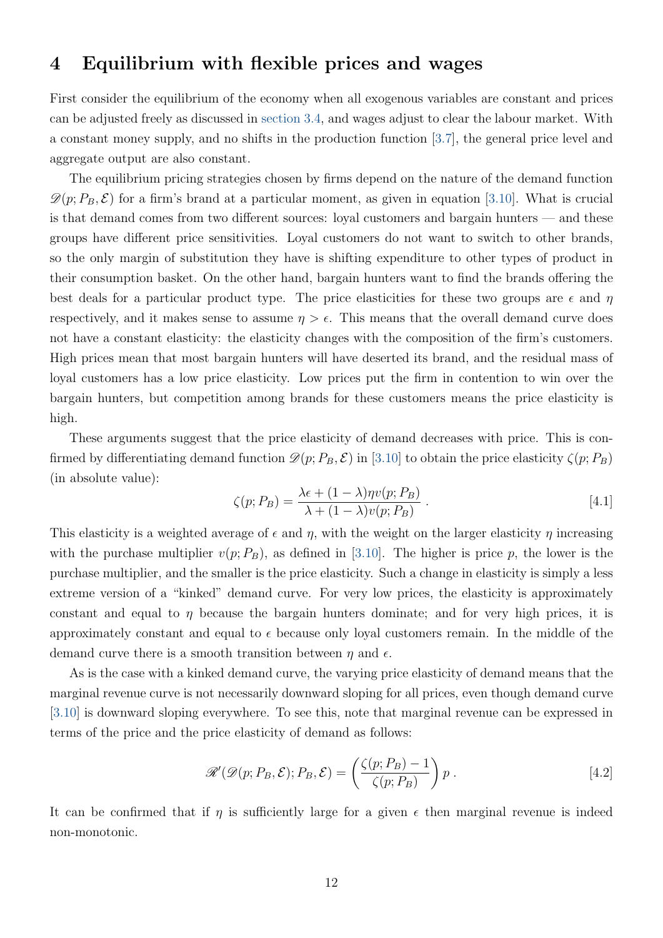# <span id="page-13-0"></span>4 Equilibrium with flexible prices and wages

First consider the equilibrium of the economy when all exogenous variables are constant and prices can be adjusted freely as discussed in [section 3.4,](#page-11-4) and wages adjust to clear the labour market. With a constant money supply, and no shifts in the production function [\[3.7\]](#page-10-1), the general price level and aggregate output are also constant.

The equilibrium pricing strategies chosen by firms depend on the nature of the demand function  $\mathscr{D}(p; P_B, \mathcal{E})$  for a firm's brand at a particular moment, as given in equation [\[3.10\]](#page-11-1). What is crucial is that demand comes from two different sources: loyal customers and bargain hunters — and these groups have different price sensitivities. Loyal customers do not want to switch to other brands, so the only margin of substitution they have is shifting expenditure to other types of product in their consumption basket. On the other hand, bargain hunters want to find the brands offering the best deals for a particular product type. The price elasticities for these two groups are  $\epsilon$  and  $\eta$ respectively, and it makes sense to assume  $\eta > \epsilon$ . This means that the overall demand curve does not have a constant elasticity: the elasticity changes with the composition of the firm's customers. High prices mean that most bargain hunters will have deserted its brand, and the residual mass of loyal customers has a low price elasticity. Low prices put the firm in contention to win over the bargain hunters, but competition among brands for these customers means the price elasticity is high.

These arguments suggest that the price elasticity of demand decreases with price. This is confirmed by differentiating demand function  $\mathscr{D}(p; P_B, \mathcal{E})$  in [\[3.10\]](#page-11-1) to obtain the price elasticity  $\zeta(p; P_B)$ (in absolute value):

<span id="page-13-2"></span>
$$
\zeta(p; P_B) = \frac{\lambda \epsilon + (1 - \lambda)\eta v(p; P_B)}{\lambda + (1 - \lambda)v(p; P_B)}.
$$
\n
$$
[4.1]
$$

This elasticity is a weighted average of  $\epsilon$  and  $\eta$ , with the weight on the larger elasticity  $\eta$  increasing with the purchase multiplier  $v(p; P_B)$ , as defined in [\[3.10\]](#page-11-1). The higher is price p, the lower is the purchase multiplier, and the smaller is the price elasticity. Such a change in elasticity is simply a less extreme version of a "kinked" demand curve. For very low prices, the elasticity is approximately constant and equal to  $\eta$  because the bargain hunters dominate; and for very high prices, it is approximately constant and equal to  $\epsilon$  because only loyal customers remain. In the middle of the demand curve there is a smooth transition between  $\eta$  and  $\epsilon$ .

As is the case with a kinked demand curve, the varying price elasticity of demand means that the marginal revenue curve is not necessarily downward sloping for all prices, even though demand curve [\[3.10\]](#page-11-1) is downward sloping everywhere. To see this, note that marginal revenue can be expressed in terms of the price and the price elasticity of demand as follows:

<span id="page-13-1"></span>
$$
\mathscr{R}'(\mathscr{D}(p; P_B, \mathcal{E}); P_B, \mathcal{E}) = \left(\frac{\zeta(p; P_B) - 1}{\zeta(p; P_B)}\right)p.
$$
 [4.2]

<span id="page-13-3"></span>It can be confirmed that if  $\eta$  is sufficiently large for a given  $\epsilon$  then marginal revenue is indeed non-monotonic.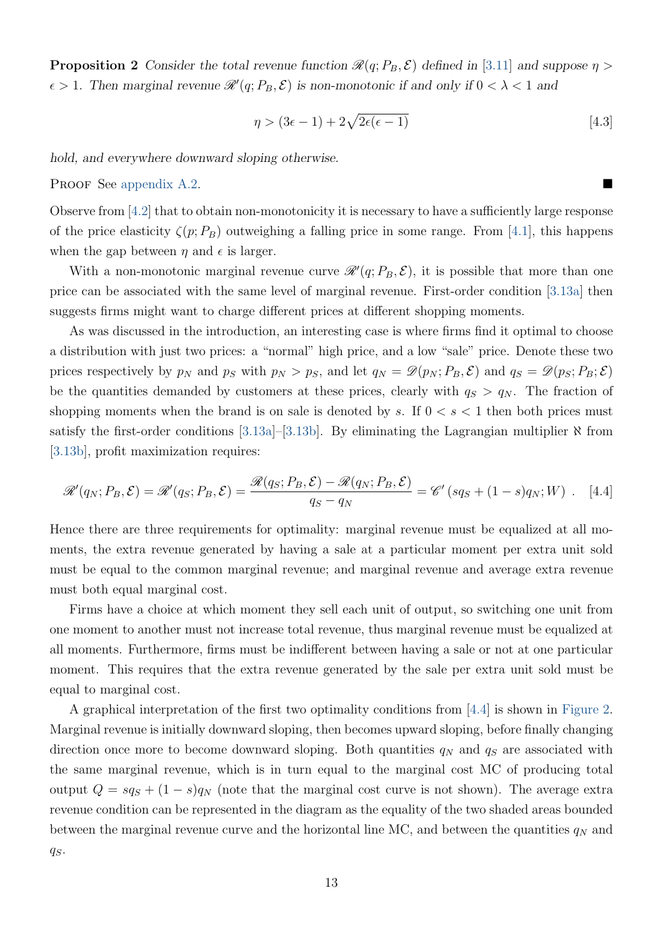**Proposition 2** Consider the total revenue function  $\mathcal{R}(q; P_B, \mathcal{E})$  defined in [\[3.11\]](#page-11-2) and suppose  $\eta$  >  $\epsilon > 1$ . Then marginal revenue  $\mathscr{R}'(q; P_B, \mathcal{E})$  is non-monotonic if and only if  $0 < \lambda < 1$  and

<span id="page-14-1"></span>
$$
\eta > (3\epsilon - 1) + 2\sqrt{2\epsilon(\epsilon - 1)}\tag{4.3}
$$

hold, and everywhere downward sloping otherwise.

PROOF See [appendix A.2.](#page-50-0)

Observe from [\[4.2\]](#page-13-1) that to obtain non-monotonicity it is necessary to have a sufficiently large response of the price elasticity  $\zeta(p; P_B)$  outweighing a falling price in some range. From [\[4.1\]](#page-13-2), this happens when the gap between  $\eta$  and  $\epsilon$  is larger.

With a non-monotonic marginal revenue curve  $\mathscr{R}(q; P_B, \mathcal{E})$ , it is possible that more than one price can be associated with the same level of marginal revenue. First-order condition [\[3.13a\]](#page-12-1) then suggests firms might want to charge different prices at different shopping moments.

As was discussed in the introduction, an interesting case is where firms find it optimal to choose a distribution with just two prices: a "normal" high price, and a low "sale" price. Denote these two prices respectively by  $p_N$  and  $p_S$  with  $p_N > p_S$ , and let  $q_N = \mathscr{D}(p_N; P_B, \mathcal{E})$  and  $q_S = \mathscr{D}(p_S; P_B; \mathcal{E})$ be the quantities demanded by customers at these prices, clearly with  $q_S > q_N$ . The fraction of shopping moments when the brand is on sale is denoted by s. If  $0 < s < 1$  then both prices must satisfy the first-order conditions [\[3.13a\]](#page-12-1)–[\[3.13b\]](#page-12-2). By eliminating the Lagrangian multiplier  $\aleph$  from [\[3.13b\]](#page-12-2), profit maximization requires:

<span id="page-14-0"></span>
$$
\mathscr{R}'(q_N; P_B, \mathcal{E}) = \mathscr{R}'(q_S; P_B, \mathcal{E}) = \frac{\mathscr{R}(q_S; P_B, \mathcal{E}) - \mathscr{R}(q_N; P_B, \mathcal{E})}{q_S - q_N} = \mathscr{C}'(sq_S + (1 - s)q_N; W) \quad [4.4]
$$

Hence there are three requirements for optimality: marginal revenue must be equalized at all moments, the extra revenue generated by having a sale at a particular moment per extra unit sold must be equal to the common marginal revenue; and marginal revenue and average extra revenue must both equal marginal cost.

Firms have a choice at which moment they sell each unit of output, so switching one unit from one moment to another must not increase total revenue, thus marginal revenue must be equalized at all moments. Furthermore, firms must be indifferent between having a sale or not at one particular moment. This requires that the extra revenue generated by the sale per extra unit sold must be equal to marginal cost.

A graphical interpretation of the first two optimality conditions from [\[4.4\]](#page-14-0) is shown in [Figure 2.](#page-15-0) Marginal revenue is initially downward sloping, then becomes upward sloping, before finally changing direction once more to become downward sloping. Both quantities  $q_N$  and  $q_S$  are associated with the same marginal revenue, which is in turn equal to the marginal cost MC of producing total output  $Q = s q_S + (1 - s) q_N$  (note that the marginal cost curve is not shown). The average extra revenue condition can be represented in the diagram as the equality of the two shaded areas bounded between the marginal revenue curve and the horizontal line MC, and between the quantities  $q_N$  and  $q_S$ .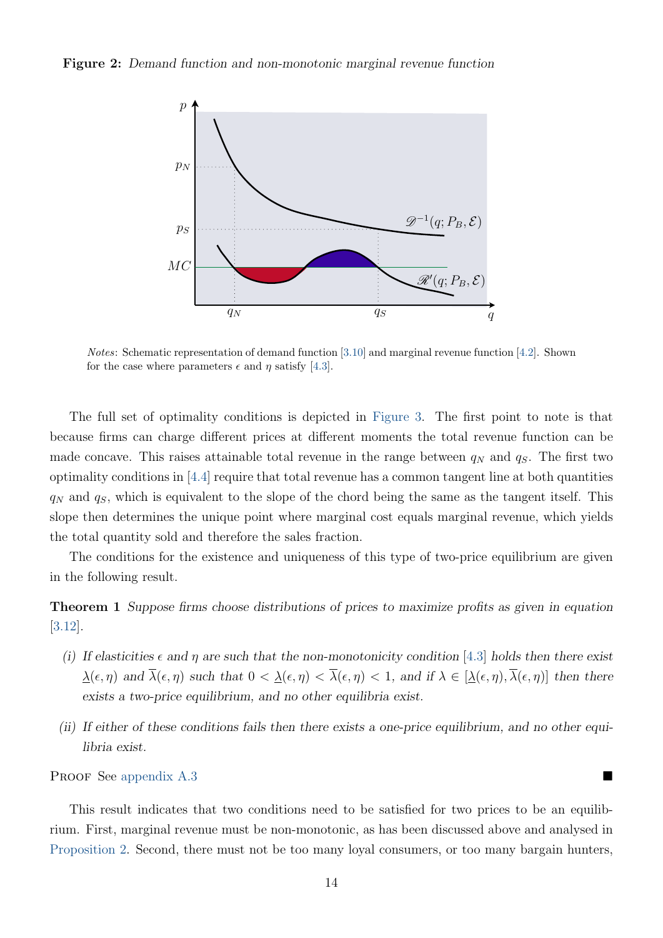<span id="page-15-0"></span>Figure 2: Demand function and non-monotonic marginal revenue function



Notes: Schematic representation of demand function [\[3.10\]](#page-11-1) and marginal revenue function [\[4.2\]](#page-13-1). Shown for the case where parameters  $\epsilon$  and  $\eta$  satisfy [\[4.3\]](#page-14-1).

The full set of optimality conditions is depicted in [Figure 3.](#page-16-0) The first point to note is that because firms can charge different prices at different moments the total revenue function can be made concave. This raises attainable total revenue in the range between  $q_N$  and  $q_S$ . The first two optimality conditions in [\[4.4\]](#page-14-0) require that total revenue has a common tangent line at both quantities  $q_N$  and  $q_S$ , which is equivalent to the slope of the chord being the same as the tangent itself. This slope then determines the unique point where marginal cost equals marginal revenue, which yields the total quantity sold and therefore the sales fraction.

The conditions for the existence and uniqueness of this type of two-price equilibrium are given in the following result.

<span id="page-15-1"></span>Theorem 1 Suppose firms choose distributions of prices to maximize profits as given in equation [\[3.12\]](#page-11-3).

- (i) If elasticities  $\epsilon$  and  $\eta$  are such that the non-monotonicity condition [\[4.3\]](#page-14-1) holds then there exist  $\lambda(\epsilon, \eta)$  and  $\overline{\lambda}(\epsilon, \eta)$  such that  $0 < \lambda(\epsilon, \eta) < \overline{\lambda}(\epsilon, \eta) < 1$ , and if  $\lambda \in [\lambda(\epsilon, \eta), \overline{\lambda}(\epsilon, \eta)]$  then there exists a two-price equilibrium, and no other equilibria exist.
- (ii) If either of these conditions fails then there exists a one-price equilibrium, and no other equilibria exist.

PROOF See [appendix A.3](#page-50-1)

This result indicates that two conditions need to be satisfied for two prices to be an equilibrium. First, marginal revenue must be non-monotonic, as has been discussed above and analysed in [Proposition 2.](#page-13-3) Second, there must not be too many loyal consumers, or too many bargain hunters,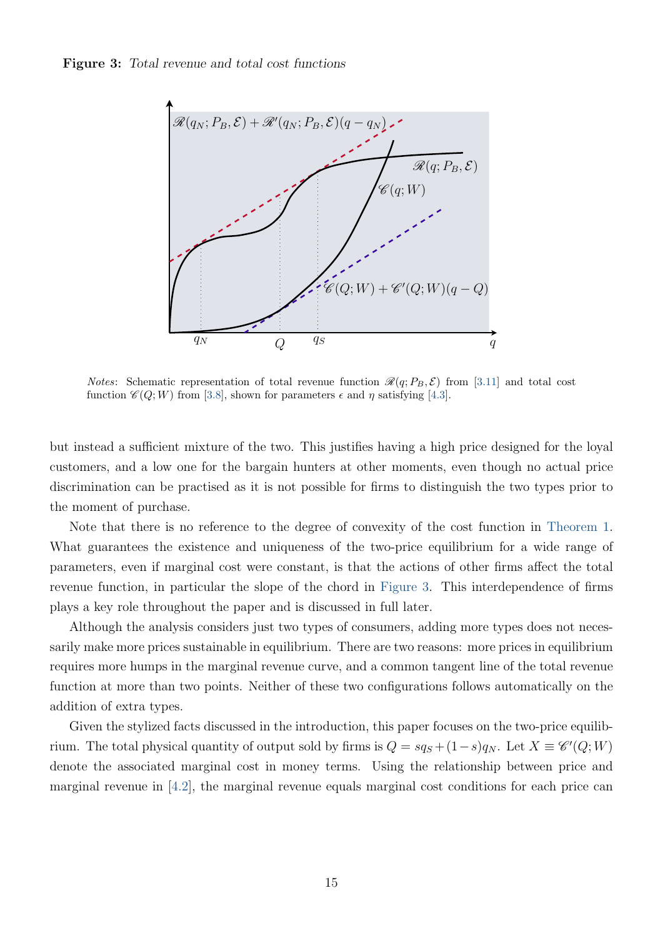<span id="page-16-0"></span>

*Notes*: Schematic representation of total revenue function  $\mathcal{R}(q; P_B, \mathcal{E})$  from [\[3.11\]](#page-11-2) and total cost function  $\mathcal{C}(Q;W)$  from [\[3.8\]](#page-10-2), shown for parameters  $\epsilon$  and  $\eta$  satisfying [\[4.3\]](#page-14-1).

but instead a sufficient mixture of the two. This justifies having a high price designed for the loyal customers, and a low one for the bargain hunters at other moments, even though no actual price discrimination can be practised as it is not possible for firms to distinguish the two types prior to the moment of purchase.

Note that there is no reference to the degree of convexity of the cost function in [Theorem 1.](#page-15-1) What guarantees the existence and uniqueness of the two-price equilibrium for a wide range of parameters, even if marginal cost were constant, is that the actions of other firms affect the total revenue function, in particular the slope of the chord in [Figure 3.](#page-16-0) This interdependence of firms plays a key role throughout the paper and is discussed in full later.

Although the analysis considers just two types of consumers, adding more types does not necessarily make more prices sustainable in equilibrium. There are two reasons: more prices in equilibrium requires more humps in the marginal revenue curve, and a common tangent line of the total revenue function at more than two points. Neither of these two configurations follows automatically on the addition of extra types.

Given the stylized facts discussed in the introduction, this paper focuses on the two-price equilibrium. The total physical quantity of output sold by firms is  $Q = s q_S + (1 - s) q_N$ . Let  $X \equiv \mathscr{C}'(Q;W)$ denote the associated marginal cost in money terms. Using the relationship between price and marginal revenue in [\[4.2\]](#page-13-1), the marginal revenue equals marginal cost conditions for each price can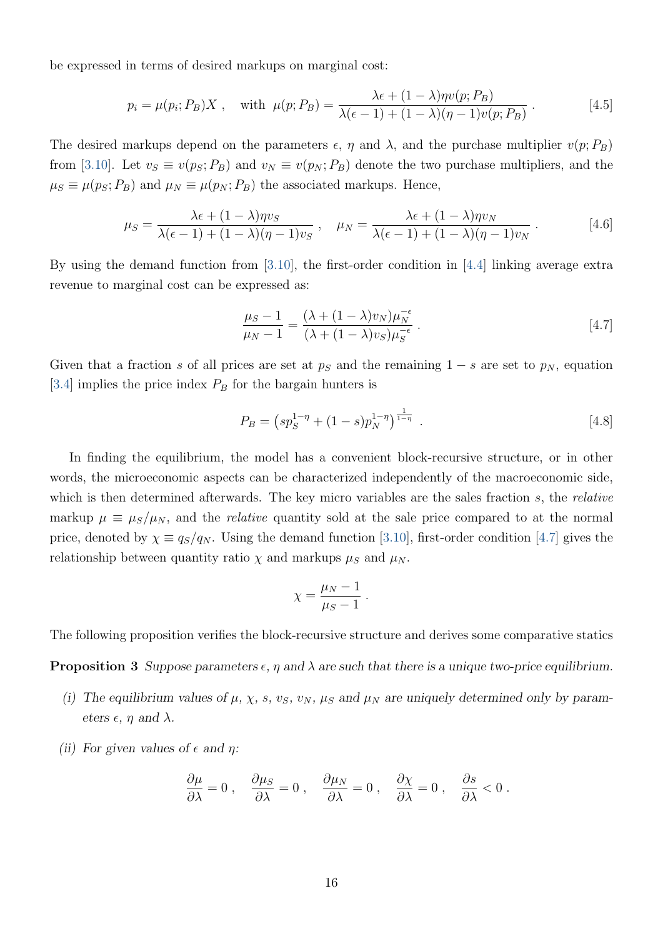be expressed in terms of desired markups on marginal cost:

<span id="page-17-1"></span>
$$
p_i = \mu(p_i; P_B)X, \quad \text{with } \mu(p; P_B) = \frac{\lambda \epsilon + (1 - \lambda)\eta v(p; P_B)}{\lambda(\epsilon - 1) + (1 - \lambda)(\eta - 1)v(p; P_B)}.
$$
 [4.5]

The desired markups depend on the parameters  $\epsilon$ ,  $\eta$  and  $\lambda$ , and the purchase multiplier  $v(p; P_B)$ from [\[3.10\]](#page-11-1). Let  $v_S \equiv v(p_S; P_B)$  and  $v_N \equiv v(p_N; P_B)$  denote the two purchase multipliers, and the  $\mu_S \equiv \mu(p_S; P_B)$  and  $\mu_N \equiv \mu(p_N; P_B)$  the associated markups. Hence,

$$
\mu_S = \frac{\lambda \epsilon + (1 - \lambda)\eta v_S}{\lambda(\epsilon - 1) + (1 - \lambda)(\eta - 1)v_S} , \quad \mu_N = \frac{\lambda \epsilon + (1 - \lambda)\eta v_N}{\lambda(\epsilon - 1) + (1 - \lambda)(\eta - 1)v_N} .
$$
 [4.6]

By using the demand function from [\[3.10\]](#page-11-1), the first-order condition in [\[4.4\]](#page-14-0) linking average extra revenue to marginal cost can be expressed as:

<span id="page-17-4"></span><span id="page-17-0"></span>
$$
\frac{\mu_S - 1}{\mu_N - 1} = \frac{(\lambda + (1 - \lambda)v_N)\mu_N^{-\epsilon}}{(\lambda + (1 - \lambda)v_S)\mu_S^{-\epsilon}}.
$$
\n
$$
[4.7]
$$

Given that a fraction s of all prices are set at  $p<sub>S</sub>$  and the remaining 1 – s are set to  $p<sub>N</sub>$ , equation [\[3.4\]](#page-9-2) implies the price index  $P_B$  for the bargain hunters is

<span id="page-17-3"></span>
$$
P_B = \left(s p_S^{1-\eta} + (1-s)p_N^{1-\eta}\right)^{\frac{1}{1-\eta}}.
$$
\n
$$
[4.8]
$$

In finding the equilibrium, the model has a convenient block-recursive structure, or in other words, the microeconomic aspects can be characterized independently of the macroeconomic side, which is then determined afterwards. The key micro variables are the sales fraction s, the relative markup  $\mu \equiv \mu_S/\mu_N$ , and the *relative* quantity sold at the sale price compared to at the normal price, denoted by  $\chi \equiv q_s/q_N$ . Using the demand function [\[3.10\]](#page-11-1), first-order condition [\[4.7\]](#page-17-0) gives the relationship between quantity ratio  $\chi$  and markups  $\mu_S$  and  $\mu_N$ .

$$
\chi = \frac{\mu_N - 1}{\mu_S - 1} \; .
$$

<span id="page-17-2"></span>The following proposition verifies the block-recursive structure and derives some comparative statics

**Proposition 3** Suppose parameters  $\epsilon$ ,  $\eta$  and  $\lambda$  are such that there is a unique two-price equilibrium.

- (i) The equilibrium values of  $\mu$ ,  $\chi$ ,  $s$ ,  $v_S$ ,  $v_N$ ,  $\mu_S$  and  $\mu_N$  are uniquely determined only by parameters  $\epsilon$ ,  $\eta$  and  $\lambda$ .
- (ii) For given values of  $\epsilon$  and  $\eta$ :

$$
\frac{\partial \mu}{\partial \lambda} = 0 \;, \quad \frac{\partial \mu_S}{\partial \lambda} = 0 \;, \quad \frac{\partial \mu_N}{\partial \lambda} = 0 \;, \quad \frac{\partial \chi}{\partial \lambda} = 0 \;, \quad \frac{\partial s}{\partial \lambda} < 0 \;.
$$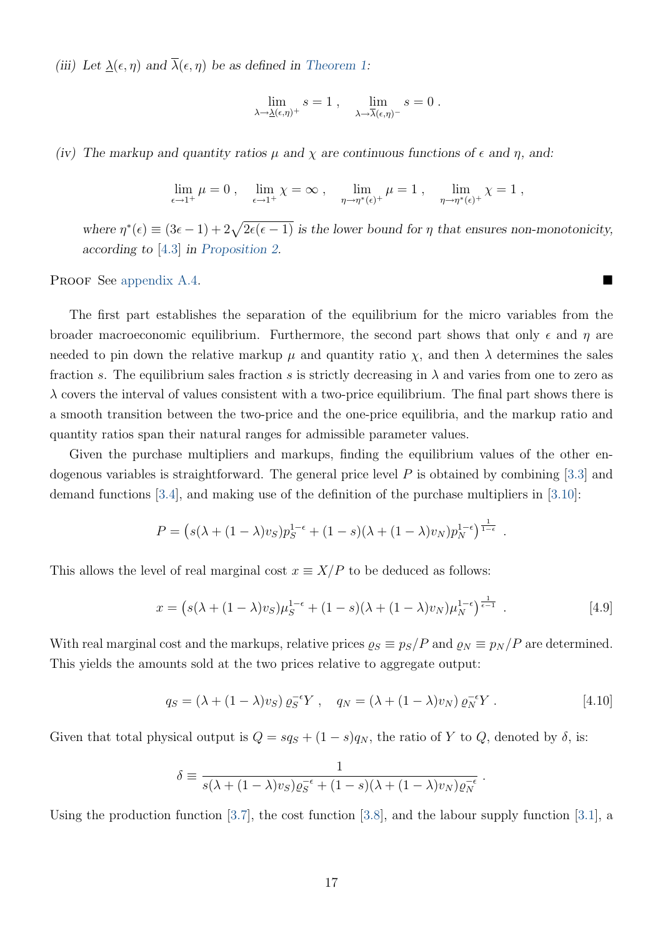(iii) Let  $\underline{\lambda}(\epsilon, \eta)$  and  $\overline{\lambda}(\epsilon, \eta)$  be as defined in [Theorem 1:](#page-15-1)

$$
\lim_{\lambda \to \underline{\lambda}(\epsilon,\eta)^+} s = 1 , \quad \lim_{\lambda \to \overline{\lambda}(\epsilon,\eta)^-} s = 0 .
$$

(iv) The markup and quantity ratios  $\mu$  and  $\chi$  are continuous functions of  $\epsilon$  and  $\eta$ , and:

$$
\lim_{\epsilon \to 1^+} \mu = 0 , \quad \lim_{\epsilon \to 1^+} \chi = \infty , \quad \lim_{\eta \to \eta^*(\epsilon)^+} \mu = 1 , \quad \lim_{\eta \to \eta^*(\epsilon)^+} \chi = 1 ,
$$

where  $\eta^*(\epsilon) \equiv (3\epsilon - 1) + 2\sqrt{2\epsilon(\epsilon - 1)}$  is the lower bound for  $\eta$  that ensures non-monotonicity, according to [\[4.3\]](#page-14-1) in [Proposition 2.](#page-13-3)

PROOF See [appendix A.4.](#page-55-0)

The first part establishes the separation of the equilibrium for the micro variables from the broader macroeconomic equilibrium. Furthermore, the second part shows that only  $\epsilon$  and  $\eta$  are needed to pin down the relative markup  $\mu$  and quantity ratio  $\chi$ , and then  $\lambda$  determines the sales fraction s. The equilibrium sales fraction s is strictly decreasing in  $\lambda$  and varies from one to zero as  $\lambda$  covers the interval of values consistent with a two-price equilibrium. The final part shows there is a smooth transition between the two-price and the one-price equilibria, and the markup ratio and quantity ratios span their natural ranges for admissible parameter values.

Given the purchase multipliers and markups, finding the equilibrium values of the other endogenous variables is straightforward. The general price level  $P$  is obtained by combining [\[3.3\]](#page-9-0) and demand functions [\[3.4\]](#page-9-2), and making use of the definition of the purchase multipliers in [\[3.10\]](#page-11-1):

$$
P = (s(\lambda + (1 - \lambda)v_S)p_S^{1-\epsilon} + (1 - s)(\lambda + (1 - \lambda)v_N)p_N^{1-\epsilon})^{\frac{1}{1-\epsilon}}.
$$

This allows the level of real marginal cost  $x \equiv X/P$  to be deduced as follows:

$$
x = \left(s(\lambda + (1 - \lambda)v_S)\mu_S^{1-\epsilon} + (1 - s)(\lambda + (1 - \lambda)v_N)\mu_N^{1-\epsilon}\right)^{\frac{1}{\epsilon-1}}.
$$
\n
$$
\tag{4.9}
$$

With real marginal cost and the markups, relative prices  $\rho_S \equiv p_S/P$  and  $\rho_N \equiv p_N/P$  are determined. This yields the amounts sold at the two prices relative to aggregate output:

$$
q_S = (\lambda + (1 - \lambda)v_S) \varrho_S^{-\epsilon} Y , \quad q_N = (\lambda + (1 - \lambda)v_N) \varrho_N^{-\epsilon} Y . \tag{4.10}
$$

<span id="page-18-1"></span><span id="page-18-0"></span>.

Given that total physical output is  $Q = sq_S + (1 - s)q_N$ , the ratio of Y to Q, denoted by  $\delta$ , is:

$$
\delta \equiv \frac{1}{s(\lambda + (1 - \lambda)v_S)\varrho_S^{-\epsilon} + (1 - s)(\lambda + (1 - \lambda)v_N)\varrho_N^{-\epsilon}}
$$

Using the production function [\[3.7\]](#page-10-1), the cost function [\[3.8\]](#page-10-2), and the labour supply function [\[3.1\]](#page-8-3), a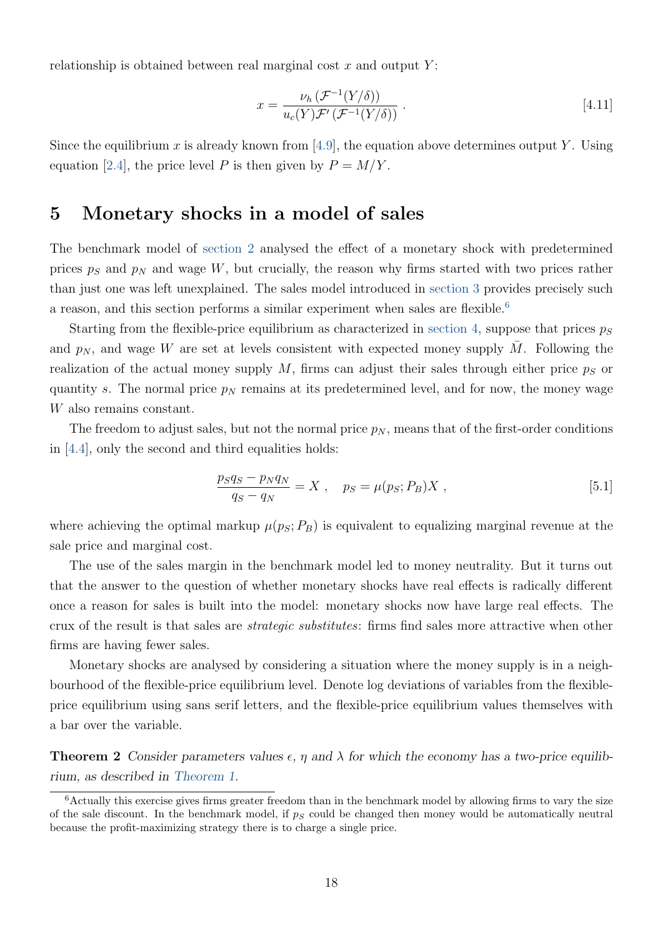relationship is obtained between real marginal cost  $x$  and output  $Y$ :

<span id="page-19-4"></span>
$$
x = \frac{\nu_h \left( \mathcal{F}^{-1}(Y/\delta) \right)}{u_c(Y) \mathcal{F}' \left( \mathcal{F}^{-1}(Y/\delta) \right)} . \tag{4.11}
$$

Since the equilibrium x is already known from [\[4.9\]](#page-18-0), the equation above determines output Y. Using equation [\[2.4\]](#page-6-2), the price level P is then given by  $P = M/Y$ .

# <span id="page-19-0"></span>5 Monetary shocks in a model of sales

The benchmark model of [section 2](#page-5-0) analysed the effect of a monetary shock with predetermined prices  $p<sub>S</sub>$  and  $p<sub>N</sub>$  and wage W, but crucially, the reason why firms started with two prices rather than just one was left unexplained. The sales model introduced in [section 3](#page-8-0) provides precisely such a reason, and this section performs a similar experiment when sales are flexible.<sup>[6](#page-19-1)</sup>

Starting from the flexible-price equilibrium as characterized in [section 4,](#page-13-0) suppose that prices  $p_S$ and  $p_N$ , and wage W are set at levels consistent with expected money supply  $\overline{M}$ . Following the realization of the actual money supply  $M$ , firms can adjust their sales through either price  $p<sub>S</sub>$  or quantity s. The normal price  $p<sub>N</sub>$  remains at its predetermined level, and for now, the money wage W also remains constant.

The freedom to adjust sales, but not the normal price  $p_N$ , means that of the first-order conditions in [\[4.4\]](#page-14-0), only the second and third equalities holds:

<span id="page-19-2"></span>
$$
\frac{p_S q_S - p_N q_N}{q_S - q_N} = X , \quad p_S = \mu(p_S; P_B) X ,
$$
 [5.1]

where achieving the optimal markup  $\mu(p_S; P_B)$  is equivalent to equalizing marginal revenue at the sale price and marginal cost.

The use of the sales margin in the benchmark model led to money neutrality. But it turns out that the answer to the question of whether monetary shocks have real effects is radically different once a reason for sales is built into the model: monetary shocks now have large real effects. The crux of the result is that sales are strategic substitutes: firms find sales more attractive when other firms are having fewer sales.

Monetary shocks are analysed by considering a situation where the money supply is in a neighbourhood of the flexible-price equilibrium level. Denote log deviations of variables from the flexibleprice equilibrium using sans serif letters, and the flexible-price equilibrium values themselves with a bar over the variable.

<span id="page-19-3"></span>**Theorem 2** Consider parameters values  $\epsilon$ ,  $\eta$  and  $\lambda$  for which the economy has a two-price equilibrium, as described in [Theorem 1.](#page-15-1)

<span id="page-19-1"></span><sup>&</sup>lt;sup>6</sup>Actually this exercise gives firms greater freedom than in the benchmark model by allowing firms to vary the size of the sale discount. In the benchmark model, if  $p<sub>S</sub>$  could be changed then money would be automatically neutral because the profit-maximizing strategy there is to charge a single price.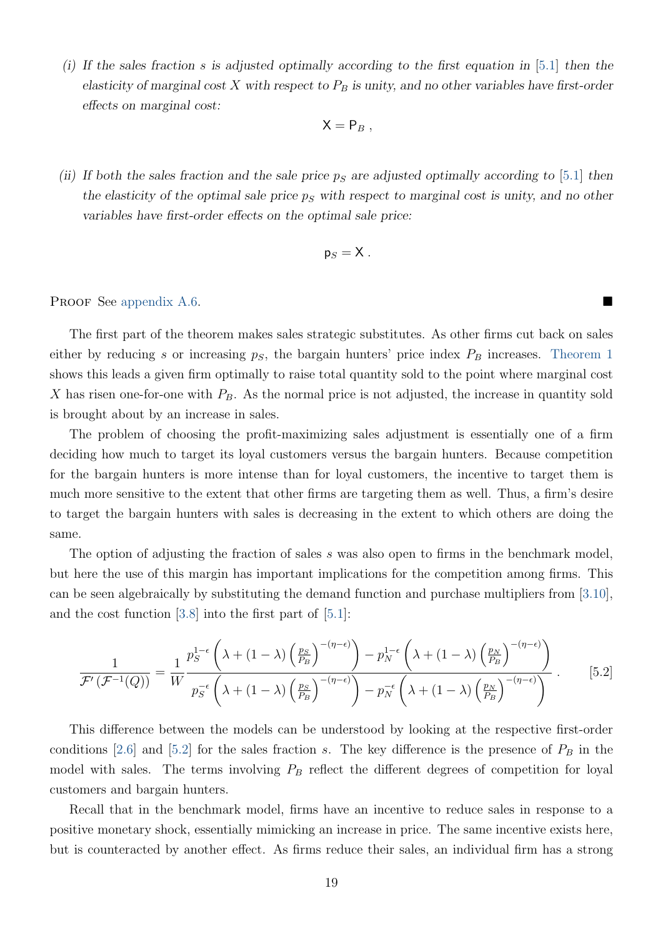(i) If the sales fraction s is adjusted optimally according to the first equation in [\[5.1\]](#page-19-2) then the elasticity of marginal cost X with respect to  $P_B$  is unity, and no other variables have first-order effects on marginal cost:

$$
X = P_B,
$$

(ii) If both the sales fraction and the sale price  $p<sub>S</sub>$  are adjusted optimally according to [\[5.1\]](#page-19-2) then the elasticity of the optimal sale price  $p<sub>S</sub>$  with respect to marginal cost is unity, and no other variables have first-order effects on the optimal sale price:

$$
\mathsf{p}_S = \mathsf{X} \ .
$$

#### PROOF See [appendix A.6.](#page-59-0)

The first part of the theorem makes sales strategic substitutes. As other firms cut back on sales either by reducing s or increasing  $p<sub>S</sub>$ , the bargain hunters' price index  $P<sub>B</sub>$  increases. [Theorem 1](#page-15-1) shows this leads a given firm optimally to raise total quantity sold to the point where marginal cost X has risen one-for-one with  $P_B$ . As the normal price is not adjusted, the increase in quantity sold is brought about by an increase in sales.

The problem of choosing the profit-maximizing sales adjustment is essentially one of a firm deciding how much to target its loyal customers versus the bargain hunters. Because competition for the bargain hunters is more intense than for loyal customers, the incentive to target them is much more sensitive to the extent that other firms are targeting them as well. Thus, a firm's desire to target the bargain hunters with sales is decreasing in the extent to which others are doing the same.

The option of adjusting the fraction of sales s was also open to firms in the benchmark model, but here the use of this margin has important implications for the competition among firms. This can be seen algebraically by substituting the demand function and purchase multipliers from [\[3.10\]](#page-11-1), and the cost function [\[3.8\]](#page-10-2) into the first part of [\[5.1\]](#page-19-2):

<span id="page-20-0"></span>
$$
\frac{1}{\mathcal{F}'(\mathcal{F}^{-1}(Q))} = \frac{1}{W} \frac{p_S^{1-\epsilon} \left( \lambda + (1-\lambda) \left( \frac{p_S}{p_B} \right)^{-(\eta-\epsilon)} \right) - p_N^{1-\epsilon} \left( \lambda + (1-\lambda) \left( \frac{p_N}{p_B} \right)^{-(\eta-\epsilon)} \right)}{p_S^{-\epsilon} \left( \lambda + (1-\lambda) \left( \frac{p_S}{p_B} \right)^{-(\eta-\epsilon)} \right) - p_N^{-\epsilon} \left( \lambda + (1-\lambda) \left( \frac{p_N}{p_B} \right)^{-(\eta-\epsilon)} \right)} . \tag{5.2}
$$

This difference between the models can be understood by looking at the respective first-order conditions [\[2.6\]](#page-7-1) and [\[5.2\]](#page-20-0) for the sales fraction s. The key difference is the presence of  $P_B$  in the model with sales. The terms involving  $P_B$  reflect the different degrees of competition for loyal customers and bargain hunters.

Recall that in the benchmark model, firms have an incentive to reduce sales in response to a positive monetary shock, essentially mimicking an increase in price. The same incentive exists here, but is counteracted by another effect. As firms reduce their sales, an individual firm has a strong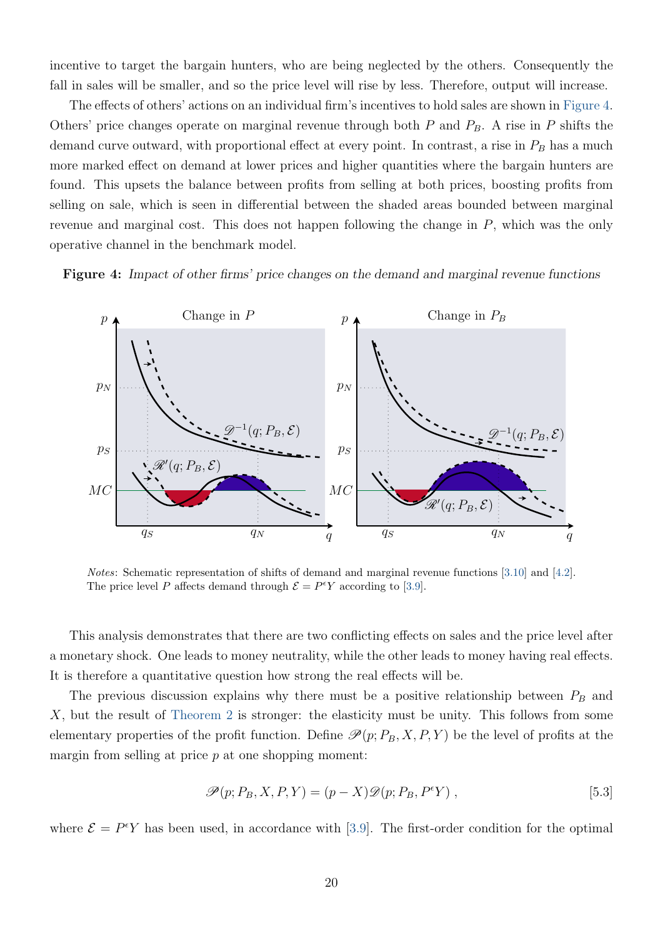incentive to target the bargain hunters, who are being neglected by the others. Consequently the fall in sales will be smaller, and so the price level will rise by less. Therefore, output will increase.

The effects of others' actions on an individual firm's incentives to hold sales are shown in [Figure 4.](#page-21-0) Others' price changes operate on marginal revenue through both  $P$  and  $P_B$ . A rise in  $P$  shifts the demand curve outward, with proportional effect at every point. In contrast, a rise in  $P_B$  has a much more marked effect on demand at lower prices and higher quantities where the bargain hunters are found. This upsets the balance between profits from selling at both prices, boosting profits from selling on sale, which is seen in differential between the shaded areas bounded between marginal revenue and marginal cost. This does not happen following the change in P, which was the only operative channel in the benchmark model.

<span id="page-21-0"></span>Figure 4: Impact of other firms' price changes on the demand and marginal revenue functions



Notes: Schematic representation of shifts of demand and marginal revenue functions [\[3.10\]](#page-11-1) and [\[4.2\]](#page-13-1). The price level P affects demand through  $\mathcal{E} = P^{\epsilon}Y$  according to [\[3.9\]](#page-11-0).

This analysis demonstrates that there are two conflicting effects on sales and the price level after a monetary shock. One leads to money neutrality, while the other leads to money having real effects. It is therefore a quantitative question how strong the real effects will be.

The previous discussion explains why there must be a positive relationship between  $P_B$  and X, but the result of [Theorem 2](#page-19-3) is stronger: the elasticity must be unity. This follows from some elementary properties of the profit function. Define  $\mathcal{P}(p; P_B, X, P, Y)$  be the level of profits at the margin from selling at price  $p$  at one shopping moment:

<span id="page-21-1"></span>
$$
\mathscr{P}(p; P_B, X, P, Y) = (p - X)\mathscr{D}(p; P_B, P^{\epsilon}Y) ,
$$
\n
$$
\tag{5.3}
$$

where  $\mathcal{E} = P^{\epsilon}Y$  has been used, in accordance with [\[3.9\]](#page-11-0). The first-order condition for the optimal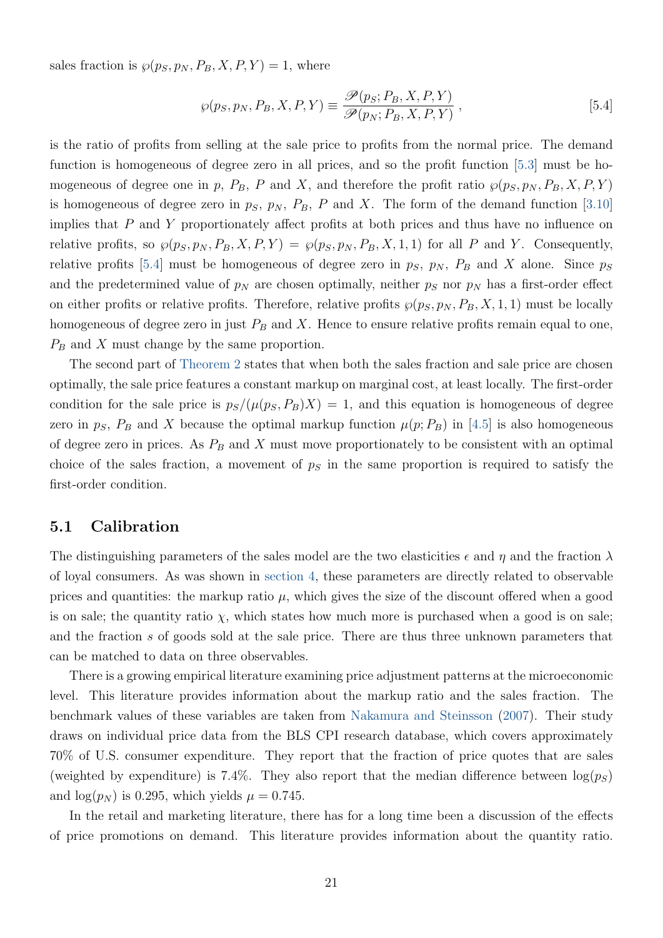<span id="page-22-2"></span>sales fraction is  $\wp(p_S, p_N, P_B, X, P, Y) = 1$ , where

<span id="page-22-0"></span>
$$
\wp(p_S, p_N, P_B, X, P, Y) \equiv \frac{\mathcal{P}(p_S; P_B, X, P, Y)}{\mathcal{P}(p_N; P_B, X, P, Y)},
$$
\n
$$
[5.4]
$$

is the ratio of profits from selling at the sale price to profits from the normal price. The demand function is homogeneous of degree zero in all prices, and so the profit function [\[5.3\]](#page-21-1) must be homogeneous of degree one in p,  $P_B$ , P and X, and therefore the profit ratio  $\wp(p_S, p_N, P_B, X, P, Y)$ is homogeneous of degree zero in  $p_S$ ,  $p_N$ ,  $P_B$ , P and X. The form of the demand function [\[3.10\]](#page-11-1) implies that  $P$  and  $Y$  proportionately affect profits at both prices and thus have no influence on relative profits, so  $\wp(p_S, p_N, P_B, X, P, Y) = \wp(p_S, p_N, P_B, X, 1, 1)$  for all P and Y. Consequently, relative profits [\[5.4\]](#page-22-0) must be homogeneous of degree zero in  $p<sub>S</sub>$ ,  $p<sub>N</sub>$ ,  $P<sub>B</sub>$  and X alone. Since  $p<sub>S</sub>$ and the predetermined value of  $p<sub>N</sub>$  are chosen optimally, neither  $p<sub>S</sub>$  nor  $p<sub>N</sub>$  has a first-order effect on either profits or relative profits. Therefore, relative profits  $\wp(p_S, p_N, P_B, X, 1, 1)$  must be locally homogeneous of degree zero in just  $P_B$  and X. Hence to ensure relative profits remain equal to one,  $P_B$  and X must change by the same proportion.

The second part of [Theorem 2](#page-19-3) states that when both the sales fraction and sale price are chosen optimally, the sale price features a constant markup on marginal cost, at least locally. The first-order condition for the sale price is  $p_S/(\mu(p_S, P_B)X) = 1$ , and this equation is homogeneous of degree zero in  $p<sub>S</sub>$ ,  $P<sub>B</sub>$  and X because the optimal markup function  $\mu(p; P<sub>B</sub>)$  in [\[4.5\]](#page-17-1) is also homogeneous of degree zero in prices. As  $P_B$  and X must move proportionately to be consistent with an optimal choice of the sales fraction, a movement of  $p<sub>S</sub>$  in the same proportion is required to satisfy the first-order condition.

### <span id="page-22-1"></span>5.1 Calibration

The distinguishing parameters of the sales model are the two elasticities  $\epsilon$  and  $\eta$  and the fraction  $\lambda$ of loyal consumers. As was shown in [section 4,](#page-13-0) these parameters are directly related to observable prices and quantities: the markup ratio  $\mu$ , which gives the size of the discount offered when a good is on sale; the quantity ratio  $\chi$ , which states how much more is purchased when a good is on sale; and the fraction s of goods sold at the sale price. There are thus three unknown parameters that can be matched to data on three observables.

There is a growing empirical literature examining price adjustment patterns at the microeconomic level. This literature provides information about the markup ratio and the sales fraction. The benchmark values of these variables are taken from [Nakamura and Steinsson](#page-40-0) [\(2007\)](#page-40-0). Their study draws on individual price data from the BLS CPI research database, which covers approximately 70% of U.S. consumer expenditure. They report that the fraction of price quotes that are sales (weighted by expenditure) is 7.4%. They also report that the median difference between  $log(p_S)$ and  $\log(p_N)$  is 0.295, which yields  $\mu = 0.745$ .

In the retail and marketing literature, there has for a long time been a discussion of the effects of price promotions on demand. This literature provides information about the quantity ratio.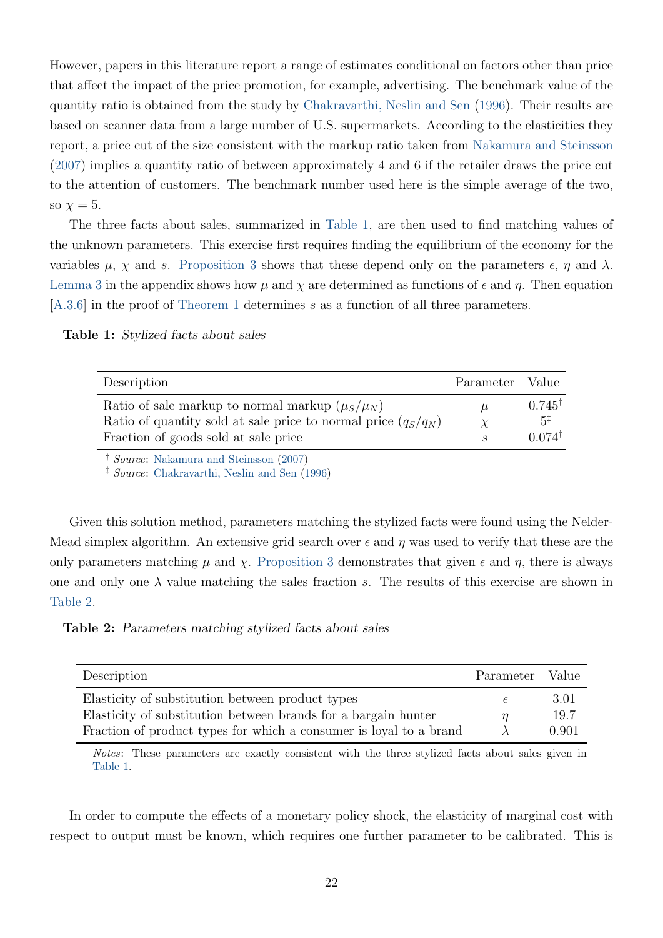<span id="page-23-2"></span>However, papers in this literature report a range of estimates conditional on factors other than price that affect the impact of the price promotion, for example, advertising. The benchmark value of the quantity ratio is obtained from the study by [Chakravarthi, Neslin and Sen](#page-39-2) [\(1996\)](#page-39-2). Their results are based on scanner data from a large number of U.S. supermarkets. According to the elasticities they report, a price cut of the size consistent with the markup ratio taken from [Nakamura and Steinsson](#page-40-0) [\(2007\)](#page-40-0) implies a quantity ratio of between approximately 4 and 6 if the retailer draws the price cut to the attention of customers. The benchmark number used here is the simple average of the two, so  $\chi = 5$ .

The three facts about sales, summarized in [Table 1,](#page-23-0) are then used to find matching values of the unknown parameters. This exercise first requires finding the equilibrium of the economy for the variables  $\mu$ ,  $\chi$  and s. [Proposition 3](#page-17-2) shows that these depend only on the parameters  $\epsilon$ ,  $\eta$  and  $\lambda$ . [Lemma 3](#page-47-0) in the appendix shows how  $\mu$  and  $\chi$  are determined as functions of  $\epsilon$  and  $\eta$ . Then equation [\[A.3.6\]](#page-51-0) in the proof of [Theorem 1](#page-15-1) determines s as a function of all three parameters.

<span id="page-23-0"></span>Table 1: Stylized facts about sales

| Description                                                                                                                                                       | Parameter Value |                                                           |
|-------------------------------------------------------------------------------------------------------------------------------------------------------------------|-----------------|-----------------------------------------------------------|
| Ratio of sale markup to normal markup $(\mu_S/\mu_N)$<br>Ratio of quantity sold at sale price to normal price $(q_S/q_N)$<br>Fraction of goods sold at sale price | $\mu$           | $0.745^{\dagger}$<br>$.5^{\ddagger}$<br>$0.074^{\dagger}$ |

<sup>†</sup> Source: [Nakamura and Steinsson](#page-40-0) [\(2007\)](#page-40-0)

‡ Source: [Chakravarthi, Neslin and Sen](#page-39-2) [\(1996\)](#page-39-2)

Given this solution method, parameters matching the stylized facts were found using the Nelder-Mead simplex algorithm. An extensive grid search over  $\epsilon$  and  $\eta$  was used to verify that these are the only parameters matching  $\mu$  and  $\chi$ . [Proposition 3](#page-17-2) demonstrates that given  $\epsilon$  and  $\eta$ , there is always one and only one  $\lambda$  value matching the sales fraction s. The results of this exercise are shown in [Table 2.](#page-23-1)

<span id="page-23-1"></span>Table 2: Parameters matching stylized facts about sales

| Description                                                        | Parameter | Value |
|--------------------------------------------------------------------|-----------|-------|
| Elasticity of substitution between product types                   |           | 3.01  |
| Elasticity of substitution between brands for a bargain hunter     |           | 19.7  |
| Fraction of product types for which a consumer is loyal to a brand |           | 0.901 |

Notes: These parameters are exactly consistent with the three stylized facts about sales given in [Table 1.](#page-23-0)

In order to compute the effects of a monetary policy shock, the elasticity of marginal cost with respect to output must be known, which requires one further parameter to be calibrated. This is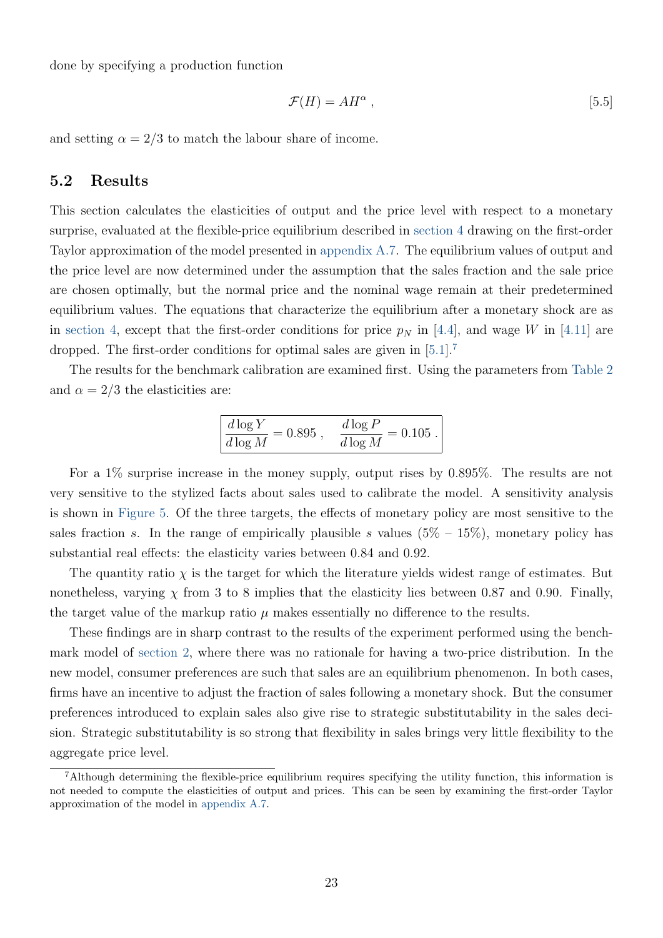done by specifying a production function

<span id="page-24-1"></span>
$$
\mathcal{F}(H) = AH^{\alpha} ,\qquad [5.5]
$$

and setting  $\alpha = 2/3$  to match the labour share of income.

### <span id="page-24-2"></span>5.2 Results

This section calculates the elasticities of output and the price level with respect to a monetary surprise, evaluated at the flexible-price equilibrium described in [section 4](#page-13-0) drawing on the first-order Taylor approximation of the model presented in [appendix A.7.](#page-60-0) The equilibrium values of output and the price level are now determined under the assumption that the sales fraction and the sale price are chosen optimally, but the normal price and the nominal wage remain at their predetermined equilibrium values. The equations that characterize the equilibrium after a monetary shock are as in [section 4,](#page-13-0) except that the first-order conditions for price  $p<sub>N</sub>$  in [\[4.4\]](#page-14-0), and wage W in [\[4.11\]](#page-19-4) are dropped. The first-order conditions for optimal sales are given in [\[5.1\]](#page-19-2).<sup>[7](#page-24-0)</sup>

The results for the benchmark calibration are examined first. Using the parameters from [Table 2](#page-23-1) and  $\alpha = 2/3$  the elasticities are:

$$
\frac{d\log Y}{d\log M}=0.895\;,\quad \frac{d\log P}{d\log M}=0.105\;.
$$

For a 1% surprise increase in the money supply, output rises by 0.895%. The results are not very sensitive to the stylized facts about sales used to calibrate the model. A sensitivity analysis is shown in [Figure 5.](#page-25-0) Of the three targets, the effects of monetary policy are most sensitive to the sales fraction s. In the range of empirically plausible s values  $(5\% - 15\%)$ , monetary policy has substantial real effects: the elasticity varies between 0.84 and 0.92.

The quantity ratio  $\chi$  is the target for which the literature yields widest range of estimates. But nonetheless, varying  $\chi$  from 3 to 8 implies that the elasticity lies between 0.87 and 0.90. Finally, the target value of the markup ratio  $\mu$  makes essentially no difference to the results.

These findings are in sharp contrast to the results of the experiment performed using the benchmark model of [section 2,](#page-5-0) where there was no rationale for having a two-price distribution. In the new model, consumer preferences are such that sales are an equilibrium phenomenon. In both cases, firms have an incentive to adjust the fraction of sales following a monetary shock. But the consumer preferences introduced to explain sales also give rise to strategic substitutability in the sales decision. Strategic substitutability is so strong that flexibility in sales brings very little flexibility to the aggregate price level.

<span id="page-24-0"></span><sup>7</sup>Although determining the flexible-price equilibrium requires specifying the utility function, this information is not needed to compute the elasticities of output and prices. This can be seen by examining the first-order Taylor approximation of the model in [appendix A.7.](#page-60-0)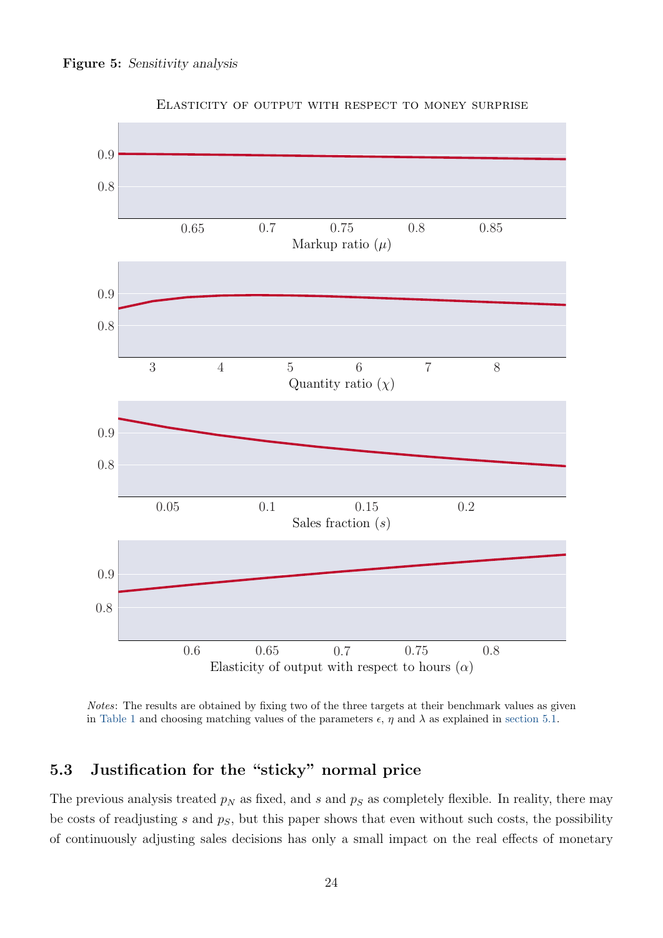<span id="page-25-0"></span>

Elasticity of output with respect to money surprise

Notes: The results are obtained by fixing two of the three targets at their benchmark values as given in [Table 1](#page-23-0) and choosing matching values of the parameters  $\epsilon$ ,  $\eta$  and  $\lambda$  as explained in [section 5.1.](#page-22-1)

# 5.3 Justification for the "sticky" normal price

The previous analysis treated  $p_N$  as fixed, and s and  $p_S$  as completely flexible. In reality, there may be costs of readjusting s and  $p<sub>S</sub>$ , but this paper shows that even without such costs, the possibility of continuously adjusting sales decisions has only a small impact on the real effects of monetary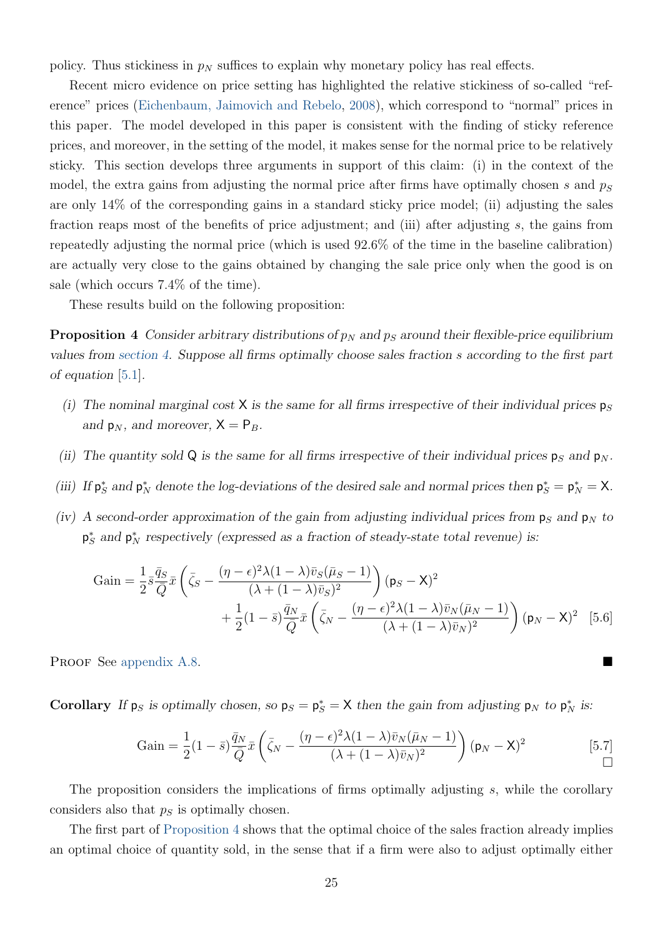<span id="page-26-3"></span>policy. Thus stickiness in  $p_N$  suffices to explain why monetary policy has real effects.

Recent micro evidence on price setting has highlighted the relative stickiness of so-called "reference" prices [\(Eichenbaum, Jaimovich and Rebelo,](#page-40-4) [2008\)](#page-40-4), which correspond to "normal" prices in this paper. The model developed in this paper is consistent with the finding of sticky reference prices, and moreover, in the setting of the model, it makes sense for the normal price to be relatively sticky. This section develops three arguments in support of this claim: (i) in the context of the model, the extra gains from adjusting the normal price after firms have optimally chosen s and  $p<sub>S</sub>$ are only 14% of the corresponding gains in a standard sticky price model; (ii) adjusting the sales fraction reaps most of the benefits of price adjustment; and (iii) after adjusting s, the gains from repeatedly adjusting the normal price (which is used 92.6% of the time in the baseline calibration) are actually very close to the gains obtained by changing the sale price only when the good is on sale (which occurs 7.4% of the time).

These results build on the following proposition:

<span id="page-26-0"></span>**Proposition 4** Consider arbitrary distributions of  $p_N$  and  $p_S$  around their flexible-price equilibrium values from [section 4.](#page-13-0) Suppose all firms optimally choose sales fraction s according to the first part of equation [\[5.1\]](#page-19-2).

- (i) The nominal marginal cost X is the same for all firms irrespective of their individual prices  $p_S$ and  $p_N$ , and moreover,  $X = P_B$ .
- (ii) The quantity sold Q is the same for all firms irrespective of their individual prices  $p_S$  and  $p_N$ .
- (iii) If  $p_S^*$  and  $p_N^*$  denote the log-deviations of the desired sale and normal prices then  $p_S^* = p_N^* = X$ .
- (iv) A second-order approximation of the gain from adjusting individual prices from  $p_S$  and  $p_N$  to  $\mathsf{p}_S^*$  and  $\mathsf{p}_N^*$  respectively (expressed as a fraction of steady-state total revenue) is:

$$
\text{Gain} = \frac{1}{2} \bar{s} \frac{\bar{q}_S}{\bar{Q}} \bar{x} \left( \bar{\zeta}_S - \frac{(\eta - \epsilon)^2 \lambda (1 - \lambda) \bar{v}_S (\bar{\mu}_S - 1)}{(\lambda + (1 - \lambda) \bar{v}_S)^2} \right) (\mathbf{p}_S - \mathbf{X})^2 + \frac{1}{2} (1 - \bar{s}) \frac{\bar{q}_N}{\bar{Q}} \bar{x} \left( \bar{\zeta}_N - \frac{(\eta - \epsilon)^2 \lambda (1 - \lambda) \bar{v}_N (\bar{\mu}_N - 1)}{(\lambda + (1 - \lambda) \bar{v}_N)^2} \right) (\mathbf{p}_N - \mathbf{X})^2 \quad [5.6]
$$

PROOF See [appendix A.8.](#page-61-0)

**Corollary** If  $p_S$  is optimally chosen, so  $p_S = p_S^* = X$  then the gain from adjusting  $p_N$  to  $p_N^*$  is:

<span id="page-26-2"></span><span id="page-26-1"></span>
$$
Gain = \frac{1}{2}(1-\bar{s})\frac{\bar{q}_N}{\bar{Q}}\bar{x}\left(\bar{\zeta}_N - \frac{(\eta-\epsilon)^2\lambda(1-\lambda)\bar{v}_N(\bar{\mu}_N-1)}{(\lambda+(1-\lambda)\bar{v}_N)^2}\right)(\mathbf{p}_N-\mathbf{X})^2
$$
\n[5.7]

The proposition considers the implications of firms optimally adjusting s, while the corollary considers also that  $p<sub>S</sub>$  is optimally chosen.

The first part of [Proposition 4](#page-26-0) shows that the optimal choice of the sales fraction already implies an optimal choice of quantity sold, in the sense that if a firm were also to adjust optimally either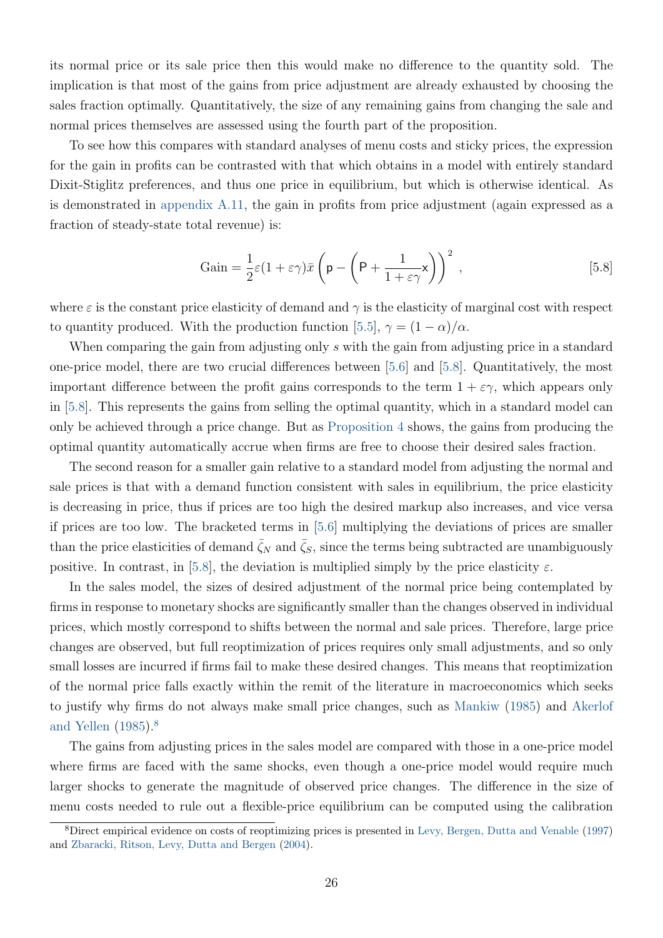<span id="page-27-2"></span>its normal price or its sale price then this would make no difference to the quantity sold. The implication is that most of the gains from price adjustment are already exhausted by choosing the sales fraction optimally. Quantitatively, the size of any remaining gains from changing the sale and normal prices themselves are assessed using the fourth part of the proposition.

To see how this compares with standard analyses of menu costs and sticky prices, the expression for the gain in profits can be contrasted with that which obtains in a model with entirely standard Dixit-Stiglitz preferences, and thus one price in equilibrium, but which is otherwise identical. As is demonstrated in [appendix A.11,](#page-66-0) the gain in profits from price adjustment (again expressed as a fraction of steady-state total revenue) is:

<span id="page-27-0"></span>
$$
Gain = \frac{1}{2}\varepsilon(1 + \varepsilon\gamma)\bar{x}\left(p - \left(P + \frac{1}{1 + \varepsilon\gamma}\mathbf{x}\right)\right)^2,
$$
\n<sup>(5.8)</sup>

where  $\varepsilon$  is the constant price elasticity of demand and  $\gamma$  is the elasticity of marginal cost with respect to quantity produced. With the production function [\[5.5\]](#page-24-1),  $\gamma = (1 - \alpha)/\alpha$ .

When comparing the gain from adjusting only s with the gain from adjusting price in a standard one-price model, there are two crucial differences between [\[5.6\]](#page-26-1) and [\[5.8\]](#page-27-0). Quantitatively, the most important difference between the profit gains corresponds to the term  $1 + \varepsilon \gamma$ , which appears only in [\[5.8\]](#page-27-0). This represents the gains from selling the optimal quantity, which in a standard model can only be achieved through a price change. But as [Proposition 4](#page-26-0) shows, the gains from producing the optimal quantity automatically accrue when firms are free to choose their desired sales fraction.

The second reason for a smaller gain relative to a standard model from adjusting the normal and sale prices is that with a demand function consistent with sales in equilibrium, the price elasticity is decreasing in price, thus if prices are too high the desired markup also increases, and vice versa if prices are too low. The bracketed terms in [\[5.6\]](#page-26-1) multiplying the deviations of prices are smaller than the price elasticities of demand  $\zeta_N$  and  $\zeta_S$ , since the terms being subtracted are unambiguously positive. In contrast, in [\[5.8\]](#page-27-0), the deviation is multiplied simply by the price elasticity  $\varepsilon$ .

In the sales model, the sizes of desired adjustment of the normal price being contemplated by firms in response to monetary shocks are significantly smaller than the changes observed in individual prices, which mostly correspond to shifts between the normal and sale prices. Therefore, large price changes are observed, but full reoptimization of prices requires only small adjustments, and so only small losses are incurred if firms fail to make these desired changes. This means that reoptimization of the normal price falls exactly within the remit of the literature in macroeconomics which seeks to justify why firms do not always make small price changes, such as [Mankiw](#page-40-10) [\(1985\)](#page-40-10) and [Akerlof](#page-39-3) [and Yellen](#page-39-3) [\(1985\)](#page-39-3).<sup>[8](#page-27-1)</sup>

The gains from adjusting prices in the sales model are compared with those in a one-price model where firms are faced with the same shocks, even though a one-price model would require much larger shocks to generate the magnitude of observed price changes. The difference in the size of menu costs needed to rule out a flexible-price equilibrium can be computed using the calibration

<span id="page-27-1"></span><sup>8</sup>Direct empirical evidence on costs of reoptimizing prices is presented in [Levy, Bergen, Dutta and Venable](#page-40-11) [\(1997\)](#page-40-11) and [Zbaracki, Ritson, Levy, Dutta and Bergen](#page-41-0) [\(2004\)](#page-41-0).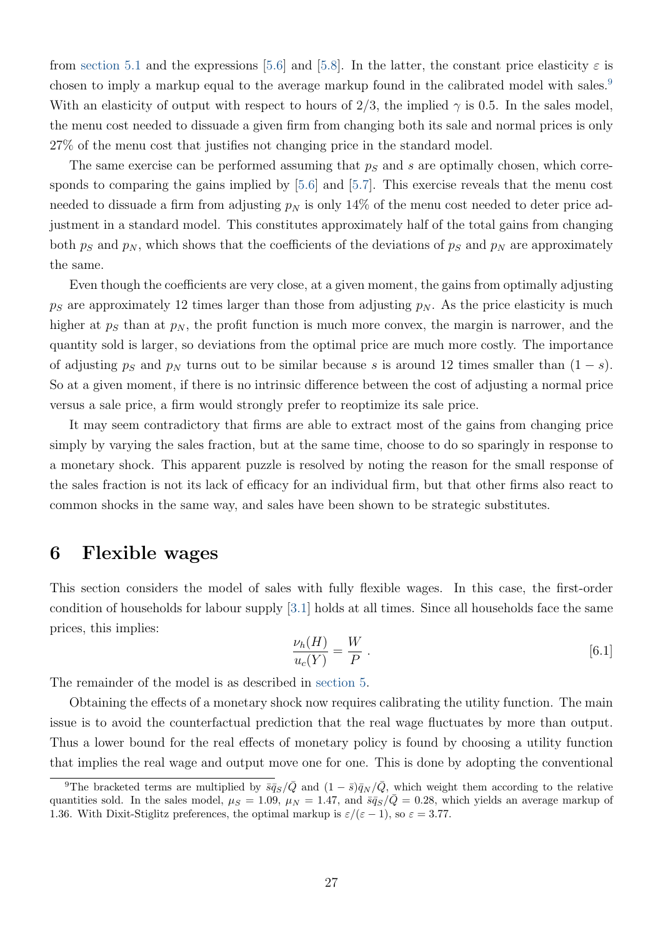from [section 5.1](#page-22-1) and the expressions [\[5.6\]](#page-26-1) and [\[5.8\]](#page-27-0). In the latter, the constant price elasticity  $\varepsilon$  is chosen to imply a markup equal to the average markup found in the calibrated model with sales.<sup>[9](#page-28-1)</sup> With an elasticity of output with respect to hours of 2/3, the implied  $\gamma$  is 0.5. In the sales model, the menu cost needed to dissuade a given firm from changing both its sale and normal prices is only 27% of the menu cost that justifies not changing price in the standard model.

The same exercise can be performed assuming that  $p<sub>S</sub>$  and s are optimally chosen, which corresponds to comparing the gains implied by [\[5.6\]](#page-26-1) and [\[5.7\]](#page-26-2). This exercise reveals that the menu cost needed to dissuade a firm from adjusting  $p<sub>N</sub>$  is only 14% of the menu cost needed to deter price adjustment in a standard model. This constitutes approximately half of the total gains from changing both  $p_S$  and  $p_N$ , which shows that the coefficients of the deviations of  $p_S$  and  $p_N$  are approximately the same.

Even though the coefficients are very close, at a given moment, the gains from optimally adjusting  $p<sub>S</sub>$  are approximately 12 times larger than those from adjusting  $p<sub>N</sub>$ . As the price elasticity is much higher at  $p<sub>S</sub>$  than at  $p<sub>N</sub>$ , the profit function is much more convex, the margin is narrower, and the quantity sold is larger, so deviations from the optimal price are much more costly. The importance of adjusting  $p<sub>S</sub>$  and  $p<sub>N</sub>$  turns out to be similar because s is around 12 times smaller than  $(1 - s)$ . So at a given moment, if there is no intrinsic difference between the cost of adjusting a normal price versus a sale price, a firm would strongly prefer to reoptimize its sale price.

It may seem contradictory that firms are able to extract most of the gains from changing price simply by varying the sales fraction, but at the same time, choose to do so sparingly in response to a monetary shock. This apparent puzzle is resolved by noting the reason for the small response of the sales fraction is not its lack of efficacy for an individual firm, but that other firms also react to common shocks in the same way, and sales have been shown to be strategic substitutes.

## <span id="page-28-0"></span>6 Flexible wages

<span id="page-28-2"></span>This section considers the model of sales with fully flexible wages. In this case, the first-order condition of households for labour supply [\[3.1\]](#page-8-3) holds at all times. Since all households face the same prices, this implies:

$$
\frac{\nu_h(H)}{u_c(Y)} = \frac{W}{P} \ . \tag{6.1}
$$

The remainder of the model is as described in [section 5.](#page-19-0)

Obtaining the effects of a monetary shock now requires calibrating the utility function. The main issue is to avoid the counterfactual prediction that the real wage fluctuates by more than output. Thus a lower bound for the real effects of monetary policy is found by choosing a utility function that implies the real wage and output move one for one. This is done by adopting the conventional

<span id="page-28-1"></span><sup>&</sup>lt;sup>9</sup>The bracketed terms are multiplied by  $\bar{s}\bar{q}_{S}/\bar{Q}$  and  $(1 - \bar{s})\bar{q}_{N}/\bar{Q}$ , which weight them according to the relative quantities sold. In the sales model,  $\mu_S = 1.09$ ,  $\mu_N = 1.47$ , and  $\bar{s}\bar{q}_S/\bar{Q} = 0.28$ , which yields an average markup of 1.36. With Dixit-Stiglitz preferences, the optimal markup is  $\varepsilon/(\varepsilon - 1)$ , so  $\varepsilon = 3.77$ .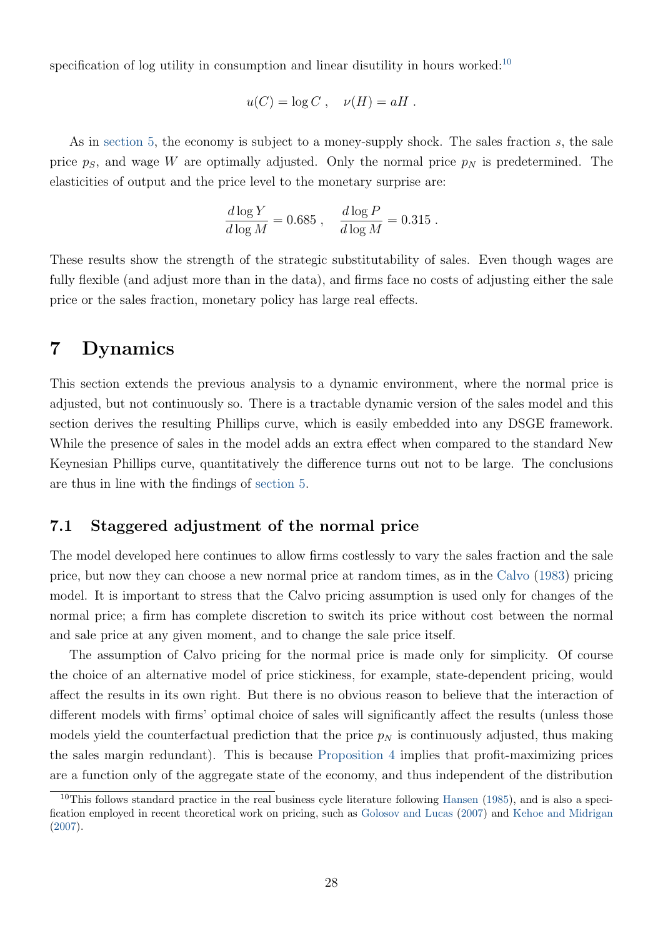<span id="page-29-3"></span>specification of log utility in consumption and linear disutility in hours worked: $10$ 

$$
u(C) = \log C , \quad \nu(H) = aH .
$$

As in [section 5,](#page-19-0) the economy is subject to a money-supply shock. The sales fraction  $s$ , the sale price  $p<sub>S</sub>$ , and wage W are optimally adjusted. Only the normal price  $p<sub>N</sub>$  is predetermined. The elasticities of output and the price level to the monetary surprise are:

$$
\frac{d \log Y}{d \log M} = 0.685 \; , \quad \frac{d \log P}{d \log M} = 0.315 \; .
$$

These results show the strength of the strategic substitutability of sales. Even though wages are fully flexible (and adjust more than in the data), and firms face no costs of adjusting either the sale price or the sales fraction, monetary policy has large real effects.

# <span id="page-29-0"></span>7 Dynamics

This section extends the previous analysis to a dynamic environment, where the normal price is adjusted, but not continuously so. There is a tractable dynamic version of the sales model and this section derives the resulting Phillips curve, which is easily embedded into any DSGE framework. While the presence of sales in the model adds an extra effect when compared to the standard New Keynesian Phillips curve, quantitatively the difference turns out not to be large. The conclusions are thus in line with the findings of [section 5.](#page-19-0)

### <span id="page-29-2"></span>7.1 Staggered adjustment of the normal price

The model developed here continues to allow firms costlessly to vary the sales fraction and the sale price, but now they can choose a new normal price at random times, as in the [Calvo](#page-39-4) [\(1983\)](#page-39-4) pricing model. It is important to stress that the Calvo pricing assumption is used only for changes of the normal price; a firm has complete discretion to switch its price without cost between the normal and sale price at any given moment, and to change the sale price itself.

The assumption of Calvo pricing for the normal price is made only for simplicity. Of course the choice of an alternative model of price stickiness, for example, state-dependent pricing, would affect the results in its own right. But there is no obvious reason to believe that the interaction of different models with firms' optimal choice of sales will significantly affect the results (unless those models yield the counterfactual prediction that the price  $p<sub>N</sub>$  is continuously adjusted, thus making the sales margin redundant). This is because [Proposition 4](#page-26-0) implies that profit-maximizing prices are a function only of the aggregate state of the economy, and thus independent of the distribution

<span id="page-29-1"></span> $10$ This follows standard practice in the real business cycle literature following [Hansen](#page-40-12) [\(1985\)](#page-40-12), and is also a specification employed in recent theoretical work on pricing, such as [Golosov and Lucas](#page-40-13) [\(2007\)](#page-40-13) and [Kehoe and Midrigan](#page-40-2) [\(2007\)](#page-40-2).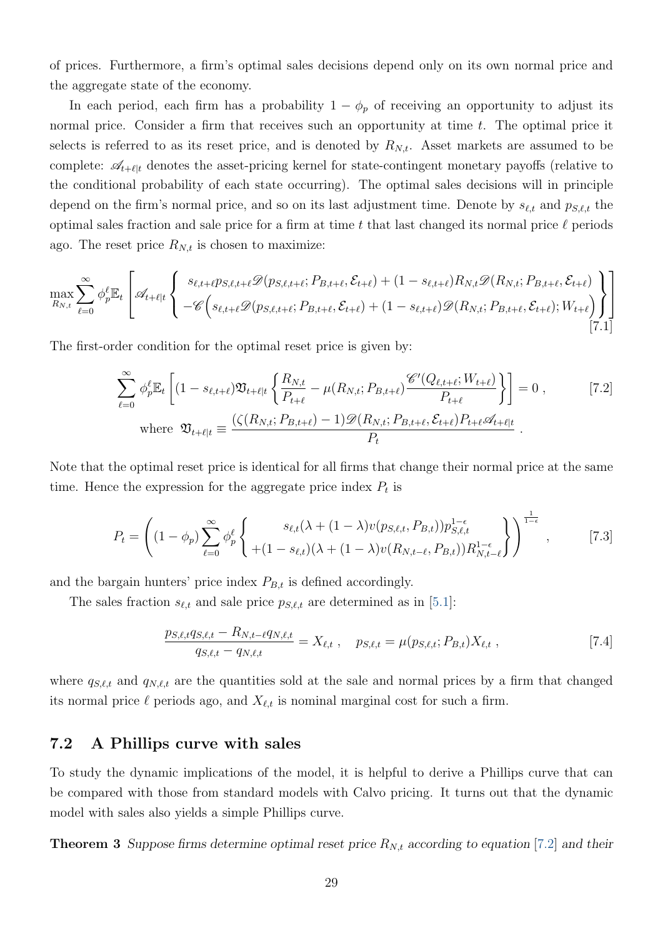of prices. Furthermore, a firm's optimal sales decisions depend only on its own normal price and the aggregate state of the economy.

In each period, each firm has a probability  $1 - \phi_p$  of receiving an opportunity to adjust its normal price. Consider a firm that receives such an opportunity at time t. The optimal price it selects is referred to as its reset price, and is denoted by  $R_{N,t}$ . Asset markets are assumed to be complete:  $\mathscr{A}_{t+\ell|t}$  denotes the asset-pricing kernel for state-contingent monetary payoffs (relative to the conditional probability of each state occurring). The optimal sales decisions will in principle depend on the firm's normal price, and so on its last adjustment time. Denote by  $s_{\ell,t}$  and  $p_{S,\ell,t}$  the optimal sales fraction and sale price for a firm at time t that last changed its normal price  $\ell$  periods ago. The reset price  $R_{N,t}$  is chosen to maximize:

$$
\max_{R_{N,t}} \sum_{\ell=0}^{\infty} \phi_p^{\ell} \mathbb{E}_t \left[ \mathcal{A}_{t+\ell|t} \left\{ \begin{array}{l} s_{\ell,t+\ell} p_{S,\ell,t+\ell} \mathcal{D}(p_{S,\ell,t+\ell}; P_{B,t+\ell}, \mathcal{E}_{t+\ell}) + (1 - s_{\ell,t+\ell}) R_{N,t} \mathcal{D}(R_{N,t}; P_{B,t+\ell}, \mathcal{E}_{t+\ell}) \\ -\mathcal{C} \left( s_{\ell,t+\ell} \mathcal{D}(p_{S,\ell,t+\ell}; P_{B,t+\ell}, \mathcal{E}_{t+\ell}) + (1 - s_{\ell,t+\ell}) \mathcal{D}(R_{N,t}; P_{B,t+\ell}, \mathcal{E}_{t+\ell}); W_{t+\ell} \right) \end{array} \right] \right]
$$
\n
$$
\tag{7.1}
$$

The first-order condition for the optimal reset price is given by:

<span id="page-30-0"></span>
$$
\sum_{\ell=0}^{\infty} \phi_p^{\ell} \mathbb{E}_t \left[ (1 - s_{\ell, t+\ell}) \mathfrak{V}_{t+\ell|t} \left\{ \frac{R_{N,t}}{P_{t+\ell}} - \mu(R_{N,t}; P_{B,t+\ell}) \frac{\mathscr{C}'(Q_{\ell,t+\ell}; W_{t+\ell})}{P_{t+\ell}} \right\} \right] = 0 , \qquad [7.2]
$$
\n
$$
\text{where } \mathfrak{V}_{t+\ell|t} \equiv \frac{(\zeta(R_{N,t}; P_{B,t+\ell}) - 1) \mathscr{D}(R_{N,t}; P_{B,t+\ell}, \mathcal{E}_{t+\ell}) P_{t+\ell} \mathscr{A}_{t+\ell|t}}{P_t} .
$$

Note that the optimal reset price is identical for all firms that change their normal price at the same time. Hence the expression for the aggregate price index  $P_t$  is

$$
P_{t} = \left( (1 - \phi_{p}) \sum_{\ell=0}^{\infty} \phi_{p}^{\ell} \left\{ \frac{s_{\ell,t}(\lambda + (1 - \lambda)v(p_{S,\ell,t}, P_{B,t}))p_{S,\ell,t}^{1-\epsilon}}{+(1 - s_{\ell,t})(\lambda + (1 - \lambda)v(R_{N,t-\ell}, P_{B,t}))R_{N,t-\ell}^{1-\epsilon}} \right\} \right)^{\frac{1}{1-\epsilon}},
$$
\n
$$
(7.3)
$$

and the bargain hunters' price index  $P_{B,t}$  is defined accordingly.

The sales fraction  $s_{\ell,t}$  and sale price  $p_{S,\ell,t}$  are determined as in [\[5.1\]](#page-19-2):

<span id="page-30-2"></span><span id="page-30-1"></span>
$$
\frac{p_{S,\ell,t}q_{S,\ell,t} - R_{N,t-\ell}q_{N,\ell,t}}{q_{S,\ell,t} - q_{N,\ell,t}} = X_{\ell,t} , \quad p_{S,\ell,t} = \mu(p_{S,\ell,t}; P_{B,t})X_{\ell,t} ,
$$
\n
$$
\tag{7.4}
$$

where  $q_{S,\ell,t}$  and  $q_{N,\ell,t}$  are the quantities sold at the sale and normal prices by a firm that changed its normal price  $\ell$  periods ago, and  $X_{\ell,t}$  is nominal marginal cost for such a firm.

### 7.2 A Phillips curve with sales

To study the dynamic implications of the model, it is helpful to derive a Phillips curve that can be compared with those from standard models with Calvo pricing. It turns out that the dynamic model with sales also yields a simple Phillips curve.

<span id="page-30-3"></span>**Theorem 3** Suppose firms determine optimal reset price  $R_{N,t}$  according to equation [\[7.2\]](#page-30-0) and their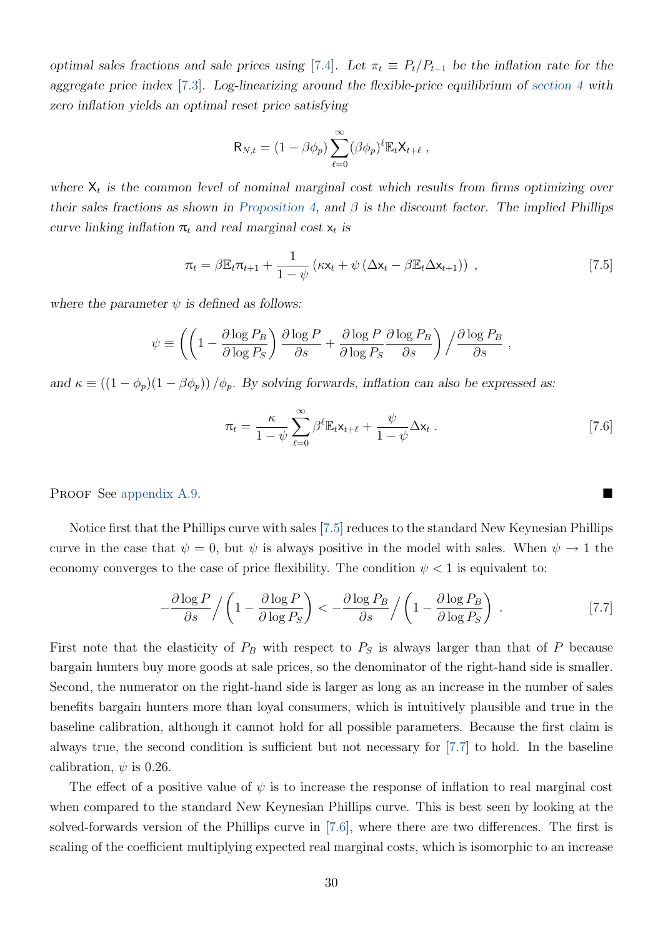optimal sales fractions and sale prices using [\[7.4\]](#page-30-1). Let  $\pi_t \equiv P_t/P_{t-1}$  be the inflation rate for the aggregate price index [\[7.3\]](#page-30-2). Log-linearizing around the flexible-price equilibrium of [section 4](#page-13-0) with zero inflation yields an optimal reset price satisfying

<span id="page-31-0"></span>
$$
\mathsf{R}_{N,t} = (1 - \beta \phi_p) \sum_{\ell=0}^{\infty} (\beta \phi_p)^{\ell} \mathbb{E}_t \mathsf{X}_{t+\ell} ,
$$

where  $X_t$  is the common level of nominal marginal cost which results from firms optimizing over their sales fractions as shown in [Proposition 4,](#page-26-0) and  $\beta$  is the discount factor. The implied Phillips curve linking inflation  $\pi_t$  and real marginal cost  $x_t$  is

$$
\pi_t = \beta \mathbb{E}_t \pi_{t+1} + \frac{1}{1-\psi} \left( \kappa \mathbf{x}_t + \psi \left( \Delta \mathbf{x}_t - \beta \mathbb{E}_t \Delta \mathbf{x}_{t+1} \right) \right) , \qquad [7.5]
$$

where the parameter  $\psi$  is defined as follows:

$$
\psi \equiv \left( \left( 1 - \frac{\partial \log P_B}{\partial \log P_S} \right) \frac{\partial \log P}{\partial s} + \frac{\partial \log P}{\partial \log P_S} \frac{\partial \log P_B}{\partial s} \right) / \frac{\partial \log P_B}{\partial s} ,
$$

and  $\kappa \equiv ((1 - \phi_p)(1 - \beta \phi_p)) / \phi_p$ . By solving forwards, inflation can also be expressed as:

<span id="page-31-2"></span><span id="page-31-1"></span>
$$
\pi_t = \frac{\kappa}{1 - \psi} \sum_{\ell=0}^{\infty} \beta^{\ell} \mathbb{E}_t \mathsf{x}_{t+\ell} + \frac{\psi}{1 - \psi} \Delta \mathsf{x}_t \ . \tag{7.6}
$$

PROOF See [appendix A.9.](#page-64-0)

Notice first that the Phillips curve with sales [\[7.5\]](#page-31-0) reduces to the standard New Keynesian Phillips curve in the case that  $\psi = 0$ , but  $\psi$  is always positive in the model with sales. When  $\psi \to 1$  the economy converges to the case of price flexibility. The condition  $\psi < 1$  is equivalent to:

$$
-\frac{\partial \log P}{\partial s} / \left(1 - \frac{\partial \log P}{\partial \log P_S}\right) < -\frac{\partial \log P_B}{\partial s} / \left(1 - \frac{\partial \log P_B}{\partial \log P_S}\right) . \tag{7.7}
$$

First note that the elasticity of  $P_B$  with respect to  $P_S$  is always larger than that of P because bargain hunters buy more goods at sale prices, so the denominator of the right-hand side is smaller. Second, the numerator on the right-hand side is larger as long as an increase in the number of sales benefits bargain hunters more than loyal consumers, which is intuitively plausible and true in the baseline calibration, although it cannot hold for all possible parameters. Because the first claim is always true, the second condition is sufficient but not necessary for [\[7.7\]](#page-31-1) to hold. In the baseline calibration,  $\psi$  is 0.26.

The effect of a positive value of  $\psi$  is to increase the response of inflation to real marginal cost when compared to the standard New Keynesian Phillips curve. This is best seen by looking at the solved-forwards version of the Phillips curve in [\[7.6\]](#page-31-2), where there are two differences. The first is scaling of the coefficient multiplying expected real marginal costs, which is isomorphic to an increase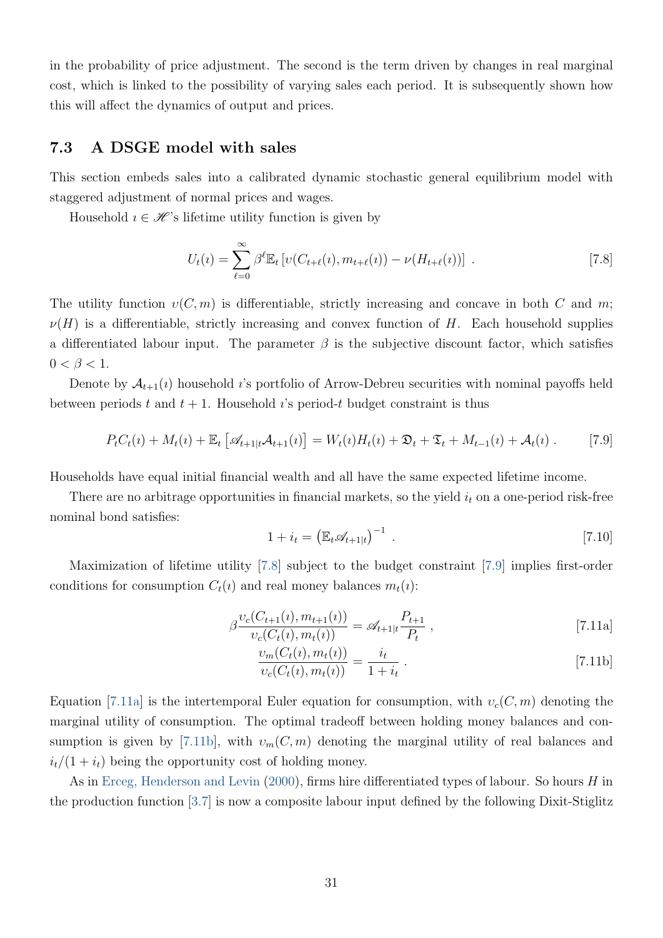<span id="page-32-6"></span>in the probability of price adjustment. The second is the term driven by changes in real marginal cost, which is linked to the possibility of varying sales each period. It is subsequently shown how this will affect the dynamics of output and prices.

### <span id="page-32-5"></span>7.3 A DSGE model with sales

This section embeds sales into a calibrated dynamic stochastic general equilibrium model with staggered adjustment of normal prices and wages.

Household  $i \in \mathcal{H}$ 's lifetime utility function is given by

<span id="page-32-0"></span>
$$
U_t(\iota) = \sum_{\ell=0}^{\infty} \beta^{\ell} \mathbb{E}_t \left[ \nu(C_{t+\ell}(\iota), m_{t+\ell}(\iota)) - \nu(H_{t+\ell}(\iota)) \right]. \tag{7.8}
$$

The utility function  $v(C, m)$  is differentiable, strictly increasing and concave in both C and m;  $\nu(H)$  is a differentiable, strictly increasing and convex function of H. Each household supplies a differentiated labour input. The parameter  $\beta$  is the subjective discount factor, which satisfies  $0 < \beta < 1$ .

Denote by  $\mathcal{A}_{t+1}(i)$  household *i*'s portfolio of Arrow-Debreu securities with nominal payoffs held between periods t and  $t + 1$ . Household *i*'s period-t budget constraint is thus

$$
P_t C_t(\iota) + M_t(\iota) + \mathbb{E}_t \left[ \mathcal{A}_{t+1|t} A_{t+1}(\iota) \right] = W_t(\iota) H_t(\iota) + \mathfrak{D}_t + \mathfrak{T}_t + M_{t-1}(\iota) + A_t(\iota) \ . \tag{7.9}
$$

Households have equal initial financial wealth and all have the same expected lifetime income.

There are no arbitrage opportunities in financial markets, so the yield  $i_t$  on a one-period risk-free nominal bond satisfies:

<span id="page-32-4"></span><span id="page-32-2"></span><span id="page-32-1"></span>
$$
1 + i_t = \left(\mathbb{E}_t \mathscr{A}_{t+1|t}\right)^{-1} \tag{7.10}
$$

Maximization of lifetime utility [\[7.8\]](#page-32-0) subject to the budget constraint [\[7.9\]](#page-32-1) implies first-order conditions for consumption  $C_t(i)$  and real money balances  $m_t(i)$ :

$$
\beta \frac{\upsilon_c(C_{t+1}(i), m_{t+1}(i))}{\upsilon_c(C_t(i), m_t(i))} = \mathscr{A}_{t+1|t} \frac{P_{t+1}}{P_t},
$$
\n[7.11a]

<span id="page-32-3"></span>
$$
\frac{\nu_m(C_t(i), m_t(i))}{\nu_c(C_t(i), m_t(i))} = \frac{i_t}{1 + i_t} \ . \tag{7.11b}
$$

Equation [\[7.11a\]](#page-32-2) is the intertemporal Euler equation for consumption, with  $v_c(C, m)$  denoting the marginal utility of consumption. The optimal tradeoff between holding money balances and con-sumption is given by [\[7.11b\]](#page-32-3), with  $v_m(C, m)$  denoting the marginal utility of real balances and  $i_t/(1+i_t)$  being the opportunity cost of holding money.

As in [Erceg, Henderson and Levin](#page-40-14) [\(2000\)](#page-40-14), firms hire differentiated types of labour. So hours H in the production function [\[3.7\]](#page-10-1) is now a composite labour input defined by the following Dixit-Stiglitz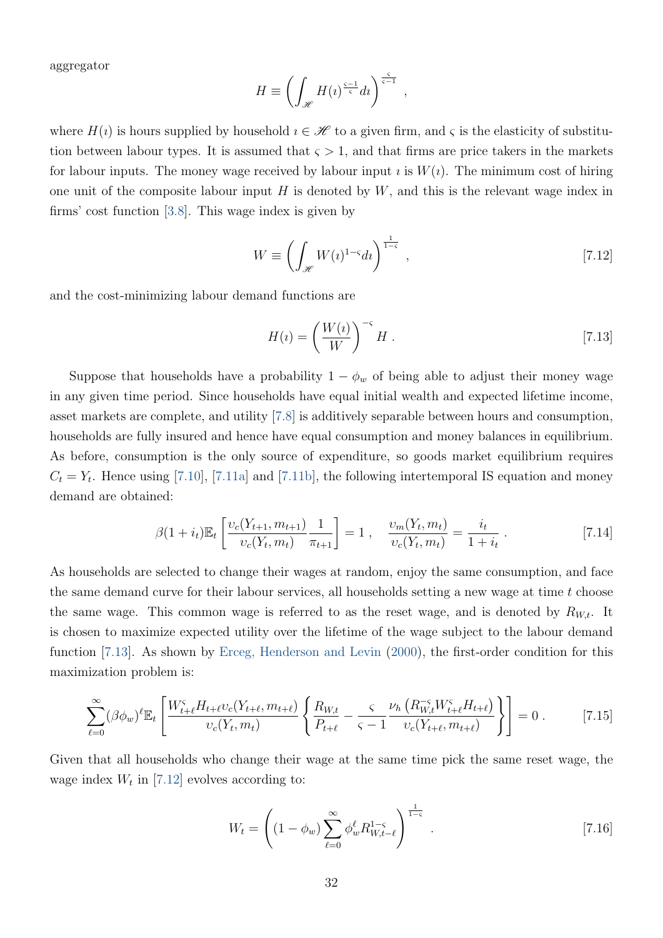<span id="page-33-2"></span>aggregator

$$
H \equiv \left( \int_{\mathcal{H}} H(\iota)^{\frac{\varsigma - 1}{\varsigma}} d\iota \right)^{\frac{\varsigma}{\varsigma - 1}},
$$

where  $H(i)$  is hours supplied by household  $i \in \mathcal{H}$  to a given firm, and  $\varsigma$  is the elasticity of substitution between labour types. It is assumed that  $\varsigma > 1$ , and that firms are price takers in the markets for labour inputs. The money wage received by labour input  $\imath$  is  $W(i)$ . The minimum cost of hiring one unit of the composite labour input  $H$  is denoted by  $W$ , and this is the relevant wage index in firms' cost function [\[3.8\]](#page-10-2). This wage index is given by

<span id="page-33-1"></span>
$$
W \equiv \left(\int_{\mathcal{H}} W(\iota)^{1-\varsigma} d\iota\right)^{\frac{1}{1-\varsigma}},\tag{7.12}
$$

and the cost-minimizing labour demand functions are

<span id="page-33-0"></span>
$$
H(i) = \left(\frac{W(i)}{W}\right)^{-\varsigma} H. \tag{7.13}
$$

Suppose that households have a probability  $1 - \phi_w$  of being able to adjust their money wage in any given time period. Since households have equal initial wealth and expected lifetime income, asset markets are complete, and utility [\[7.8\]](#page-32-0) is additively separable between hours and consumption, households are fully insured and hence have equal consumption and money balances in equilibrium. As before, consumption is the only source of expenditure, so goods market equilibrium requires  $C_t = Y_t$ . Hence using [\[7.10\]](#page-32-4), [\[7.11a\]](#page-32-2) and [\[7.11b\]](#page-32-3), the following intertemporal IS equation and money demand are obtained:

<span id="page-33-3"></span>
$$
\beta(1+i_t)\mathbb{E}_t\left[\frac{\nu_c(Y_{t+1}, m_{t+1})}{\nu_c(Y_t, m_t)}\frac{1}{\pi_{t+1}}\right] = 1\ ,\quad \frac{\nu_m(Y_t, m_t)}{\nu_c(Y_t, m_t)} = \frac{i_t}{1+i_t}\ .\tag{7.14}
$$

As households are selected to change their wages at random, enjoy the same consumption, and face the same demand curve for their labour services, all households setting a new wage at time  $t$  choose the same wage. This common wage is referred to as the reset wage, and is denoted by  $R_{W,t}$ . It is chosen to maximize expected utility over the lifetime of the wage subject to the labour demand function [\[7.13\]](#page-33-0). As shown by [Erceg, Henderson and Levin](#page-40-14) [\(2000\)](#page-40-14), the first-order condition for this maximization problem is:

<span id="page-33-4"></span>
$$
\sum_{\ell=0}^{\infty} (\beta \phi_w)^{\ell} \mathbb{E}_t \left[ \frac{W_{t+\ell}^{\varsigma} H_{t+\ell} v_c(Y_{t+\ell}, m_{t+\ell})}{v_c(Y_t, m_t)} \left\{ \frac{R_{W,t}}{P_{t+\ell}} - \frac{\varsigma}{\varsigma - 1} \frac{\nu_h \left( R_{W,t}^{-\varsigma} W_{t+\ell}^{\varsigma} H_{t+\ell} \right)}{v_c(Y_{t+\ell}, m_{t+\ell})} \right\} \right] = 0 \ . \tag{7.15}
$$

Given that all households who change their wage at the same time pick the same reset wage, the wage index  $W_t$  in [\[7.12\]](#page-33-1) evolves according to:

<span id="page-33-5"></span>
$$
W_t = \left( (1 - \phi_w) \sum_{\ell=0}^{\infty} \phi_w^{\ell} R_{W, t-\ell}^{1-\varsigma} \right)^{\frac{1}{1-\varsigma}}.
$$
 [7.16]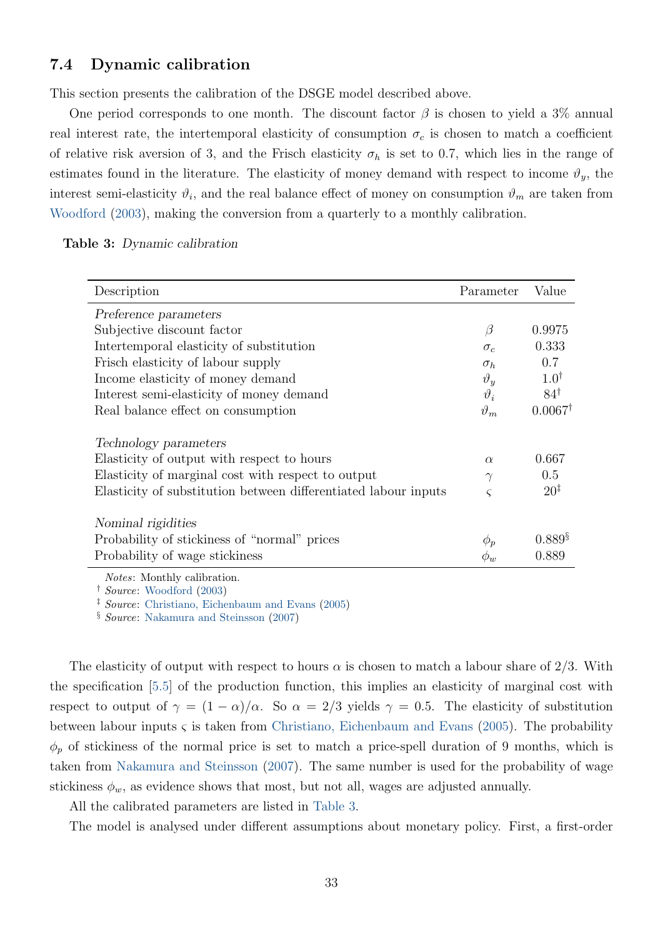### <span id="page-34-2"></span><span id="page-34-1"></span>7.4 Dynamic calibration

This section presents the calibration of the DSGE model described above.

One period corresponds to one month. The discount factor  $\beta$  is chosen to yield a 3% annual real interest rate, the intertemporal elasticity of consumption  $\sigma_c$  is chosen to match a coefficient of relative risk aversion of 3, and the Frisch elasticity  $\sigma_h$  is set to 0.7, which lies in the range of estimates found in the literature. The elasticity of money demand with respect to income  $\vartheta_y$ , the interest semi-elasticity  $\vartheta_i$ , and the real balance effect of money on consumption  $\vartheta_m$  are taken from [Woodford](#page-41-1) [\(2003\)](#page-41-1), making the conversion from a quarterly to a monthly calibration.

<span id="page-34-0"></span>

|  | Table 3: Dynamic calibration |
|--|------------------------------|
|  |                              |

| Description                                                                                                                                                                                                                                                                                                                                                                          | Parameter     | Value                |
|--------------------------------------------------------------------------------------------------------------------------------------------------------------------------------------------------------------------------------------------------------------------------------------------------------------------------------------------------------------------------------------|---------------|----------------------|
| Preference parameters                                                                                                                                                                                                                                                                                                                                                                |               |                      |
| Subjective discount factor                                                                                                                                                                                                                                                                                                                                                           | $\beta$       | 0.9975               |
| Intertemporal elasticity of substitution                                                                                                                                                                                                                                                                                                                                             | $\sigma_{c}$  | 0.333                |
| Frisch elasticity of labour supply                                                                                                                                                                                                                                                                                                                                                   | $\sigma_h$    | 0.7                  |
| Income elasticity of money demand                                                                                                                                                                                                                                                                                                                                                    | $\vartheta_u$ | $1.0^{\dagger}$      |
| Interest semi-elasticity of money demand                                                                                                                                                                                                                                                                                                                                             | $\vartheta_i$ | $84^{\dagger}$       |
| Real balance effect on consumption                                                                                                                                                                                                                                                                                                                                                   | $\vartheta_m$ | $0.0067^{\dagger}$   |
| Technology parameters                                                                                                                                                                                                                                                                                                                                                                |               |                      |
| Elasticity of output with respect to hours                                                                                                                                                                                                                                                                                                                                           | $\alpha$      | 0.667                |
| Elasticity of marginal cost with respect to output                                                                                                                                                                                                                                                                                                                                   | $\gamma$      | 0.5                  |
| Elasticity of substitution between differentiated labour inputs                                                                                                                                                                                                                                                                                                                      | ς             | $20^{\ddagger}$      |
| Nominal rigidities                                                                                                                                                                                                                                                                                                                                                                   |               |                      |
| Probability of stickiness of "normal" prices                                                                                                                                                                                                                                                                                                                                         | $\phi_p$      | $0.889$ <sup>§</sup> |
| Probability of wage stickiness                                                                                                                                                                                                                                                                                                                                                       | $\phi_w$      | 0.889                |
| $\overline{M}$ $\overline{M}$ $\overline{M}$ $\overline{M}$ $\overline{M}$ $\overline{M}$ $\overline{M}$ $\overline{M}$ $\overline{M}$ $\overline{M}$ $\overline{M}$ $\overline{M}$ $\overline{M}$ $\overline{M}$ $\overline{M}$ $\overline{M}$ $\overline{M}$ $\overline{M}$ $\overline{M}$ $\overline{M}$ $\overline{M}$ $\overline{M}$ $\overline{M}$ $\overline{M}$ $\overline{$ |               |                      |

Notes: Monthly calibration.

† Source: [Woodford](#page-41-1) [\(2003\)](#page-41-1)

‡ Source: [Christiano, Eichenbaum and Evans](#page-39-5) [\(2005\)](#page-39-5)

§ Source: [Nakamura and Steinsson](#page-40-0) [\(2007\)](#page-40-0)

The elasticity of output with respect to hours  $\alpha$  is chosen to match a labour share of 2/3. With the specification [\[5.5\]](#page-24-1) of the production function, this implies an elasticity of marginal cost with respect to output of  $\gamma = (1 - \alpha)/\alpha$ . So  $\alpha = 2/3$  yields  $\gamma = 0.5$ . The elasticity of substitution between labour inputs  $\varsigma$  is taken from [Christiano, Eichenbaum and Evans](#page-39-5) [\(2005\)](#page-39-5). The probability  $\phi_p$  of stickiness of the normal price is set to match a price-spell duration of 9 months, which is taken from [Nakamura and Steinsson](#page-40-0) [\(2007\)](#page-40-0). The same number is used for the probability of wage stickiness  $\phi_w$ , as evidence shows that most, but not all, wages are adjusted annually.

All the calibrated parameters are listed in [Table 3.](#page-34-0)

The model is analysed under different assumptions about monetary policy. First, a first-order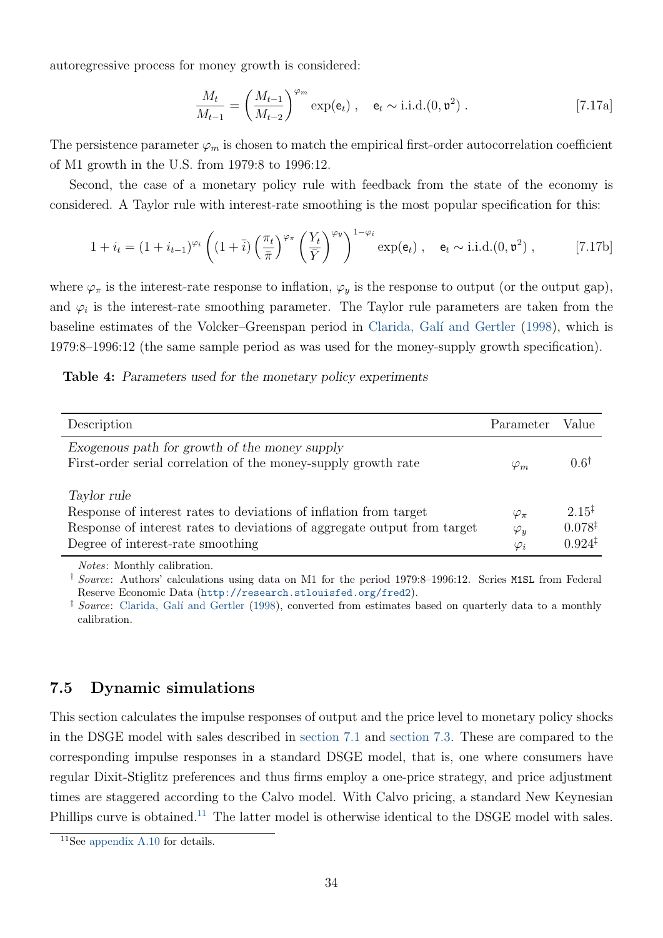<span id="page-35-3"></span>autoregressive process for money growth is considered:

<span id="page-35-2"></span><span id="page-35-1"></span>
$$
\frac{M_t}{M_{t-1}} = \left(\frac{M_{t-1}}{M_{t-2}}\right)^{\varphi_m} \exp(\mathbf{e}_t) , \quad \mathbf{e}_t \sim \text{i.i.d.}(0, \mathfrak{v}^2) . \tag{7.17a}
$$

The persistence parameter  $\varphi_m$  is chosen to match the empirical first-order autocorrelation coefficient of M1 growth in the U.S. from 1979:8 to 1996:12.

Second, the case of a monetary policy rule with feedback from the state of the economy is considered. A Taylor rule with interest-rate smoothing is the most popular specification for this:

$$
1 + i_t = (1 + i_{t-1})^{\varphi_i} \left( (1 + \overline{i}) \left( \frac{\pi_t}{\overline{\pi}} \right)^{\varphi_\pi} \left( \frac{Y_t}{\overline{Y}} \right)^{\varphi_y} \right)^{1 - \varphi_i} \exp(\mathbf{e}_t) , \quad \mathbf{e}_t \sim \text{i.i.d.}(0, \mathfrak{v}^2) , \tag{7.17b}
$$

where  $\varphi_{\pi}$  is the interest-rate response to inflation,  $\varphi_{y}$  is the response to output (or the output gap), and  $\varphi_i$  is the interest-rate smoothing parameter. The Taylor rule parameters are taken from the baseline estimates of the Volcker–Greenspan period in Clarida, Galí and Gertler [\(1998\)](#page-39-6), which is 1979:8–1996:12 (the same sample period as was used for the money-supply growth specification).

|  | Table 4: Parameters used for the monetary policy experiments |  |  |  |  |  |  |
|--|--------------------------------------------------------------|--|--|--|--|--|--|
|--|--------------------------------------------------------------|--|--|--|--|--|--|

| Description                                                                                                                                                                                       | Parameter                                     | Value                                                         |
|---------------------------------------------------------------------------------------------------------------------------------------------------------------------------------------------------|-----------------------------------------------|---------------------------------------------------------------|
| Exogenous path for growth of the money supply<br>First-order serial correlation of the money-supply growth rate                                                                                   | $\varphi_m$                                   | $0.6^{\dagger}$                                               |
| Taylor rule<br>Response of interest rates to deviations of inflation from target<br>Response of interest rates to deviations of aggregate output from target<br>Degree of interest-rate smoothing | $\varphi_{\pi}$<br>$\varphi_y$<br>$\varphi_i$ | $2.15^{\ddagger}$<br>$0.078^{\ddagger}$<br>$0.924^{\ddagger}$ |

Notes: Monthly calibration.

† Source: Authors' calculations using data on M1 for the period 1979:8–1996:12. Series M1SL from Federal Reserve Economic Data (<http://research.stlouisfed.org/fred2>).

 $\frac{1}{2}$  Source: Clarida, Galí and Gertler [\(1998\)](#page-39-6), converted from estimates based on quarterly data to a monthly calibration.

### 7.5 Dynamic simulations

This section calculates the impulse responses of output and the price level to monetary policy shocks in the DSGE model with sales described in [section 7.1](#page-29-2) and [section 7.3.](#page-32-5) These are compared to the corresponding impulse responses in a standard DSGE model, that is, one where consumers have regular Dixit-Stiglitz preferences and thus firms employ a one-price strategy, and price adjustment times are staggered according to the Calvo model. With Calvo pricing, a standard New Keynesian Phillips curve is obtained.<sup>[11](#page-35-0)</sup> The latter model is otherwise identical to the DSGE model with sales.

<span id="page-35-0"></span><sup>11</sup>See [appendix A.10](#page-65-0) for details.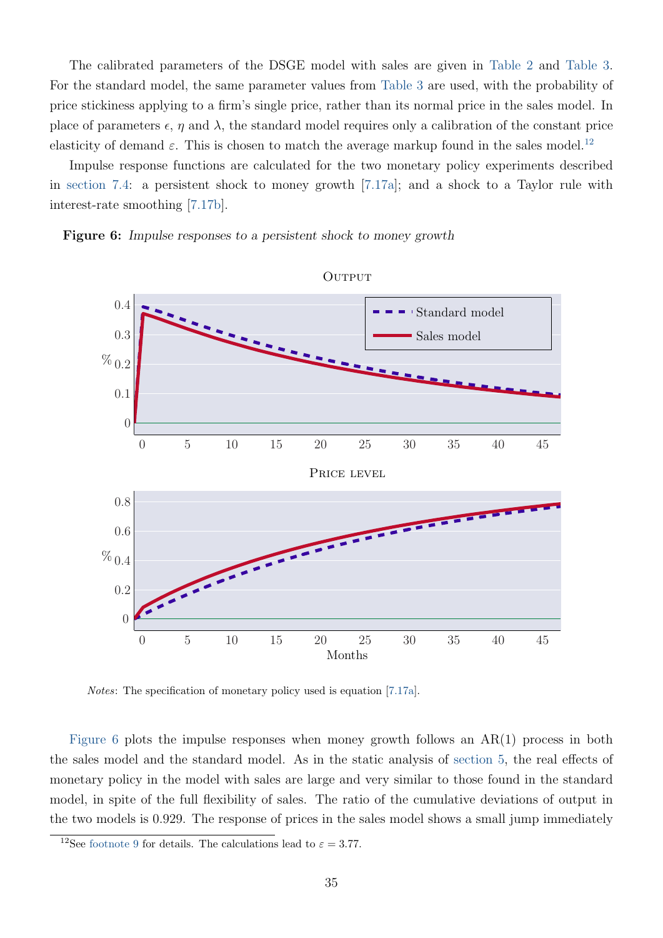The calibrated parameters of the DSGE model with sales are given in [Table 2](#page-23-1) and [Table 3.](#page-34-0) For the standard model, the same parameter values from [Table 3](#page-34-0) are used, with the probability of price stickiness applying to a firm's single price, rather than its normal price in the sales model. In place of parameters  $\epsilon$ ,  $\eta$  and  $\lambda$ , the standard model requires only a calibration of the constant price elasticity of demand  $\varepsilon$ . This is chosen to match the average markup found in the sales model.<sup>[12](#page-36-0)</sup>

Impulse response functions are calculated for the two monetary policy experiments described in [section 7.4:](#page-34-1) a persistent shock to money growth [\[7.17a\]](#page-35-1); and a shock to a Taylor rule with interest-rate smoothing [\[7.17b\]](#page-35-2).

<span id="page-36-1"></span>Figure 6: Impulse responses to a persistent shock to money growth



Notes: The specification of monetary policy used is equation [\[7.17a\]](#page-35-1).

[Figure 6](#page-36-1) plots the impulse responses when money growth follows an AR(1) process in both the sales model and the standard model. As in the static analysis of [section 5,](#page-19-0) the real effects of monetary policy in the model with sales are large and very similar to those found in the standard model, in spite of the full flexibility of sales. The ratio of the cumulative deviations of output in the two models is 0.929. The response of prices in the sales model shows a small jump immediately

<span id="page-36-0"></span><sup>&</sup>lt;sup>12</sup>See [footnote 9](#page-28-1) for details. The calculations lead to  $\varepsilon = 3.77$ .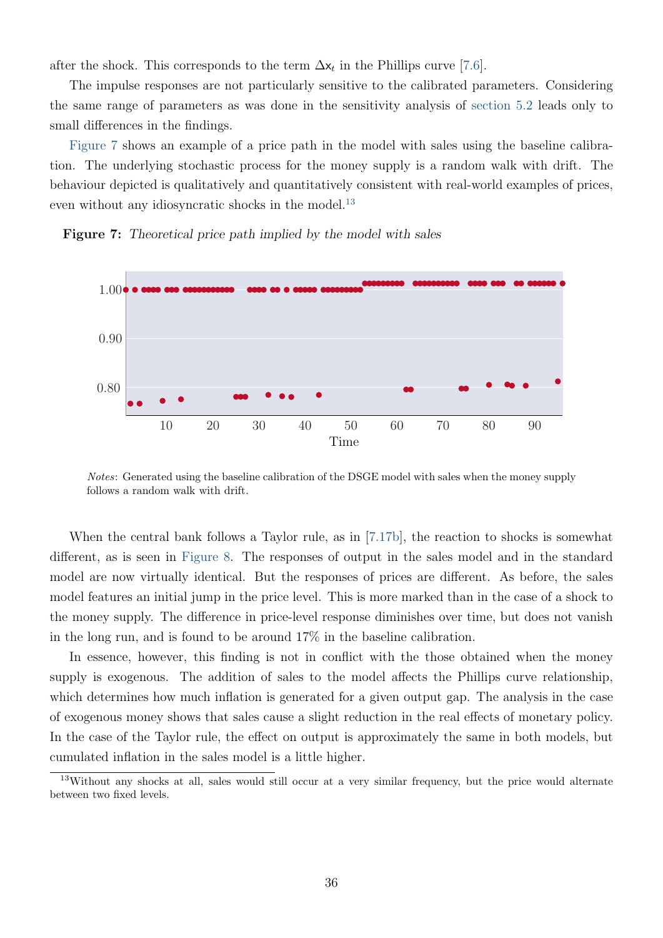after the shock. This corresponds to the term  $\Delta x_t$  in the Phillips curve [\[7.6\]](#page-31-2).

The impulse responses are not particularly sensitive to the calibrated parameters. Considering the same range of parameters as was done in the sensitivity analysis of [section 5.2](#page-24-2) leads only to small differences in the findings.

[Figure 7](#page-37-0) shows an example of a price path in the model with sales using the baseline calibration. The underlying stochastic process for the money supply is a random walk with drift. The behaviour depicted is qualitatively and quantitatively consistent with real-world examples of prices, even without any idiosyncratic shocks in the model.<sup>[13](#page-37-1)</sup>



<span id="page-37-0"></span>Figure 7: Theoretical price path implied by the model with sales

Notes: Generated using the baseline calibration of the DSGE model with sales when the money supply follows a random walk with drift.

When the central bank follows a Taylor rule, as in [\[7.17b\]](#page-35-2), the reaction to shocks is somewhat different, as is seen in [Figure 8.](#page-38-1) The responses of output in the sales model and in the standard model are now virtually identical. But the responses of prices are different. As before, the sales model features an initial jump in the price level. This is more marked than in the case of a shock to the money supply. The difference in price-level response diminishes over time, but does not vanish in the long run, and is found to be around 17% in the baseline calibration.

In essence, however, this finding is not in conflict with the those obtained when the money supply is exogenous. The addition of sales to the model affects the Phillips curve relationship, which determines how much inflation is generated for a given output gap. The analysis in the case of exogenous money shows that sales cause a slight reduction in the real effects of monetary policy. In the case of the Taylor rule, the effect on output is approximately the same in both models, but cumulated inflation in the sales model is a little higher.

<span id="page-37-1"></span><sup>&</sup>lt;sup>13</sup>Without any shocks at all, sales would still occur at a very similar frequency, but the price would alternate between two fixed levels.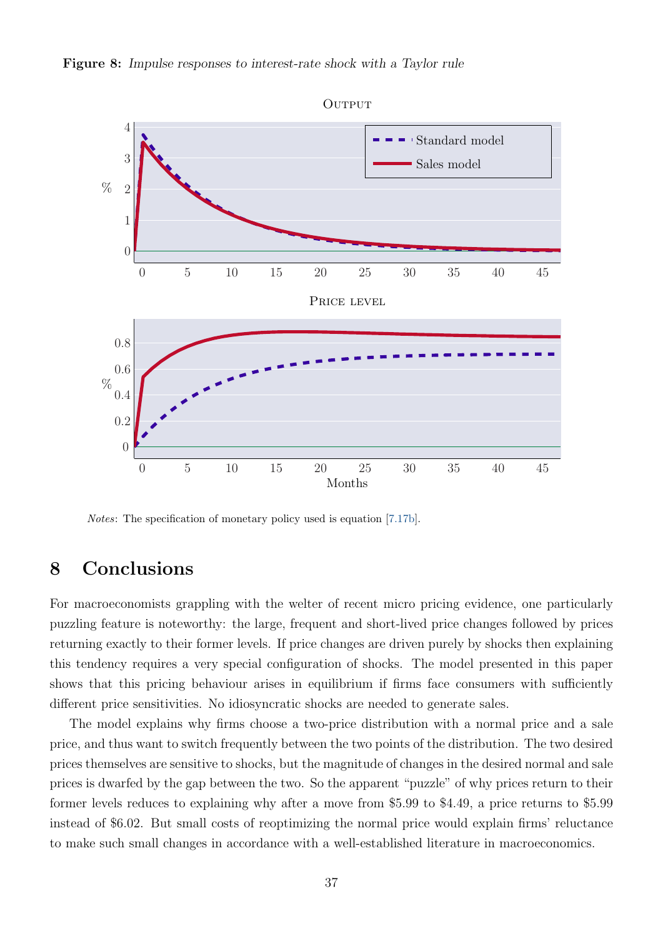

<span id="page-38-1"></span>Figure 8: Impulse responses to interest-rate shock with a Taylor rule

Notes: The specification of monetary policy used is equation [\[7.17b\]](#page-35-2).

# <span id="page-38-0"></span>8 Conclusions

For macroeconomists grappling with the welter of recent micro pricing evidence, one particularly puzzling feature is noteworthy: the large, frequent and short-lived price changes followed by prices returning exactly to their former levels. If price changes are driven purely by shocks then explaining this tendency requires a very special configuration of shocks. The model presented in this paper shows that this pricing behaviour arises in equilibrium if firms face consumers with sufficiently different price sensitivities. No idiosyncratic shocks are needed to generate sales.

The model explains why firms choose a two-price distribution with a normal price and a sale price, and thus want to switch frequently between the two points of the distribution. The two desired prices themselves are sensitive to shocks, but the magnitude of changes in the desired normal and sale prices is dwarfed by the gap between the two. So the apparent "puzzle" of why prices return to their former levels reduces to explaining why after a move from \$5.99 to \$4.49, a price returns to \$5.99 instead of \$6.02. But small costs of reoptimizing the normal price would explain firms' reluctance to make such small changes in accordance with a well-established literature in macroeconomics.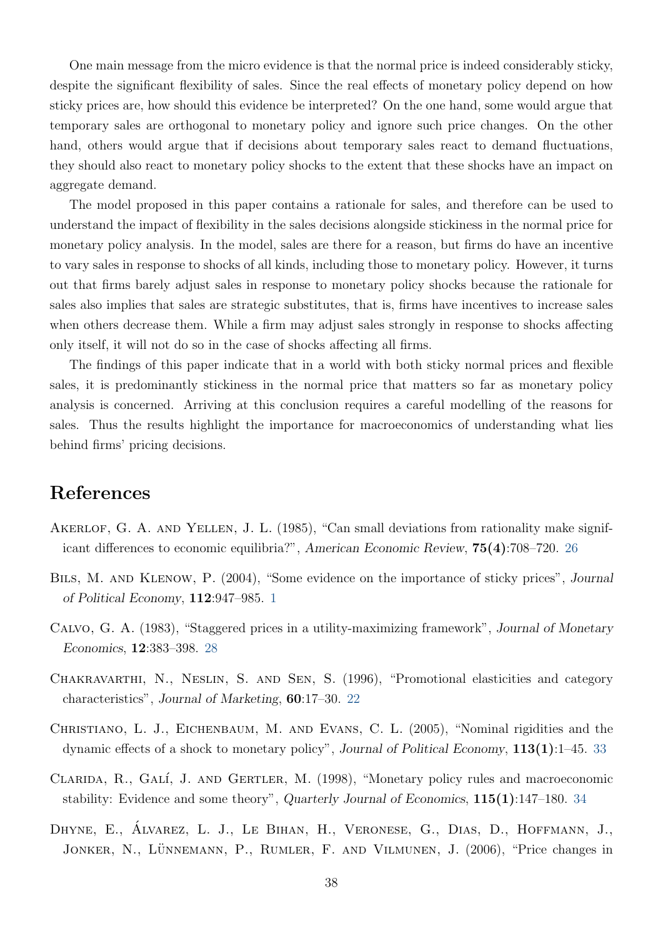One main message from the micro evidence is that the normal price is indeed considerably sticky, despite the significant flexibility of sales. Since the real effects of monetary policy depend on how sticky prices are, how should this evidence be interpreted? On the one hand, some would argue that temporary sales are orthogonal to monetary policy and ignore such price changes. On the other hand, others would argue that if decisions about temporary sales react to demand fluctuations, they should also react to monetary policy shocks to the extent that these shocks have an impact on aggregate demand.

The model proposed in this paper contains a rationale for sales, and therefore can be used to understand the impact of flexibility in the sales decisions alongside stickiness in the normal price for monetary policy analysis. In the model, sales are there for a reason, but firms do have an incentive to vary sales in response to shocks of all kinds, including those to monetary policy. However, it turns out that firms barely adjust sales in response to monetary policy shocks because the rationale for sales also implies that sales are strategic substitutes, that is, firms have incentives to increase sales when others decrease them. While a firm may adjust sales strongly in response to shocks affecting only itself, it will not do so in the case of shocks affecting all firms.

The findings of this paper indicate that in a world with both sticky normal prices and flexible sales, it is predominantly stickiness in the normal price that matters so far as monetary policy analysis is concerned. Arriving at this conclusion requires a careful modelling of the reasons for sales. Thus the results highlight the importance for macroeconomics of understanding what lies behind firms' pricing decisions.

# References

- <span id="page-39-3"></span>AKERLOF, G. A. AND YELLEN, J. L. (1985), "Can small deviations from rationality make significant differences to economic equilibria?", American Economic Review, 75(4):708–720. [26](#page-27-2)
- <span id="page-39-0"></span>BILS, M. AND KLENOW, P. (2004), "Some evidence on the importance of sticky prices", Journal of Political Economy, 112:947–985. [1](#page-2-3)
- <span id="page-39-4"></span>Calvo, G. A. (1983), "Staggered prices in a utility-maximizing framework", Journal of Monetary Economics, 12:383–398. [28](#page-29-3)
- <span id="page-39-2"></span>Chakravarthi, N., Neslin, S. and Sen, S. (1996), "Promotional elasticities and category characteristics", Journal of Marketing, 60:17–30. [22](#page-23-2)
- <span id="page-39-5"></span>Christiano, L. J., Eichenbaum, M. and Evans, C. L. (2005), "Nominal rigidities and the dynamic effects of a shock to monetary policy", Journal of Political Economy, 113(1):1–45. [33](#page-34-2)
- <span id="page-39-6"></span>CLARIDA, R., GALÍ, J. AND GERTLER, M. (1998), "Monetary policy rules and macroeconomic stability: Evidence and some theory", Quarterly Journal of Economics, 115(1):147–180. [34](#page-35-3)
- <span id="page-39-1"></span>DHYNE, E., ÁLVAREZ, L. J., LE BIHAN, H., VERONESE, G., DIAS, D., HOFFMANN, J., JONKER, N., LÜNNEMANN, P., RUMLER, F. AND VILMUNEN, J. (2006), "Price changes in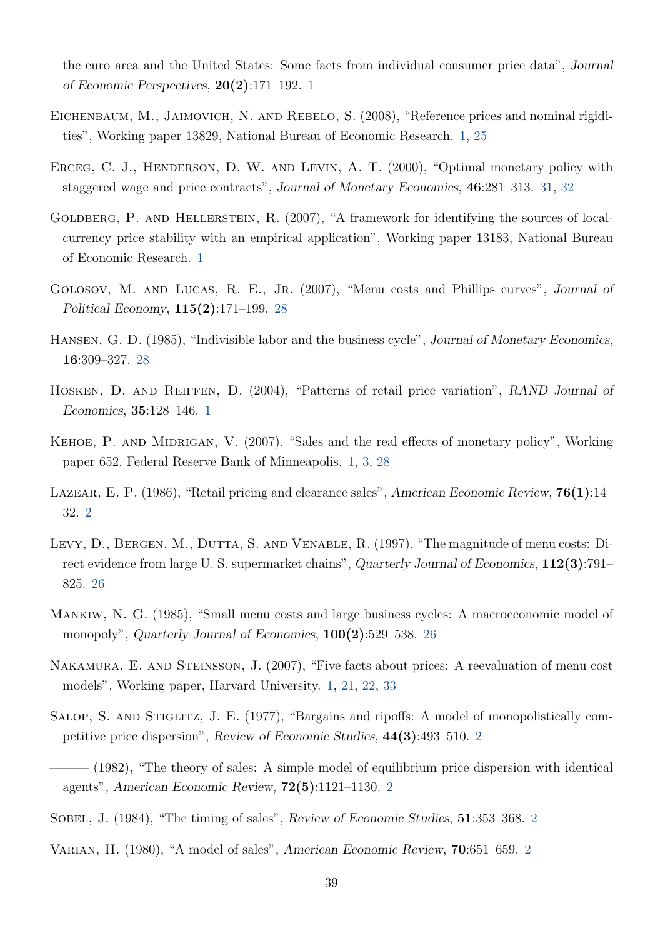the euro area and the United States: Some facts from individual consumer price data", Journal of Economic Perspectives, 20(2):171–192. [1](#page-2-3)

- <span id="page-40-4"></span>EICHENBAUM, M., JAIMOVICH, N. AND REBELO, S. (2008), "Reference prices and nominal rigidities", Working paper 13829, National Bureau of Economic Research. [1,](#page-2-3) [25](#page-26-3)
- <span id="page-40-14"></span>ERCEG, C. J., HENDERSON, D. W. AND LEVIN, A. T. (2000), "Optimal monetary policy with staggered wage and price contracts", Journal of Monetary Economics, 46:281–313. [31,](#page-32-6) [32](#page-33-2)
- <span id="page-40-3"></span>GOLDBERG, P. AND HELLERSTEIN, R. (2007), "A framework for identifying the sources of localcurrency price stability with an empirical application", Working paper 13183, National Bureau of Economic Research. [1](#page-2-3)
- <span id="page-40-13"></span>GOLOSOV, M. AND LUCAS, R. E., JR. (2007), "Menu costs and Phillips curves", Journal of Political Economy, 115(2):171–199. [28](#page-29-3)
- <span id="page-40-12"></span>Hansen, G. D. (1985), "Indivisible labor and the business cycle", Journal of Monetary Economics, 16:309–327. [28](#page-29-3)
- <span id="page-40-1"></span>Hosken, D. and Reiffen, D. (2004), "Patterns of retail price variation", RAND Journal of Economics, 35:128–146. [1](#page-2-3)
- <span id="page-40-2"></span>KEHOE, P. AND MIDRIGAN, V. (2007), "Sales and the real effects of monetary policy", Working paper 652, Federal Reserve Bank of Minneapolis. [1,](#page-2-3) [3,](#page-4-0) [28](#page-29-3)
- <span id="page-40-9"></span>LAZEAR, E. P. (1986), "Retail pricing and clearance sales", American Economic Review,  $76(1):14-$ 32. [2](#page-3-1)
- <span id="page-40-11"></span>LEVY, D., BERGEN, M., DUTTA, S. AND VENABLE, R. (1997), "The magnitude of menu costs: Direct evidence from large U. S. supermarket chains", Quarterly Journal of Economics,  $112(3)$ :791– 825. [26](#page-27-2)
- <span id="page-40-10"></span>Mankiw, N. G. (1985), "Small menu costs and large business cycles: A macroeconomic model of monopoly", Quarterly Journal of Economics,  $100(2)$ :529–538. [26](#page-27-2)
- <span id="page-40-0"></span>Nakamura, E. and Steinsson, J. (2007), "Five facts about prices: A reevaluation of menu cost models", Working paper, Harvard University. [1,](#page-2-3) [21,](#page-22-2) [22,](#page-23-2) [33](#page-34-2)
- <span id="page-40-5"></span>SALOP, S. AND STIGLITZ, J. E. (1977), "Bargains and ripoffs: A model of monopolistically competitive price dispersion", Review of Economic Studies, 44(3):493–510. [2](#page-3-1)
- <span id="page-40-6"></span>– (1982), "The theory of sales: A simple model of equilibrium price dispersion with identical agents", American Economic Review, 72(5):1121–1130. [2](#page-3-1)
- <span id="page-40-8"></span>SOBEL, J. (1984), "The timing of sales", Review of Economic Studies, 51:353-368. [2](#page-3-1)
- <span id="page-40-7"></span>Varian, H. (1980), "A model of sales", American Economic Review, 70:651–659. [2](#page-3-1)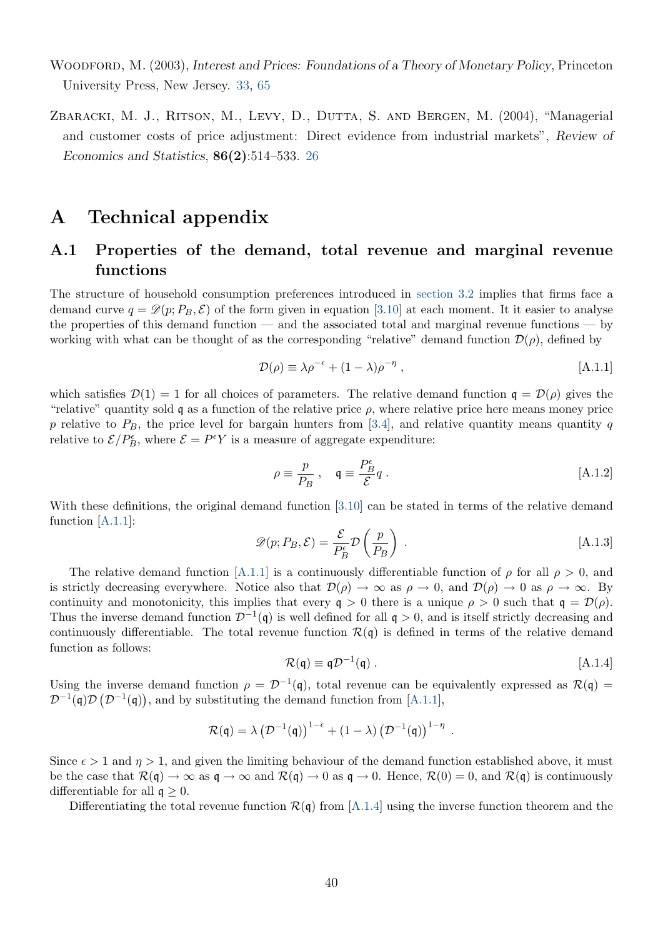- <span id="page-41-1"></span>WOODFORD, M. (2003), Interest and Prices: Foundations of a Theory of Monetary Policy, Princeton University Press, New Jersey. [33,](#page-34-2) [65](#page-66-1)
- <span id="page-41-0"></span>ZBARACKI, M. J., RITSON, M., LEVY, D., DUTTA, S. AND BERGEN, M. (2004), "Managerial and customer costs of price adjustment: Direct evidence from industrial markets", Review of Economics and Statistics, 86(2):514–533. [26](#page-27-2)

# A Technical appendix

# <span id="page-41-6"></span>A.1 Properties of the demand, total revenue and marginal revenue functions

The structure of household consumption preferences introduced in [section 3.2](#page-8-2) implies that firms face a demand curve  $q = \mathcal{D}(p; P_B, \mathcal{E})$  of the form given in equation [\[3.10\]](#page-11-1) at each moment. It it easier to analyse the properties of this demand function — and the associated total and marginal revenue functions — by working with what can be thought of as the corresponding "relative" demand function  $\mathcal{D}(\rho)$ , defined by

<span id="page-41-2"></span>
$$
\mathcal{D}(\rho) \equiv \lambda \rho^{-\epsilon} + (1 - \lambda)\rho^{-\eta} , \qquad [A.1.1]
$$

which satisfies  $\mathcal{D}(1) = 1$  for all choices of parameters. The relative demand function  $q = \mathcal{D}(\rho)$  gives the "relative" quantity sold q as a function of the relative price  $\rho$ , where relative price here means money price p relative to  $P_B$ , the price level for bargain hunters from [\[3.4\]](#page-9-2), and relative quantity means quantity q relative to  $\mathcal{E}/P_B^{\epsilon}$ , where  $\mathcal{E} = P^{\epsilon}Y$  is a measure of aggregate expenditure:

<span id="page-41-5"></span>
$$
\rho \equiv \frac{p}{P_B} \; , \quad \mathfrak{q} \equiv \frac{P_B^{\epsilon}}{\mathcal{E}} q \; . \tag{A.1.2}
$$

<span id="page-41-4"></span>With these definitions, the original demand function [\[3.10\]](#page-11-1) can be stated in terms of the relative demand function [\[A.1.1\]](#page-41-2):

$$
\mathscr{D}(p; P_B, \mathcal{E}) = \frac{\mathcal{E}}{P_B^{\epsilon}} \mathcal{D}\left(\frac{p}{P_B}\right) . \tag{A.1.3}
$$

The relative demand function [\[A.1.1\]](#page-41-2) is a continuously differentiable function of  $\rho$  for all  $\rho > 0$ , and is strictly decreasing everywhere. Notice also that  $\mathcal{D}(\rho) \to \infty$  as  $\rho \to 0$ , and  $\mathcal{D}(\rho) \to 0$  as  $\rho \to \infty$ . By continuity and monotonicity, this implies that every  $q > 0$  there is a unique  $\rho > 0$  such that  $q = \mathcal{D}(\rho)$ . Thus the inverse demand function  $\mathcal{D}^{-1}(\mathfrak{q})$  is well defined for all  $\mathfrak{q} > 0$ , and is itself strictly decreasing and continuously differentiable. The total revenue function  $\mathcal{R}(q)$  is defined in terms of the relative demand function as follows:

$$
\mathcal{R}(\mathbf{q}) \equiv \mathbf{q} \mathcal{D}^{-1}(\mathbf{q}) \ . \tag{A.1.4}
$$

Using the inverse demand function  $\rho = \mathcal{D}^{-1}(\mathfrak{q})$ , total revenue can be equivalently expressed as  $\mathcal{R}(\mathfrak{q}) =$  $\mathcal{D}^{-1}(\mathfrak{q})\mathcal{D}(\mathcal{D}^{-1}(\mathfrak{q}))$ , and by substituting the demand function from [\[A.1.1\]](#page-41-2),

<span id="page-41-3"></span>
$$
\mathcal{R}(\mathfrak{q}) = \lambda \left( \mathcal{D}^{-1}(\mathfrak{q}) \right)^{1-\epsilon} + (1-\lambda) \left( \mathcal{D}^{-1}(\mathfrak{q}) \right)^{1-\eta}.
$$

Since  $\epsilon > 1$  and  $\eta > 1$ , and given the limiting behaviour of the demand function established above, it must be the case that  $\mathcal{R}(\mathfrak{q}) \to \infty$  as  $\mathfrak{q} \to \infty$  and  $\mathcal{R}(\mathfrak{q}) \to 0$  as  $\mathfrak{q} \to 0$ . Hence,  $\mathcal{R}(0) = 0$ , and  $\mathcal{R}(\mathfrak{q})$  is continuously differentiable for all  $\mathfrak{g} > 0$ .

Differentiating the total revenue function  $\mathcal{R}(\mathfrak{q})$  from [\[A.1.4\]](#page-41-3) using the inverse function theorem and the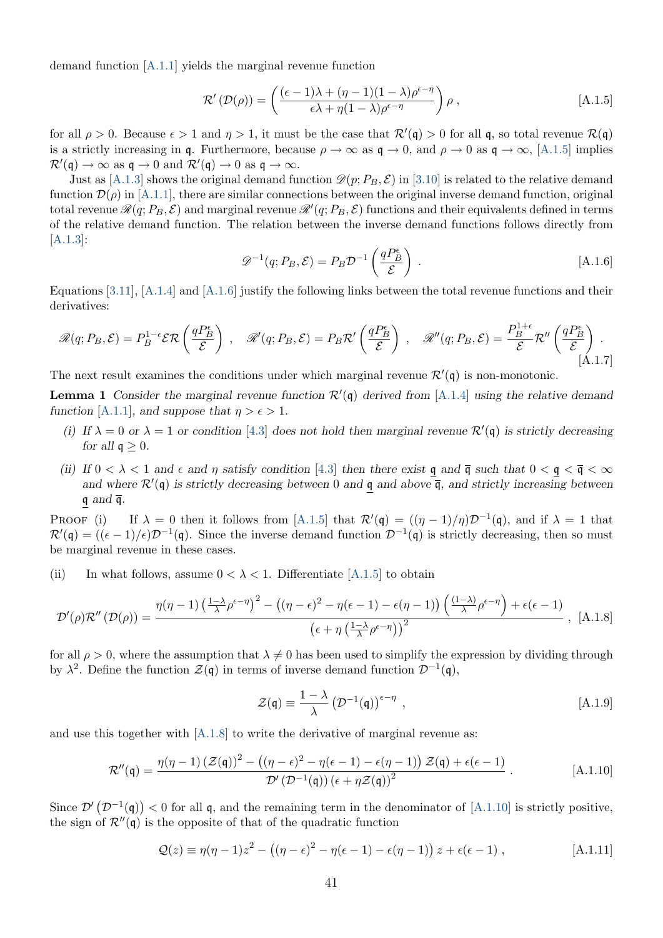demand function [\[A.1.1\]](#page-41-2) yields the marginal revenue function

<span id="page-42-0"></span>
$$
\mathcal{R}'(\mathcal{D}(\rho)) = \left(\frac{(\epsilon - 1)\lambda + (\eta - 1)(1 - \lambda)\rho^{\epsilon - \eta}}{\epsilon\lambda + \eta(1 - \lambda)\rho^{\epsilon - \eta}}\right)\rho,
$$
 [A.1.5]

for all  $\rho > 0$ . Because  $\epsilon > 1$  and  $\eta > 1$ , it must be the case that  $\mathcal{R}'(\mathfrak{q}) > 0$  for all  $\mathfrak{q}$ , so total revenue  $\mathcal{R}(\mathfrak{q})$ is a strictly increasing in q. Furthermore, because  $\rho \to \infty$  as  $\mathfrak{q} \to 0$ , and  $\rho \to 0$  as  $\mathfrak{q} \to \infty$ , [\[A.1.5\]](#page-42-0) implies  $\mathcal{R}'(\mathfrak{q}) \to \infty$  as  $\mathfrak{q} \to 0$  and  $\mathcal{R}'(\mathfrak{q}) \to 0$  as  $\mathfrak{q} \to \infty$ .

<span id="page-42-1"></span>Just as [\[A.1.3\]](#page-41-4) shows the original demand function  $\mathcal{D}(p; P_B, \mathcal{E})$  in [\[3.10\]](#page-11-1) is related to the relative demand function  $\mathcal{D}(\rho)$  in [\[A.1.1\]](#page-41-2), there are similar connections between the original inverse demand function, original total revenue  $\mathscr{R}(q;P_B,\mathcal{E})$  and marginal revenue  $\mathscr{R}'(q;P_B,\mathcal{E})$  functions and their equivalents defined in terms of the relative demand function. The relation between the inverse demand functions follows directly from [\[A.1.3\]](#page-41-4):

$$
\mathcal{D}^{-1}(q; P_B, \mathcal{E}) = P_B \mathcal{D}^{-1} \left( \frac{q P_B^{\epsilon}}{\mathcal{E}} \right) . \tag{A.1.6}
$$

Equations [\[3.11\]](#page-11-2), [\[A.1.4\]](#page-41-3) and [\[A.1.6\]](#page-42-1) justify the following links between the total revenue functions and their derivatives:

<span id="page-42-7"></span>
$$
\mathcal{R}(q; P_B, \mathcal{E}) = P_B^{1-\epsilon} \mathcal{ER}\left(\frac{qP_B^{\epsilon}}{\mathcal{E}}\right) , \quad \mathcal{R}'(q; P_B, \mathcal{E}) = P_B \mathcal{R}'\left(\frac{qP_B^{\epsilon}}{\mathcal{E}}\right) , \quad \mathcal{R}''(q; P_B, \mathcal{E}) = \frac{P_B^{1+\epsilon}}{\mathcal{E}} \mathcal{R}''\left(\frac{qP_B^{\epsilon}}{\mathcal{E}}\right) .
$$
\n(A.1.7)

The next result examines the conditions under which marginal revenue  $\mathcal{R}'(\mathfrak{q})$  is non-monotonic.

<span id="page-42-6"></span>**Lemma 1** Consider the marginal revenue function  $\mathcal{R}'(\mathfrak{q})$  derived from [\[A.1.4\]](#page-41-3) using the relative demand function [\[A.1.1\]](#page-41-2), and suppose that  $\eta > \epsilon > 1$ .

- (i) If  $\lambda = 0$  or  $\lambda = 1$  or condition [\[4.3\]](#page-14-1) does not hold then marginal revenue  $\mathcal{R}'(\mathfrak{q})$  is strictly decreasing for all  $\mathfrak{q} > 0$ .
- (ii) If  $0 < \lambda < 1$  and  $\epsilon$  and  $\eta$  satisfy condition [\[4.3\]](#page-14-1) then there exist q and  $\overline{q}$  such that  $0 < \overline{q} < \infty$ and where  $\mathcal{R}'(\mathfrak{q})$  is strictly decreasing between 0 and  $\underline{\mathfrak{q}}$  and above  $\overline{\mathfrak{q}}$ , and strictly increasing between  $q$  and  $\overline{q}$ .

PROOF (i) If  $\lambda = 0$  then it follows from [\[A.1.5\]](#page-42-0) that  $\mathcal{R}'(\mathfrak{q}) = ((\eta - 1)/\eta)\mathcal{D}^{-1}(\mathfrak{q})$ , and if  $\lambda = 1$  that  $\mathcal{R}'(\mathfrak{q}) = ((\epsilon - 1)/\epsilon)\mathcal{D}^{-1}(\mathfrak{q}).$  Since the inverse demand function  $\mathcal{D}^{-1}(\mathfrak{q})$  is strictly decreasing, then so must be marginal revenue in these cases.

(ii) In what follows, assume  $0 < \lambda < 1$ . Differentiate [\[A.1.5\]](#page-42-0) to obtain

$$
\mathcal{D}'(\rho)\mathcal{R}''\left(\mathcal{D}(\rho)\right) = \frac{\eta(\eta-1)\left(\frac{1-\lambda}{\lambda}\rho^{\epsilon-\eta}\right)^2 - \left((\eta-\epsilon)^2 - \eta(\epsilon-1) - \epsilon(\eta-1)\right)\left(\frac{(1-\lambda)}{\lambda}\rho^{\epsilon-\eta}\right) + \epsilon(\epsilon-1)}{\left(\epsilon + \eta\left(\frac{1-\lambda}{\lambda}\rho^{\epsilon-\eta}\right)\right)^2} \tag{A.1.8}
$$

for all  $\rho > 0$ , where the assumption that  $\lambda \neq 0$  has been used to simplify the expression by dividing through by  $\lambda^2$ . Define the function  $\mathcal{Z}(\mathfrak{q})$  in terms of inverse demand function  $\mathcal{D}^{-1}(\mathfrak{q})$ ,

<span id="page-42-5"></span><span id="page-42-4"></span><span id="page-42-3"></span><span id="page-42-2"></span>
$$
\mathcal{Z}(\mathbf{\mathfrak{q}}) \equiv \frac{1-\lambda}{\lambda} \left( \mathcal{D}^{-1}(\mathbf{\mathfrak{q}}) \right)^{\epsilon-\eta} , \qquad [A.1.9]
$$

and use this together with  $[A.1.8]$  to write the derivative of marginal revenue as:

$$
\mathcal{R}''(\mathfrak{q}) = \frac{\eta(\eta - 1) \left( \mathcal{Z}(\mathfrak{q}) \right)^2 - \left( (\eta - \epsilon)^2 - \eta(\epsilon - 1) - \epsilon(\eta - 1) \right) \mathcal{Z}(\mathfrak{q}) + \epsilon(\epsilon - 1)}{\mathcal{D}'\left(\mathcal{D}^{-1}(\mathfrak{q})\right) (\epsilon + \eta \mathcal{Z}(\mathfrak{q}))^2} \,. \tag{A.1.10}
$$

Since  $\mathcal{D}'(\mathcal{D}^{-1}(\mathfrak{q})) < 0$  for all q, and the remaining term in the denominator of [\[A.1.10\]](#page-42-3) is strictly positive, the sign of  $\mathcal{R}''(\mathfrak{q})$  is the opposite of that of the quadratic function

$$
Q(z) \equiv \eta(\eta - 1)z^2 - ((\eta - \epsilon)^2 - \eta(\epsilon - 1) - \epsilon(\eta - 1))z + \epsilon(\epsilon - 1),
$$
 [A.1.11]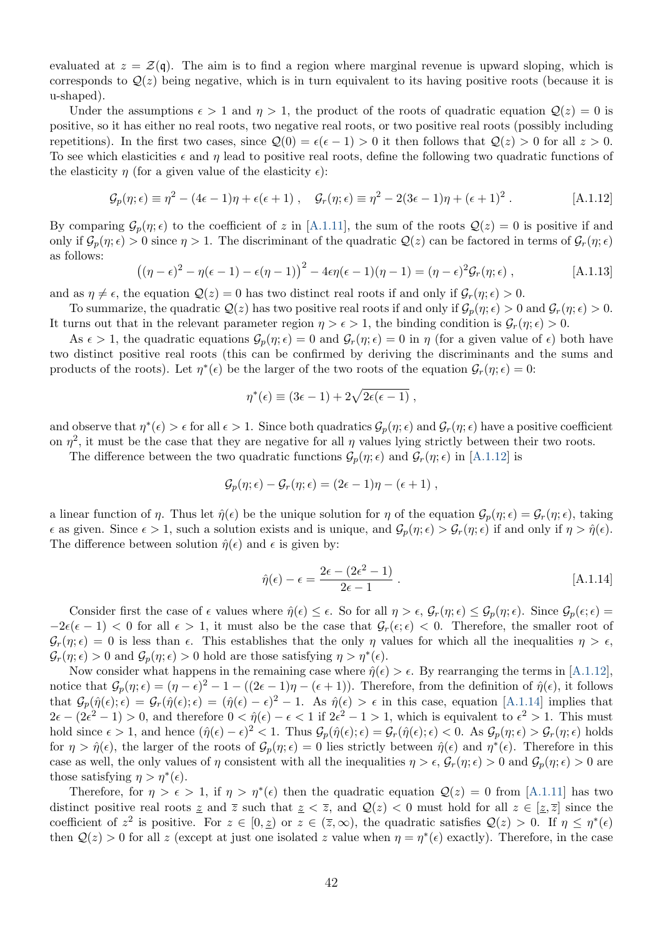evaluated at  $z = \mathcal{Z}(\mathfrak{q})$ . The aim is to find a region where marginal revenue is upward sloping, which is corresponds to  $Q(z)$  being negative, which is in turn equivalent to its having positive roots (because it is u-shaped).

Under the assumptions  $\epsilon > 1$  and  $\eta > 1$ , the product of the roots of quadratic equation  $\mathcal{Q}(z) = 0$  is positive, so it has either no real roots, two negative real roots, or two positive real roots (possibly including repetitions). In the first two cases, since  $Q(0) = \epsilon(\epsilon - 1) > 0$  it then follows that  $Q(z) > 0$  for all  $z > 0$ . To see which elasticities  $\epsilon$  and  $\eta$  lead to positive real roots, define the following two quadratic functions of the elasticity  $\eta$  (for a given value of the elasticity  $\epsilon$ ):

$$
\mathcal{G}_p(\eta;\epsilon) \equiv \eta^2 - (4\epsilon - 1)\eta + \epsilon(\epsilon + 1) , \quad \mathcal{G}_r(\eta;\epsilon) \equiv \eta^2 - 2(3\epsilon - 1)\eta + (\epsilon + 1)^2 . \tag{A.1.12}
$$

By comparing  $\mathcal{G}_p(\eta;\epsilon)$  to the coefficient of z in [\[A.1.11\]](#page-42-4), the sum of the roots  $\mathcal{Q}(z) = 0$  is positive if and only if  $\mathcal{G}_p(\eta; \epsilon) > 0$  since  $\eta > 1$ . The discriminant of the quadratic  $\mathcal{Q}(z)$  can be factored in terms of  $\mathcal{G}_r(\eta; \epsilon)$ as follows:

<span id="page-43-2"></span><span id="page-43-0"></span>
$$
((\eta - \epsilon)^2 - \eta(\epsilon - 1) - \epsilon(\eta - 1))^2 - 4\epsilon\eta(\epsilon - 1)(\eta - 1) = (\eta - \epsilon)^2 \mathcal{G}_r(\eta; \epsilon) ,
$$
 [A.1.13]

and as  $\eta \neq \epsilon$ , the equation  $\mathcal{Q}(z) = 0$  has two distinct real roots if and only if  $\mathcal{G}_r(\eta; \epsilon) > 0$ .

To summarize, the quadratic  $\mathcal{Q}(z)$  has two positive real roots if and only if  $\mathcal{G}_p(\eta; \epsilon) > 0$  and  $\mathcal{G}_r(\eta; \epsilon) > 0$ . It turns out that in the relevant parameter region  $\eta > \epsilon > 1$ , the binding condition is  $\mathcal{G}_r(\eta; \epsilon) > 0$ .

As  $\epsilon > 1$ , the quadratic equations  $\mathcal{G}_p(\eta; \epsilon) = 0$  and  $\mathcal{G}_r(\eta; \epsilon) = 0$  in  $\eta$  (for a given value of  $\epsilon$ ) both have two distinct positive real roots (this can be confirmed by deriving the discriminants and the sums and products of the roots). Let  $\eta^*(\epsilon)$  be the larger of the two roots of the equation  $\mathcal{G}_r(\eta;\epsilon) = 0$ :

$$
\eta^*(\epsilon) \equiv (3\epsilon - 1) + 2\sqrt{2\epsilon(\epsilon - 1)} ,
$$

and observe that  $\eta^*(\epsilon) > \epsilon$  for all  $\epsilon > 1$ . Since both quadratics  $\mathcal{G}_p(\eta; \epsilon)$  and  $\mathcal{G}_r(\eta; \epsilon)$  have a positive coefficient on  $\eta^2$ , it must be the case that they are negative for all  $\eta$  values lying strictly between their two roots.

The difference between the two quadratic functions  $\mathcal{G}_p(\eta; \epsilon)$  and  $\mathcal{G}_r(\eta; \epsilon)$  in [\[A.1.12\]](#page-43-0) is

$$
\mathcal{G}_p(\eta;\epsilon) - \mathcal{G}_r(\eta;\epsilon) = (2\epsilon - 1)\eta - (\epsilon + 1) ,
$$

a linear function of  $\eta$ . Thus let  $\hat{\eta}(\epsilon)$  be the unique solution for  $\eta$  of the equation  $\mathcal{G}_p(\eta; \epsilon) = \mathcal{G}_r(\eta; \epsilon)$ , taking  $\epsilon$  as given. Since  $\epsilon > 1$ , such a solution exists and is unique, and  $\mathcal{G}_p(\eta; \epsilon) > \mathcal{G}_r(\eta; \epsilon)$  if and only if  $\eta > \hat{\eta}(\epsilon)$ . The difference between solution  $\hat{\eta}(\epsilon)$  and  $\epsilon$  is given by:

<span id="page-43-1"></span>
$$
\hat{\eta}(\epsilon) - \epsilon = \frac{2\epsilon - (2\epsilon^2 - 1)}{2\epsilon - 1} \,. \tag{A.1.14}
$$

Consider first the case of  $\epsilon$  values where  $\hat{\eta}(\epsilon) \leq \epsilon$ . So for all  $\eta > \epsilon$ ,  $\mathcal{G}_r(\eta; \epsilon) \leq \mathcal{G}_p(\eta; \epsilon)$ . Since  $\mathcal{G}_p(\epsilon; \epsilon)$  $-2\epsilon(\epsilon-1)$  < 0 for all  $\epsilon > 1$ , it must also be the case that  $\mathcal{G}_r(\epsilon, \epsilon) < 0$ . Therefore, the smaller root of  $\mathcal{G}_r(\eta; \epsilon) = 0$  is less than  $\epsilon$ . This establishes that the only  $\eta$  values for which all the inequalities  $\eta > \epsilon$ ,  $\mathcal{G}_r(\eta; \epsilon) > 0$  and  $\mathcal{G}_p(\eta; \epsilon) > 0$  hold are those satisfying  $\eta > \eta^*(\epsilon)$ .

Now consider what happens in the remaining case where  $\hat{\eta}(\epsilon) > \epsilon$ . By rearranging the terms in [\[A.1.12\]](#page-43-0), notice that  $G_p(\eta; \epsilon) = (\eta - \epsilon)^2 - 1 - ((2\epsilon - 1)\eta - (\epsilon + 1))$ . Therefore, from the definition of  $\hat{\eta}(\epsilon)$ , it follows that  $\mathcal{G}_p(\hat{\eta}(\epsilon); \epsilon) = \mathcal{G}_r(\hat{\eta}(\epsilon); \epsilon) = (\hat{\eta}(\epsilon) - \epsilon)^2 - 1$ . As  $\hat{\eta}(\epsilon) > \epsilon$  in this case, equation [\[A.1.14\]](#page-43-1) implies that  $2\epsilon - (2\epsilon^2 - 1) > 0$ , and therefore  $0 < \hat{p}(\epsilon) - \epsilon < 1$  if  $2\epsilon^2 - 1 > 1$ , which is equivalent to  $\epsilon^2 > 1$ . This must hold since  $\epsilon > 1$ , and hence  $(\hat{\eta}(\epsilon) - \epsilon)^2 < 1$ . Thus  $\mathcal{G}_p(\hat{\eta}(\epsilon); \epsilon) = \mathcal{G}_r(\hat{\eta}(\epsilon); \epsilon) < 0$ . As  $\mathcal{G}_p(\eta; \epsilon) > \mathcal{G}_r(\eta; \epsilon)$  holds for  $\eta > \hat{\eta}(\epsilon)$ , the larger of the roots of  $\mathcal{G}_p(\eta; \epsilon) = 0$  lies strictly between  $\hat{\eta}(\epsilon)$  and  $\eta^*(\epsilon)$ . Therefore in this case as well, the only values of  $\eta$  consistent with all the inequalities  $\eta > \epsilon$ ,  $\mathcal{G}_r(\eta; \epsilon) > 0$  and  $\mathcal{G}_p(\eta; \epsilon) > 0$  are those satisfying  $\eta > \eta^*(\epsilon)$ .

Therefore, for  $\eta > \epsilon > 1$ , if  $\eta > \eta^*(\epsilon)$  then the quadratic equation  $\mathcal{Q}(z) = 0$  from [\[A.1.11\]](#page-42-4) has two distinct positive real roots z and  $\overline{z}$  such that  $z < \overline{z}$ , and  $\mathcal{Q}(z) < 0$  must hold for all  $z \in [\underline{z}, \overline{z}]$  since the coefficient of  $z^2$  is positive. For  $z \in [0, \underline{z})$  or  $z \in (\overline{z}, \infty)$ , the quadratic satisfies  $\mathcal{Q}(z) > 0$ . If  $\eta \leq \eta^*(\epsilon)$ then  $Q(z) > 0$  for all z (except at just one isolated z value when  $\eta = \eta^*(\epsilon)$  exactly). Therefore, in the case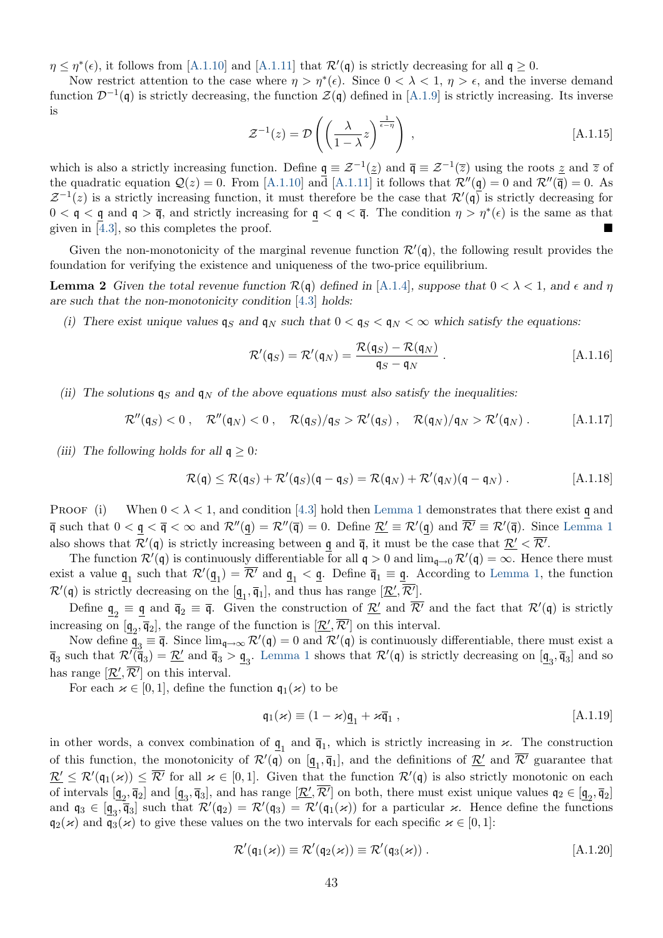$\eta \leq \eta^*(\epsilon)$ , it follows from [\[A.1.10\]](#page-42-3) and [\[A.1.11\]](#page-42-4) that  $\mathcal{R}'(\mathfrak{q})$  is strictly decreasing for all  $\mathfrak{q} \geq 0$ .

<span id="page-44-6"></span>Now restrict attention to the case where  $\eta > \eta^*(\epsilon)$ . Since  $0 < \lambda < 1$ ,  $\eta > \epsilon$ , and the inverse demand function  $\mathcal{D}^{-1}(\mathfrak{q})$  is strictly decreasing, the function  $\mathcal{Z}(\mathfrak{q})$  defined in [\[A.1.9\]](#page-42-5) is strictly increasing. Its inverse is

$$
\mathcal{Z}^{-1}(z) = \mathcal{D}\left(\left(\frac{\lambda}{1-\lambda}z\right)^{\frac{1}{\epsilon-\eta}}\right) ,\qquad \qquad [A.1.15]
$$

which is also a strictly increasing function. Define  $\underline{\mathfrak{q}} \equiv \mathcal{Z}^{-1}(\underline{z})$  and  $\overline{\mathfrak{q}} \equiv \mathcal{Z}^{-1}(\overline{z})$  using the roots  $\underline{z}$  and  $\overline{z}$  of the quadratic equation  $\mathcal{Q}(z) = 0$ . From [\[A.1.10\]](#page-42-3) and [\[A.1.11\]](#page-42-4) it follows that  $\mathcal{R}''(\mathfrak{q}) = 0$  and  $\mathcal{R}''(\overline{\mathfrak{q}}) = 0$ . As  $Z^{-1}(z)$  is a strictly increasing function, it must therefore be the case that  $\mathcal{R}'(\mathfrak{q})$  is strictly decreasing for  $0 < \mathfrak{q} < \mathfrak{q}$  and  $\mathfrak{q} > \bar{\mathfrak{q}}$ , and strictly increasing for  $\mathfrak{q} < \mathfrak{q} < \bar{\mathfrak{q}}$ . The condition  $\eta > \eta^*(\epsilon)$  is the same as that given in [\[4.3\]](#page-14-1), so this completes the proof.

Given the non-monotonicity of the marginal revenue function  $\mathcal{R}'(\mathfrak{q})$ , the following result provides the foundation for verifying the existence and uniqueness of the two-price equilibrium.

<span id="page-44-5"></span>**Lemma 2** Given the total revenue function  $\mathcal{R}(\mathfrak{q})$  defined in [\[A.1.4\]](#page-41-3), suppose that  $0 < \lambda < 1$ , and  $\epsilon$  and  $\eta$ are such that the non-monotonicity condition [\[4.3\]](#page-14-1) holds:

(i) There exist unique values  $\mathfrak{q}_S$  and  $\mathfrak{q}_N$  such that  $0 < \mathfrak{q}_S < \mathfrak{q}_N < \infty$  which satisfy the equations:

<span id="page-44-3"></span><span id="page-44-2"></span>
$$
\mathcal{R}'(\mathfrak{q}_S) = \mathcal{R}'(\mathfrak{q}_N) = \frac{\mathcal{R}(\mathfrak{q}_S) - \mathcal{R}(\mathfrak{q}_N)}{\mathfrak{q}_S - \mathfrak{q}_N} \ . \tag{A.1.16}
$$

(ii) The solutions  $q_S$  and  $q_N$  of the above equations must also satisfy the inequalities:

$$
\mathcal{R}''(\mathfrak{q}_S) < 0 \,, \quad \mathcal{R}''(\mathfrak{q}_N) < 0 \,, \quad \mathcal{R}(\mathfrak{q}_S)/\mathfrak{q}_S > \mathcal{R}'(\mathfrak{q}_S) \,, \quad \mathcal{R}(\mathfrak{q}_N)/\mathfrak{q}_N > \mathcal{R}'(\mathfrak{q}_N) \,. \tag{A.1.17}
$$

(iii) The following holds for all  $q \geq 0$ :

<span id="page-44-4"></span>
$$
\mathcal{R}(\mathfrak{q}) \leq \mathcal{R}(\mathfrak{q}_S) + \mathcal{R}'(\mathfrak{q}_S)(\mathfrak{q} - \mathfrak{q}_S) = \mathcal{R}(\mathfrak{q}_N) + \mathcal{R}'(\mathfrak{q}_N)(\mathfrak{q} - \mathfrak{q}_N) .
$$
 [A.1.18]

PROOF (i) When  $0 < \lambda < 1$ , and condition [\[4.3\]](#page-14-1) hold then [Lemma 1](#page-42-6) demonstrates that there exist q and  $\overline{\mathfrak{q}}$  such that  $0 < \underline{\mathfrak{q}} < \overline{\mathfrak{q}} < \infty$  and  $\mathcal{R}''(\underline{\mathfrak{q}}) = \mathcal{R}''(\overline{\mathfrak{q}}) = 0$ . Define  $\underline{\mathcal{R}}' \equiv \mathcal{R}'(\underline{\mathfrak{q}})$  and  $\mathcal{R}' \equiv \mathcal{R}'(\overline{\mathfrak{q}})$ . Since [Lemma 1](#page-42-6) also shows that  $\mathcal{R}'(\mathfrak{q})$  is strictly increasing between  $\underline{\mathfrak{q}}$  and  $\overline{\mathfrak{q}}$ , it must be the case that  $\underline{\mathcal{R}'} < \mathcal{R}'$ .

The function  $\mathcal{R}'(\mathfrak{q})$  is continuously differentiable for all  $\mathfrak{q} > 0$  and  $\lim_{\mathfrak{q}\to 0} \mathcal{R}'(\mathfrak{q}) = \infty$ . Hence there must exist a value  $\underline{\mathfrak{q}}_1$  such that  $\mathcal{R}'(\underline{\mathfrak{q}}_1) = \mathcal{R}'$  and  $\underline{\mathfrak{q}}_1 < \underline{\mathfrak{q}}$ . Define  $\overline{\mathfrak{q}}_1 \equiv \underline{\mathfrak{q}}$ . According to [Lemma 1,](#page-42-6) the function  $\mathcal{R}'(\mathfrak{q})$  is strictly decreasing on the  $[\underline{\mathfrak{q}}_1, \overline{\mathfrak{q}}_1]$ , and thus has range  $[\underline{\mathcal{R}}', \underline{\mathcal{R}}']$ .

Define  $\underline{\mathfrak{q}}_2 \equiv \underline{\mathfrak{q}}$  and  $\overline{\mathfrak{q}}_2 \equiv \overline{\mathfrak{q}}$ . Given the construction of  $\underline{\mathcal{R}}'$  and  $\mathcal{R}'$  and the fact that  $\mathcal{R}'(\mathfrak{q})$  is strictly increasing on  $[\underline{\mathfrak{q}}_2, \overline{\mathfrak{q}}_2]$ , the range of the function is  $[\underline{\mathcal{R}}', \mathcal{R}']$  on this interval.

Now define  $\underline{\mathbf{q}}_3 \equiv \overline{\mathbf{q}}$ . Since  $\lim_{\mathbf{q}\to\infty} \mathcal{R}'(\mathbf{q}) = 0$  and  $\mathcal{R}'(\mathbf{q})$  is continuously differentiable, there must exist a  $\overline{\mathfrak{q}}_3$  such that  $\mathcal{R}'(\overline{\mathfrak{q}}_3) = \underline{\mathcal{R}}'$  and  $\overline{\mathfrak{q}}_3 > \underline{\mathfrak{q}}_3$ . [Lemma 1](#page-42-6) shows that  $\mathcal{R}'(\mathfrak{q})$  is strictly decreasing on  $[\underline{\mathfrak{q}}_3, \overline{\mathfrak{q}}_3]$  and so has range  $[\mathcal{R}', \mathcal{R}']$  on this interval.

For each  $\varkappa \in [0,1]$ , define the function  $\mathfrak{q}_1(\varkappa)$  to be

<span id="page-44-1"></span><span id="page-44-0"></span>
$$
\mathfrak{q}_1(\varkappa) \equiv (1 - \varkappa) \underline{\mathfrak{q}}_1 + \varkappa \overline{\mathfrak{q}}_1 , \qquad [A.1.19]
$$

in other words, a convex combination of  $\underline{\mathfrak{q}}_1$  and  $\overline{\mathfrak{q}}_1$ , which is strictly increasing in  $\varkappa$ . The construction of this function, the monotonicity of  $\mathcal{R}'(\mathfrak{q})$  on  $[\underline{\mathfrak{q}}_1, \overline{\mathfrak{q}}_1]$ , and the definitions of  $\underline{\mathcal{R}}'$  and  $\mathcal{R}'$  guarantee that  $\underline{\mathcal{R}}' \leq \mathcal{R}'(\mathfrak{q}_1(\varkappa)) \leq \overline{\mathcal{R}'}$  for all  $\varkappa \in [0,1]$ . Given that the function  $\mathcal{R}'(\mathfrak{q})$  is also strictly monotonic on each of intervals  $[\underline{\mathfrak{q}}_2, \overline{\mathfrak{q}}_2]$  and  $[\underline{\mathfrak{q}}_3, \overline{\mathfrak{q}}_3]$ , and has range  $[\underline{\mathcal{R}}', \mathcal{R}']$  on both, there must exist unique values  $\mathfrak{q}_2 \in [\underline{\mathfrak{q}}_2, \overline{\mathfrak{q}}_2]$ and  $\mathfrak{q}_3 \in \left[\frac{\mathfrak{q}_3}{4}, \frac{\mathfrak{q}_3}{4}\right]$  such that  $\mathcal{R}'(\mathfrak{q}_2) = \mathcal{R}'(\mathfrak{q}_3) = \mathcal{R}'(\mathfrak{q}_1(\kappa))$  for a particular  $\kappa$ . Hence define the functions  $\mathfrak{q}_2(\varkappa)$  and  $\mathfrak{q}_3(\varkappa)$  to give these values on the two intervals for each specific  $\varkappa \in [0,1]$ :

$$
\mathcal{R}'(\mathfrak{q}_1(\varkappa)) \equiv \mathcal{R}'(\mathfrak{q}_2(\varkappa)) \equiv \mathcal{R}'(\mathfrak{q}_3(\varkappa)) . \qquad [A.1.20]
$$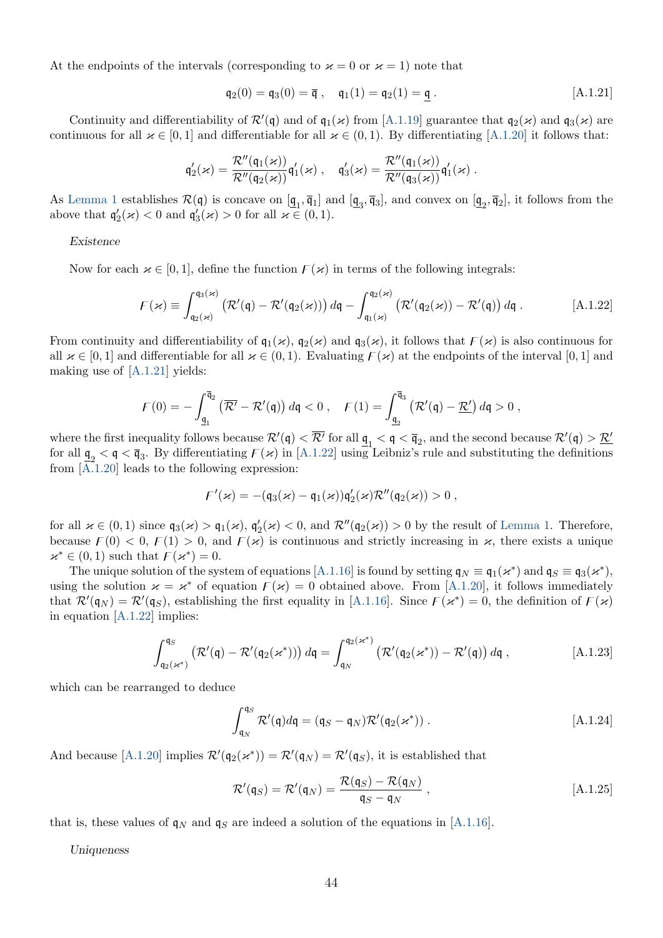At the endpoints of the intervals (corresponding to  $\varkappa = 0$  or  $\varkappa = 1$ ) note that

<span id="page-45-1"></span><span id="page-45-0"></span>
$$
\mathfrak{q}_2(0) = \mathfrak{q}_3(0) = \overline{\mathfrak{q}} \;, \quad \mathfrak{q}_1(1) = \mathfrak{q}_2(1) = \underline{\mathfrak{q}} \;.
$$
 [A.1.21]

Continuity and differentiability of  $\mathcal{R}'(\mathfrak{q})$  and of  $\mathfrak{q}_1(\kappa)$  from [\[A.1.19\]](#page-44-0) guarantee that  $\mathfrak{q}_2(\kappa)$  and  $\mathfrak{q}_3(\kappa)$  are continuous for all  $\varkappa \in [0,1]$  and differentiable for all  $\varkappa \in (0,1)$ . By differentiating [\[A.1.20\]](#page-44-1) it follows that:

$$
\mathfrak{q}_2'(\varkappa)=\frac{\mathcal{R}''(\mathfrak{q}_1(\varkappa))}{\mathcal{R}''(\mathfrak{q}_2(\varkappa))}\mathfrak{q}_1'(\varkappa)\ ,\quad \mathfrak{q}_3'(\varkappa)=\frac{\mathcal{R}''(\mathfrak{q}_1(\varkappa))}{\mathcal{R}''(\mathfrak{q}_3(\varkappa))}\mathfrak{q}_1'(\varkappa)\ .
$$

As [Lemma 1](#page-42-6) establishes  $\mathcal{R}(\mathfrak{q})$  is concave on  $[\underline{\mathfrak{q}}_1, \overline{\mathfrak{q}}_1]$  and  $[\underline{\mathfrak{q}}_3, \overline{\mathfrak{q}}_3]$ , and convex on  $[\underline{\mathfrak{q}}_2, \overline{\mathfrak{q}}_2]$ , it follows from the above that  $\mathfrak{q}'_2(\kappa) < 0$  and  $\mathfrak{q}'_3(\kappa) > 0$  for all  $\kappa \in (0,1)$ .

#### Existence

Now for each  $\varkappa \in [0, 1]$ , define the function  $F(\varkappa)$  in terms of the following integrals:

$$
F(\varkappa) \equiv \int_{\mathfrak{q}_2(\varkappa)}^{\mathfrak{q}_3(\varkappa)} \left( \mathcal{R}'(\mathfrak{q}) - \mathcal{R}'(\mathfrak{q}_2(\varkappa)) \right) d\mathfrak{q} - \int_{\mathfrak{q}_1(\varkappa)}^{\mathfrak{q}_2(\varkappa)} \left( \mathcal{R}'(\mathfrak{q}_2(\varkappa)) - \mathcal{R}'(\mathfrak{q}) \right) d\mathfrak{q} .
$$
 [A.1.22]

From continuity and differentiability of  $q_1(\kappa)$ ,  $q_2(\kappa)$  and  $q_3(\kappa)$ , it follows that  $F(\kappa)$  is also continuous for all  $\varkappa \in [0,1]$  and differentiable for all  $\varkappa \in (0,1)$ . Evaluating  $\mathcal{F}(\varkappa)$  at the endpoints of the interval  $[0,1]$  and making use of [\[A.1.21\]](#page-45-0) yields:

$$
\mathcal{F}(0) = -\int_{\underline{\mathfrak{q}}_1}^{\overline{\mathfrak{q}}_2} \left( \overline{\mathcal{R}'} - \mathcal{R}'(\mathfrak{q}) \right) d\mathfrak{q} < 0 \;, \quad \mathcal{F}(1) = \int_{\underline{\mathfrak{q}}_2}^{\overline{\mathfrak{q}}_3} \left( \mathcal{R}'(\mathfrak{q}) - \underline{\mathcal{R}}' \right) d\mathfrak{q} > 0 \;,
$$

where the first inequality follows because  $\mathcal{R}'(\mathfrak{q}) < \mathcal{R}'$  for all  $\underline{\mathfrak{q}}_1 < \mathfrak{q} < \overline{\mathfrak{q}}_2$ , and the second because  $\mathcal{R}'(\mathfrak{q}) > \mathcal{R}'$ for all  $\mathbf{q}_2 < \mathbf{q} < \overline{\mathbf{q}}_3$ . By differentiating  $F(\varkappa)$  in [\[A.1.22\]](#page-45-1) using Leibniz's rule and substituting the definitions from [\[A.1.20\]](#page-44-1) leads to the following expression:

$$
\digamma'(\varkappa)=-(\mathfrak{q}_3(\varkappa)-\mathfrak{q}_1(\varkappa))\mathfrak{q}_2'(\varkappa)\mathcal{R}''(\mathfrak{q}_2(\varkappa))>0\;,
$$

for all  $\varkappa \in (0,1)$  since  $\mathfrak{q}_3(\varkappa) > \mathfrak{q}_1(\varkappa)$ ,  $\mathfrak{q}_2'(\varkappa) < 0$ , and  $\mathcal{R}''(\mathfrak{q}_2(\varkappa)) > 0$  by the result of [Lemma 1.](#page-42-6) Therefore, because  $F(0) < 0$ ,  $F(1) > 0$ , and  $F(\varkappa)$  is continuous and strictly increasing in  $\varkappa$ , there exists a unique  $\varkappa^*\in(0,1)$  such that  $\mathcal{F}(\varkappa^*)=0$ .

The unique solution of the system of equations [\[A.1.16\]](#page-44-2) is found by setting  $\mathfrak{q}_N \equiv \mathfrak{q}_1(\varkappa^*)$  and  $\mathfrak{q}_S \equiv \mathfrak{q}_3(\varkappa^*),$ using the solution  $\varkappa = \varkappa^*$  of equation  $F(\varkappa) = 0$  obtained above. From [\[A.1.20\]](#page-44-1), it follows immediately that  $\mathcal{R}'(\mathfrak{q}_N) = \mathcal{R}'(\mathfrak{q}_S)$ , establishing the first equality in [\[A.1.16\]](#page-44-2). Since  $\mathcal{F}(\varkappa^*) = 0$ , the definition of  $\mathcal{F}(\varkappa)$ in equation [\[A.1.22\]](#page-45-1) implies:

<span id="page-45-2"></span>
$$
\int_{\mathfrak{q}_2(\varkappa^*)}^{\mathfrak{q}_S} \left( \mathcal{R}'(\mathfrak{q}) - \mathcal{R}'(\mathfrak{q}_2(\varkappa^*)) \right) d\mathfrak{q} = \int_{\mathfrak{q}_N}^{\mathfrak{q}_2(\varkappa^*)} \left( \mathcal{R}'(\mathfrak{q}_2(\varkappa^*)) - \mathcal{R}'(\mathfrak{q}) \right) d\mathfrak{q} , \tag{A.1.23}
$$

which can be rearranged to deduce

<span id="page-45-3"></span>
$$
\int_{\mathfrak{q}_N}^{\mathfrak{q}_S} \mathcal{R}'(\mathfrak{q}) d\mathfrak{q} = (\mathfrak{q}_S - \mathfrak{q}_N) \mathcal{R}'(\mathfrak{q}_2(\varkappa^*)) .
$$
 [A.1.24]

And because [\[A.1.20\]](#page-44-1) implies  $\mathcal{R}'(\mathfrak{q}_2(\kappa^*)) = \mathcal{R}'(\mathfrak{q}_N) = \mathcal{R}'(\mathfrak{q}_S)$ , it is established that

<span id="page-45-4"></span>
$$
\mathcal{R}'(\mathfrak{q}_S) = \mathcal{R}'(\mathfrak{q}_N) = \frac{\mathcal{R}(\mathfrak{q}_S) - \mathcal{R}(\mathfrak{q}_N)}{\mathfrak{q}_S - \mathfrak{q}_N} ,
$$
 [A.1.25]

that is, these values of  $q_N$  and  $q_S$  are indeed a solution of the equations in [\[A.1.16\]](#page-44-2).

Uniqueness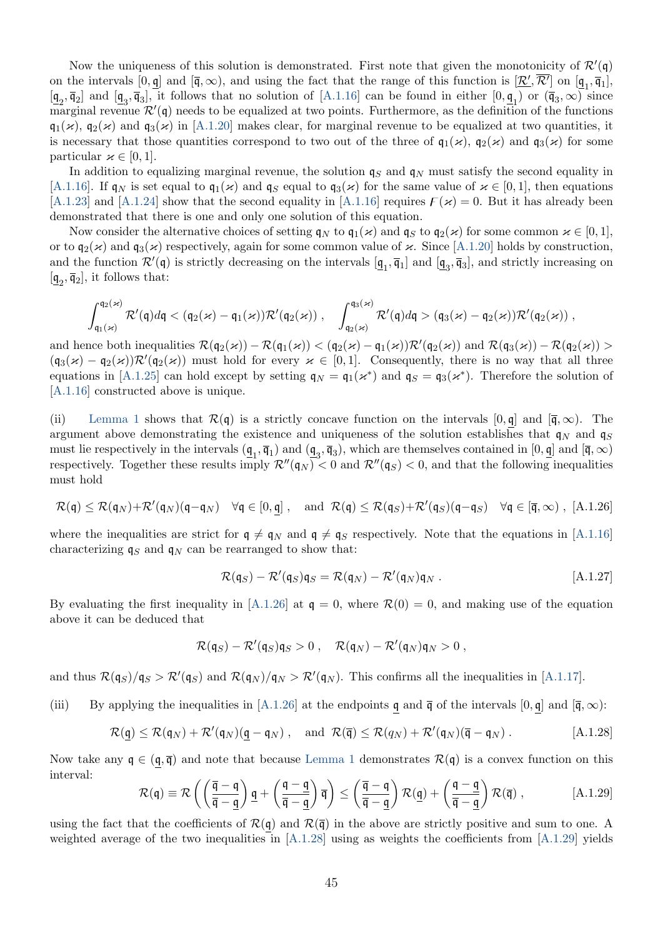Now the uniqueness of this solution is demonstrated. First note that given the monotonicity of  $\mathcal{R}'(\mathfrak{q})$ on the intervals  $[0, \underline{\mathbf{q}}]$  and  $[\overline{\mathbf{q}}, \infty)$ , and using the fact that the range of this function is  $[\underline{\mathcal{R}}', \mathcal{R}']$  on  $[\underline{\mathbf{q}}_1, \overline{\mathbf{q}}_1]$ ,  $[\underline{\mathbf{q}}_2, \overline{\mathbf{q}}_2]$  and  $[\underline{\mathbf{q}}_3, \overline{\mathbf{q}}_3]$ , it follows that no solution of [\[A.1.16\]](#page-44-2) can be found in either  $[0, \underline{\mathbf{q}}_1)$  or  $(\overline{\mathbf{q}}_3, \infty)$  since marginal revenue  $\mathcal{R}'(\mathfrak{q})$  needs to be equalized at two points. Furthermore, as the definition of the functions  $q_1(\varkappa)$ ,  $q_2(\varkappa)$  and  $q_3(\varkappa)$  in [\[A.1.20\]](#page-44-1) makes clear, for marginal revenue to be equalized at two quantities, it is necessary that those quantities correspond to two out of the three of  $q_1(\kappa)$ ,  $q_2(\kappa)$  and  $q_3(\kappa)$  for some particular  $\varkappa \in [0,1].$ 

In addition to equalizing marginal revenue, the solution  $q_S$  and  $q_N$  must satisfy the second equality in [\[A.1.16\]](#page-44-2). If  $\mathfrak{q}_N$  is set equal to  $\mathfrak{q}_1(\varkappa)$  and  $\mathfrak{q}_S$  equal to  $\mathfrak{q}_3(\varkappa)$  for the same value of  $\varkappa \in [0,1]$ , then equations [\[A.1.23\]](#page-45-2) and [\[A.1.24\]](#page-45-3) show that the second equality in [\[A.1.16\]](#page-44-2) requires  $F(\varkappa) = 0$ . But it has already been demonstrated that there is one and only one solution of this equation.

Now consider the alternative choices of setting  $\mathfrak{q}_N$  to  $\mathfrak{q}_1(\varkappa)$  and  $\mathfrak{q}_S$  to  $\mathfrak{q}_2(\varkappa)$  for some common  $\varkappa \in [0,1],$ or to  $\mathfrak{q}_2(\varkappa)$  and  $\mathfrak{q}_3(\varkappa)$  respectively, again for some common value of  $\varkappa$ . Since [\[A.1.20\]](#page-44-1) holds by construction, and the function  $\mathcal{R}'(\mathfrak{q})$  is strictly decreasing on the intervals  $[\underline{\mathfrak{q}}_1, \overline{\mathfrak{q}}_1]$  and  $[\underline{\mathfrak{q}}_3, \overline{\mathfrak{q}}_3]$ , and strictly increasing on  $[\underline{\mathfrak{q}}_2, \overline{\mathfrak{q}}_2]$ , it follows that:

$$
\int_{\mathfrak{q}_1(\varkappa)}^{\mathfrak{q}_2(\varkappa)} \mathcal{R}'(\mathfrak{q})d\mathfrak{q} < (\mathfrak{q}_2(\varkappa)-\mathfrak{q}_1(\varkappa))\mathcal{R}'(\mathfrak{q}_2(\varkappa))\;,\quad \int_{\mathfrak{q}_2(\varkappa)}^{\mathfrak{q}_3(\varkappa)} \mathcal{R}'(\mathfrak{q})d\mathfrak{q} > (\mathfrak{q}_3(\varkappa)-\mathfrak{q}_2(\varkappa))\mathcal{R}'(\mathfrak{q}_2(\varkappa))\;,
$$

and hence both inequalities  $\mathcal{R}(\mathfrak{q}_2(\kappa)) - \mathcal{R}(\mathfrak{q}_1(\kappa)) < (\mathfrak{q}_2(\kappa) - \mathfrak{q}_1(\kappa))\mathcal{R}'(\mathfrak{q}_2(\kappa))$  and  $\mathcal{R}(\mathfrak{q}_3(\kappa)) - \mathcal{R}(\mathfrak{q}_2(\kappa)) >$  $(\mathfrak{q}_3(\varkappa) - \mathfrak{q}_2(\varkappa)) \mathcal{R}'(\mathfrak{q}_2(\varkappa))$  must hold for every  $\varkappa \in [0,1]$ . Consequently, there is no way that all three equations in [\[A.1.25\]](#page-45-4) can hold except by setting  $q_N = q_1(\kappa^*)$  and  $q_S = q_3(\kappa^*)$ . Therefore the solution of [\[A.1.16\]](#page-44-2) constructed above is unique.

(ii) [Lemma 1](#page-42-6) shows that  $\mathcal{R}(\mathfrak{q})$  is a strictly concave function on the intervals  $[0, \mathfrak{q}]$  and  $[\bar{\mathfrak{q}}, \infty)$ . The argument above demonstrating the existence and uniqueness of the solution establishes that  $q_N$  and  $q_S$ must lie respectively in the intervals  $(\underline{\mathfrak{q}}_1, \overline{\mathfrak{q}}_1)$  and  $(\underline{\mathfrak{q}}_3, \overline{\mathfrak{q}}_3)$ , which are themselves contained in  $[0, \underline{\mathfrak{q}}]$  and  $[\overline{\mathfrak{q}}, \infty)$ respectively. Together these results imply  $\mathcal{R}''(\mathfrak{q}_N) < 0$  and  $\mathcal{R}''(\mathfrak{q}_S) < 0$ , and that the following inequalities must hold

<span id="page-46-0"></span>
$$
\mathcal{R}(\mathfrak{q}) \leq \mathcal{R}(\mathfrak{q}_N) + \mathcal{R}'(\mathfrak{q}_N)(\mathfrak{q} - \mathfrak{q}_N) \quad \forall \mathfrak{q} \in [0, \mathfrak{q}], \quad \text{and } \mathcal{R}(\mathfrak{q}) \leq \mathcal{R}(\mathfrak{q}_S) + \mathcal{R}'(\mathfrak{q}_S)(\mathfrak{q} - \mathfrak{q}_S) \quad \forall \mathfrak{q} \in [\mathfrak{q}, \infty), [A.1.26]
$$

where the inequalities are strict for  $q \neq q_N$  and  $q \neq q_S$  respectively. Note that the equations in [\[A.1.16\]](#page-44-2) characterizing  $q_S$  and  $q_N$  can be rearranged to show that:

<span id="page-46-3"></span><span id="page-46-1"></span>
$$
\mathcal{R}(\mathfrak{q}_S) - \mathcal{R}'(\mathfrak{q}_S)\mathfrak{q}_S = \mathcal{R}(\mathfrak{q}_N) - \mathcal{R}'(\mathfrak{q}_N)\mathfrak{q}_N.
$$
 [A.1.27]

By evaluating the first inequality in [\[A.1.26\]](#page-46-0) at  $q = 0$ , where  $\mathcal{R}(0) = 0$ , and making use of the equation above it can be deduced that

$$
\mathcal{R}(\mathfrak{q}_S)-\mathcal{R}'(\mathfrak{q}_S)\mathfrak{q}_S>0\;,\quad \mathcal{R}(\mathfrak{q}_N)-\mathcal{R}'(\mathfrak{q}_N)\mathfrak{q}_N>0\;,
$$

and thus  $\mathcal{R}(\mathfrak{q}_S)/\mathfrak{q}_S > \mathcal{R}'(\mathfrak{q}_S)$  and  $\mathcal{R}(\mathfrak{q}_N)/\mathfrak{q}_N > \mathcal{R}'(\mathfrak{q}_N)$ . This confirms all the inequalities in [\[A.1.17\]](#page-44-3).

(iii) By applying the inequalities in [\[A.1.26\]](#page-46-0) at the endpoints q and  $\bar{q}$  of the intervals [0, q] and  $[\bar{q}, \infty)$ :

<span id="page-46-2"></span>
$$
\mathcal{R}(\underline{\mathfrak{q}}) \leq \mathcal{R}(\mathfrak{q}_N) + \mathcal{R}'(\mathfrak{q}_N)(\underline{\mathfrak{q}} - \mathfrak{q}_N) , \quad \text{and } \mathcal{R}(\overline{\mathfrak{q}}) \leq \mathcal{R}(q_N) + \mathcal{R}'(\mathfrak{q}_N)(\overline{\mathfrak{q}} - \mathfrak{q}_N) . \tag{A.1.28}
$$

Now take any  $\mathfrak{q} \in (\mathfrak{q}, \overline{\mathfrak{q}})$  and note that because [Lemma 1](#page-42-6) demonstrates  $\mathcal{R}(\mathfrak{q})$  is a convex function on this interval:

$$
\mathcal{R}(\mathfrak{q}) \equiv \mathcal{R}\left(\left(\frac{\overline{\mathfrak{q}}-\mathfrak{q}}{\overline{\mathfrak{q}}-\underline{\mathfrak{q}}}\right)\underline{\mathfrak{q}} + \left(\frac{\mathfrak{q}-\underline{\mathfrak{q}}}{\overline{\mathfrak{q}}-\underline{\mathfrak{q}}}\right)\overline{\mathfrak{q}}\right) \le \left(\frac{\overline{\mathfrak{q}}-\mathfrak{q}}{\overline{\mathfrak{q}}-\underline{\mathfrak{q}}}\right)\mathcal{R}(\underline{\mathfrak{q}}) + \left(\frac{\mathfrak{q}-\underline{\mathfrak{q}}}{\overline{\mathfrak{q}}-\underline{\mathfrak{q}}}\right)\mathcal{R}(\overline{\mathfrak{q}})\,,\tag{A.1.29}
$$

using the fact that the coefficients of  $\mathcal{R}(\mathfrak{q})$  and  $\mathcal{R}(\overline{\mathfrak{q}})$  in the above are strictly positive and sum to one. A weighted average of the two inequalities in [\[A.1.28\]](#page-46-1) using as weights the coefficients from [\[A.1.29\]](#page-46-2) yields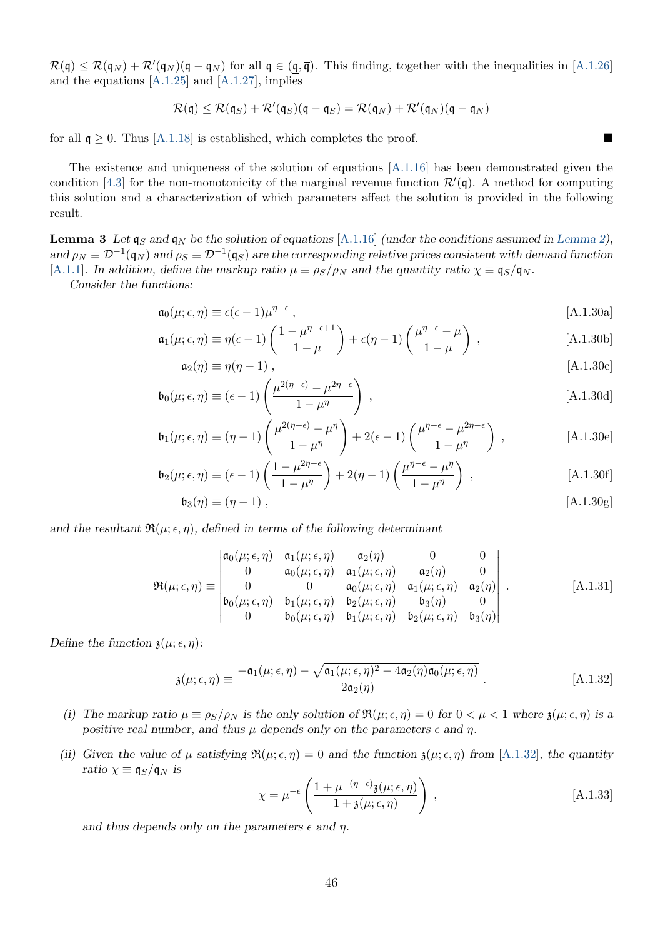$\mathcal{R}(\mathfrak{q}) \leq \mathcal{R}(\mathfrak{q}_N) + \mathcal{R}'(\mathfrak{q}_N)(\mathfrak{q} - \mathfrak{q}_N)$  for all  $\mathfrak{q} \in (\underline{\mathfrak{q}}, \overline{\mathfrak{q}})$ . This finding, together with the inequalities in [\[A.1.26\]](#page-46-0) and the equations  $[A.1.25]$  and  $[A.1.27]$ , implies

$$
\mathcal{R}(\mathfrak{q}) \leq \mathcal{R}(\mathfrak{q}_S) + \mathcal{R}'(\mathfrak{q}_S)(\mathfrak{q} - \mathfrak{q}_S) = \mathcal{R}(\mathfrak{q}_N) + \mathcal{R}'(\mathfrak{q}_N)(\mathfrak{q} - \mathfrak{q}_N)
$$

for all  $q \ge 0$ . Thus [\[A.1.18\]](#page-44-4) is established, which completes the proof.

The existence and uniqueness of the solution of equations [\[A.1.16\]](#page-44-2) has been demonstrated given the condition [\[4.3\]](#page-14-1) for the non-monotonicity of the marginal revenue function  $\mathcal{R}'(\mathfrak{q})$ . A method for computing this solution and a characterization of which parameters affect the solution is provided in the following result.

<span id="page-47-0"></span>**Lemma 3** Let  $q_S$  and  $q_N$  be the solution of equations [\[A.1.16\]](#page-44-2) (under the conditions assumed in [Lemma 2\)](#page-44-5), and  $\rho_N \equiv \mathcal{D}^{-1}(\mathfrak{q}_N)$  and  $\rho_S \equiv \mathcal{D}^{-1}(\mathfrak{q}_S)$  are the corresponding relative prices consistent with demand function [\[A.1.1\]](#page-41-2). In addition, define the markup ratio  $\mu \equiv \rho_S/\rho_N$  and the quantity ratio  $\chi \equiv \mathfrak{q}_S/\mathfrak{q}_N$ .

Consider the functions:

<span id="page-47-2"></span>
$$
\mathfrak{a}_0(\mu;\epsilon,\eta) \equiv \epsilon(\epsilon-1)\mu^{\eta-\epsilon},\tag{A.1.30a}
$$

$$
\mathfrak{a}_1(\mu;\epsilon,\eta) \equiv \eta(\epsilon-1) \left( \frac{1-\mu^{\eta-\epsilon+1}}{1-\mu} \right) + \epsilon(\eta-1) \left( \frac{\mu^{\eta-\epsilon}-\mu}{1-\mu} \right) , \qquad [A.1.30b]
$$

$$
\mathfrak{a}_2(\eta) \equiv \eta(\eta - 1) \;, \tag{A.1.30c}
$$

$$
\mathfrak{b}_0(\mu;\epsilon,\eta) \equiv (\epsilon - 1) \left( \frac{\mu^{2(\eta - \epsilon)} - \mu^{2\eta - \epsilon}}{1 - \mu^{\eta}} \right) ,\qquad [A.1.30d]
$$

$$
\mathfrak{b}_1(\mu;\epsilon,\eta) \equiv (\eta-1) \left( \frac{\mu^{2(\eta-\epsilon)} - \mu^{\eta}}{1-\mu^{\eta}} \right) + 2(\epsilon-1) \left( \frac{\mu^{\eta-\epsilon} - \mu^{2\eta-\epsilon}}{1-\mu^{\eta}} \right) , \tag{A.1.30e}
$$

$$
\mathfrak{b}_2(\mu;\epsilon,\eta) \equiv (\epsilon - 1) \left( \frac{1 - \mu^{2\eta - \epsilon}}{1 - \mu^{\eta}} \right) + 2(\eta - 1) \left( \frac{\mu^{\eta - \epsilon} - \mu^{\eta}}{1 - \mu^{\eta}} \right) ,
$$
 [A.1.30f]

<span id="page-47-3"></span>
$$
\mathfrak{b}_3(\eta) \equiv (\eta - 1) \;, \tag{A.1.30g}
$$

and the resultant  $\Re(\mu;\epsilon,\eta)$ , defined in terms of the following determinant

$$
\mathfrak{R}(\mu;\epsilon,\eta) \equiv \begin{vmatrix}\n\mathfrak{a}_0(\mu;\epsilon,\eta) & \mathfrak{a}_1(\mu;\epsilon,\eta) & \mathfrak{a}_2(\eta) & 0 & 0 \\
0 & \mathfrak{a}_0(\mu;\epsilon,\eta) & \mathfrak{a}_1(\mu;\epsilon,\eta) & \mathfrak{a}_2(\eta) & 0 \\
0 & 0 & \mathfrak{a}_0(\mu;\epsilon,\eta) & \mathfrak{a}_1(\mu;\epsilon,\eta) & \mathfrak{a}_2(\eta) \\
\mathfrak{b}_0(\mu;\epsilon,\eta) & \mathfrak{b}_1(\mu;\epsilon,\eta) & \mathfrak{b}_2(\mu;\epsilon,\eta) & \mathfrak{b}_3(\eta) & 0 \\
0 & \mathfrak{b}_0(\mu;\epsilon,\eta) & \mathfrak{b}_1(\mu;\epsilon,\eta) & \mathfrak{b}_2(\mu;\epsilon,\eta) & \mathfrak{b}_3(\eta)\n\end{vmatrix}.
$$
 [A.1.31]

Define the function  $\mathfrak{z}(\mu; \epsilon, \eta)$ :

<span id="page-47-1"></span>
$$
\mathfrak{z}(\mu;\epsilon,\eta) \equiv \frac{-\mathfrak{a}_1(\mu;\epsilon,\eta) - \sqrt{\mathfrak{a}_1(\mu;\epsilon,\eta)^2 - 4\mathfrak{a}_2(\eta)\mathfrak{a}_0(\mu;\epsilon,\eta)}}{2\mathfrak{a}_2(\eta)}.
$$
 [A.1.32]

- (i) The markup ratio  $\mu \equiv \rho_S/\rho_N$  is the only solution of  $\Re(\mu; \epsilon, \eta) = 0$  for  $0 < \mu < 1$  where  $\chi(\mu; \epsilon, \eta)$  is a positive real number, and thus  $\mu$  depends only on the parameters  $\epsilon$  and  $\eta$ .
- (ii) Given the value of  $\mu$  satisfying  $\Re(\mu;\epsilon,\eta) = 0$  and the function  $\chi(\mu;\epsilon,\eta)$  from [\[A.1.32\]](#page-47-1), the quantity ratio  $\chi \equiv \mathfrak{q}_S/\mathfrak{q}_N$  is

<span id="page-47-4"></span>
$$
\chi = \mu^{-\epsilon} \left( \frac{1 + \mu^{-(\eta - \epsilon)} \mathfrak{z}(\mu; \epsilon, \eta)}{1 + \mathfrak{z}(\mu; \epsilon, \eta)} \right) , \qquad [A.1.33]
$$

and thus depends only on the parameters  $\epsilon$  and  $\eta$ .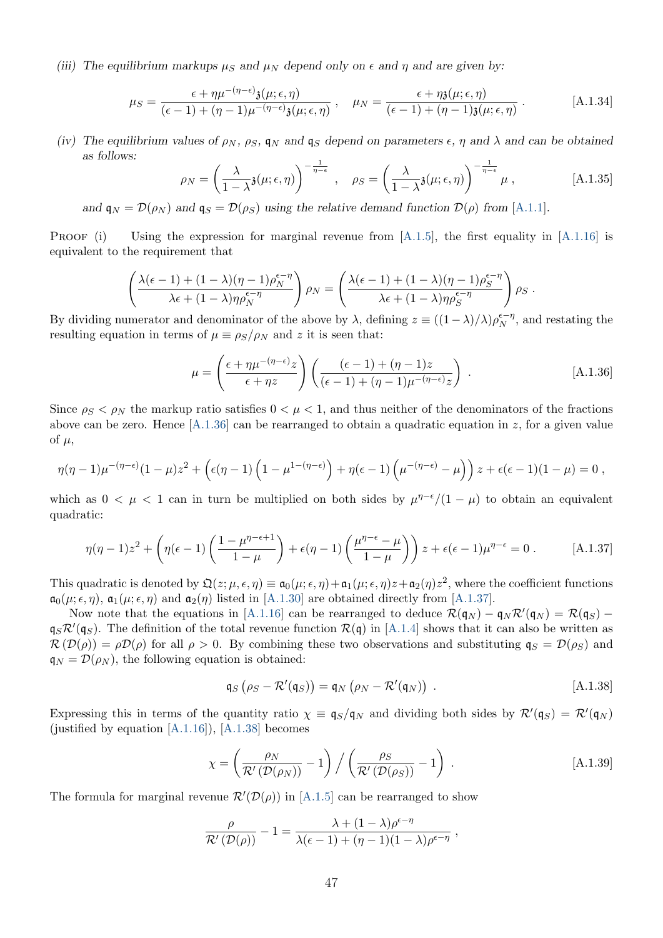(iii) The equilibrium markups  $\mu_S$  and  $\mu_N$  depend only on  $\epsilon$  and  $\eta$  and are given by:

$$
\mu_S = \frac{\epsilon + \eta \mu^{-(\eta - \epsilon)} \mathfrak{z}(\mu; \epsilon, \eta)}{(\epsilon - 1) + (\eta - 1) \mu^{-(\eta - \epsilon)} \mathfrak{z}(\mu; \epsilon, \eta)}, \quad \mu_N = \frac{\epsilon + \eta \mathfrak{z}(\mu; \epsilon, \eta)}{(\epsilon - 1) + (\eta - 1) \mathfrak{z}(\mu; \epsilon, \eta)}.
$$
 [A.1.34]

(iv) The equilibrium values of  $\rho_N$ ,  $\rho_S$ ,  $q_N$  and  $q_S$  depend on parameters  $\epsilon$ ,  $\eta$  and  $\lambda$  and can be obtained as follows:

<span id="page-48-5"></span><span id="page-48-4"></span>
$$
\rho_N = \left(\frac{\lambda}{1-\lambda} \mathfrak{z}(\mu;\epsilon,\eta)\right)^{-\frac{1}{\eta-\epsilon}}, \quad \rho_S = \left(\frac{\lambda}{1-\lambda} \mathfrak{z}(\mu;\epsilon,\eta)\right)^{-\frac{1}{\eta-\epsilon}} \mu,
$$
 [A.1.35]

and  $\mathfrak{q}_N = \mathcal{D}(\rho_N)$  and  $\mathfrak{q}_S = \mathcal{D}(\rho_S)$  using the relative demand function  $\mathcal{D}(\rho)$  from [\[A.1.1\]](#page-41-2).

PROOF (i) Using the expression for marginal revenue from  $[A.1.5]$ , the first equality in  $[A.1.16]$  is equivalent to the requirement that

$$
\left(\frac{\lambda(\epsilon-1)+(1-\lambda)(\eta-1)\rho_N^{\epsilon-\eta}}{\lambda\epsilon+(1-\lambda)\eta\rho_N^{\epsilon-\eta}}\right)\rho_N=\left(\frac{\lambda(\epsilon-1)+(1-\lambda)(\eta-1)\rho_S^{\epsilon-\eta}}{\lambda\epsilon+(1-\lambda)\eta\rho_S^{\epsilon-\eta}}\right)\rho_S.
$$

By dividing numerator and denominator of the above by  $\lambda$ , defining  $z \equiv ((1 - \lambda)/\lambda)\rho_N^{\epsilon - \eta}$ , and restating the resulting equation in terms of  $\mu \equiv \rho_S/\rho_N$  and z it is seen that:

<span id="page-48-0"></span>
$$
\mu = \left(\frac{\epsilon + \eta \mu^{-(\eta - \epsilon)} z}{\epsilon + \eta z}\right) \left(\frac{(\epsilon - 1) + (\eta - 1)z}{(\epsilon - 1) + (\eta - 1)\mu^{-(\eta - \epsilon)} z}\right).
$$
 [A.1.36]

Since  $\rho_S < \rho_N$  the markup ratio satisfies  $0 < \mu < 1$ , and thus neither of the denominators of the fractions above can be zero. Hence  $[A.1.36]$  can be rearranged to obtain a quadratic equation in z, for a given value of  $\mu$ ,

$$
\eta(\eta-1)\mu^{-(\eta-\epsilon)}(1-\mu)z^2 + \left(\epsilon(\eta-1)\left(1-\mu^{1-(\eta-\epsilon)}\right) + \eta(\epsilon-1)\left(\mu^{-(\eta-\epsilon)}-\mu\right)\right)z + \epsilon(\epsilon-1)(1-\mu) = 0,
$$

which as  $0 < \mu < 1$  can in turn be multiplied on both sides by  $\mu^{\eta-\epsilon}/(1-\mu)$  to obtain an equivalent quadratic:

<span id="page-48-1"></span>
$$
\eta(\eta - 1)z^2 + \left(\eta(\epsilon - 1)\left(\frac{1 - \mu^{\eta - \epsilon + 1}}{1 - \mu}\right) + \epsilon(\eta - 1)\left(\frac{\mu^{\eta - \epsilon} - \mu}{1 - \mu}\right)\right)z + \epsilon(\epsilon - 1)\mu^{\eta - \epsilon} = 0.
$$
 [A.1.37]

This quadratic is denoted by  $\mathfrak{Q}(z;\mu,\epsilon,\eta) \equiv \mathfrak{a}_0(\mu;\epsilon,\eta) + \mathfrak{a}_1(\mu;\epsilon,\eta)z + \mathfrak{a}_2(\eta)z^2$ , where the coefficient functions  $\mathfrak{a}_0(\mu;\epsilon,\eta)$ ,  $\mathfrak{a}_1(\mu;\epsilon,\eta)$  and  $\mathfrak{a}_2(\eta)$  listed in [\[A.1.30\]](#page-47-2) are obtained directly from [\[A.1.37\]](#page-48-1).

Now note that the equations in [\[A.1.16\]](#page-44-2) can be rearranged to deduce  $\mathcal{R}(\mathfrak{q}_N) - \mathfrak{q}_N \mathcal{R}'(\mathfrak{q}_N) = \mathcal{R}(\mathfrak{q}_S)$  $q_S \mathcal{R}'(q_S)$ . The definition of the total revenue function  $\mathcal{R}(q)$  in [\[A.1.4\]](#page-41-3) shows that it can also be written as  $\mathcal{R}(\mathcal{D}(\rho)) = \rho \mathcal{D}(\rho)$  for all  $\rho > 0$ . By combining these two observations and substituting  $\mathfrak{q}_S = \mathcal{D}(\rho_S)$  and  $\mathfrak{q}_N = \mathcal{D}(\rho_N)$ , the following equation is obtained:

<span id="page-48-3"></span><span id="page-48-2"></span>
$$
\mathfrak{q}_S\left(\rho_S - \mathcal{R}'(\mathfrak{q}_S)\right) = \mathfrak{q}_N\left(\rho_N - \mathcal{R}'(\mathfrak{q}_N)\right) . \tag{A.1.38}
$$

Expressing this in terms of the quantity ratio  $\chi \equiv \mathfrak{q}_S/\mathfrak{q}_N$  and dividing both sides by  $\mathcal{R}'(\mathfrak{q}_S) = \mathcal{R}'(\mathfrak{q}_N)$ (justified by equation  $[A.1.16]$ ),  $[A.1.38]$  becomes

$$
\chi = \left(\frac{\rho_N}{\mathcal{R}'(\mathcal{D}(\rho_N))} - 1\right) / \left(\frac{\rho_S}{\mathcal{R}'(\mathcal{D}(\rho_S))} - 1\right) . \tag{A.1.39}
$$

The formula for marginal revenue  $\mathcal{R}'(\mathcal{D}(\rho))$  in [\[A.1.5\]](#page-42-0) can be rearranged to show

$$
\frac{\rho}{\mathcal{R}'(\mathcal{D}(\rho))} - 1 = \frac{\lambda + (1 - \lambda)\rho^{\epsilon - \eta}}{\lambda(\epsilon - 1) + (\eta - 1)(1 - \lambda)\rho^{\epsilon - \eta}} ,
$$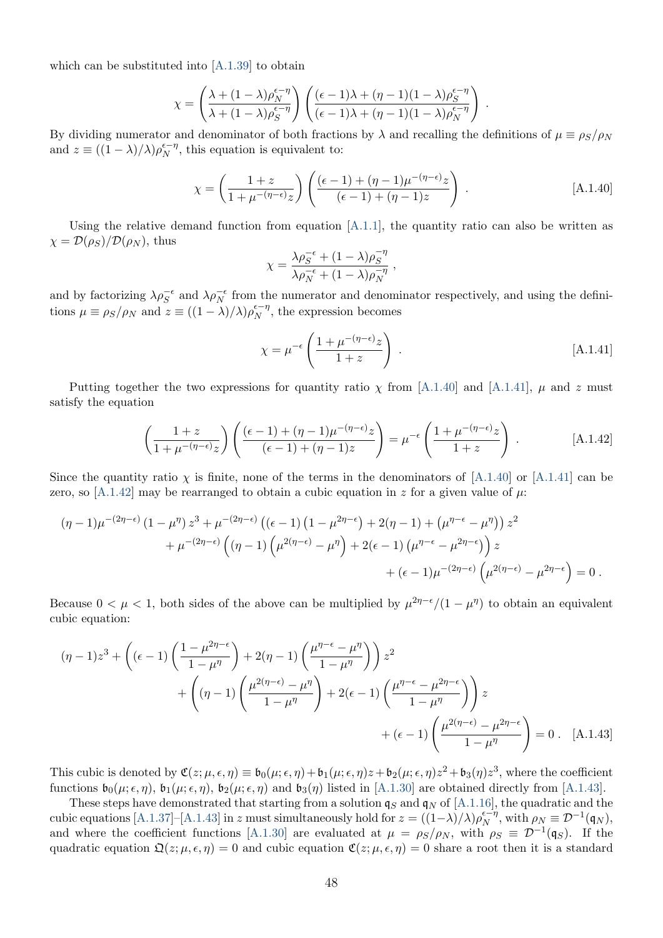which can be substituted into [\[A.1.39\]](#page-48-3) to obtain

$$
\chi = \left(\frac{\lambda + (1 - \lambda)\rho_N^{\epsilon - \eta}}{\lambda + (1 - \lambda)\rho_S^{\epsilon - \eta}}\right) \left(\frac{(\epsilon - 1)\lambda + (\eta - 1)(1 - \lambda)\rho_S^{\epsilon - \eta}}{(\epsilon - 1)\lambda + (\eta - 1)(1 - \lambda)\rho_N^{\epsilon - \eta}}\right).
$$

By dividing numerator and denominator of both fractions by  $\lambda$  and recalling the definitions of  $\mu \equiv \rho_S/\rho_N$ and  $z \equiv ((1 - \lambda)/\lambda)\rho_N^{\epsilon - \eta}$ , this equation is equivalent to:

$$
\chi = \left(\frac{1+z}{1+\mu^{-(\eta-\epsilon)}z}\right) \left(\frac{(\epsilon-1)+(\eta-1)\mu^{-(\eta-\epsilon)}z}{(\epsilon-1)+(\eta-1)z}\right) . \tag{A.1.40}
$$

<span id="page-49-3"></span><span id="page-49-1"></span><span id="page-49-0"></span>,

Using the relative demand function from equation  $[A.1.1]$ , the quantity ratio can also be written as  $\chi = \mathcal{D}(\rho_S)/\mathcal{D}(\rho_N)$ , thus

$$
\chi = \frac{\lambda \rho_S^{-\epsilon} + (1 - \lambda)\rho_S^{-\eta}}{\lambda \rho_N^{-\epsilon} + (1 - \lambda)\rho_N^{-\eta}}
$$

and by factorizing  $\lambda \rho_S^{-\epsilon}$  and  $\lambda \rho_N^{-\epsilon}$  from the numerator and denominator respectively, and using the definitions  $\mu \equiv \rho_S/\rho_N$  and  $z \equiv ((1 - \lambda)/\lambda)\rho_N^{\epsilon - \eta}$ , the expression becomes

$$
\chi = \mu^{-\epsilon} \left( \frac{1 + \mu^{-(\eta - \epsilon)} z}{1 + z} \right) \,. \tag{A.1.41}
$$

Putting together the two expressions for quantity ratio  $\chi$  from [\[A.1.40\]](#page-49-0) and [\[A.1.41\]](#page-49-1),  $\mu$  and z must satisfy the equation

<span id="page-49-2"></span>
$$
\left(\frac{1+z}{1+\mu^{-(\eta-\epsilon)}z}\right)\left(\frac{(\epsilon-1)+(\eta-1)\mu^{-(\eta-\epsilon)}z}{(\epsilon-1)+(\eta-1)z}\right)=\mu^{-\epsilon}\left(\frac{1+\mu^{-(\eta-\epsilon)}z}{1+z}\right).
$$
 [A.1.42]

Since the quantity ratio  $\chi$  is finite, none of the terms in the denominators of [\[A.1.40\]](#page-49-0) or [\[A.1.41\]](#page-49-1) can be zero, so [\[A.1.42\]](#page-49-2) may be rearranged to obtain a cubic equation in z for a given value of  $\mu$ :

$$
(\eta - 1)\mu^{-(2\eta - \epsilon)} (1 - \mu^{\eta}) z^3 + \mu^{-(2\eta - \epsilon)} ((\epsilon - 1) (1 - \mu^{2\eta - \epsilon}) + 2(\eta - 1) + (\mu^{\eta - \epsilon} - \mu^{\eta})) z^2 + \mu^{-(2\eta - \epsilon)} ((\eta - 1) (\mu^{2(\eta - \epsilon)} - \mu^{\eta}) + 2(\epsilon - 1) (\mu^{\eta - \epsilon} - \mu^{2\eta - \epsilon})) z + (\epsilon - 1)\mu^{-(2\eta - \epsilon)} (\mu^{2(\eta - \epsilon)} - \mu^{2\eta - \epsilon}) = 0.
$$

Because  $0 < \mu < 1$ , both sides of the above can be multiplied by  $\mu^{2\eta-\epsilon}/(1-\mu^{\eta})$  to obtain an equivalent cubic equation:

$$
(\eta - 1)z^{3} + \left((\epsilon - 1)\left(\frac{1 - \mu^{2\eta - \epsilon}}{1 - \mu^{\eta}}\right) + 2(\eta - 1)\left(\frac{\mu^{\eta - \epsilon} - \mu^{\eta}}{1 - \mu^{\eta}}\right)\right)z^{2} + \left((\eta - 1)\left(\frac{\mu^{2(\eta - \epsilon)} - \mu^{\eta}}{1 - \mu^{\eta}}\right) + 2(\epsilon - 1)\left(\frac{\mu^{\eta - \epsilon} - \mu^{2\eta - \epsilon}}{1 - \mu^{\eta}}\right)\right)z + (\epsilon - 1)\left(\frac{\mu^{2(\eta - \epsilon)} - \mu^{2\eta - \epsilon}}{1 - \mu^{\eta}}\right) = 0.
$$
 [A.1.43]

This cubic is denoted by  $\mathfrak{C}(z; \mu, \epsilon, \eta) \equiv \mathfrak{b}_0(\mu; \epsilon, \eta) + \mathfrak{b}_1(\mu; \epsilon, \eta)z + \mathfrak{b}_2(\mu; \epsilon, \eta)z^2 + \mathfrak{b}_3(\eta)z^3$ , where the coefficient functions  $\mathfrak{b}_0(\mu;\epsilon,\eta)$ ,  $\mathfrak{b}_1(\mu;\epsilon,\eta)$ ,  $\mathfrak{b}_2(\mu;\epsilon,\eta)$  and  $\mathfrak{b}_3(\eta)$  listed in [\[A.1.30\]](#page-47-2) are obtained directly from [\[A.1.43\]](#page-49-3).

These steps have demonstrated that starting from a solution  $q_S$  and  $q_N$  of [\[A.1.16\]](#page-44-2), the quadratic and the cubic equations [\[A.1.37\]](#page-48-1)–[\[A.1.43\]](#page-49-3) in z must simultaneously hold for  $z = ((1-\lambda)/\lambda)\rho_N^{e-\eta}$ , with  $\rho_N \equiv \mathcal{D}^{-1}(\mathfrak{q}_N)$ , and where the coefficient functions [\[A.1.30\]](#page-47-2) are evaluated at  $\mu = \rho_S/\rho_N$ , with  $\rho_S \equiv \mathcal{D}^{-1}(\mathfrak{q}_S)$ . If the quadratic equation  $\mathfrak{Q}(z; \mu, \epsilon, \eta) = 0$  and cubic equation  $\mathfrak{C}(z; \mu, \epsilon, \eta) = 0$  share a root then it is a standard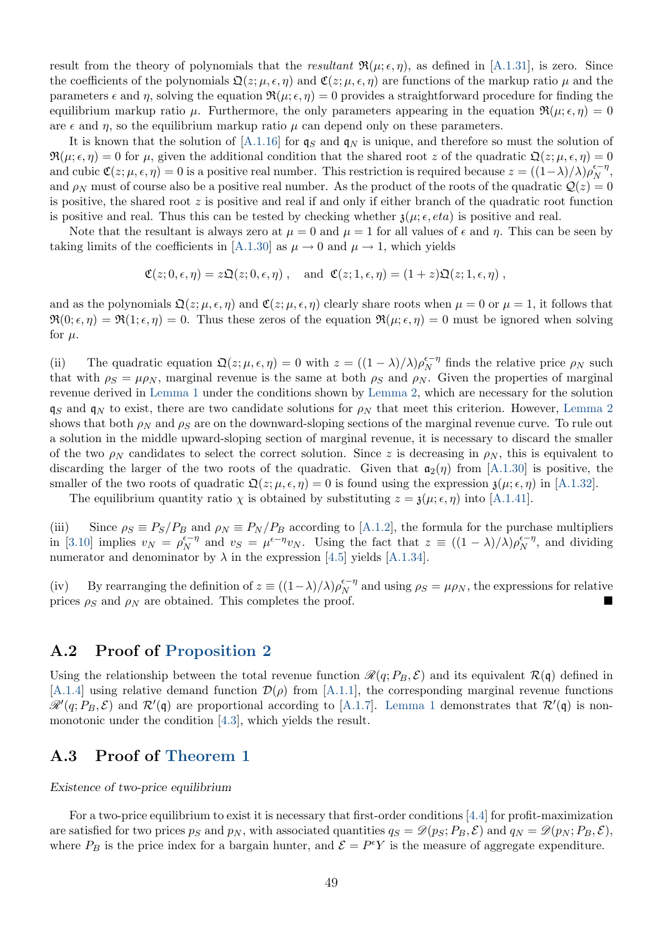result from the theory of polynomials that the resultant  $\Re(\mu; \epsilon, \eta)$ , as defined in [\[A.1.31\]](#page-47-3), is zero. Since the coefficients of the polynomials  $\mathfrak{Q}(z; \mu, \epsilon, \eta)$  and  $\mathfrak{C}(z; \mu, \epsilon, \eta)$  are functions of the markup ratio  $\mu$  and the parameters  $\epsilon$  and  $\eta$ , solving the equation  $\Re(\mu;\epsilon,\eta) = 0$  provides a straightforward procedure for finding the equilibrium markup ratio  $\mu$ . Furthermore, the only parameters appearing in the equation  $\Re(\mu;\epsilon,\eta) = 0$ are  $\epsilon$  and  $\eta$ , so the equilibrium markup ratio  $\mu$  can depend only on these parameters.

It is known that the solution of  $[A.1.16]$  for  $q_S$  and  $q_N$  is unique, and therefore so must the solution of  $\Re(\mu;\epsilon,\eta) = 0$  for  $\mu$ , given the additional condition that the shared root z of the quadratic  $\mathfrak{Q}(z;\mu,\epsilon,\eta) = 0$ and cubic  $\mathfrak{C}(z; \mu, \epsilon, \eta) = 0$  is a positive real number. This restriction is required because  $z = ((1-\lambda)/\lambda)\rho_N^{\epsilon-\eta}$ , and  $\rho_N$  must of course also be a positive real number. As the product of the roots of the quadratic  $\mathcal{Q}(z) = 0$ is positive, the shared root  $z$  is positive and real if and only if either branch of the quadratic root function is positive and real. Thus this can be tested by checking whether  $\mathfrak{z}(\mu; \epsilon, \epsilon t a)$  is positive and real.

Note that the resultant is always zero at  $\mu = 0$  and  $\mu = 1$  for all values of  $\epsilon$  and  $\eta$ . This can be seen by taking limits of the coefficients in [\[A.1.30\]](#page-47-2) as  $\mu \to 0$  and  $\mu \to 1$ , which yields

$$
\mathfrak{C}(z;0,\epsilon,\eta) = z\mathfrak{Q}(z;0,\epsilon,\eta) , \text{ and } \mathfrak{C}(z;1,\epsilon,\eta) = (1+z)\mathfrak{Q}(z;1,\epsilon,\eta) ,
$$

and as the polynomials  $\mathfrak{Q}(z; \mu, \epsilon, \eta)$  and  $\mathfrak{C}(z; \mu, \epsilon, \eta)$  clearly share roots when  $\mu = 0$  or  $\mu = 1$ , it follows that  $\Re(0;\epsilon,\eta) = \Re(1;\epsilon,\eta) = 0$ . Thus these zeros of the equation  $\Re(\mu;\epsilon,\eta) = 0$  must be ignored when solving for  $\mu$ .

(ii) The quadratic equation  $\mathfrak{Q}(z; \mu, \epsilon, \eta) = 0$  with  $z = ((1 - \lambda)/\lambda)\rho_N^{\epsilon - \eta}$  finds the relative price  $\rho_N$  such that with  $\rho_S = \mu \rho_N$ , marginal revenue is the same at both  $\rho_S$  and  $\rho_N$ . Given the properties of marginal revenue derived in [Lemma 1](#page-42-6) under the conditions shown by [Lemma 2,](#page-44-5) which are necessary for the solution  $q_S$  and  $q_N$  to exist, there are two candidate solutions for  $\rho_N$  that meet this criterion. However, [Lemma 2](#page-44-5) shows that both  $\rho_N$  and  $\rho_S$  are on the downward-sloping sections of the marginal revenue curve. To rule out a solution in the middle upward-sloping section of marginal revenue, it is necessary to discard the smaller of the two  $\rho_N$  candidates to select the correct solution. Since z is decreasing in  $\rho_N$ , this is equivalent to discarding the larger of the two roots of the quadratic. Given that  $a_2(\eta)$  from [\[A.1.30\]](#page-47-2) is positive, the smaller of the two roots of quadratic  $\mathfrak{Q}(z; \mu, \epsilon, \eta) = 0$  is found using the expression  $\mathfrak{z}(\mu; \epsilon, \eta)$  in [\[A.1.32\]](#page-47-1).

The equilibrium quantity ratio  $\chi$  is obtained by substituting  $z = \mathfrak{z}(\mu; \epsilon, \eta)$  into [\[A.1.41\]](#page-49-1).

(iii) Since  $\rho_S \equiv P_S/P_B$  and  $\rho_N \equiv P_N/P_B$  according to [\[A.1.2\]](#page-41-5), the formula for the purchase multipliers in [\[3.10\]](#page-11-1) implies  $v_N = \rho_N^{\epsilon - \eta}$  and  $v_S = \mu^{\epsilon - \eta} v_N$ . Using the fact that  $z \equiv ((1 - \lambda)/\lambda) \rho_N^{\epsilon - \eta}$ , and dividing numerator and denominator by  $\lambda$  in the expression [\[4.5\]](#page-17-1) yields [\[A.1.34\]](#page-48-4).

(iv) By rearranging the definition of  $z \equiv ((1 - \lambda)/\lambda)\rho_N^{\epsilon - \eta}$  and using  $\rho_S = \mu \rho_N$ , the expressions for relative prices  $\rho_S$  and  $\rho_N$  are obtained. This completes the proof.

### <span id="page-50-0"></span>A.2 Proof of [Proposition 2](#page-13-3)

Using the relationship between the total revenue function  $\mathcal{R}(q; P_B, \mathcal{E})$  and its equivalent  $\mathcal{R}(q)$  defined in [\[A.1.4\]](#page-41-3) using relative demand function  $\mathcal{D}(\rho)$  from [\[A.1.1\]](#page-41-2), the corresponding marginal revenue functions  $\mathscr{R}'(q; P_B, \mathcal{E})$  and  $\mathcal{R}'(\mathfrak{q})$  are proportional according to [\[A.1.7\]](#page-42-7). [Lemma 1](#page-42-6) demonstrates that  $\mathcal{R}'(\mathfrak{q})$  is nonmonotonic under the condition [\[4.3\]](#page-14-1), which yields the result.

### <span id="page-50-1"></span>A.3 Proof of [Theorem 1](#page-15-1)

#### Existence of two-price equilibrium

For a two-price equilibrium to exist it is necessary that first-order conditions [\[4.4\]](#page-14-0) for profit-maximization are satisfied for two prices  $p_S$  and  $p_N$ , with associated quantities  $q_S = \mathcal{D}(p_S; P_B, \mathcal{E})$  and  $q_N = \mathcal{D}(p_N; P_B, \mathcal{E})$ , where  $P_B$  is the price index for a bargain hunter, and  $\mathcal{E} = P^{\epsilon}Y$  is the measure of aggregate expenditure.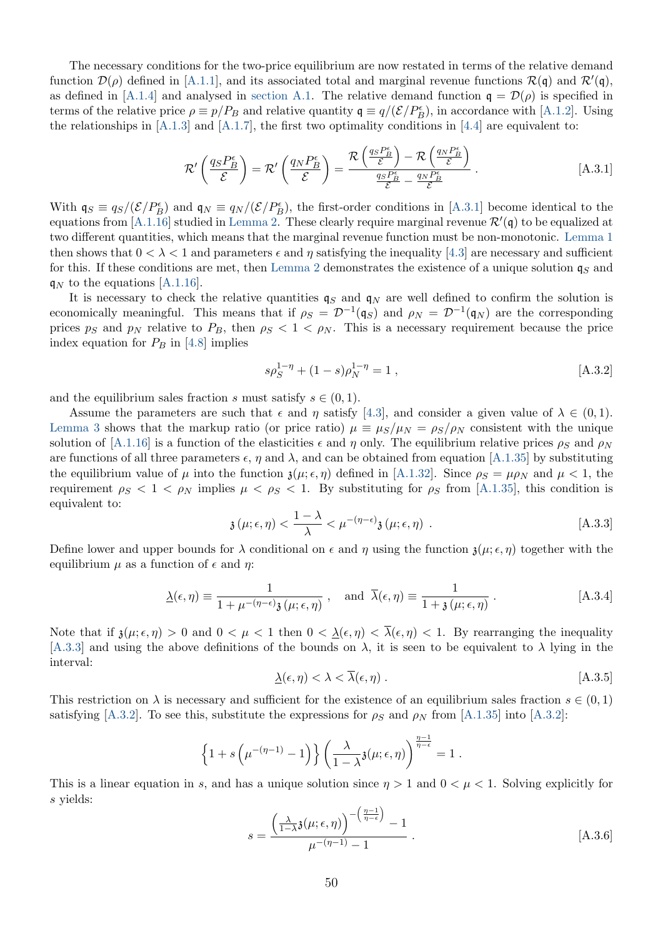The necessary conditions for the two-price equilibrium are now restated in terms of the relative demand function  $\mathcal{D}(\rho)$  defined in [\[A.1.1\]](#page-41-2), and its associated total and marginal revenue functions  $\mathcal{R}(\mathfrak{q})$  and  $\mathcal{R}'(\mathfrak{q})$ , as defined in [\[A.1.4\]](#page-41-3) and analysed in [section A.1.](#page-41-6) The relative demand function  $q = \mathcal{D}(\rho)$  is specified in terms of the relative price  $\rho \equiv p/P_B$  and relative quantity  $\mathfrak{q} \equiv q/(\mathcal{E}/P_B^{\epsilon})$ , in accordance with [\[A.1.2\]](#page-41-5). Using the relationships in  $[A.1.3]$  and  $[A.1.7]$ , the first two optimality conditions in  $[4.4]$  are equivalent to:

<span id="page-51-1"></span>
$$
\mathcal{R}'\left(\frac{q_S P_B^{\epsilon}}{\mathcal{E}}\right) = \mathcal{R}'\left(\frac{q_N P_B^{\epsilon}}{\mathcal{E}}\right) = \frac{\mathcal{R}\left(\frac{q_S P_B^{\epsilon}}{\mathcal{E}}\right) - \mathcal{R}\left(\frac{q_N P_B^{\epsilon}}{\mathcal{E}}\right)}{\frac{q_S P_B^{\epsilon}}{\mathcal{E}} - \frac{q_N P_B^{\epsilon}}{\mathcal{E}}}. \tag{A.3.1}
$$

With  $\mathfrak{q}_S \equiv q_S/(\mathcal{E}/P_B^{\epsilon})$  and  $\mathfrak{q}_N \equiv q_N/(\mathcal{E}/P_B^{\epsilon})$ , the first-order conditions in [\[A.3.1\]](#page-51-1) become identical to the equations from [\[A.1.16\]](#page-44-2) studied in [Lemma 2.](#page-44-5) These clearly require marginal revenue  $\mathcal{R}'(\mathfrak{q})$  to be equalized at two different quantities, which means that the marginal revenue function must be non-monotonic. [Lemma 1](#page-42-6) then shows that  $0 < \lambda < 1$  and parameters  $\epsilon$  and  $\eta$  satisfying the inequality [\[4.3\]](#page-14-1) are necessary and sufficient for this. If these conditions are met, then [Lemma 2](#page-44-5) demonstrates the existence of a unique solution  $\mathfrak{q}_S$  and  $q_N$  to the equations [\[A.1.16\]](#page-44-2).

It is necessary to check the relative quantities  $q_S$  and  $q_N$  are well defined to confirm the solution is economically meaningful. This means that if  $\rho_S = \mathcal{D}^{-1}(\mathfrak{q}_S)$  and  $\rho_N = \mathcal{D}^{-1}(\mathfrak{q}_N)$  are the corresponding prices ps and p<sub>N</sub> relative to  $P_B$ , then  $\rho_S < 1 < \rho_N$ . This is a necessary requirement because the price index equation for  $P_B$  in [\[4.8\]](#page-17-3) implies

<span id="page-51-3"></span>
$$
s\rho_S^{1-\eta} + (1-s)\rho_N^{1-\eta} = 1 , \qquad [A.3.2]
$$

and the equilibrium sales fraction s must satisfy  $s \in (0, 1)$ .

Assume the parameters are such that  $\epsilon$  and  $\eta$  satisfy [\[4.3\]](#page-14-1), and consider a given value of  $\lambda \in (0,1)$ . [Lemma 3](#page-47-0) shows that the markup ratio (or price ratio)  $\mu \equiv \mu_S/\mu_N = \rho_S/\rho_N$  consistent with the unique solution of [\[A.1.16\]](#page-44-2) is a function of the elasticities  $\epsilon$  and  $\eta$  only. The equilibrium relative prices  $\rho_S$  and  $\rho_N$ are functions of all three parameters  $\epsilon$ ,  $\eta$  and  $\lambda$ , and can be obtained from equation [\[A.1.35\]](#page-48-5) by substituting the equilibrium value of  $\mu$  into the function  $\mathfrak{z}(\mu;\epsilon,\eta)$  defined in [\[A.1.32\]](#page-47-1). Since  $\rho_S = \mu \rho_N$  and  $\mu < 1$ , the requirement  $\rho_S < 1 < \rho_N$  implies  $\mu < \rho_S < 1$ . By substituting for  $\rho_S$  from [\[A.1.35\]](#page-48-5), this condition is equivalent to:

<span id="page-51-5"></span>
$$
\mathfrak{z}(\mu;\epsilon,\eta) < \frac{1-\lambda}{\lambda} < \mu^{-(\eta-\epsilon)}\mathfrak{z}(\mu;\epsilon,\eta) \tag{A.3.3}
$$

<span id="page-51-2"></span>Define lower and upper bounds for  $\lambda$  conditional on  $\epsilon$  and  $\eta$  using the function  $\chi(\mu; \epsilon, \eta)$  together with the equilibrium  $\mu$  as a function of  $\epsilon$  and  $\eta$ :

$$
\underline{\lambda}(\epsilon,\eta) \equiv \frac{1}{1 + \mu^{-(\eta - \epsilon)} \mathfrak{z}(\mu;\epsilon,\eta)}, \text{ and } \overline{\lambda}(\epsilon,\eta) \equiv \frac{1}{1 + \mathfrak{z}(\mu;\epsilon,\eta)}.
$$
 [A.3.4]

<span id="page-51-4"></span>Note that if  $\mathfrak{z}(\mu;\epsilon,\eta) > 0$  and  $0 < \mu < 1$  then  $0 < \underline{\lambda}(\epsilon,\eta) < \overline{\lambda}(\epsilon,\eta) < 1$ . By rearranging the inequality [\[A.3.3\]](#page-51-2) and using the above definitions of the bounds on  $\lambda$ , it is seen to be equivalent to  $\lambda$  lying in the interval:

$$
\underline{\lambda}(\epsilon, \eta) < \lambda < \overline{\lambda}(\epsilon, \eta) \tag{A.3.5}
$$

This restriction on  $\lambda$  is necessary and sufficient for the existence of an equilibrium sales fraction  $s \in (0,1)$ satisfying [\[A.3.2\]](#page-51-3). To see this, substitute the expressions for  $\rho_S$  and  $\rho_N$  from [\[A.1.35\]](#page-48-5) into [A.3.2]:

$$
\left\{1+s\left(\mu^{-(\eta-1)}-1\right)\right\}\left(\frac{\lambda}{1-\lambda}\mathfrak{z}(\mu;\epsilon,\eta)\right)^{\frac{\eta-1}{\eta-\epsilon}}=1.
$$

<span id="page-51-0"></span>This is a linear equation in s, and has a unique solution since  $\eta > 1$  and  $0 < \mu < 1$ . Solving explicitly for s yields:

$$
s = \frac{\left(\frac{\lambda}{1-\lambda}\mathfrak{z}(\mu;\epsilon,\eta)\right)^{-\left(\frac{\eta-1}{\eta-\epsilon}\right)}-1}{\mu^{-(\eta-1)}-1}.
$$
 [A.3.6]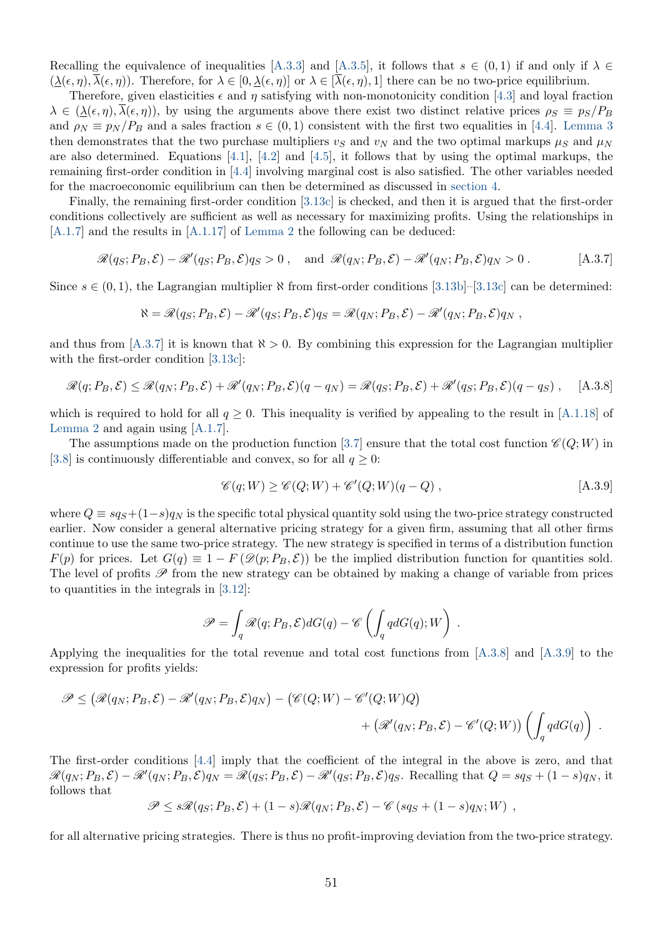Recalling the equivalence of inequalities [\[A.3.3\]](#page-51-2) and [\[A.3.5\]](#page-51-4), it follows that  $s \in (0,1)$  if and only if  $\lambda \in$  $(\lambda(\epsilon, \eta), \overline{\lambda}(\epsilon, \eta))$ . Therefore, for  $\lambda \in [0, \lambda(\epsilon, \eta)]$  or  $\lambda \in [\overline{\lambda}(\epsilon, \eta), 1]$  there can be no two-price equilibrium.

Therefore, given elasticities  $\epsilon$  and  $\eta$  satisfying with non-monotonicity condition [\[4.3\]](#page-14-1) and loyal fraction  $\lambda \in (\lambda(\epsilon, \eta), \overline{\lambda(\epsilon, \eta)})$ , by using the arguments above there exist two distinct relative prices  $\rho_S \equiv p_S/P_B$ and  $\rho_N \equiv p_N / P_B$  and a sales fraction  $s \in (0,1)$  consistent with the first two equalities in [\[4.4\]](#page-14-0). [Lemma 3](#page-47-0) then demonstrates that the two purchase multipliers  $v_S$  and  $v_N$  and the two optimal markups  $\mu_S$  and  $\mu_N$ are also determined. Equations [\[4.1\]](#page-13-2), [\[4.2\]](#page-13-1) and [\[4.5\]](#page-17-1), it follows that by using the optimal markups, the remaining first-order condition in [\[4.4\]](#page-14-0) involving marginal cost is also satisfied. The other variables needed for the macroeconomic equilibrium can then be determined as discussed in [section 4.](#page-13-0)

Finally, the remaining first-order condition [\[3.13c\]](#page-12-3) is checked, and then it is argued that the first-order conditions collectively are sufficient as well as necessary for maximizing profits. Using the relationships in [\[A.1.7\]](#page-42-7) and the results in [\[A.1.17\]](#page-44-3) of [Lemma 2](#page-44-5) the following can be deduced:

$$
\mathcal{R}(q_S; P_B, \mathcal{E}) - \mathcal{R}'(q_S; P_B, \mathcal{E})q_S > 0, \text{ and } \mathcal{R}(q_N; P_B, \mathcal{E}) - \mathcal{R}'(q_N; P_B, \mathcal{E})q_N > 0.
$$
 [A.3.7]

Since  $s \in (0,1)$ , the Lagrangian multiplier  $\aleph$  from first-order conditions [\[3.13b\]](#page-12-2)–[\[3.13c\]](#page-12-3) can be determined:

<span id="page-52-1"></span><span id="page-52-0"></span>
$$
\aleph = \mathscr{R}(q_S; P_B, \mathcal{E}) - \mathscr{R}'(q_S; P_B, \mathcal{E})q_S = \mathscr{R}(q_N; P_B, \mathcal{E}) - \mathscr{R}'(q_N; P_B, \mathcal{E})q_N,
$$

and thus from [\[A.3.7\]](#page-52-0) it is known that  $\aleph > 0$ . By combining this expression for the Lagrangian multiplier with the first-order condition [\[3.13c\]](#page-12-3):

$$
\mathcal{R}(q; P_B, \mathcal{E}) \leq \mathcal{R}(q_N; P_B, \mathcal{E}) + \mathcal{R}'(q_N; P_B, \mathcal{E})(q - q_N) = \mathcal{R}(q_S; P_B, \mathcal{E}) + \mathcal{R}'(q_S; P_B, \mathcal{E})(q - q_S), \quad [A.3.8]
$$

which is required to hold for all  $q \geq 0$ . This inequality is verified by appealing to the result in [\[A.1.18\]](#page-44-4) of [Lemma 2](#page-44-5) and again using [\[A.1.7\]](#page-42-7).

The assumptions made on the production function [\[3.7\]](#page-10-1) ensure that the total cost function  $\mathscr{C}(Q;W)$  in [\[3.8\]](#page-10-2) is continuously differentiable and convex, so for all  $q \geq 0$ :

<span id="page-52-2"></span>
$$
\mathscr{C}(q;W) \ge \mathscr{C}(Q;W) + \mathscr{C}'(Q;W)(q-Q) , \qquad [A.3.9]
$$

where  $Q \equiv s q_s + (1-s) q_N$  is the specific total physical quantity sold using the two-price strategy constructed earlier. Now consider a general alternative pricing strategy for a given firm, assuming that all other firms continue to use the same two-price strategy. The new strategy is specified in terms of a distribution function  $F(p)$  for prices. Let  $G(q) \equiv 1 - F(\mathscr{D}(p; P_B, \mathcal{E}))$  be the implied distribution function for quantities sold. The level of profits  $\mathscr P$  from the new strategy can be obtained by making a change of variable from prices to quantities in the integrals in [\[3.12\]](#page-11-3):

$$
\mathscr{P} = \int_{q} \mathscr{R}(q; P_B, \mathcal{E}) dG(q) - \mathscr{C} \left( \int_{q} q dG(q); W \right) .
$$

Applying the inequalities for the total revenue and total cost functions from [\[A.3.8\]](#page-52-1) and [\[A.3.9\]](#page-52-2) to the expression for profits yields:

$$
\mathscr{P} \leq (\mathscr{R}(q_N; P_B, \mathcal{E}) - \mathscr{R}'(q_N; P_B, \mathcal{E})q_N) - (\mathscr{C}(Q; W) - \mathscr{C}'(Q; W)Q) + (\mathscr{R}'(q_N; P_B, \mathcal{E}) - \mathscr{C}'(Q; W)) \left( \int_q q dG(q) \right).
$$

The first-order conditions [\[4.4\]](#page-14-0) imply that the coefficient of the integral in the above is zero, and that  $\mathscr{R}(q_N; P_B, \mathcal{E}) - \mathscr{R}'(q_N; P_B, \mathcal{E})q_N = \mathscr{R}(q_S; P_B, \mathcal{E}) - \mathscr{R}'(q_S; P_B, \mathcal{E})q_S$ . Recalling that  $Q = sq_S + (1 - s)q_N$ , it follows that

$$
\mathscr{P} \leq s\mathscr{R}(q_S; P_B, \mathcal{E}) + (1 - s)\mathscr{R}(q_N; P_B, \mathcal{E}) - \mathscr{C}(sq_S + (1 - s)q_N; W) ,
$$

for all alternative pricing strategies. There is thus no profit-improving deviation from the two-price strategy.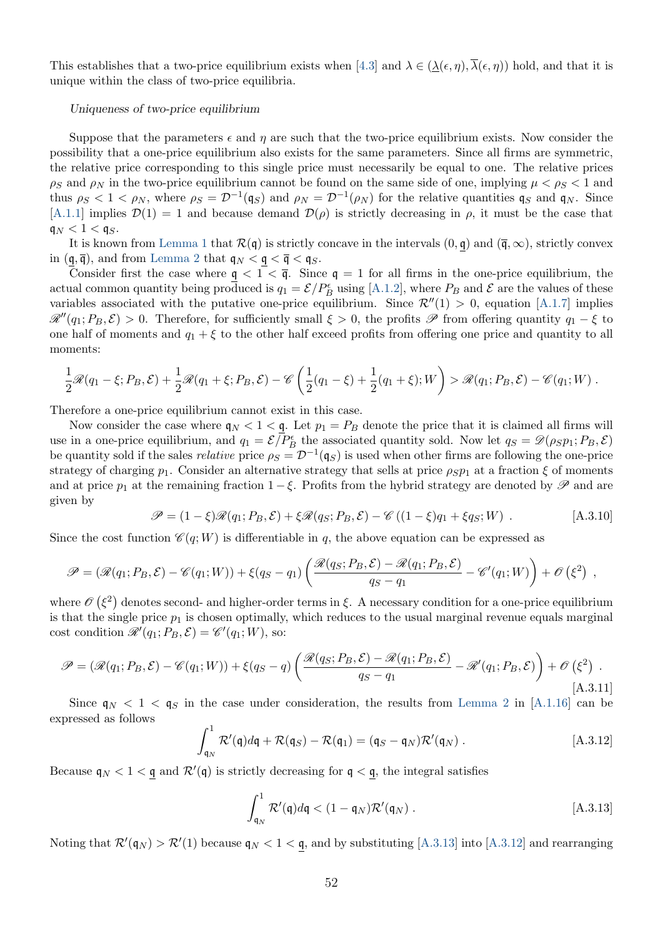This establishes that a two-price equilibrium exists when [\[4.3\]](#page-14-1) and  $\lambda \in (\underline{\lambda}(\epsilon, \eta), \overline{\lambda}(\epsilon, \eta))$  hold, and that it is unique within the class of two-price equilibria.

#### Uniqueness of two-price equilibrium

Suppose that the parameters  $\epsilon$  and  $\eta$  are such that the two-price equilibrium exists. Now consider the possibility that a one-price equilibrium also exists for the same parameters. Since all firms are symmetric, the relative price corresponding to this single price must necessarily be equal to one. The relative prices  $\rho_S$  and  $\rho_N$  in the two-price equilibrium cannot be found on the same side of one, implying  $\mu < \rho_S < 1$  and thus  $\rho_S < 1 < \rho_N$ , where  $\rho_S = \mathcal{D}^{-1}(\mathfrak{q}_S)$  and  $\rho_N = \mathcal{D}^{-1}(\rho_N)$  for the relative quantities  $\mathfrak{q}_S$  and  $\mathfrak{q}_N$ . Since [\[A.1.1\]](#page-41-2) implies  $\mathcal{D}(1) = 1$  and because demand  $\mathcal{D}(\rho)$  is strictly decreasing in  $\rho$ , it must be the case that  $\mathfrak{q}_N < 1 < \mathfrak{q}_S$ .

It is known from [Lemma 1](#page-42-6) that  $\mathcal{R}(\mathfrak{q})$  is strictly concave in the intervals  $(0, \mathfrak{q})$  and  $(\bar{\mathfrak{q}}, \infty)$ , strictly convex in  $(\mathfrak{q}, \overline{\mathfrak{q}})$ , and from [Lemma 2](#page-44-5) that  $\mathfrak{q}_N < \mathfrak{q} < \overline{\mathfrak{q}} < \mathfrak{q}_S$ .

Consider first the case where  $q < 1 < \bar{q}$ . Since  $q = 1$  for all firms in the one-price equilibrium, the actual common quantity being produced is  $q_1 = \mathcal{E}/P_B^{\epsilon}$  using [\[A.1.2\]](#page-41-5), where  $P_B$  and  $\mathcal{E}$  are the values of these variables associated with the putative one-price equilibrium. Since  $\mathcal{R}''(1) > 0$ , equation [\[A.1.7\]](#page-42-7) implies  $\mathcal{R}''(q_1; P_B, \mathcal{E}) > 0$ . Therefore, for sufficiently small  $\xi > 0$ , the profits  $\mathcal P$  from offering quantity  $q_1 - \xi$  to one half of moments and  $q_1 + \xi$  to the other half exceed profits from offering one price and quantity to all moments:

$$
\frac{1}{2}\mathscr{R}(q_1-\xi;P_B,\mathcal{E})+\frac{1}{2}\mathscr{R}(q_1+\xi;P_B,\mathcal{E})-\mathscr{C}\left(\frac{1}{2}(q_1-\xi)+\frac{1}{2}(q_1+\xi);W\right)>\mathscr{R}(q_1;P_B,\mathcal{E})-\mathscr{C}(q_1;W).
$$

Therefore a one-price equilibrium cannot exist in this case.

Now consider the case where  $q_N < 1 < q$ . Let  $p_1 = P_B$  denote the price that it is claimed all firms will use in a one-price equilibrium, and  $q_1 = \mathcal{E}/P_B^{\epsilon}$  the associated quantity sold. Now let  $q_S = \mathcal{D}(\rho_S p_1; P_B, \mathcal{E})$ be quantity sold if the sales *relative* price  $\rho_S = \mathcal{D}^{-1}(\mathfrak{q}_S)$  is used when other firms are following the one-price strategy of charging  $p_1$ . Consider an alternative strategy that sells at price  $\rho_S p_1$  at a fraction  $\xi$  of moments and at price  $p_1$  at the remaining fraction  $1-\xi$ . Profits from the hybrid strategy are denoted by  $\mathscr P$  and are given by

<span id="page-53-3"></span>
$$
\mathscr{P} = (1 - \xi)\mathscr{R}(q_1; P_B, \mathcal{E}) + \xi\mathscr{R}(q_S; P_B, \mathcal{E}) - \mathscr{C}((1 - \xi)q_1 + \xi q_S; W) \tag{A.3.10}
$$

Since the cost function  $\mathcal{C}(q;W)$  is differentiable in q, the above equation can be expressed as

$$
\mathscr{P} = (\mathscr{R}(q_1; P_B, \mathcal{E}) - \mathscr{C}(q_1; W)) + \xi(q_S - q_1) \left( \frac{\mathscr{R}(q_S; P_B, \mathcal{E}) - \mathscr{R}(q_1; P_B, \mathcal{E})}{q_S - q_1} - \mathscr{C}'(q_1; W) \right) + \mathscr{O}(\xi^2) ,
$$

where  $\mathscr{O}(\xi^2)$  denotes second- and higher-order terms in  $\xi$ . A necessary condition for a one-price equilibrium is that the single price  $p_1$  is chosen optimally, which reduces to the usual marginal revenue equals marginal cost condition  $\mathcal{R}'(q_1; P_B, \mathcal{E}) = \mathcal{C}'(q_1; W)$ , so:

$$
\mathscr{P} = (\mathscr{R}(q_1; P_B, \mathcal{E}) - \mathscr{C}(q_1; W)) + \xi(q_S - q) \left( \frac{\mathscr{R}(q_S; P_B, \mathcal{E}) - \mathscr{R}(q_1; P_B, \mathcal{E})}{q_S - q_1} - \mathscr{R}'(q_1; P_B, \mathcal{E}) \right) + \mathscr{O}(\xi^2) .
$$
\n[A.3.11]

Since  $q_N < 1 < q_S$  in the case under consideration, the results from [Lemma 2](#page-44-5) in [\[A.1.16\]](#page-44-2) can be expressed as follows

<span id="page-53-2"></span><span id="page-53-1"></span>
$$
\int_{\mathfrak{q}_N}^1 \mathcal{R}'(\mathfrak{q}) d\mathfrak{q} + \mathcal{R}(\mathfrak{q}_S) - \mathcal{R}(\mathfrak{q}_1) = (\mathfrak{q}_S - \mathfrak{q}_N)\mathcal{R}'(\mathfrak{q}_N).
$$
 [A.3.12]

Because  $\mathfrak{q}_N < 1 < \underline{\mathfrak{q}}$  and  $\mathcal{R}'(\mathfrak{q})$  is strictly decreasing for  $\mathfrak{q} < \underline{\mathfrak{q}}$ , the integral satisfies

<span id="page-53-0"></span>
$$
\int_{\mathfrak{q}_N}^1 \mathcal{R}'(\mathfrak{q}) d\mathfrak{q} < (1 - \mathfrak{q}_N) \mathcal{R}'(\mathfrak{q}_N) .
$$
 [A.3.13]

Noting that  $\mathcal{R}'(\mathfrak{q}_N) > \mathcal{R}'(1)$  because  $\mathfrak{q}_N < 1 < \underline{\mathfrak{q}}$ , and by substituting [\[A.3.13\]](#page-53-0) into [\[A.3.12\]](#page-53-1) and rearranging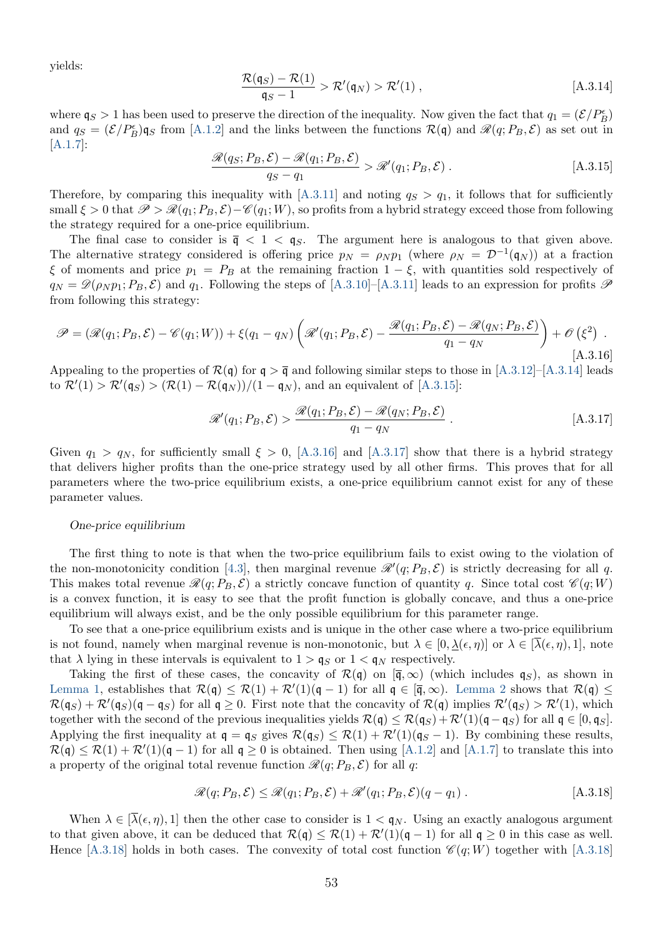<span id="page-54-0"></span>yields:

$$
\frac{\mathcal{R}(\mathfrak{q}_S) - \mathcal{R}(1)}{\mathfrak{q}_S - 1} > \mathcal{R}'(\mathfrak{q}_N) > \mathcal{R}'(1) , \qquad [A.3.14]
$$

<span id="page-54-1"></span>where  $\mathfrak{q}_S > 1$  has been used to preserve the direction of the inequality. Now given the fact that  $q_1 = (\mathcal{E}/P_B^{\epsilon})$ and  $q_S = (\mathcal{E}/P_B^{\epsilon})q_S$  from [\[A.1.2\]](#page-41-5) and the links between the functions  $\mathcal{R}(\mathfrak{q})$  and  $\mathcal{R}(q; P_B, \mathcal{E})$  as set out in [\[A.1.7\]](#page-42-7):

$$
\frac{\mathcal{R}(q_S; P_B, \mathcal{E}) - \mathcal{R}(q_1; P_B, \mathcal{E})}{q_S - q_1} > \mathcal{R}'(q_1; P_B, \mathcal{E}) .
$$
\n[A.3.15]

Therefore, by comparing this inequality with [\[A.3.11\]](#page-53-2) and noting  $q_S > q_1$ , it follows that for sufficiently small  $\xi > 0$  that  $\mathscr{P} > \mathscr{R}(q_1; P_B, \mathcal{E}) - \mathscr{C}(q_1; W)$ , so profits from a hybrid strategy exceed those from following the strategy required for a one-price equilibrium.

The final case to consider is  $\bar{q} < 1 < q_S$ . The argument here is analogous to that given above. The alternative strategy considered is offering price  $p_N = \rho_N p_1$  (where  $\rho_N = \mathcal{D}^{-1}(\mathfrak{q}_N)$ ) at a fraction  $\xi$  of moments and price  $p_1 = P_B$  at the remaining fraction  $1 - \xi$ , with quantities sold respectively of  $q_N = \mathscr{D}(\rho_N p_1; P_B, \mathcal{E})$  and  $q_1$ . Following the steps of [\[A.3.10\]](#page-53-3)–[\[A.3.11\]](#page-53-2) leads to an expression for profits  $\mathscr{P}$ from following this strategy:

$$
\mathscr{P} = (\mathscr{R}(q_1; P_B, \mathcal{E}) - \mathscr{C}(q_1; W)) + \xi(q_1 - q_N) \left( \mathscr{R}'(q_1; P_B, \mathcal{E}) - \frac{\mathscr{R}(q_1; P_B, \mathcal{E}) - \mathscr{R}(q_N; P_B, \mathcal{E})}{q_1 - q_N} \right) + \mathscr{O}(\xi^2) .
$$
\n[A.3.16]

Appealing to the properties of  $\mathcal{R}(\mathfrak{q})$  for  $\mathfrak{q} > \overline{\mathfrak{q}}$  and following similar steps to those in [\[A.3.12\]](#page-53-1)–[\[A.3.14\]](#page-54-0) leads to  $\mathcal{R}'(1) > \mathcal{R}'(\mathfrak{q}_S) > (\mathcal{R}(1) - \mathcal{R}(\mathfrak{q}_N))/(1 - \mathfrak{q}_N)$ , and an equivalent of [\[A.3.15\]](#page-54-1):

<span id="page-54-3"></span><span id="page-54-2"></span>
$$
\mathcal{R}'(q_1; P_B, \mathcal{E}) > \frac{\mathcal{R}(q_1; P_B, \mathcal{E}) - \mathcal{R}(q_N; P_B, \mathcal{E})}{q_1 - q_N}.
$$
 (A.3.17)

Given  $q_1 > q_N$ , for sufficiently small  $\xi > 0$ , [\[A.3.16\]](#page-54-2) and [\[A.3.17\]](#page-54-3) show that there is a hybrid strategy that delivers higher profits than the one-price strategy used by all other firms. This proves that for all parameters where the two-price equilibrium exists, a one-price equilibrium cannot exist for any of these parameter values.

#### One-price equilibrium

The first thing to note is that when the two-price equilibrium fails to exist owing to the violation of the non-monotonicity condition [\[4.3\]](#page-14-1), then marginal revenue  $\mathcal{R}'(q; P_B, \mathcal{E})$  is strictly decreasing for all q. This makes total revenue  $\mathcal{R}(q; P_B, \mathcal{E})$  a strictly concave function of quantity q. Since total cost  $\mathcal{C}(q; W)$ is a convex function, it is easy to see that the profit function is globally concave, and thus a one-price equilibrium will always exist, and be the only possible equilibrium for this parameter range.

To see that a one-price equilibrium exists and is unique in the other case where a two-price equilibrium is not found, namely when marginal revenue is non-monotonic, but  $\lambda \in [0, \lambda(\epsilon, \eta)]$  or  $\lambda \in [\lambda(\epsilon, \eta), 1]$ , note that  $\lambda$  lying in these intervals is equivalent to  $1 > \mathfrak{q}_S$  or  $1 < \mathfrak{q}_N$  respectively.

Taking the first of these cases, the concavity of  $\mathcal{R}(\mathfrak{q})$  on  $[\bar{\mathfrak{q}}, \infty)$  (which includes  $\mathfrak{q}_S$ ), as shown in [Lemma 1,](#page-42-6) establishes that  $\mathcal{R}(\mathfrak{q}) \leq \mathcal{R}(1) + \mathcal{R}'(1)(\mathfrak{q} - 1)$  for all  $\mathfrak{q} \in [\overline{\mathfrak{q}}, \infty)$ . [Lemma 2](#page-44-5) shows that  $\mathcal{R}(\mathfrak{q}) \leq$  $\mathcal{R}(\mathfrak{q}_S) + \mathcal{R}'(\mathfrak{q}_S)(\mathfrak{q} - \mathfrak{q}_S)$  for all  $\mathfrak{q} \ge 0$ . First note that the concavity of  $\mathcal{R}(\mathfrak{q})$  implies  $\mathcal{R}'(\mathfrak{q}_S) > \mathcal{R}'(1)$ , which together with the second of the previous inequalities yields  $\mathcal{R}(\mathfrak{q}) \leq \mathcal{R}(\mathfrak{q}_S) + \mathcal{R}'(1)(\mathfrak{q} - \mathfrak{q}_S)$  for all  $\mathfrak{q} \in [0, \mathfrak{q}_S]$ . Applying the first inequality at  $q = q_S$  gives  $\mathcal{R}(q_S) \leq \mathcal{R}(1) + \mathcal{R}'(1)(q_S - 1)$ . By combining these results,  $\mathcal{R}(\mathfrak{q}) \leq \mathcal{R}(1) + \mathcal{R}'(1)(\mathfrak{q} - 1)$  for all  $\mathfrak{q} \geq 0$  is obtained. Then using [\[A.1.2\]](#page-41-5) and [\[A.1.7\]](#page-42-7) to translate this into a property of the original total revenue function  $\mathcal{R}(q; P_B, \mathcal{E})$  for all q:

<span id="page-54-4"></span>
$$
\mathcal{R}(q; P_B, \mathcal{E}) \le \mathcal{R}(q_1; P_B, \mathcal{E}) + \mathcal{R}'(q_1; P_B, \mathcal{E})(q - q_1).
$$
 [A.3.18]

When  $\lambda \in [\overline{\lambda}(\epsilon, \eta), 1]$  then the other case to consider is  $1 < q_N$ . Using an exactly analogous argument to that given above, it can be deduced that  $\mathcal{R}(\mathfrak{q}) \leq \mathcal{R}(1) + \mathcal{R}'(1)(\mathfrak{q} - 1)$  for all  $\mathfrak{q} \geq 0$  in this case as well. Hence [\[A.3.18\]](#page-54-4) holds in both cases. The convexity of total cost function  $\mathscr{C}(q;W)$  together with [A.3.18]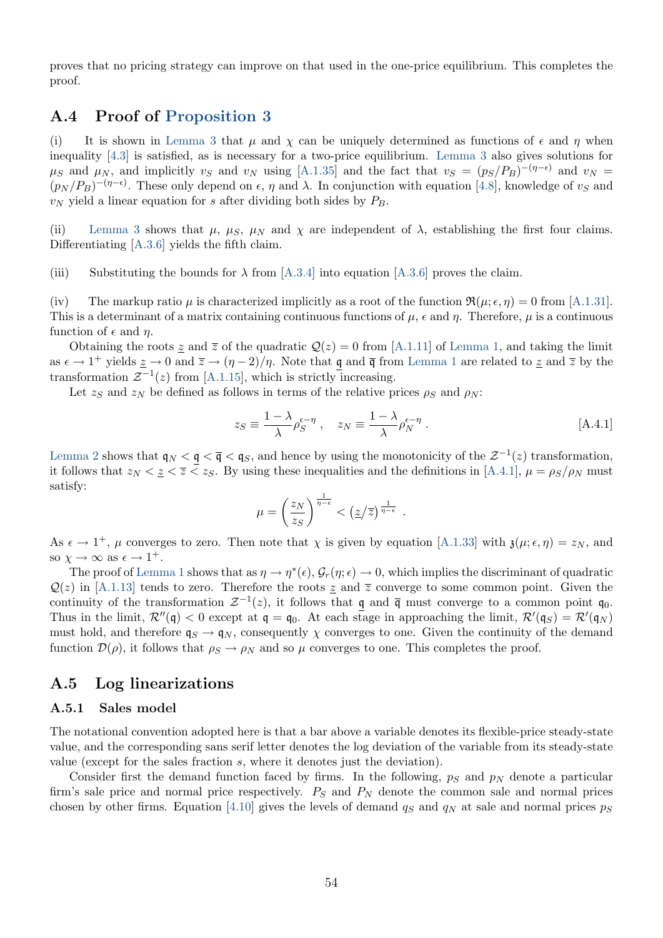proves that no pricing strategy can improve on that used in the one-price equilibrium. This completes the proof.

### <span id="page-55-0"></span>A.4 Proof of [Proposition 3](#page-17-2)

(i) It is shown in [Lemma 3](#page-47-0) that  $\mu$  and  $\chi$  can be uniquely determined as functions of  $\epsilon$  and  $\eta$  when inequality [\[4.3\]](#page-14-1) is satisfied, as is necessary for a two-price equilibrium. [Lemma 3](#page-47-0) also gives solutions for  $\mu_S$  and  $\mu_N$ , and implicitly  $v_S$  and  $v_N$  using [\[A.1.35\]](#page-48-5) and the fact that  $v_S = (p_S/P_B)^{-(\eta-\epsilon)}$  and  $v_N =$  $(p_N / P_B)^{-(\eta - \epsilon)}$ . These only depend on  $\epsilon$ ,  $\eta$  and  $\lambda$ . In conjunction with equation [\[4.8\]](#page-17-3), knowledge of  $v_S$  and  $v_N$  yield a linear equation for s after dividing both sides by  $P_B$ .

(ii) [Lemma 3](#page-47-0) shows that  $\mu$ ,  $\mu$ s,  $\mu$ <sub>N</sub> and  $\chi$  are independent of  $\lambda$ , establishing the first four claims. Differentiating [\[A.3.6\]](#page-51-0) yields the fifth claim.

(iii) Substituting the bounds for  $\lambda$  from [\[A.3.4\]](#page-51-5) into equation [\[A.3.6\]](#page-51-0) proves the claim.

(iv) The markup ratio  $\mu$  is characterized implicitly as a root of the function  $\Re(\mu; \epsilon, \eta) = 0$  from [\[A.1.31\]](#page-47-3). This is a determinant of a matrix containing continuous functions of  $\mu$ ,  $\epsilon$  and  $\eta$ . Therefore,  $\mu$  is a continuous function of  $\epsilon$  and  $\eta$ .

Obtaining the roots z and  $\overline{z}$  of the quadratic  $\mathcal{Q}(z) = 0$  from [\[A.1.11\]](#page-42-4) of [Lemma 1,](#page-42-6) and taking the limit as  $\epsilon \to 1^+$  yields  $\underline{z} \to 0$  and  $\overline{z} \to (\eta - 2)/\eta$ . Note that  $\underline{q}$  and  $\overline{q}$  from [Lemma 1](#page-42-6) are related to  $\underline{z}$  and  $\overline{z}$  by the transformation  $\mathcal{Z}^{-1}(z)$  from [\[A.1.15\]](#page-44-6), which is strictly increasing.

Let  $z_S$  and  $z_N$  be defined as follows in terms of the relative prices  $\rho_S$  and  $\rho_N$ :

<span id="page-55-1"></span>
$$
z_S \equiv \frac{1 - \lambda}{\lambda} \rho_S^{\epsilon - \eta} , \quad z_N \equiv \frac{1 - \lambda}{\lambda} \rho_N^{\epsilon - \eta} .
$$
 [A.4.1]

[Lemma 2](#page-44-5) shows that  $\mathfrak{q}_N < \mathfrak{q} < \mathfrak{q} < \mathfrak{q}_S$ , and hence by using the monotonicity of the  $\mathcal{Z}^{-1}(z)$  transformation, it follows that  $z_N < z \leq z_S$ . By using these inequalities and the definitions in [\[A.4.1\]](#page-55-1),  $\mu = \rho_S/\rho_N$  must satisfy:

$$
\mu = \left(\frac{z_N}{z_S}\right)^{\frac{1}{\eta - \epsilon}} < \left(\frac{z}{z}\right)^{\frac{1}{\eta - \epsilon}}.
$$

As  $\epsilon \to 1^+$ ,  $\mu$  converges to zero. Then note that  $\chi$  is given by equation [\[A.1.33\]](#page-47-4) with  $\mathfrak{z}(\mu; \epsilon, \eta) = z_N$ , and so  $\chi \to \infty$  as  $\epsilon \to 1^+$ .

The proof of [Lemma 1](#page-42-6) shows that as  $\eta \to \eta^*(\epsilon)$ ,  $\mathcal{G}_r(\eta;\epsilon) \to 0$ , which implies the discriminant of quadratic  $\mathcal{Q}(z)$  in [\[A.1.13\]](#page-43-2) tends to zero. Therefore the roots  $z$  and  $\overline{z}$  converge to some common point. Given the continuity of the transformation  $\mathcal{Z}^{-1}(z)$ , it follows that  $\underline{\mathfrak{q}}$  and  $\overline{\mathfrak{q}}$  must converge to a common point  $\mathfrak{q}_0$ . Thus in the limit,  $\mathcal{R}''(\mathfrak{q}) < 0$  except at  $\mathfrak{q} = \mathfrak{q}_0$ . At each stage in approaching the limit,  $\mathcal{R}'(\mathfrak{q}_S) = \mathcal{R}'(\mathfrak{q}_N)$ must hold, and therefore  $q_S \rightarrow q_N$ , consequently  $\chi$  converges to one. Given the continuity of the demand function  $\mathcal{D}(\rho)$ , it follows that  $\rho_S \to \rho_N$  and so  $\mu$  converges to one. This completes the proof.

### A.5 Log linearizations

#### <span id="page-55-2"></span>A.5.1 Sales model

The notational convention adopted here is that a bar above a variable denotes its flexible-price steady-state value, and the corresponding sans serif letter denotes the log deviation of the variable from its steady-state value (except for the sales fraction s, where it denotes just the deviation).

Consider first the demand function faced by firms. In the following,  $p<sub>S</sub>$  and  $p<sub>N</sub>$  denote a particular firm's sale price and normal price respectively.  $P<sub>S</sub>$  and  $P<sub>N</sub>$  denote the common sale and normal prices chosen by other firms. Equation [\[4.10\]](#page-18-1) gives the levels of demand  $q<sub>S</sub>$  and  $q<sub>N</sub>$  at sale and normal prices  $p<sub>S</sub>$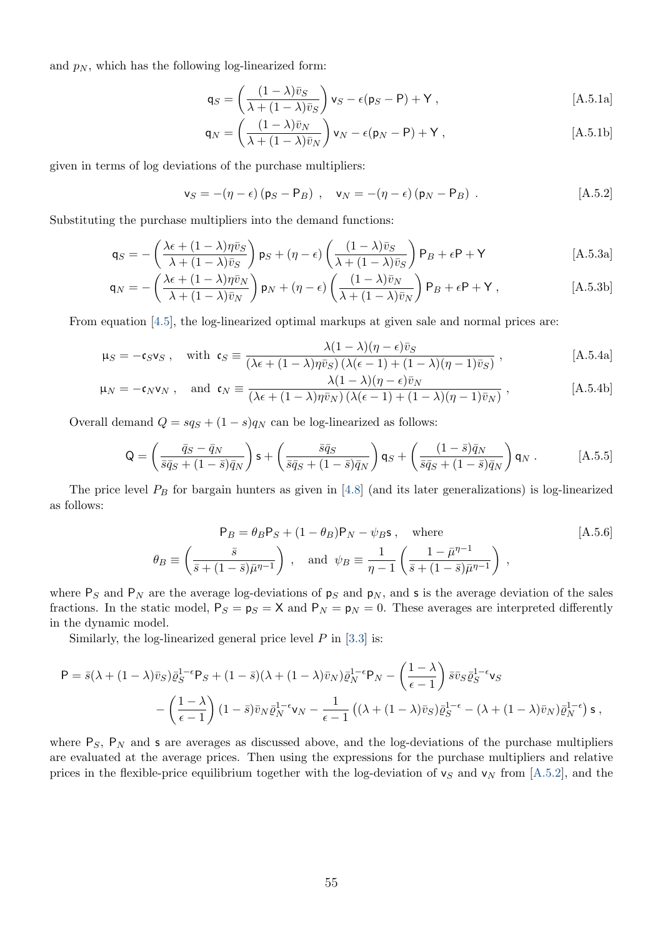and  $p_N$ , which has the following log-linearized form:

$$
\mathbf{q}_S = \left(\frac{(1-\lambda)\bar{v}_S}{\lambda + (1-\lambda)\bar{v}_S}\right)\mathbf{v}_S - \epsilon(\mathbf{p}_S - \mathbf{P}) + \mathbf{Y},\tag{A.5.1a}
$$

<span id="page-56-2"></span><span id="page-56-0"></span>
$$
\mathsf{q}_N = \left(\frac{(1-\lambda)\bar{v}_N}{\lambda + (1-\lambda)\bar{v}_N}\right)\mathsf{v}_N - \epsilon(\mathsf{p}_N - \mathsf{P}) + \mathsf{Y},\tag{A.5.1b}
$$

given in terms of log deviations of the purchase multipliers:

<span id="page-56-4"></span> $v_S = -(\eta - \epsilon) (p_S - P_B)$ ,  $v_N = -(\eta - \epsilon) (p_N - P_B)$ . [A.5.2]

Substituting the purchase multipliers into the demand functions:

$$
\mathsf{q}_S = -\left(\frac{\lambda \epsilon + (1-\lambda)\bar{n}_S}{\lambda + (1-\lambda)\bar{v}_S}\right)\mathsf{p}_S + (\eta - \epsilon)\left(\frac{(1-\lambda)\bar{v}_S}{\lambda + (1-\lambda)\bar{v}_S}\right)\mathsf{P}_B + \epsilon \mathsf{P} + \mathsf{Y}
$$
\n[A.5.3a]

$$
\mathsf{q}_N = -\left(\frac{\lambda\epsilon + (1-\lambda)\eta\bar{v}_N}{\lambda + (1-\lambda)\bar{v}_N}\right)\mathsf{p}_N + (\eta - \epsilon)\left(\frac{(1-\lambda)\bar{v}_N}{\lambda + (1-\lambda)\bar{v}_N}\right)\mathsf{P}_B + \epsilon\mathsf{P} + \mathsf{Y},\tag{A.5.3b}
$$

From equation [\[4.5\]](#page-17-1), the log-linearized optimal markups at given sale and normal prices are:

$$
\mu_S = -\mathfrak{c}_S \mathsf{v}_S \ , \quad \text{with } \ \mathfrak{c}_S \equiv \frac{\lambda (1 - \lambda)(\eta - \epsilon)\bar{v}_S}{(\lambda \epsilon + (1 - \lambda)\eta \bar{v}_S) \left(\lambda (\epsilon - 1) + (1 - \lambda)(\eta - 1)\bar{v}_S\right)} \ , \tag{A.5.4a}
$$

$$
\mu_N = -\mathfrak{c}_N \mathsf{v}_N \ , \quad \text{and} \ \mathfrak{c}_N \equiv \frac{\lambda (1 - \lambda)(\eta - \epsilon) v_N}{(\lambda \epsilon + (1 - \lambda)\eta \bar{v}_N) \left(\lambda (\epsilon - 1) + (1 - \lambda)(\eta - 1)\bar{v}_N\right)} \ , \tag{A.5.4b}
$$

Overall demand  $Q = sq_S + (1 - s)q_N$  can be log-linearized as follows:

$$
\mathsf{Q} = \left(\frac{\bar{q}_S - \bar{q}_N}{\bar{s}\bar{q}_S + (1-\bar{s})\bar{q}_N}\right)\mathsf{s} + \left(\frac{\bar{s}\bar{q}_S}{\bar{s}\bar{q}_S + (1-\bar{s})\bar{q}_N}\right)\mathsf{q}_S + \left(\frac{(1-\bar{s})\bar{q}_N}{\bar{s}\bar{q}_S + (1-\bar{s})\bar{q}_N}\right)\mathsf{q}_N.
$$
 [A.5.5]

The price level  $P_B$  for bargain hunters as given in [\[4.8\]](#page-17-3) (and its later generalizations) is log-linearized as follows:

<span id="page-56-3"></span><span id="page-56-1"></span>
$$
\mathsf{P}_B = \theta_B \mathsf{P}_S + (1 - \theta_B) \mathsf{P}_N - \psi_B \mathsf{s} , \quad \text{where} \quad [\text{A.5.6}]
$$
\n
$$
\theta_B \equiv \left(\frac{\bar{s}}{\bar{s} + (1 - \bar{s})\bar{\mu}^{\eta - 1}}\right), \quad \text{and} \quad \psi_B \equiv \frac{1}{\eta - 1} \left(\frac{1 - \bar{\mu}^{\eta - 1}}{\bar{s} + (1 - \bar{s})\bar{\mu}^{\eta - 1}}\right), \quad [\text{A.5.6}]
$$

where  $P_S$  and  $P_N$  are the average log-deviations of  $p_S$  and  $p_N$ , and s is the average deviation of the sales fractions. In the static model,  $P_S = p_S = X$  and  $P_N = p_N = 0$ . These averages are interpreted differently in the dynamic model.

Similarly, the log-linearized general price level  $P$  in [\[3.3\]](#page-9-0) is:

$$
\mathsf{P} = \bar{s}(\lambda + (1 - \lambda)\bar{v}_S)\bar{\varrho}_S^{1-\epsilon}\mathsf{P}_S + (1 - \bar{s})(\lambda + (1 - \lambda)\bar{v}_N)\bar{\varrho}_N^{1-\epsilon}\mathsf{P}_N - \left(\frac{1-\lambda}{\epsilon - 1}\right)\bar{s}\bar{v}_S\bar{\varrho}_S^{1-\epsilon}\mathsf{v}_S -\left(\frac{1-\lambda}{\epsilon - 1}\right)(1 - \bar{s})\bar{v}_N\bar{\varrho}_N^{1-\epsilon}\mathsf{v}_N - \frac{1}{\epsilon - 1}\left((\lambda + (1 - \lambda)\bar{v}_S)\bar{\varrho}_S^{1-\epsilon} - (\lambda + (1 - \lambda)\bar{v}_N)\bar{\varrho}_N^{1-\epsilon}\right)\mathsf{s} ,
$$

where  $P_S$ ,  $P_N$  and s are averages as discussed above, and the log-deviations of the purchase multipliers are evaluated at the average prices. Then using the expressions for the purchase multipliers and relative prices in the flexible-price equilibrium together with the log-deviation of  $v_s$  and  $v_N$  from [\[A.5.2\]](#page-56-0), and the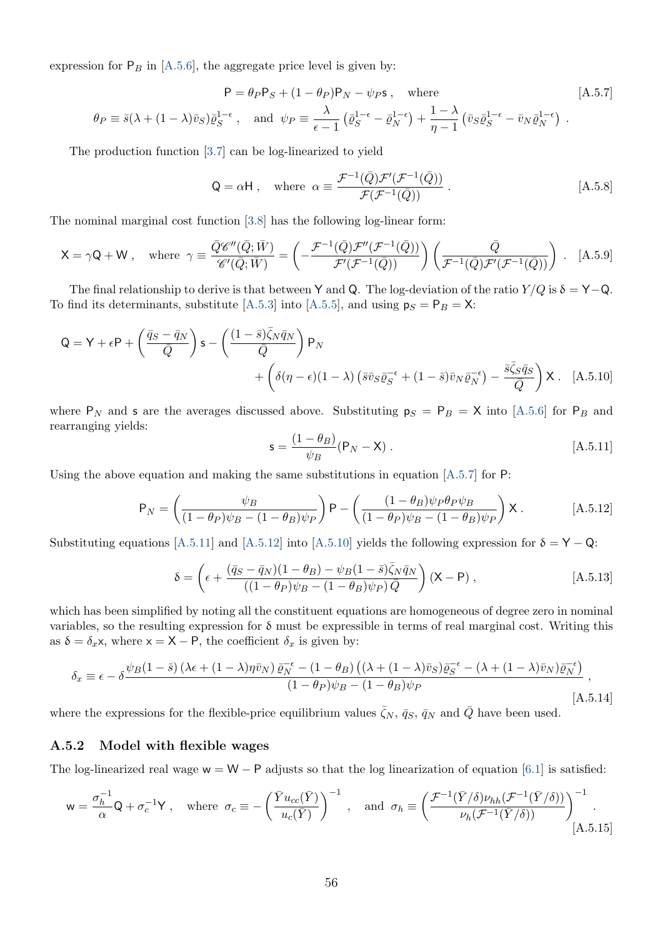expression for  $P_B$  in [\[A.5.6\]](#page-56-1), the aggregate price level is given by:

$$
P = \theta_P P_S + (1 - \theta_P) P_N - \psi_P s, \text{ where } [A.5.7]
$$
  

$$
\theta_P \equiv \bar{s}(\lambda + (1 - \lambda)\bar{v}_S)\bar{\varrho}_S^{1-\epsilon}, \text{ and } \psi_P \equiv \frac{\lambda}{\epsilon - 1}(\bar{\varrho}_S^{1-\epsilon} - \bar{\varrho}_N^{1-\epsilon}) + \frac{1 - \lambda}{\eta - 1}(\bar{v}_S\bar{\varrho}_S^{1-\epsilon} - \bar{v}_N\bar{\varrho}_N^{1-\epsilon}).
$$

The production function [\[3.7\]](#page-10-1) can be log-linearized to yield

<span id="page-57-7"></span><span id="page-57-4"></span><span id="page-57-0"></span>
$$
\mathsf{Q} = \alpha \mathsf{H} \,, \quad \text{where} \ \ \alpha \equiv \frac{\mathcal{F}^{-1}(\bar{Q})\mathcal{F}'(\mathcal{F}^{-1}(\bar{Q}))}{\mathcal{F}(\mathcal{F}^{-1}(\bar{Q}))} \,. \tag{A.5.8}
$$

The nominal marginal cost function [\[3.8\]](#page-10-2) has the following log-linear form:

$$
\mathsf{X} = \gamma \mathsf{Q} + \mathsf{W} \ , \quad \text{where} \ \ \gamma \equiv \frac{\bar{Q} \mathscr{C}''(\bar{Q}; \bar{W})}{\mathscr{C}'(\bar{Q}; \bar{W})} = \left( -\frac{\mathcal{F}^{-1}(\bar{Q}) \mathcal{F}''(\mathcal{F}^{-1}(\bar{Q}))}{\mathcal{F}'(\mathcal{F}^{-1}(\bar{Q}))} \right) \left( \frac{\bar{Q}}{\mathcal{F}^{-1}(\bar{Q}) \mathcal{F}'(\mathcal{F}^{-1}(\bar{Q}))} \right) . \tag{A.5.9}
$$

The final relationship to derive is that between Y and Q. The log-deviation of the ratio  $Y/Q$  is  $\delta = Y-Q$ . To find its determinants, substitute [\[A.5.3\]](#page-56-2) into [\[A.5.5\]](#page-56-3), and using  $p_S = P_B = X$ :

$$
Q = Y + \epsilon P + \left(\frac{\bar{q}_S - \bar{q}_N}{\bar{Q}}\right) s - \left(\frac{(1-\bar{s})\bar{\zeta}_N \bar{q}_N}{\bar{Q}}\right) P_N + \left(\delta(\eta - \epsilon)(1-\lambda)\left(\bar{s}\bar{v}_S\bar{g}_S^{-\epsilon} + (1-\bar{s})\bar{v}_N\bar{g}_N^{-\epsilon}\right) - \frac{\bar{s}\bar{\zeta}_S\bar{q}_S}{\bar{Q}}\right) X . [A.5.10]
$$

where  $P_N$  and s are the averages discussed above. Substituting  $p_S = P_B = X$  into [\[A.5.6\]](#page-56-1) for  $P_B$  and rearranging yields:

<span id="page-57-8"></span><span id="page-57-5"></span><span id="page-57-3"></span><span id="page-57-2"></span>
$$
\mathbf{s} = \frac{(1 - \theta_B)}{\psi_B} (\mathbf{P}_N - \mathbf{X}). \tag{A.5.11}
$$

Using the above equation and making the same substitutions in equation  $[A.5.7]$  for P:

<span id="page-57-1"></span>
$$
P_N = \left(\frac{\psi_B}{(1-\theta_P)\psi_B - (1-\theta_B)\psi_P}\right) P - \left(\frac{(1-\theta_B)\psi_P\theta_P\psi_B}{(1-\theta_P)\psi_B - (1-\theta_B)\psi_P}\right) X. \tag{A.5.12}
$$

Substituting equations [\[A.5.11\]](#page-57-1) and [\[A.5.12\]](#page-57-2) into [\[A.5.10\]](#page-57-3) yields the following expression for  $\delta = Y - Q$ :

<span id="page-57-6"></span>
$$
\delta = \left(\epsilon + \frac{(\bar{q}_S - \bar{q}_N)(1 - \theta_B) - \psi_B(1 - \bar{s})\bar{\zeta}_N\bar{q}_N}{((1 - \theta_P)\psi_B - (1 - \theta_B)\psi_P)\bar{Q}}\right) (X - P) ,\qquad [A.5.13]
$$

which has been simplified by noting all the constituent equations are homogeneous of degree zero in nominal variables, so the resulting expression for  $\delta$  must be expressible in terms of real marginal cost. Writing this as  $\delta = \delta_x$ x, where  $x = X - P$ , the coefficient  $\delta_x$  is given by:

$$
\delta_x \equiv \epsilon - \delta \frac{\psi_B (1 - \bar{s}) \left(\lambda \epsilon + (1 - \lambda) \eta \bar{v}_N\right) \bar{\varrho}_N^{-\epsilon} - (1 - \theta_B) \left((\lambda + (1 - \lambda) \bar{v}_S) \bar{\varrho}_S^{-\epsilon} - (\lambda + (1 - \lambda) \bar{v}_N) \bar{\varrho}_N^{-\epsilon}\right)}{(1 - \theta_P) \psi_B - (1 - \theta_B) \psi_P},
$$
\n[A.5.14]

where the expressions for the flexible-price equilibrium values  $\bar{\zeta}_N$ ,  $\bar{q}_S$ ,  $\bar{q}_N$  and  $\bar{Q}$  have been used.

#### A.5.2 Model with flexible wages

The log-linearized real wage  $w = W - P$  adjusts so that the log linearization of equation [\[6.1\]](#page-28-2) is satisfied:

$$
\mathsf{w} = \frac{\sigma_h^{-1}}{\alpha} \mathsf{Q} + \sigma_c^{-1} \mathsf{Y} \;, \quad \text{where} \quad \sigma_c \equiv -\left(\frac{\bar{Y} u_{cc}(\bar{Y})}{u_c(\bar{Y})}\right)^{-1} \;, \quad \text{and} \quad \sigma_h \equiv \left(\frac{\mathcal{F}^{-1}(\bar{Y}/\delta) \nu_{hh}(\mathcal{F}^{-1}(\bar{Y}/\delta))}{\nu_h(\mathcal{F}^{-1}(\bar{Y}/\delta))}\right)^{-1} \;.
$$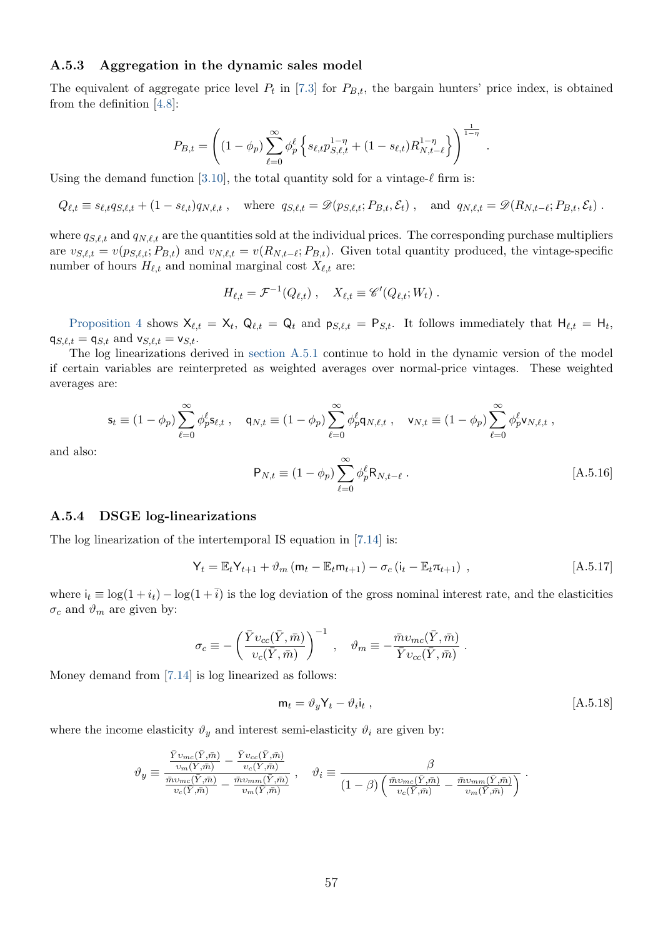#### A.5.3 Aggregation in the dynamic sales model

The equivalent of aggregate price level  $P_t$  in [\[7.3\]](#page-30-2) for  $P_{B,t}$ , the bargain hunters' price index, is obtained from the definition [\[4.8\]](#page-17-3):

$$
P_{B,t} = \left( (1 - \phi_p) \sum_{\ell=0}^{\infty} \phi_p^{\ell} \left\{ s_{\ell,t} p_{S,\ell,t}^{1-\eta} + (1 - s_{\ell,t}) R_{N,t-\ell}^{1-\eta} \right\} \right)^{\frac{1}{1-\eta}}.
$$

Using the demand function [\[3.10\]](#page-11-1), the total quantity sold for a vintage- $\ell$  firm is:

$$
Q_{\ell,t} \equiv s_{\ell,t}q_{S,\ell,t} + (1 - s_{\ell,t})q_{N,\ell,t} , \text{ where } q_{S,\ell,t} = \mathscr{D}(p_{S,\ell,t}; P_{B,t}, \mathcal{E}_t) , \text{ and } q_{N,\ell,t} = \mathscr{D}(R_{N,t-\ell}; P_{B,t}, \mathcal{E}_t) .
$$

where  $q_{S,\ell,t}$  and  $q_{N,\ell,t}$  are the quantities sold at the individual prices. The corresponding purchase multipliers are  $v_{S,\ell,t} = v(p_{S,\ell,t}; P_{B,t})$  and  $v_{N,\ell,t} = v(R_{N,t-\ell}; P_{B,t})$ . Given total quantity produced, the vintage-specific number of hours  $H_{\ell,t}$  and nominal marginal cost  $X_{\ell,t}$  are:

$$
H_{\ell,t} = \mathcal{F}^{-1}(Q_{\ell,t}), \quad X_{\ell,t} \equiv \mathscr{C}'(Q_{\ell,t};W_t) .
$$

[Proposition 4](#page-26-0) shows  $X_{\ell,t} = X_t$ ,  $Q_{\ell,t} = Q_t$  and  $p_{S,\ell,t} = P_{S,t}$ . It follows immediately that  $H_{\ell,t} = H_t$ ,  $q_{S,\ell,t} = q_{S,t}$  and  $v_{S,\ell,t} = v_{S,t}$ .

The log linearizations derived in [section A.5.1](#page-55-2) continue to hold in the dynamic version of the model if certain variables are reinterpreted as weighted averages over normal-price vintages. These weighted averages are:

<span id="page-58-0"></span>
$$
\mathbf{s}_t \equiv (1 - \phi_p) \sum_{\ell=0}^{\infty} \phi_p^{\ell} \mathbf{s}_{\ell,t} , \quad \mathbf{q}_{N,t} \equiv (1 - \phi_p) \sum_{\ell=0}^{\infty} \phi_p^{\ell} \mathbf{q}_{N,\ell,t} , \quad \mathbf{v}_{N,t} \equiv (1 - \phi_p) \sum_{\ell=0}^{\infty} \phi_p^{\ell} \mathbf{v}_{N,\ell,t} ,
$$

and also:

<span id="page-58-1"></span>
$$
P_{N,t} \equiv (1 - \phi_p) \sum_{\ell=0}^{\infty} \phi_p^{\ell} R_{N,t-\ell} . \qquad [A.5.16]
$$

#### A.5.4 DSGE log-linearizations

The log linearization of the intertemporal IS equation in [\[7.14\]](#page-33-3) is:

$$
Y_t = \mathbb{E}_t Y_{t+1} + \vartheta_m (m_t - \mathbb{E}_t m_{t+1}) - \sigma_c (i_t - \mathbb{E}_t \pi_{t+1}), \qquad [A.5.17]
$$

where  $i_t \equiv \log(1 + i_t) - \log(1 + \overline{i})$  is the log deviation of the gross nominal interest rate, and the elasticities  $\sigma_c$  and  $\vartheta_m$  are given by:

$$
\sigma_c \equiv -\left(\frac{\bar{Y}v_{cc}(\bar{Y}, \bar{m})}{v_c(\bar{Y}, \bar{m})}\right)^{-1}, \quad \vartheta_m \equiv -\frac{\bar{m}v_{mc}(\bar{Y}, \bar{m})}{\bar{Y}v_{cc}(\bar{Y}, \bar{m})}.
$$

Money demand from [\[7.14\]](#page-33-3) is log linearized as follows:

<span id="page-58-2"></span>
$$
\mathsf{m}_t = \vartheta_y \mathsf{Y}_t - \vartheta_i \mathsf{i}_t , \qquad \qquad [\text{A.5.18}]
$$

where the income elasticity  $\vartheta_y$  and interest semi-elasticity  $\vartheta_i$  are given by:

$$
\vartheta_y \equiv \frac{\frac{\bar{Y}v_{mc}(\bar{Y}, \bar{m})}{v_m(\bar{Y}, \bar{m})} - \frac{\bar{Y}v_{cc}(\bar{Y}, \bar{m})}{v_c(\bar{Y}, \bar{m})}}{\frac{\bar{m}v_{mc}(\bar{Y}, \bar{m})}{v_c(\bar{Y}, \bar{m})} - \frac{\bar{m}v_{mm}(\bar{Y}, \bar{m})}{v_m(\bar{Y}, \bar{m})}}, \quad \vartheta_i \equiv \frac{\beta}{(1-\beta)\left(\frac{\bar{m}v_{mc}(\bar{Y}, \bar{m})}{v_c(\bar{Y}, \bar{m})} - \frac{\bar{m}v_{mm}(\bar{Y}, \bar{m})}{v_m(\bar{Y}, \bar{m})}\right)}.
$$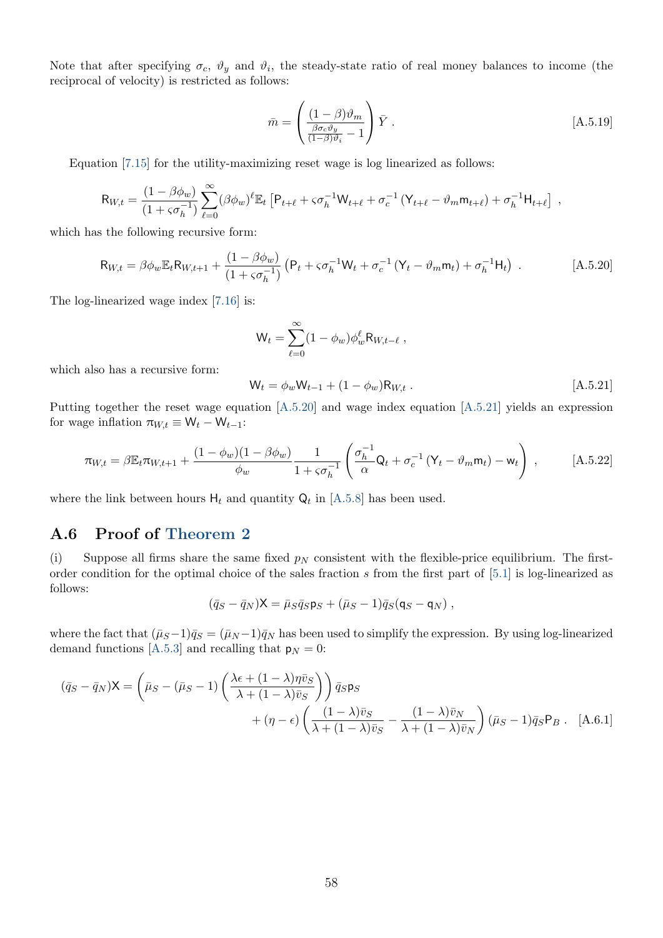Note that after specifying  $\sigma_c$ ,  $\vartheta_y$  and  $\vartheta_i$ , the steady-state ratio of real money balances to income (the reciprocal of velocity) is restricted as follows:

<span id="page-59-4"></span>
$$
\bar{m} = \left(\frac{(1-\beta)\vartheta_m}{\frac{\beta \sigma_c \vartheta_y}{(1-\beta)\vartheta_i} - 1}\right) \bar{Y} . \tag{A.5.19}
$$

Equation [\[7.15\]](#page-33-4) for the utility-maximizing reset wage is log linearized as follows:

$$
\mathsf{R}_{W,t} = \frac{(1-\beta\phi_w)}{(1+\varsigma\sigma_h^{-1})} \sum_{\ell=0}^{\infty} (\beta\phi_w)^{\ell} \mathbb{E}_t \left[ \mathsf{P}_{t+\ell} + \varsigma\sigma_h^{-1} \mathsf{W}_{t+\ell} + \sigma_c^{-1} \left( \mathsf{Y}_{t+\ell} - \vartheta_m \mathsf{m}_{t+\ell} \right) + \sigma_h^{-1} \mathsf{H}_{t+\ell} \right] ,
$$

which has the following recursive form:

$$
R_{W,t} = \beta \phi_w E_t R_{W,t+1} + \frac{(1 - \beta \phi_w)}{(1 + s \sigma_h^{-1})} \left( P_t + s \sigma_h^{-1} W_t + \sigma_c^{-1} (Y_t - \vartheta_m m_t) + \sigma_h^{-1} H_t \right) .
$$
 [A.5.20]

The log-linearized wage index [\[7.16\]](#page-33-5) is:

<span id="page-59-1"></span>
$$
\mathsf{W}_{t} = \sum_{\ell=0}^{\infty} (1 - \phi_{w}) \phi_{w}^{\ell} \mathsf{R}_{W,t-\ell} ,
$$

which also has a recursive form:

<span id="page-59-5"></span><span id="page-59-2"></span>
$$
W_t = \phi_w W_{t-1} + (1 - \phi_w) R_{W,t} .
$$
 [A.5.21]

Putting together the reset wage equation [\[A.5.20\]](#page-59-1) and wage index equation [\[A.5.21\]](#page-59-2) yields an expression for wage inflation  $\pi_{W,t} \equiv W_t - W_{t-1}$ :

$$
\pi_{W,t} = \beta \mathbb{E}_t \pi_{W,t+1} + \frac{(1 - \phi_w)(1 - \beta \phi_w)}{\phi_w} \frac{1}{1 + s\sigma_h^{-1}} \left( \frac{\sigma_h^{-1}}{\alpha} \mathsf{Q}_t + \sigma_c^{-1} \left( \mathsf{Y}_t - \vartheta_m \mathsf{m}_t \right) - \mathsf{w}_t \right) , \tag{A.5.22}
$$

where the link between hours  $H_t$  and quantity  $Q_t$  in [\[A.5.8\]](#page-57-4) has been used.

# <span id="page-59-0"></span>A.6 Proof of [Theorem 2](#page-19-3)

(i) Suppose all firms share the same fixed  $p<sub>N</sub>$  consistent with the flexible-price equilibrium. The firstorder condition for the optimal choice of the sales fraction s from the first part of [\[5.1\]](#page-19-2) is log-linearized as follows:

<span id="page-59-3"></span>
$$
(\bar{q}_S - \bar{q}_N)X = \bar{\mu}_S \bar{q}_S \mathsf{p}_S + (\bar{\mu}_S - 1)\bar{q}_S (\mathsf{q}_S - \mathsf{q}_N) ,
$$

where the fact that  $(\bar{\mu}_S-1)\bar{q}_S = (\bar{\mu}_N-1)\bar{q}_N$  has been used to simplify the expression. By using log-linearized demand functions [\[A.5.3\]](#page-56-2) and recalling that  $p_N = 0$ :

$$
(\bar{q}_S - \bar{q}_N) \mathbf{X} = \left(\bar{\mu}_S - (\bar{\mu}_S - 1) \left( \frac{\lambda \epsilon + (1 - \lambda)\bar{\eta}\bar{v}_S}{\lambda + (1 - \lambda)\bar{v}_S} \right) \right) \bar{q}_S \mathbf{p}_S + (\eta - \epsilon) \left( \frac{(1 - \lambda)\bar{v}_S}{\lambda + (1 - \lambda)\bar{v}_S} - \frac{(1 - \lambda)\bar{v}_N}{\lambda + (1 - \lambda)\bar{v}_N} \right) (\bar{\mu}_S - 1) \bar{q}_S \mathbf{p}_B.
$$
 [A.6.1]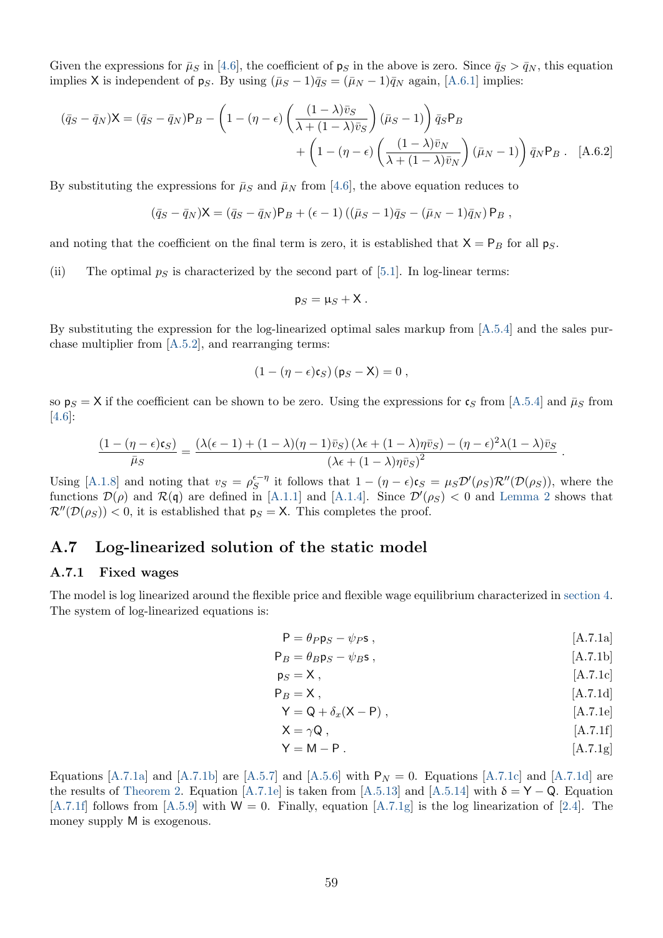Given the expressions for  $\bar{\mu}_S$  in [\[4.6\]](#page-17-4), the coefficient of  $p_S$  in the above is zero. Since  $\bar{q}_S > \bar{q}_N$ , this equation implies X is independent of ps. By using  $(\bar{\mu}_S - 1)\bar{q}_S = (\bar{\mu}_N - 1)\bar{q}_N$  again, [\[A.6.1\]](#page-59-3) implies:

$$
(\bar{q}_S - \bar{q}_N)X = (\bar{q}_S - \bar{q}_N)P_B - \left(1 - (\eta - \epsilon) \left(\frac{(1-\lambda)\bar{v}_S}{\lambda + (1-\lambda)\bar{v}_S}\right)(\bar{\mu}_S - 1)\right)\bar{q}_S P_B
$$

$$
+ \left(1 - (\eta - \epsilon) \left(\frac{(1-\lambda)\bar{v}_N}{\lambda + (1-\lambda)\bar{v}_N}\right)(\bar{\mu}_N - 1)\right)\bar{q}_N P_B . \quad [A.6.2]
$$

By substituting the expressions for  $\bar{\mu}_S$  and  $\bar{\mu}_N$  from [\[4.6\]](#page-17-4), the above equation reduces to

$$
(\bar{q}_S - \bar{q}_N)X = (\bar{q}_S - \bar{q}_N)P_B + (\epsilon - 1)((\bar{\mu}_S - 1)\bar{q}_S - (\bar{\mu}_N - 1)\bar{q}_N)P_B,
$$

and noting that the coefficient on the final term is zero, it is established that  $X = P_B$  for all  $p_S$ .

(ii) The optimal  $p<sub>S</sub>$  is characterized by the second part of [\[5.1\]](#page-19-2). In log-linear terms:

$$
\mathsf{p}_S=\mu_S+{\sf X}\,.
$$

By substituting the expression for the log-linearized optimal sales markup from [\[A.5.4\]](#page-56-4) and the sales purchase multiplier from [\[A.5.2\]](#page-56-0), and rearranging terms:

$$
(1-(\eta-\epsilon)\mathfrak{c}_S)\,(\mathfrak{p}_S-X)=0\;,
$$

so  $p_S = X$  if the coefficient can be shown to be zero. Using the expressions for  $\mathfrak{c}_S$  from [\[A.5.4\]](#page-56-4) and  $\bar{\mu}_S$  from [\[4.6\]](#page-17-4):

$$
\frac{(1 - (\eta - \epsilon)\mathfrak{c}_S)}{\bar{\mu}_S} = \frac{(\lambda(\epsilon - 1) + (1 - \lambda)(\eta - 1)\bar{v}_S)(\lambda\epsilon + (1 - \lambda)\eta\bar{v}_S) - (\eta - \epsilon)^2\lambda(1 - \lambda)\bar{v}_S}{(\lambda\epsilon + (1 - \lambda)\eta\bar{v}_S)^2}
$$

Using [\[A.1.8\]](#page-42-2) and noting that  $v_S = \rho_S^{\epsilon-\eta}$  it follows that  $1 - (\eta - \epsilon)\epsilon_S = \mu_S \mathcal{D}'(\rho_S)\mathcal{R}''(\mathcal{D}(\rho_S))$ , where the functions  $\mathcal{D}(\rho)$  and  $\mathcal{R}(\mathfrak{q})$  are defined in [\[A.1.1\]](#page-41-2) and [\[A.1.4\]](#page-41-3). Since  $\mathcal{D}'(\rho_S) < 0$  and [Lemma 2](#page-44-5) shows that  $\mathcal{R}''(\mathcal{D}(\rho_S))$  < 0, it is established that  $p_S = X$ . This completes the proof.

### <span id="page-60-0"></span>A.7 Log-linearized solution of the static model

#### A.7.1 Fixed wages

The model is log linearized around the flexible price and flexible wage equilibrium characterized in [section 4.](#page-13-0) The system of log-linearized equations is:

<span id="page-60-8"></span>
$$
P = \theta_P p_S - \psi_P s \,, \tag{A.7.1a}
$$

<span id="page-60-9"></span><span id="page-60-7"></span><span id="page-60-6"></span><span id="page-60-5"></span><span id="page-60-4"></span><span id="page-60-3"></span><span id="page-60-2"></span><span id="page-60-1"></span>.

$$
P_B = \theta_B p_S - \psi_B s \,, \tag{A.7.1b}
$$

$$
\mathsf{p}_S = \mathsf{X} \;, \tag{A.7.1c}
$$

$$
P_B = X, \qquad [A.7.1d]
$$

$$
Y = Q + \delta_x(X - P) , \qquad [A.7.1e]
$$

$$
X = \gamma Q, \qquad [A.7.1f]
$$

$$
Y = M - P. \tag{A.7.1g}
$$

Equations [\[A.7.1a\]](#page-60-1) and [\[A.7.1b\]](#page-60-2) are [\[A.5.7\]](#page-57-0) and [\[A.5.6\]](#page-56-1) with  $P_N = 0$ . Equations [\[A.7.1c\]](#page-60-3) and [\[A.7.1d\]](#page-60-4) are the results of [Theorem 2.](#page-19-3) Equation [\[A.7.1e\]](#page-60-5) is taken from [\[A.5.13\]](#page-57-5) and [\[A.5.14\]](#page-57-6) with  $\delta = Y - Q$ . Equation  $[A.7.1f]$  follows from  $[A.5.9]$  with  $W = 0$ . Finally, equation  $[A.7.1g]$  is the log linearization of [\[2.4\]](#page-6-2). The money supply M is exogenous.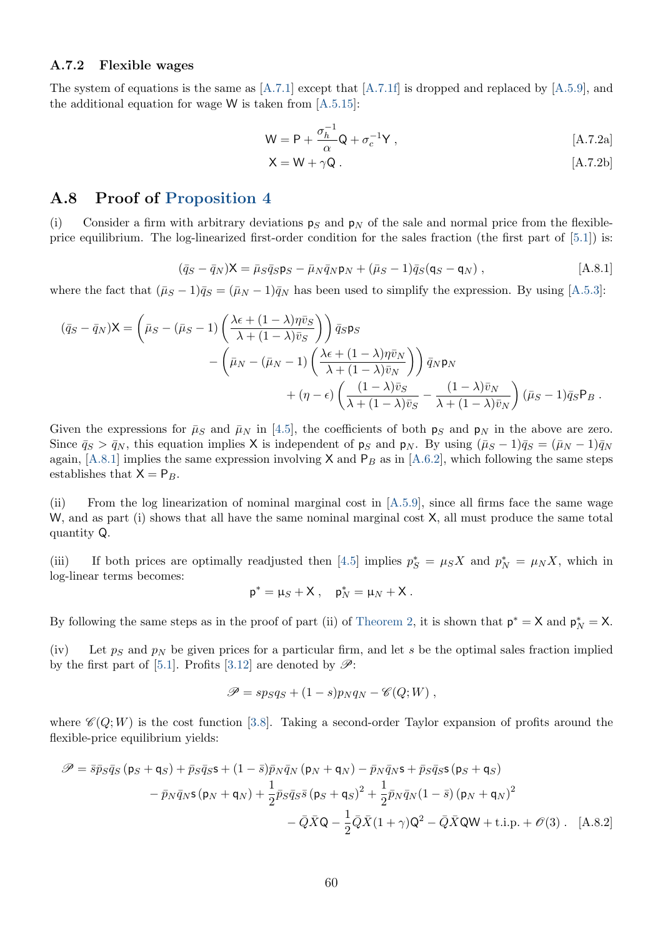#### A.7.2 Flexible wages

The system of equations is the same as [\[A.7.1\]](#page-60-8) except that [\[A.7.1f\]](#page-60-6) is dropped and replaced by [\[A.5.9\]](#page-57-7), and the additional equation for wage  $W$  is taken from [\[A.5.15\]](#page-57-8):

$$
\mathsf{W} = \mathsf{P} + \frac{\sigma_h^{-1}}{\alpha} \mathsf{Q} + \sigma_c^{-1} \mathsf{Y} \,, \tag{A.7.2a}
$$

<span id="page-61-3"></span>
$$
X = W + \gamma Q. \qquad [A.7.2b]
$$

### <span id="page-61-0"></span>A.8 Proof of [Proposition 4](#page-26-0)

<span id="page-61-1"></span>(i) Consider a firm with arbitrary deviations  $p_S$  and  $p_N$  of the sale and normal price from the flexibleprice equilibrium. The log-linearized first-order condition for the sales fraction (the first part of [\[5.1\]](#page-19-2)) is:

$$
(\bar{q}_S - \bar{q}_N)X = \bar{\mu}_S \bar{q}_S \mathsf{p}_S - \bar{\mu}_N \bar{q}_N \mathsf{p}_N + (\bar{\mu}_S - 1)\bar{q}_S (\mathsf{q}_S - \mathsf{q}_N) , \qquad [A.8.1]
$$

where the fact that  $(\bar{\mu}_S - 1)\bar{q}_S = (\bar{\mu}_N - 1)\bar{q}_N$  has been used to simplify the expression. By using [\[A.5.3\]](#page-56-2):

$$
(\bar{q}_S - \bar{q}_N) \mathbf{X} = \left( \bar{\mu}_S - (\bar{\mu}_S - 1) \left( \frac{\lambda \epsilon + (1 - \lambda) \bar{\eta} \bar{v}_S}{\lambda + (1 - \lambda) \bar{v}_S} \right) \right) \bar{q}_S \mathbf{p}_S - \left( \bar{\mu}_N - (\bar{\mu}_N - 1) \left( \frac{\lambda \epsilon + (1 - \lambda) \bar{\eta} \bar{v}_N}{\lambda + (1 - \lambda) \bar{v}_N} \right) \right) \bar{q}_N \mathbf{p}_N + (\eta - \epsilon) \left( \frac{(1 - \lambda) \bar{v}_S}{\lambda + (1 - \lambda) \bar{v}_S} - \frac{(1 - \lambda) \bar{v}_N}{\lambda + (1 - \lambda) \bar{v}_N} \right) (\bar{\mu}_S - 1) \bar{q}_S \mathbf{P}_B .
$$

Given the expressions for  $\bar{\mu}_S$  and  $\bar{\mu}_N$  in [\[4.5\]](#page-17-1), the coefficients of both  $p_S$  and  $p_N$  in the above are zero. Since  $\bar{q}_S > \bar{q}_N$ , this equation implies X is independent of  $p_S$  and  $p_N$ . By using  $(\bar{\mu}_S - 1)\bar{q}_S = (\bar{\mu}_N - 1)\bar{q}_N$ again, [\[A.8.1\]](#page-61-1) implies the same expression involving  $X$  and  $P_B$  as in [\[A.6.2\]](#page-60-9), which following the same steps establishes that  $X = P_B$ .

(ii) From the log linearization of nominal marginal cost in [\[A.5.9\]](#page-57-7), since all firms face the same wage W, and as part (i) shows that all have the same nominal marginal cost  $X$ , all must produce the same total quantity Q.

(iii) If both prices are optimally readjusted then [\[4.5\]](#page-17-1) implies  $p_S^* = \mu_S X$  and  $p_N^* = \mu_N X$ , which in log-linear terms becomes:

$$
\mathsf{p}^* = \mathsf{\mu}_S + \mathsf{X} \ , \quad \mathsf{p}_N^* = \mathsf{\mu}_N + \mathsf{X} \ .
$$

By following the same steps as in the proof of part (ii) of [Theorem 2,](#page-19-3) it is shown that  $p^* = X$  and  $p_N^* = X$ .

(iv) Let  $p_S$  and  $p_N$  be given prices for a particular firm, and let s be the optimal sales fraction implied by the first part of [\[5.1\]](#page-19-2). Profits [\[3.12\]](#page-11-3) are denoted by  $\mathscr{P}$ :

<span id="page-61-2"></span>
$$
\mathscr{P} = sp_S q_S + (1 - s) p_N q_N - \mathscr{C}(Q; W) ,
$$

where  $\mathscr{C}(Q;W)$  is the cost function [\[3.8\]](#page-10-2). Taking a second-order Taylor expansion of profits around the flexible-price equilibrium yields:

$$
\mathscr{P} = \bar{s}\bar{p}_S\bar{q}_S\left(\mathsf{p}_S + \mathsf{q}_S\right) + \bar{p}_S\bar{q}_S\mathsf{s} + (1-\bar{s})\bar{p}_N\bar{q}_N\left(\mathsf{p}_N + \mathsf{q}_N\right) - \bar{p}_N\bar{q}_N\mathsf{s} + \bar{p}_S\bar{q}_S\mathsf{s}\left(\mathsf{p}_S + \mathsf{q}_S\right) \n- \bar{p}_N\bar{q}_N\mathsf{s}\left(\mathsf{p}_N + \mathsf{q}_N\right) + \frac{1}{2}\bar{p}_S\bar{q}_S\bar{s}\left(\mathsf{p}_S + \mathsf{q}_S\right)^2 + \frac{1}{2}\bar{p}_N\bar{q}_N(1-\bar{s})\left(\mathsf{p}_N + \mathsf{q}_N\right)^2 \n- \bar{Q}\bar{X}\mathsf{Q} - \frac{1}{2}\bar{Q}\bar{X}(1+\gamma)\mathsf{Q}^2 - \bar{Q}\bar{X}\mathsf{Q}\mathsf{W} + \text{t.i.p.} + \mathscr{O}(3) \tag{A.8.2}
$$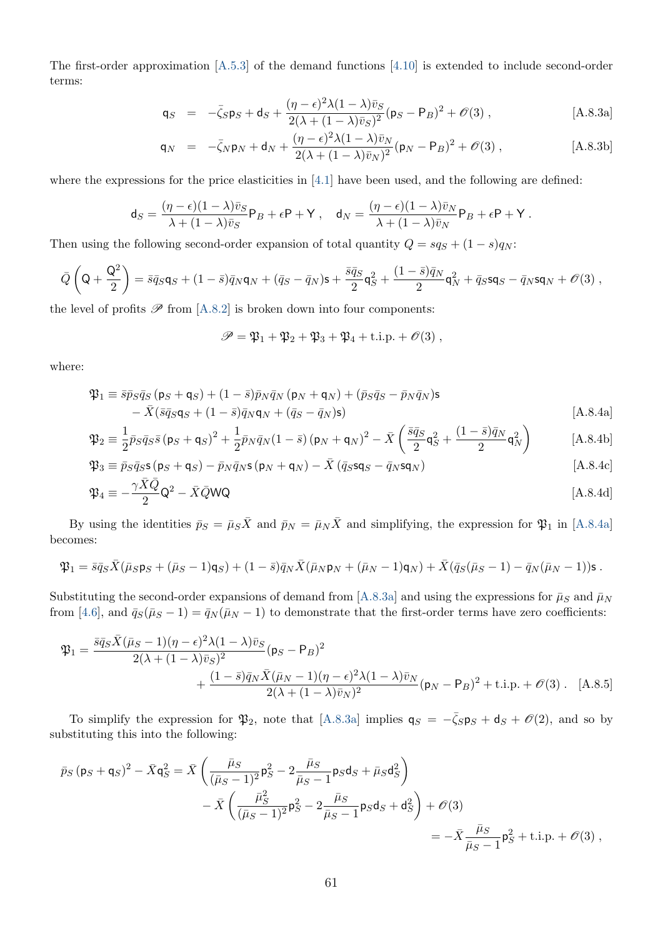The first-order approximation [\[A.5.3\]](#page-56-2) of the demand functions [\[4.10\]](#page-18-1) is extended to include second-order terms:

$$
\mathsf{q}_S = -\bar{\zeta}_S \mathsf{p}_S + \mathsf{d}_S + \frac{(\eta - \epsilon)^2 \lambda (1 - \lambda) \bar{v}_S}{2(\lambda + (1 - \lambda) \bar{v}_S)^2} (\mathsf{p}_S - \mathsf{P}_B)^2 + \mathcal{O}(3) , \qquad [\text{A.8.3a}]
$$

<span id="page-62-1"></span>
$$
\mathsf{q}_N = -\bar{\zeta}_N \mathsf{p}_N + \mathsf{d}_N + \frac{(\eta - \epsilon)^2 \lambda (1 - \lambda) \bar{v}_N}{2(\lambda + (1 - \lambda) \bar{v}_N)^2} (\mathsf{p}_N - \mathsf{P}_B)^2 + \mathcal{O}(3) , \qquad [\text{A.8.3b}]
$$

where the expressions for the price elasticities in  $[4.1]$  have been used, and the following are defined:

$$
\mathsf{d}_S = \frac{(\eta - \epsilon)(1 - \lambda)\bar{v}_S}{\lambda + (1 - \lambda)\bar{v}_S} \mathsf{P}_B + \epsilon \mathsf{P} + \mathsf{Y} \ , \quad \mathsf{d}_N = \frac{(\eta - \epsilon)(1 - \lambda)\bar{v}_N}{\lambda + (1 - \lambda)\bar{v}_N} \mathsf{P}_B + \epsilon \mathsf{P} + \mathsf{Y} \ .
$$

Then using the following second-order expansion of total quantity  $Q = s q_S + (1 - s) q_N$ :

$$
\bar{Q}\left(\mathsf{Q}+\frac{\mathsf{Q}^2}{2}\right)=\bar{s}\bar{q}_S\mathsf{q}_S+(1-\bar{s})\bar{q}_N\mathsf{q}_N+(\bar{q}_S-\bar{q}_N)\mathsf{s}+\frac{\bar{s}\bar{q}_S}{2}\mathsf{q}_S^2+\frac{(1-\bar{s})\bar{q}_N}{2}\mathsf{q}_N^2+\bar{q}_S\mathsf{s}\mathsf{q}_S-\bar{q}_N\mathsf{s}\mathsf{q}_N+\mathscr{O}(3)\;,
$$

the level of profits  $\mathscr P$  from [\[A.8.2\]](#page-61-2) is broken down into four components:

<span id="page-62-4"></span><span id="page-62-3"></span><span id="page-62-2"></span><span id="page-62-0"></span>
$$
\mathscr{P} = \mathfrak{P}_1 + \mathfrak{P}_2 + \mathfrak{P}_3 + \mathfrak{P}_4 + \text{t.i.p.} + \mathcal{O}(3) ,
$$

where:

$$
\mathfrak{P}_1 \equiv \bar{s}\bar{p}_S\bar{q}_S \left(\mathbf{p}_S + \mathbf{q}_S\right) + (1 - \bar{s})\bar{p}_N\bar{q}_N \left(\mathbf{p}_N + \mathbf{q}_N\right) + (\bar{p}_S\bar{q}_S - \bar{p}_N\bar{q}_N)\mathbf{s} \n- \bar{X}(\bar{s}\bar{q}_S\mathbf{q}_S + (1 - \bar{s})\bar{q}_N\mathbf{q}_N + (\bar{q}_S - \bar{q}_N)\mathbf{s})
$$
\n[A.8.4a]

$$
\mathfrak{P}_2 \equiv \frac{1}{2} \bar{p}_S \bar{q}_S \bar{s} \left( \mathsf{p}_S + \mathsf{q}_S \right)^2 + \frac{1}{2} \bar{p}_N \bar{q}_N (1 - \bar{s}) \left( \mathsf{p}_N + \mathsf{q}_N \right)^2 - \bar{X} \left( \frac{\bar{s} \bar{q}_S}{2} \mathsf{q}_S^2 + \frac{(1 - \bar{s}) \bar{q}_N}{2} \mathsf{q}_N^2 \right) \tag{A.8.4b}
$$

$$
\mathfrak{P}_3 \equiv \bar{p}_S \bar{q}_S \mathsf{s} (\mathsf{p}_S + \mathsf{q}_S) - \bar{p}_N \bar{q}_N \mathsf{s} (\mathsf{p}_N + \mathsf{q}_N) - \bar{X} (\bar{q}_S \mathsf{s} \mathsf{q}_S - \bar{q}_N \mathsf{s} \mathsf{q}_N) \tag{A.8.4c}
$$

$$
\mathfrak{P}_4 \equiv -\frac{\gamma X Q}{2} \mathsf{Q}^2 - \bar{X} \bar{Q} \mathsf{W} \mathsf{Q}
$$
 [A.8.4d]

By using the identities  $\bar{p}_S = \bar{\mu}_S \bar{X}$  and  $\bar{p}_N = \bar{\mu}_N \bar{X}$  and simplifying, the expression for  $\mathfrak{P}_1$  in [\[A.8.4a\]](#page-62-0) becomes:

$$
\mathfrak{P}_1 = \bar{s}\bar{q}_S\bar{X}(\bar{\mu}_S\mathsf{p}_S + (\bar{\mu}_S - 1)\mathsf{q}_S) + (1 - \bar{s})\bar{q}_N\bar{X}(\bar{\mu}_N\mathsf{p}_N + (\bar{\mu}_N - 1)\mathsf{q}_N) + \bar{X}(\bar{q}_S(\bar{\mu}_S - 1) - \bar{q}_N(\bar{\mu}_N - 1))\mathsf{s}.
$$

Substituting the second-order expansions of demand from [\[A.8.3a\]](#page-62-1) and using the expressions for  $\bar{\mu}_S$  and  $\bar{\mu}_N$ from [\[4.6\]](#page-17-4), and  $\bar{q}_S(\bar{\mu}_S - 1) = \bar{q}_N(\bar{\mu}_N - 1)$  to demonstrate that the first-order terms have zero coefficients:

$$
\mathfrak{P}_{1} = \frac{\bar{s}\bar{q}_{S}\bar{X}(\bar{\mu}_{S}-1)(\eta-\epsilon)^{2}\lambda(1-\lambda)\bar{v}_{S}}{2(\lambda+(1-\lambda)\bar{v}_{S})^{2}}(\mathsf{p}_{S}-\mathsf{P}_{B})^{2} + \frac{(1-\bar{s})\bar{q}_{N}\bar{X}(\bar{\mu}_{N}-1)(\eta-\epsilon)^{2}\lambda(1-\lambda)\bar{v}_{N}}{2(\lambda+(1-\lambda)\bar{v}_{N})^{2}}(\mathsf{p}_{N}-\mathsf{P}_{B})^{2} + \text{t.i.p.} + \mathcal{O}(3). \quad \text{[A.8.5]}
$$

To simplify the expression for  $\mathfrak{P}_2$ , note that [\[A.8.3a\]](#page-62-1) implies  $\mathsf{q}_S = -\bar{\zeta}_S \mathsf{p}_S + \mathsf{d}_S + \mathcal{O}(2)$ , and so by substituting this into the following:

$$
\bar{p}_S (p_S + q_S)^2 - \bar{X} q_S^2 = \bar{X} \left( \frac{\bar{\mu}_S}{(\bar{\mu}_S - 1)^2} p_S^2 - 2 \frac{\bar{\mu}_S}{\bar{\mu}_S - 1} p_S d_S + \bar{\mu}_S d_S^2 \right) \n- \bar{X} \left( \frac{\bar{\mu}_S^2}{(\bar{\mu}_S - 1)^2} p_S^2 - 2 \frac{\bar{\mu}_S}{\bar{\mu}_S - 1} p_S d_S + d_S^2 \right) + \mathcal{O}(3) \n= - \bar{X} \frac{\bar{\mu}_S}{\bar{\mu}_S - 1} p_S^2 + \text{t.i.p.} + \mathcal{O}(3) ,
$$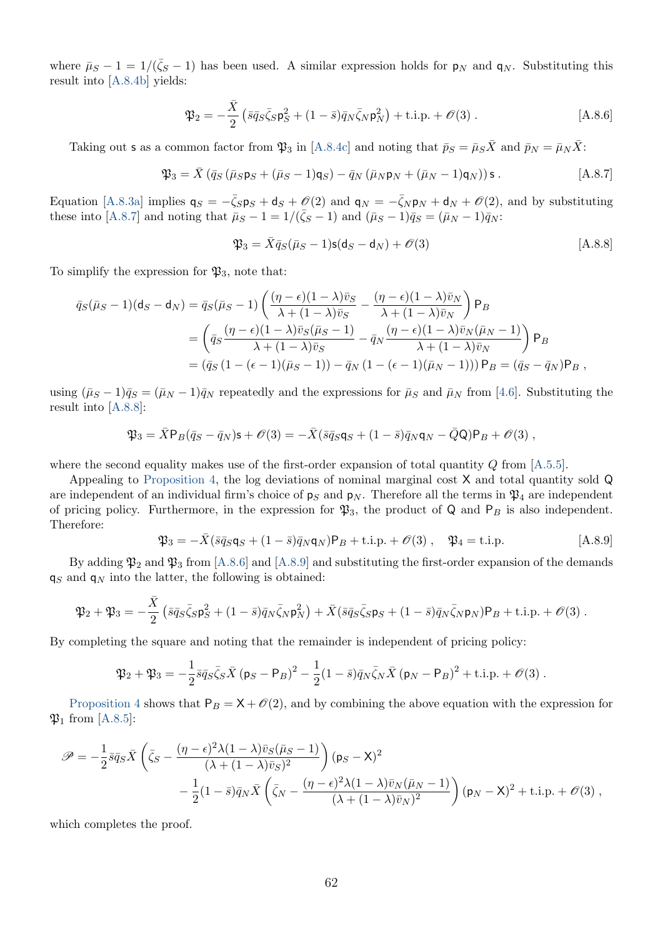where  $\bar{\mu}_S - 1 = 1/(\bar{\zeta}_S - 1)$  has been used. A similar expression holds for  $p_N$  and  $q_N$ . Substituting this result into [\[A.8.4b\]](#page-62-2) yields:

<span id="page-63-2"></span>
$$
\mathfrak{P}_2 = -\frac{\bar{X}}{2} \left( \bar{s} \bar{q}_S \bar{\zeta}_S \mathsf{p}_S^2 + (1 - \bar{s}) \bar{q}_N \bar{\zeta}_N \mathsf{p}_N^2 \right) + \text{i.i.p.} + \mathcal{O}(3) \,. \tag{A.8.6}
$$

Taking out **s** as a common factor from  $\mathfrak{P}_3$  in [\[A.8.4c\]](#page-62-3) and noting that  $\bar{p}_S = \bar{\mu}_S \bar{X}$  and  $\bar{p}_N = \bar{\mu}_N \bar{X}$ :

$$
\mathfrak{P}_3 = \bar{X} \left( \bar{q}_S \left( \bar{\mu}_S \mathsf{p}_S + (\bar{\mu}_S - 1) \mathsf{q}_S \right) - \bar{q}_N \left( \bar{\mu}_N \mathsf{p}_N + (\bar{\mu}_N - 1) \mathsf{q}_N \right) \right) \mathsf{s} \,. \tag{A.8.7}
$$

Equation [\[A.8.3a\]](#page-62-1) implies  $q_S = -\bar{\zeta}_S p_S + d_S + \mathcal{O}(2)$  and  $q_N = -\bar{\zeta}_N p_N + d_N + \mathcal{O}(2)$ , and by substituting these into [\[A.8.7\]](#page-63-0) and noting that  $\bar{\mu}_S - 1 = 1/(\bar{\zeta}_S - 1)$  and  $(\bar{\mu}_S - 1)\bar{q}_S = (\bar{\mu}_N - 1)\bar{q}_N$ :

<span id="page-63-1"></span><span id="page-63-0"></span>
$$
\mathfrak{P}_3 = \bar{X}\bar{q}_S(\bar{\mu}_S - 1)\mathbf{s}(\mathbf{d}_S - \mathbf{d}_N) + \mathcal{O}(3)
$$
 [A.8.8]

To simplify the expression for  $\mathfrak{P}_3$ , note that:

$$
\bar{q}_{S}(\bar{\mu}_{S}-1)(\mathbf{d}_{S}-\mathbf{d}_{N}) = \bar{q}_{S}(\bar{\mu}_{S}-1) \left( \frac{(\eta - \epsilon)(1-\lambda)\bar{v}_{S}}{\lambda + (1-\lambda)\bar{v}_{S}} - \frac{(\eta - \epsilon)(1-\lambda)\bar{v}_{N}}{\lambda + (1-\lambda)\bar{v}_{N}} \right) \mathsf{P}_{B}
$$
\n
$$
= \left( \bar{q}_{S} \frac{(\eta - \epsilon)(1-\lambda)\bar{v}_{S}(\bar{\mu}_{S}-1)}{\lambda + (1-\lambda)\bar{v}_{S}} - \bar{q}_{N} \frac{(\eta - \epsilon)(1-\lambda)\bar{v}_{N}(\bar{\mu}_{N}-1)}{\lambda + (1-\lambda)\bar{v}_{N}} \right) \mathsf{P}_{B}
$$
\n
$$
= (\bar{q}_{S} (1 - (\epsilon - 1)(\bar{\mu}_{S}-1)) - \bar{q}_{N} (1 - (\epsilon - 1)(\bar{\mu}_{N}-1))) \mathsf{P}_{B} = (\bar{q}_{S} - \bar{q}_{N}) \mathsf{P}_{B},
$$

using  $(\bar{\mu}_S - 1)\bar{q}_S = (\bar{\mu}_N - 1)\bar{q}_N$  repeatedly and the expressions for  $\bar{\mu}_S$  and  $\bar{\mu}_N$  from [\[4.6\]](#page-17-4). Substituting the result into [\[A.8.8\]](#page-63-1):

$$
\mathfrak{P}_3 = \bar{X} \mathsf{P}_B (\bar{q}_S - \bar{q}_N) \mathsf{s} + \mathscr{O}(3) = -\bar{X} (\bar{s} \bar{q}_S \mathsf{q}_S + (1 - \bar{s}) \bar{q}_N \mathsf{q}_N - \bar{Q} \mathsf{Q}) \mathsf{P}_B + \mathscr{O}(3) ,
$$

where the second equality makes use of the first-order expansion of total quantity  $Q$  from [\[A.5.5\]](#page-56-3).

Appealing to [Proposition 4,](#page-26-0) the log deviations of nominal marginal cost X and total quantity sold Q are independent of an individual firm's choice of  $p_S$  and  $p_N$ . Therefore all the terms in  $\mathfrak{P}_4$  are independent of pricing policy. Furthermore, in the expression for  $\mathfrak{P}_3$ , the product of Q and  $\mathsf{P}_B$  is also independent. Therefore:

<span id="page-63-3"></span>
$$
\mathfrak{P}_3 = -\bar{X}(\bar{s}\bar{q}_S \mathsf{q}_S + (1-\bar{s})\bar{q}_N \mathsf{q}_N) \mathsf{P}_B + \text{t.i.p.} + \mathcal{O}(3) , \quad \mathfrak{P}_4 = \text{t.i.p.} \tag{A.8.9}
$$

By adding  $\mathfrak{P}_2$  and  $\mathfrak{P}_3$  from [\[A.8.6\]](#page-63-2) and [\[A.8.9\]](#page-63-3) and substituting the first-order expansion of the demands  $q_S$  and  $q_N$  into the latter, the following is obtained:

$$
\mathfrak{P}_2 + \mathfrak{P}_3 = -\frac{\bar{X}}{2} \left( \bar{s} \bar{q}_S \bar{\zeta}_S \mathsf{p}_S^2 + (1 - \bar{s}) \bar{q}_N \bar{\zeta}_N \mathsf{p}_N^2 \right) + \bar{X} (\bar{s} \bar{q}_S \bar{\zeta}_S \mathsf{p}_S + (1 - \bar{s}) \bar{q}_N \bar{\zeta}_N \mathsf{p}_N) \mathsf{P}_B + \text{t.i.p.} + \mathcal{O}(3) .
$$

By completing the square and noting that the remainder is independent of pricing policy:

$$
\mathfrak{P}_2 + \mathfrak{P}_3 = -\frac{1}{2}\bar{s}\bar{q}_S\bar{\zeta}_S\bar{X} (p_S - P_B)^2 - \frac{1}{2}(1-\bar{s})\bar{q}_N\bar{\zeta}_N\bar{X} (p_N - P_B)^2 + \text{i.i.p.} + \mathcal{O}(3) .
$$

[Proposition 4](#page-26-0) shows that  $P_B = X + \mathcal{O}(2)$ , and by combining the above equation with the expression for  $\mathfrak{P}_1$  from [\[A.8.5\]](#page-62-4):

$$
\mathscr{P} = -\frac{1}{2}\bar{s}\bar{q}_{S}\bar{X}\left(\bar{\zeta}_{S} - \frac{(\eta - \epsilon)^{2}\lambda(1 - \lambda)\bar{v}_{S}(\bar{\mu}_{S} - 1)}{(\lambda + (1 - \lambda)\bar{v}_{S})^{2}}\right)(\mathsf{p}_{S} - \mathsf{X})^{2} - \frac{1}{2}(1 - \bar{s})\bar{q}_{N}\bar{X}\left(\bar{\zeta}_{N} - \frac{(\eta - \epsilon)^{2}\lambda(1 - \lambda)\bar{v}_{N}(\bar{\mu}_{N} - 1)}{(\lambda + (1 - \lambda)\bar{v}_{N})^{2}}\right)(\mathsf{p}_{N} - \mathsf{X})^{2} + \text{t.i.p.} + \mathscr{O}(3),
$$

which completes the proof.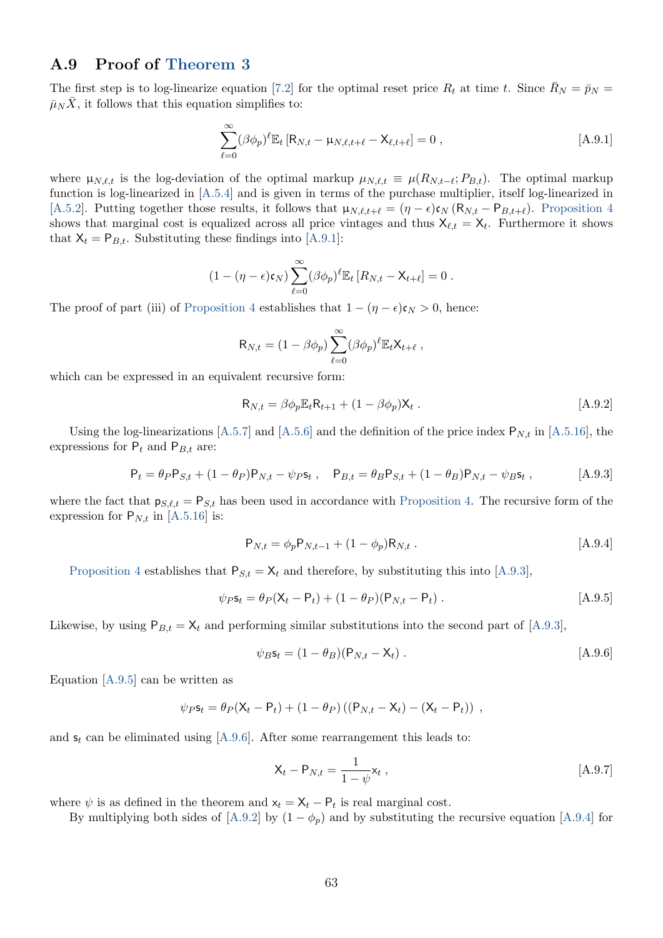### <span id="page-64-0"></span>A.9 Proof of [Theorem 3](#page-30-3)

The first step is to log-linearize equation [\[7.2\]](#page-30-0) for the optimal reset price  $R_t$  at time t. Since  $\bar{R}_N = \bar{p}_N =$  $\overline{\mu}_N \overline{X}$ , it follows that this equation simplifies to:

<span id="page-64-1"></span>
$$
\sum_{\ell=0}^{\infty} (\beta \phi_p)^{\ell} \mathbb{E}_t [R_{N,t} - \mu_{N,\ell,t+\ell} - X_{\ell,t+\ell}] = 0 ,
$$
 [A.9.1]

where  $\mu_{N,\ell,t}$  is the log-deviation of the optimal markup  $\mu_{N,\ell,t} \equiv \mu(R_{N,t-\ell}; P_{B,t})$ . The optimal markup function is log-linearized in [\[A.5.4\]](#page-56-4) and is given in terms of the purchase multiplier, itself log-linearized in [\[A.5.2\]](#page-56-0). Putting together those results, it follows that  $\mu_{N,\ell,t+\ell} = (\eta - \epsilon)\mathfrak{c}_N (\mathsf{R}_{N,t} - \mathsf{P}_{B,t+\ell})$ . [Proposition 4](#page-26-0) shows that marginal cost is equalized across all price vintages and thus  $X_{\ell,t} = X_t$ . Furthermore it shows that  $X_t = P_{B,t}$ . Substituting these findings into [\[A.9.1\]](#page-64-1):

$$
(1-(\eta-\epsilon)\mathfrak{c}_N)\sum_{\ell=0}^{\infty}(\beta\phi_p)^{\ell}\mathbb{E}_t[R_{N,t}-X_{t+\ell}]=0.
$$

The proof of part (iii) of [Proposition 4](#page-26-0) establishes that  $1 - (\eta - \epsilon)\mathfrak{c}_N > 0$ , hence:

$$
\mathsf{R}_{N,t} = (1 - \beta \phi_p) \sum_{\ell=0}^{\infty} (\beta \phi_p)^{\ell} \mathbb{E}_t \mathsf{X}_{t+\ell} ,
$$

which can be expressed in an equivalent recursive form:

<span id="page-64-5"></span><span id="page-64-2"></span>
$$
\mathsf{R}_{N,t} = \beta \phi_p \mathbb{E}_t \mathsf{R}_{t+1} + (1 - \beta \phi_p) \mathsf{X}_t \,. \tag{A.9.2}
$$

Using the log-linearizations [\[A.5.7\]](#page-57-0) and [\[A.5.6\]](#page-56-1) and the definition of the price index  $P_{N,t}$  in [\[A.5.16\]](#page-58-0), the expressions for  $P_t$  and  $P_{B,t}$  are:

$$
P_t = \theta_P P_{S,t} + (1 - \theta_P) P_{N,t} - \psi_P s_t , \quad P_{B,t} = \theta_B P_{S,t} + (1 - \theta_B) P_{N,t} - \psi_B s_t ,
$$
 [A.9.3]

where the fact that  $p_{S,\ell,t} = P_{S,t}$  has been used in accordance with [Proposition 4.](#page-26-0) The recursive form of the expression for  $P_{N,t}$  in [\[A.5.16\]](#page-58-0) is:

<span id="page-64-6"></span><span id="page-64-3"></span>
$$
P_{N,t} = \phi_p P_{N,t-1} + (1 - \phi_p) R_{N,t} .
$$
 [A.9.4]

[Proposition 4](#page-26-0) establishes that  $P_{S,t} = X_t$  and therefore, by substituting this into [\[A.9.3\]](#page-64-2),

$$
\psi_P s_t = \theta_P (X_t - P_t) + (1 - \theta_P)(P_{N,t} - P_t) .
$$
 [A.9.5]

Likewise, by using  $P_{B,t} = X_t$  and performing similar substitutions into the second part of [\[A.9.3\]](#page-64-2),

<span id="page-64-4"></span>
$$
\psi_B \mathbf{s}_t = (1 - \theta_B)(\mathbf{P}_{N,t} - \mathbf{X}_t) \,. \tag{A.9.6}
$$

Equation [\[A.9.5\]](#page-64-3) can be written as

$$
\psi_P \mathbf{s}_t = \theta_P (\mathbf{X}_t - \mathbf{P}_t) + (1 - \theta_P) ((\mathbf{P}_{N,t} - \mathbf{X}_t) - (\mathbf{X}_t - \mathbf{P}_t)) ,
$$

and  $s_t$  can be eliminated using [\[A.9.6\]](#page-64-4). After some rearrangement this leads to:

<span id="page-64-7"></span>
$$
\mathbf{X}_t - \mathbf{P}_{N,t} = \frac{1}{1 - \psi} \mathbf{x}_t , \qquad [A.9.7]
$$

where  $\psi$  is as defined in the theorem and  $x_t = X_t - P_t$  is real marginal cost.

By multiplying both sides of [\[A.9.2\]](#page-64-5) by  $(1 - \phi_p)$  and by substituting the recursive equation [\[A.9.4\]](#page-64-6) for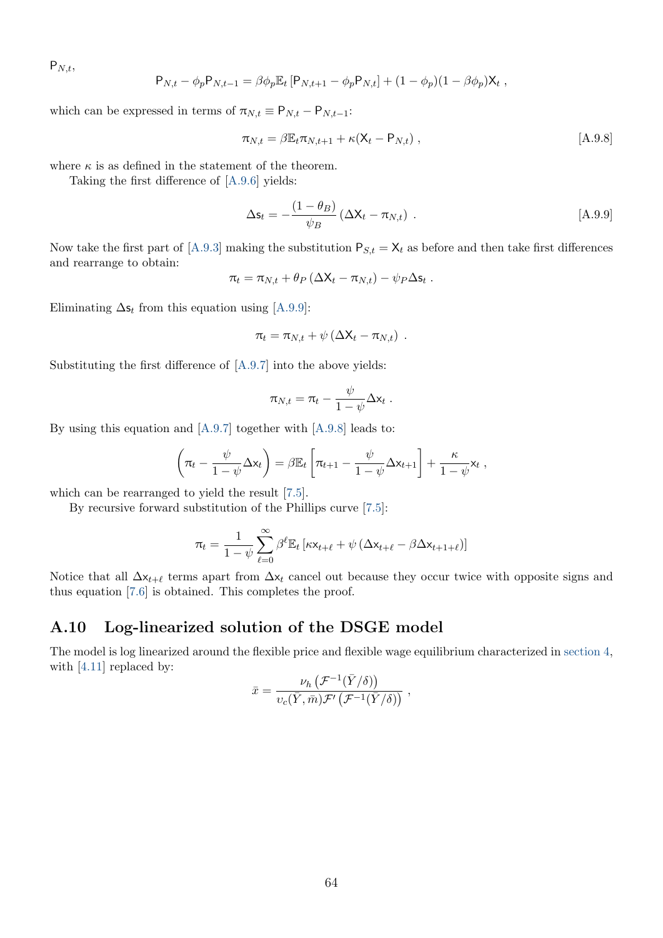$P_{N,t}$ 

$$
P_{N,t} - \phi_p P_{N,t-1} = \beta \phi_p E_t [P_{N,t+1} - \phi_p P_{N,t}] + (1 - \phi_p)(1 - \beta \phi_p) X_t,
$$

which can be expressed in terms of  $\pi_{N,t} \equiv \mathsf{P}_{N,t} - \mathsf{P}_{N,t-1}$ :

<span id="page-65-2"></span>
$$
\pi_{N,t} = \beta \mathbb{E}_t \pi_{N,t+1} + \kappa (\mathsf{X}_t - \mathsf{P}_{N,t}), \qquad [A.9.8]
$$

where  $\kappa$  is as defined in the statement of the theorem.

Taking the first difference of [\[A.9.6\]](#page-64-4) yields:

<span id="page-65-1"></span>
$$
\Delta \mathbf{s}_t = -\frac{(1 - \theta_B)}{\psi_B} \left( \Delta \mathbf{X}_t - \pi_{N,t} \right) . \tag{A.9.9}
$$

Now take the first part of [\[A.9.3\]](#page-64-2) making the substitution  $P_{S,t} = X_t$  as before and then take first differences and rearrange to obtain:

$$
\pi_t = \pi_{N,t} + \theta_P \left( \Delta X_t - \pi_{N,t} \right) - \psi_P \Delta s_t.
$$

Eliminating  $\Delta s_t$  from this equation using [\[A.9.9\]](#page-65-1):

$$
\pi_t = \pi_{N,t} + \psi \left( \Delta X_t - \pi_{N,t} \right) .
$$

Substituting the first difference of [\[A.9.7\]](#page-64-7) into the above yields:

$$
\pi_{N,t} = \pi_t - \frac{\psi}{1-\psi} \Delta \mathsf{x}_t.
$$

By using this equation and [\[A.9.7\]](#page-64-7) together with [\[A.9.8\]](#page-65-2) leads to:

$$
\left(\pi_t - \frac{\psi}{1-\psi}\Delta x_t\right) = \beta \mathbb{E}_t \left[\pi_{t+1} - \frac{\psi}{1-\psi}\Delta x_{t+1}\right] + \frac{\kappa}{1-\psi}x_t,
$$

which can be rearranged to yield the result [\[7.5\]](#page-31-0).

By recursive forward substitution of the Phillips curve [\[7.5\]](#page-31-0):

$$
\pi_t = \frac{1}{1-\psi}\sum_{\ell=0}^{\infty}\beta^{\ell}\mathbb{E}_t\left[\kappa \mathbf{x}_{t+\ell} + \psi\left(\Delta \mathbf{x}_{t+\ell} - \beta \Delta \mathbf{x}_{t+1+\ell}\right)\right]
$$

Notice that all  $\Delta x_{t+\ell}$  terms apart from  $\Delta x_t$  cancel out because they occur twice with opposite signs and thus equation [\[7.6\]](#page-31-2) is obtained. This completes the proof.

### <span id="page-65-0"></span>A.10 Log-linearized solution of the DSGE model

The model is log linearized around the flexible price and flexible wage equilibrium characterized in [section 4,](#page-13-0) with [\[4.11\]](#page-19-4) replaced by:

$$
\bar{x} = \frac{\nu_h \left( \mathcal{F}^{-1}(\bar{Y}/\delta) \right)}{\nu_c(\bar{Y}, \bar{m}) \mathcal{F}' \left( \mathcal{F}^{-1}(\bar{Y}/\delta) \right)} ,
$$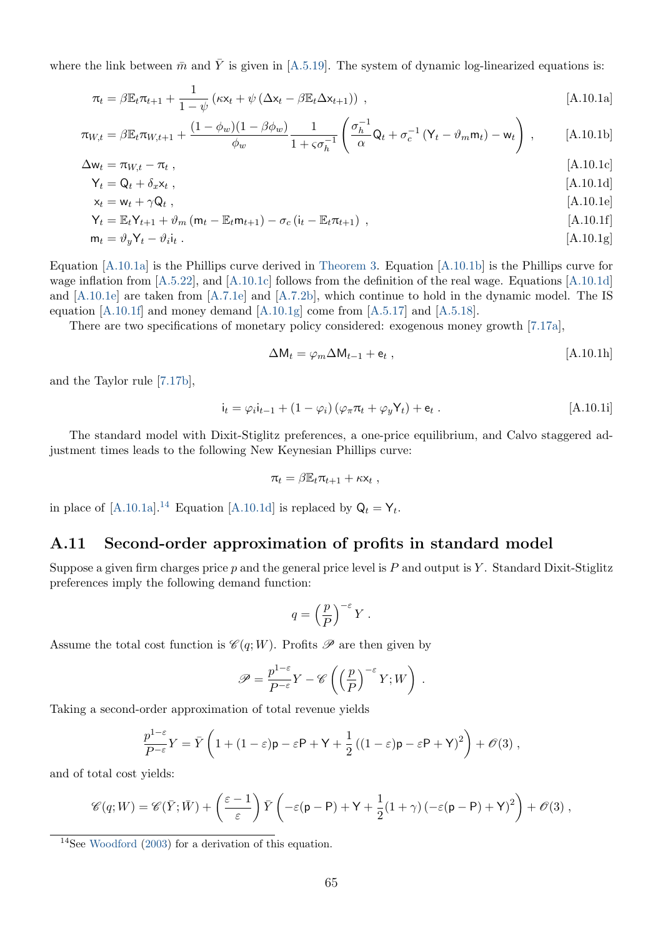<span id="page-66-1"></span>where the link between  $\bar{m}$  and  $\bar{Y}$  is given in [\[A.5.19\]](#page-59-4). The system of dynamic log-linearized equations is:

$$
\pi_t = \beta \mathbb{E}_t \pi_{t+1} + \frac{1}{1 - \psi} \left( \kappa \mathbf{x}_t + \psi \left( \Delta \mathbf{x}_t - \beta \mathbb{E}_t \Delta \mathbf{x}_{t+1} \right) \right) , \tag{A.10.1a}
$$

$$
\pi_{W,t} = \beta \mathbb{E}_t \pi_{W,t+1} + \frac{(1 - \phi_w)(1 - \beta \phi_w)}{\phi_w} \frac{1}{1 + s\sigma_h^{-1}} \left( \frac{\sigma_h^{-1}}{\alpha} \mathsf{Q}_t + \sigma_c^{-1} \left( \mathsf{Y}_t - \vartheta_m \mathsf{m}_t \right) - \mathsf{w}_t \right), \tag{A.10.1b}
$$

$$
\Delta w_t = \pi_{W,t} - \pi_t ,
$$
\n
$$
Y_t = \Omega_t + \delta_t x_t
$$
\n
$$
(A.10.1c)
$$

$$
\begin{aligned} \mathsf{Y}_t &= \mathsf{Q}_t + \delta_x \mathsf{x}_t \;, \\ \mathsf{x}_t &= \mathsf{w}_t + \gamma \mathsf{Q}_t \;, \end{aligned} \tag{A.10.1d}
$$

$$
\mathsf{Y}_{t} = \mathbb{E}_{t} \mathsf{Y}_{t+1} + \vartheta_{m} \left( \mathsf{m}_{t} - \mathbb{E}_{t} \mathsf{m}_{t+1} \right) - \sigma_{c} \left( \mathsf{i}_{t} - \mathbb{E}_{t} \pi_{t+1} \right) , \tag{A.10.1f}
$$

$$
\mathbf{m}_t = \vartheta_y \mathbf{Y}_t - \vartheta_i \mathbf{i}_t \,. \tag{A.10.1g}
$$

Equation [\[A.10.1a\]](#page-66-2) is the Phillips curve derived in [Theorem 3.](#page-30-3) Equation [\[A.10.1b\]](#page-66-3) is the Phillips curve for wage inflation from [\[A.5.22\]](#page-59-5), and [\[A.10.1c\]](#page-66-4) follows from the definition of the real wage. Equations [\[A.10.1d\]](#page-66-5) and [\[A.10.1e\]](#page-66-6) are taken from [\[A.7.1e\]](#page-60-5) and [\[A.7.2b\]](#page-61-3), which continue to hold in the dynamic model. The IS equation [\[A.10.1f\]](#page-66-7) and money demand [\[A.10.1g\]](#page-66-8) come from [\[A.5.17\]](#page-58-1) and [\[A.5.18\]](#page-58-2).

There are two specifications of monetary policy considered: exogenous money growth [\[7.17a\]](#page-35-1),

<span id="page-66-8"></span><span id="page-66-7"></span><span id="page-66-6"></span><span id="page-66-5"></span><span id="page-66-4"></span><span id="page-66-3"></span><span id="page-66-2"></span>
$$
\Delta M_t = \varphi_m \Delta M_{t-1} + \mathbf{e}_t , \qquad [A.10.1h]
$$

and the Taylor rule [\[7.17b\]](#page-35-2),

$$
\mathbf{i}_{t} = \varphi_{i}\mathbf{i}_{t-1} + (1 - \varphi_{i})\left(\varphi_{\pi}\pi_{t} + \varphi_{y}\mathbf{Y}_{t}\right) + \mathbf{e}_{t}.
$$
\n[A.10.1i]

The standard model with Dixit-Stiglitz preferences, a one-price equilibrium, and Calvo staggered adjustment times leads to the following New Keynesian Phillips curve:

$$
\pi_t = \beta \mathbb{E}_t \pi_{t+1} + \kappa \mathsf{x}_t ,
$$

in place of [\[A.10.1a\]](#page-66-2).<sup>[14](#page-66-9)</sup> Equation [\[A.10.1d\]](#page-66-5) is replaced by  $Q_t = Y_t$ .

### <span id="page-66-0"></span>A.11 Second-order approximation of profits in standard model

Suppose a given firm charges price p and the general price level is P and output is Y. Standard Dixit-Stiglitz preferences imply the following demand function:

$$
q=\left(\frac{p}{P}\right)^{-\varepsilon}Y\;.
$$

Assume the total cost function is  $\mathscr{C}(q;W)$ . Profits  $\mathscr{P}$  are then given by

$$
\mathscr{P} = \frac{p^{1-\varepsilon}}{P^{-\varepsilon}} Y - \mathscr{C}\left(\left(\frac{p}{P}\right)^{-\varepsilon} Y; W\right) .
$$

Taking a second-order approximation of total revenue yields

$$
\frac{p^{1-\varepsilon}}{P^{-\varepsilon}}Y = \overline{Y}\left(1 + (1-\varepsilon)\mathsf{p} - \varepsilon\mathsf{P} + \mathsf{Y} + \frac{1}{2}\left((1-\varepsilon)\mathsf{p} - \varepsilon\mathsf{P} + \mathsf{Y}\right)^2\right) + \mathscr{O}(3) ,
$$

and of total cost yields:

$$
\mathscr{C}(q;W) = \mathscr{C}(\bar{Y};\bar{W}) + \left(\frac{\varepsilon - 1}{\varepsilon}\right)\bar{Y}\left(-\varepsilon(\mathsf{p} - \mathsf{P}) + \mathsf{Y} + \frac{1}{2}(1+\gamma)\left(-\varepsilon(\mathsf{p} - \mathsf{P}) + \mathsf{Y}\right)^2\right) + \mathscr{O}(3) ,
$$

<span id="page-66-9"></span><sup>14</sup>See [Woodford](#page-41-1) [\(2003\)](#page-41-1) for a derivation of this equation.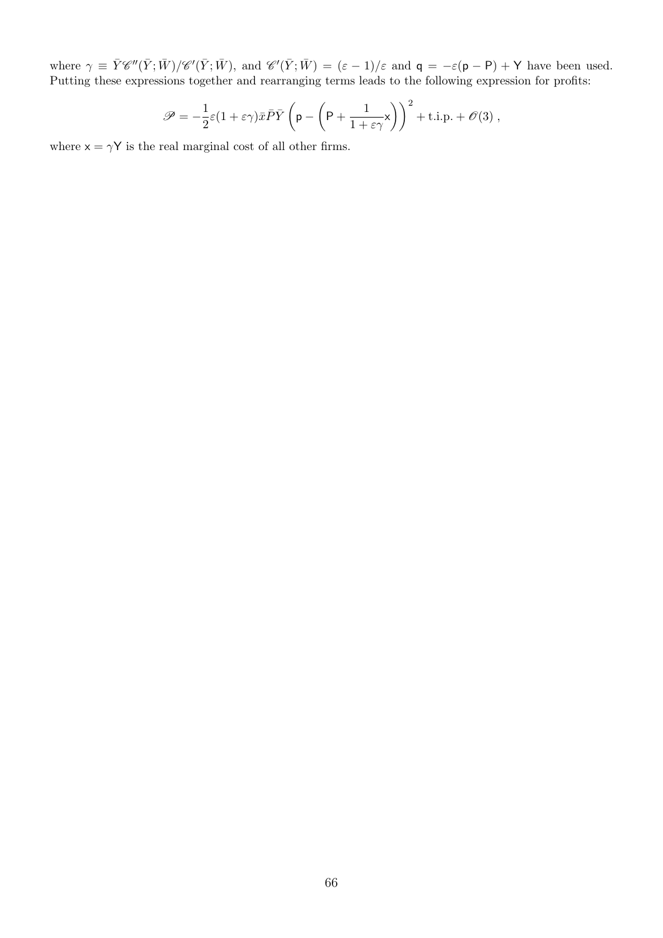where  $\gamma \equiv \bar{Y}\mathscr{C}''(\bar{Y};\bar{W})/\mathscr{C}'(\bar{Y};\bar{W})$ , and  $\mathscr{C}'(\bar{Y};\bar{W}) = (\varepsilon - 1)/\varepsilon$  and  $\mathsf{q} = -\varepsilon(\mathsf{p} - \mathsf{P}) + \mathsf{Y}$  have been used. Putting these expressions together and rearranging terms leads to the following expression for profits:

$$
\mathscr{P} = -\frac{1}{2}\varepsilon(1+\varepsilon\gamma)\bar{x}\bar{P}\bar{Y}\left(\mathsf{p} - \left(\mathsf{P} + \frac{1}{1+\varepsilon\gamma}\mathsf{x}\right)\right)^2 + \text{t.i.p.} + \mathscr{O}(3) ,
$$

where  $x = \gamma Y$  is the real marginal cost of all other firms.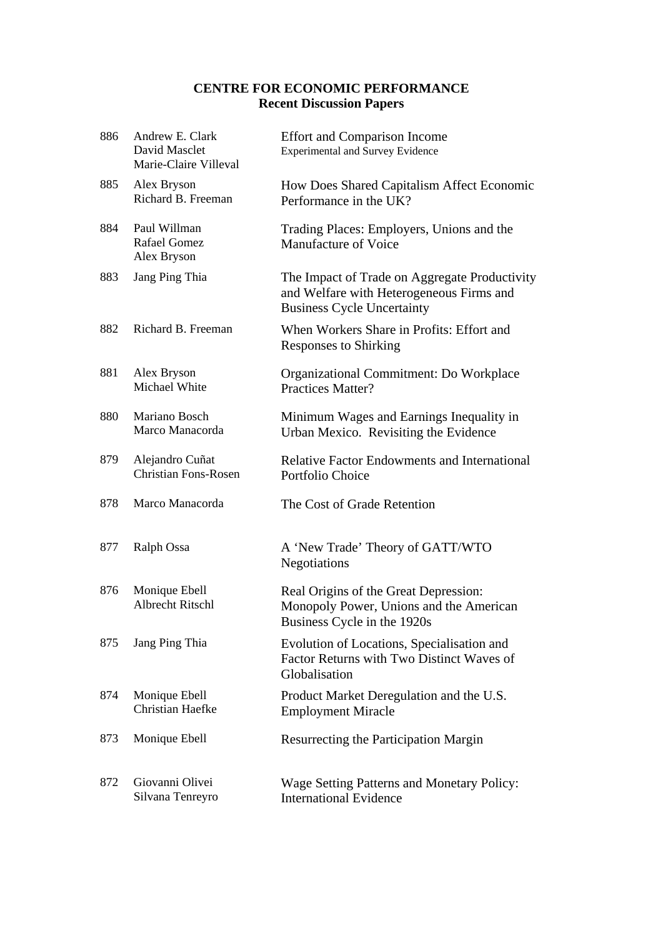## **CENTRE FOR ECONOMIC PERFORMANCE Recent Discussion Papers**

| 886 | Andrew E. Clark<br>David Masclet<br>Marie-Claire Villeval | <b>Effort and Comparison Income</b><br><b>Experimental and Survey Evidence</b>                                                 |
|-----|-----------------------------------------------------------|--------------------------------------------------------------------------------------------------------------------------------|
| 885 | Alex Bryson<br>Richard B. Freeman                         | How Does Shared Capitalism Affect Economic<br>Performance in the UK?                                                           |
| 884 | Paul Willman<br><b>Rafael Gomez</b><br>Alex Bryson        | Trading Places: Employers, Unions and the<br>Manufacture of Voice                                                              |
| 883 | Jang Ping Thia                                            | The Impact of Trade on Aggregate Productivity<br>and Welfare with Heterogeneous Firms and<br><b>Business Cycle Uncertainty</b> |
| 882 | Richard B. Freeman                                        | When Workers Share in Profits: Effort and<br><b>Responses to Shirking</b>                                                      |
| 881 | Alex Bryson<br>Michael White                              | Organizational Commitment: Do Workplace<br><b>Practices Matter?</b>                                                            |
| 880 | Mariano Bosch<br>Marco Manacorda                          | Minimum Wages and Earnings Inequality in<br>Urban Mexico. Revisiting the Evidence                                              |
| 879 | Alejandro Cuñat<br><b>Christian Fons-Rosen</b>            | <b>Relative Factor Endowments and International</b><br>Portfolio Choice                                                        |
| 878 | Marco Manacorda                                           | The Cost of Grade Retention                                                                                                    |
| 877 | Ralph Ossa                                                | A 'New Trade' Theory of GATT/WTO<br>Negotiations                                                                               |
| 876 | Monique Ebell<br><b>Albrecht Ritschl</b>                  | Real Origins of the Great Depression:<br>Monopoly Power, Unions and the American<br>Business Cycle in the 1920s                |
| 875 | Jang Ping Thia                                            | Evolution of Locations, Specialisation and<br>Factor Returns with Two Distinct Waves of<br>Globalisation                       |
| 874 | Monique Ebell<br>Christian Haefke                         | Product Market Deregulation and the U.S.<br><b>Employment Miracle</b>                                                          |
| 873 | Monique Ebell                                             | Resurrecting the Participation Margin                                                                                          |
| 872 | Giovanni Olivei<br>Silvana Tenreyro                       | <b>Wage Setting Patterns and Monetary Policy:</b><br><b>International Evidence</b>                                             |